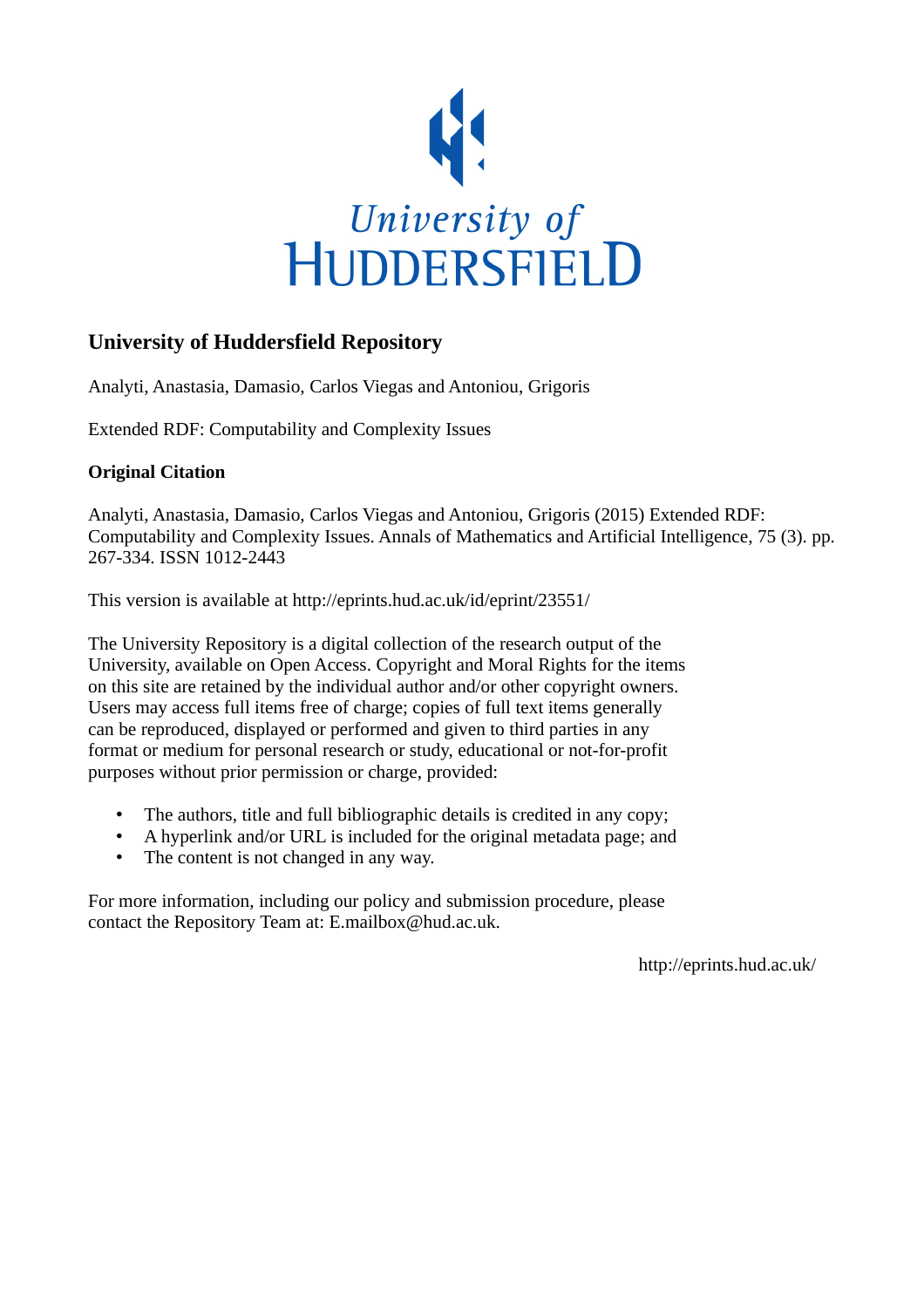

# **University of Huddersfield Repository**

Analyti, Anastasia, Damasio, Carlos Viegas and Antoniou, Grigoris

Extended RDF: Computability and Complexity Issues

# **Original Citation**

Analyti, Anastasia, Damasio, Carlos Viegas and Antoniou, Grigoris (2015) Extended RDF: Computability and Complexity Issues. Annals of Mathematics and Artificial Intelligence, 75 (3). pp. 267-334. ISSN 1012-2443

This version is available at http://eprints.hud.ac.uk/id/eprint/23551/

The University Repository is a digital collection of the research output of the University, available on Open Access. Copyright and Moral Rights for the items on this site are retained by the individual author and/or other copyright owners. Users may access full items free of charge; copies of full text items generally can be reproduced, displayed or performed and given to third parties in any format or medium for personal research or study, educational or not-for-profit purposes without prior permission or charge, provided:

- The authors, title and full bibliographic details is credited in any copy;
- A hyperlink and/or URL is included for the original metadata page; and
- The content is not changed in any way.

For more information, including our policy and submission procedure, please contact the Repository Team at: E.mailbox@hud.ac.uk.

http://eprints.hud.ac.uk/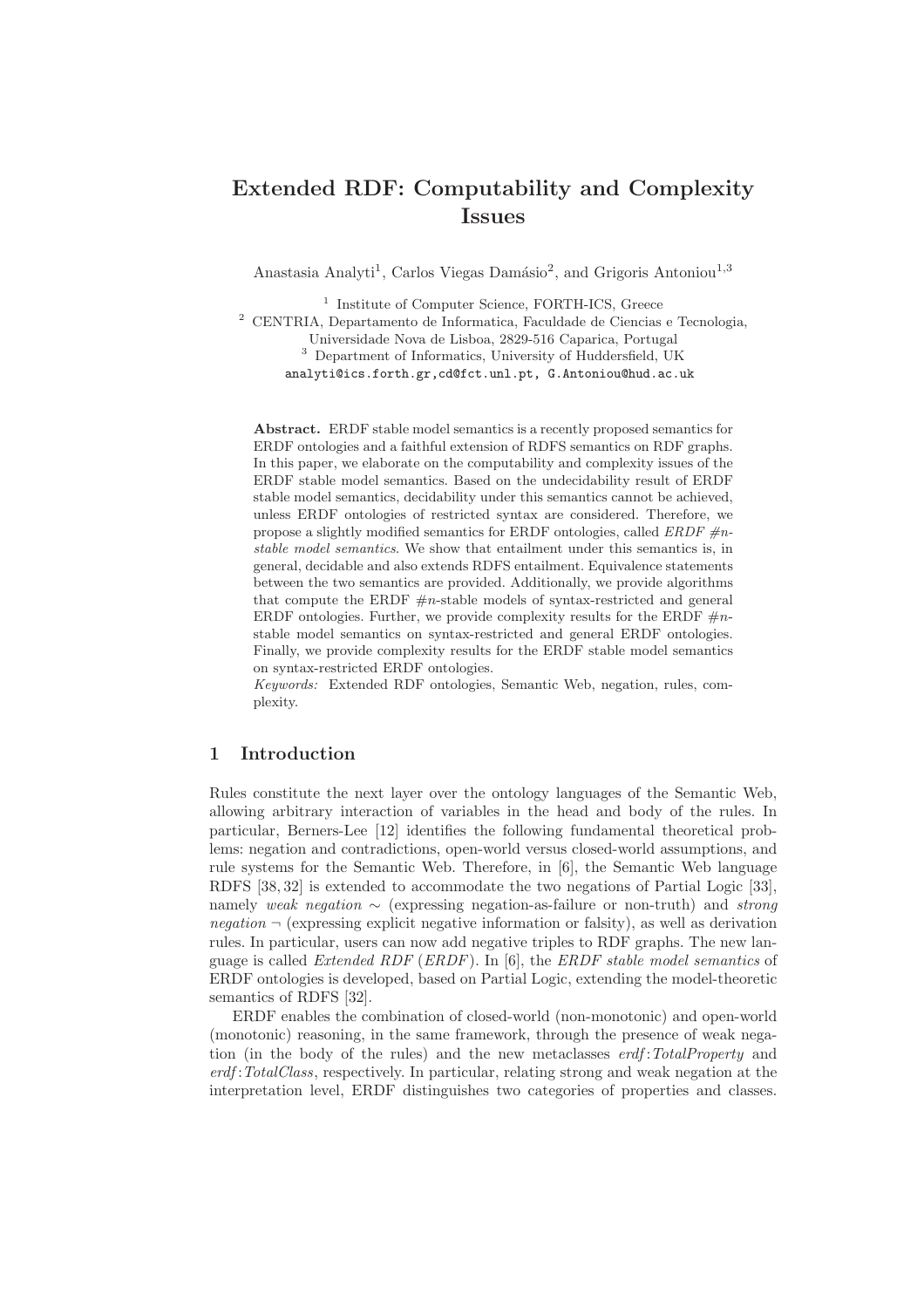# Extended RDF: Computability and Complexity Issues

Anastasia Analyti<sup>1</sup>, Carlos Viegas Damásio<sup>2</sup>, and Grigoris Antoniou<sup>1,3</sup>

<sup>1</sup> Institute of Computer Science, FORTH-ICS, Greece

<sup>2</sup> CENTRIA, Departamento de Informatica, Faculdade de Ciencias e Tecnologia, Universidade Nova de Lisboa, 2829-516 Caparica, Portugal  $^3\,$  Department of Informatics, University of Huddersfield, UK analyti@ics.forth.gr,cd@fct.unl.pt, G.Antoniou@hud.ac.uk

Abstract. ERDF stable model semantics is a recently proposed semantics for ERDF ontologies and a faithful extension of RDFS semantics on RDF graphs. In this paper, we elaborate on the computability and complexity issues of the ERDF stable model semantics. Based on the undecidability result of ERDF stable model semantics, decidability under this semantics cannot be achieved, unless ERDF ontologies of restricted syntax are considered. Therefore, we propose a slightly modified semantics for ERDF ontologies, called *ERDF #nstable model semantics*. We show that entailment under this semantics is, in general, decidable and also extends RDFS entailment. Equivalence statements between the two semantics are provided. Additionally, we provide algorithms that compute the ERDF  $\#n$ -stable models of syntax-restricted and general ERDF ontologies. Further, we provide complexity results for the ERDF  $\#n$ stable model semantics on syntax-restricted and general ERDF ontologies. Finally, we provide complexity results for the ERDF stable model semantics on syntax-restricted ERDF ontologies.

*Keywords:* Extended RDF ontologies, Semantic Web, negation, rules, complexity.

## 1 Introduction

Rules constitute the next layer over the ontology languages of the Semantic Web, allowing arbitrary interaction of variables in the head and body of the rules. In particular, Berners-Lee [12] identifies the following fundamental theoretical problems: negation and contradictions, open-world versus closed-world assumptions, and rule systems for the Semantic Web. Therefore, in [6], the Semantic Web language RDFS [38, 32] is extended to accommodate the two negations of Partial Logic [33], namely weak negation ∼ (expressing negation-as-failure or non-truth) and strong  $negation$   $\neg$  (expressing explicit negative information or falsity), as well as derivation rules. In particular, users can now add negative triples to RDF graphs. The new language is called Extended RDF (ERDF). In [6], the ERDF stable model semantics of ERDF ontologies is developed, based on Partial Logic, extending the model-theoretic semantics of RDFS [32].

ERDF enables the combination of closed-world (non-monotonic) and open-world (monotonic) reasoning, in the same framework, through the presence of weak negation (in the body of the rules) and the new metaclasses *erdf*: TotalProperty and erdf: TotalClass, respectively. In particular, relating strong and weak negation at the interpretation level, ERDF distinguishes two categories of properties and classes.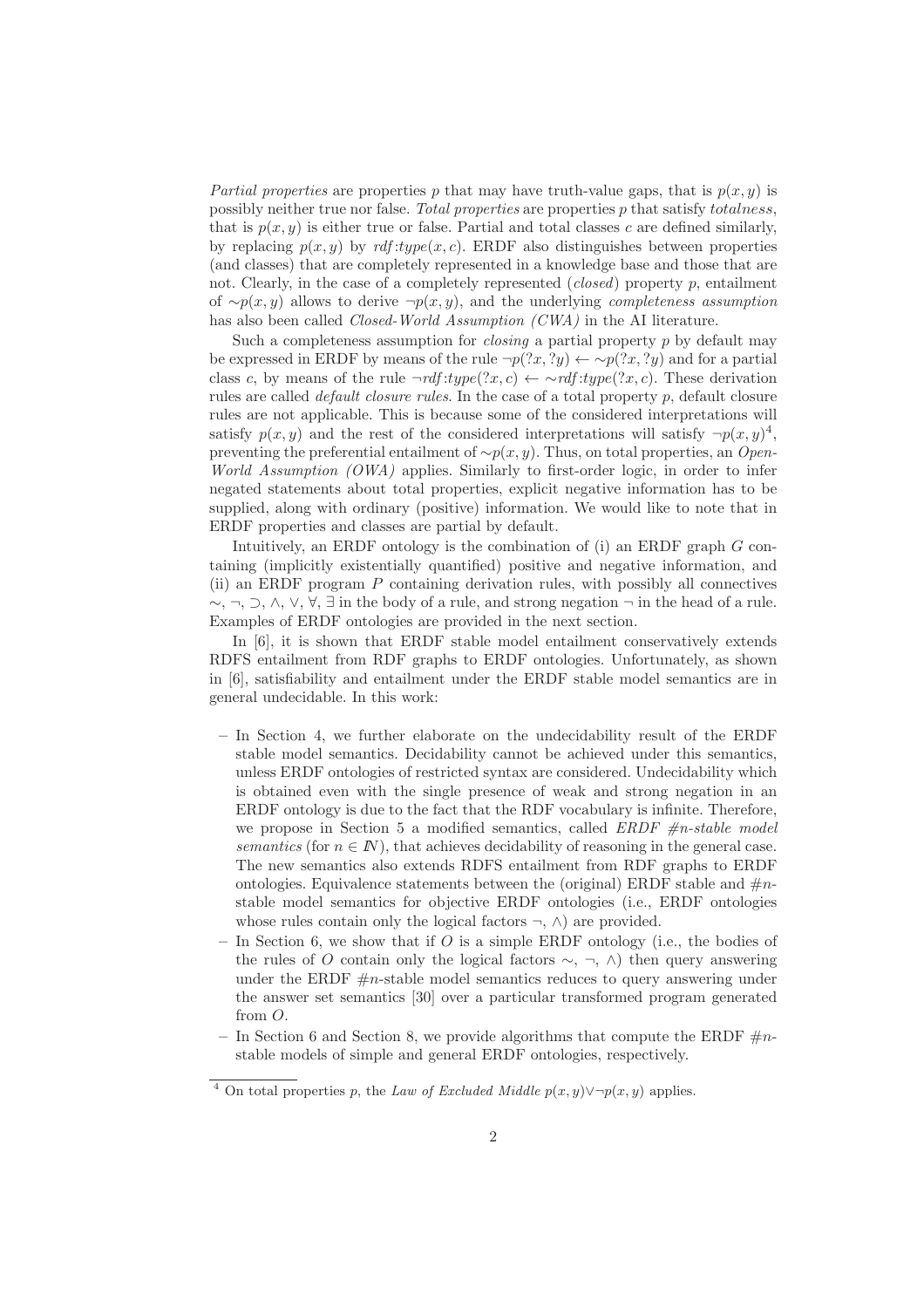Partial properties are properties p that may have truth-value gaps, that is  $p(x, y)$  is possibly neither true nor false. Total properties are properties p that satisfy totalness, that is  $p(x, y)$  is either true or false. Partial and total classes c are defined similarly, by replacing  $p(x, y)$  by rdf:type(x, c). ERDF also distinguishes between properties (and classes) that are completely represented in a knowledge base and those that are not. Clearly, in the case of a completely represented  $(closed)$  property p, entailment of  $~\sim p(x, y)$  allows to derive  $~\neg p(x, y)$ , and the underlying *completeness assumption* has also been called *Closed-World Assumption (CWA)* in the AI literature.

Such a completeness assumption for *closing* a partial property  $p$  by default may be expressed in ERDF by means of the rule  $\neg p(2x, 2y) \leftarrow \neg p(2x, 2y)$  and for a partial class c, by means of the rule  $\neg rdf : type(?x, c) \leftarrow \neg rdf : type(?x, c)$ . These derivation rules are called *default closure rules*. In the case of a total property  $p$ , default closure rules are not applicable. This is because some of the considered interpretations will satisfy  $p(x, y)$  and the rest of the considered interpretations will satisfy  $\neg p(x, y)$ <sup>4</sup>, preventing the preferential entailment of  $~\sim p(x, y)$ . Thus, on total properties, an *Open*-World Assumption (OWA) applies. Similarly to first-order logic, in order to infer negated statements about total properties, explicit negative information has to be supplied, along with ordinary (positive) information. We would like to note that in ERDF properties and classes are partial by default.

Intuitively, an ERDF ontology is the combination of  $(i)$  an ERDF graph  $G$  containing (implicitly existentially quantified) positive and negative information, and (ii) an ERDF program P containing derivation rules, with possibly all connectives ∼, ¬, ⊃, ∧, ∨, ∀, ∃ in the body of a rule, and strong negation ¬ in the head of a rule. Examples of ERDF ontologies are provided in the next section.

In [6], it is shown that ERDF stable model entailment conservatively extends RDFS entailment from RDF graphs to ERDF ontologies. Unfortunately, as shown in [6], satisfiability and entailment under the ERDF stable model semantics are in general undecidable. In this work:

- In Section 4, we further elaborate on the undecidability result of the ERDF stable model semantics. Decidability cannot be achieved under this semantics, unless ERDF ontologies of restricted syntax are considered. Undecidability which is obtained even with the single presence of weak and strong negation in an ERDF ontology is due to the fact that the RDF vocabulary is infinite. Therefore, we propose in Section 5 a modified semantics, called  $ERDF \#n-stable \ model$ semantics (for  $n \in \mathbb{N}$ ), that achieves decidability of reasoning in the general case. The new semantics also extends RDFS entailment from RDF graphs to ERDF ontologies. Equivalence statements between the (original) ERDF stable and  $\#n$ stable model semantics for objective ERDF ontologies (i.e., ERDF ontologies whose rules contain only the logical factors  $\neg$ ,  $\wedge$ ) are provided.
- In Section 6, we show that if  $O$  is a simple ERDF ontology (i.e., the bodies of the rules of O contain only the logical factors  $\sim$ ,  $\neg$ ,  $\wedge$ ) then query answering under the ERDF  $\#n$ -stable model semantics reduces to query answering under the answer set semantics [30] over a particular transformed program generated from O.
- In Section 6 and Section 8, we provide algorithms that compute the ERDF  $\#n$ stable models of simple and general ERDF ontologies, respectively.

<sup>&</sup>lt;sup>4</sup> On total properties p, the *Law of Excluded Middle*  $p(x, y) \vee \neg p(x, y)$  applies.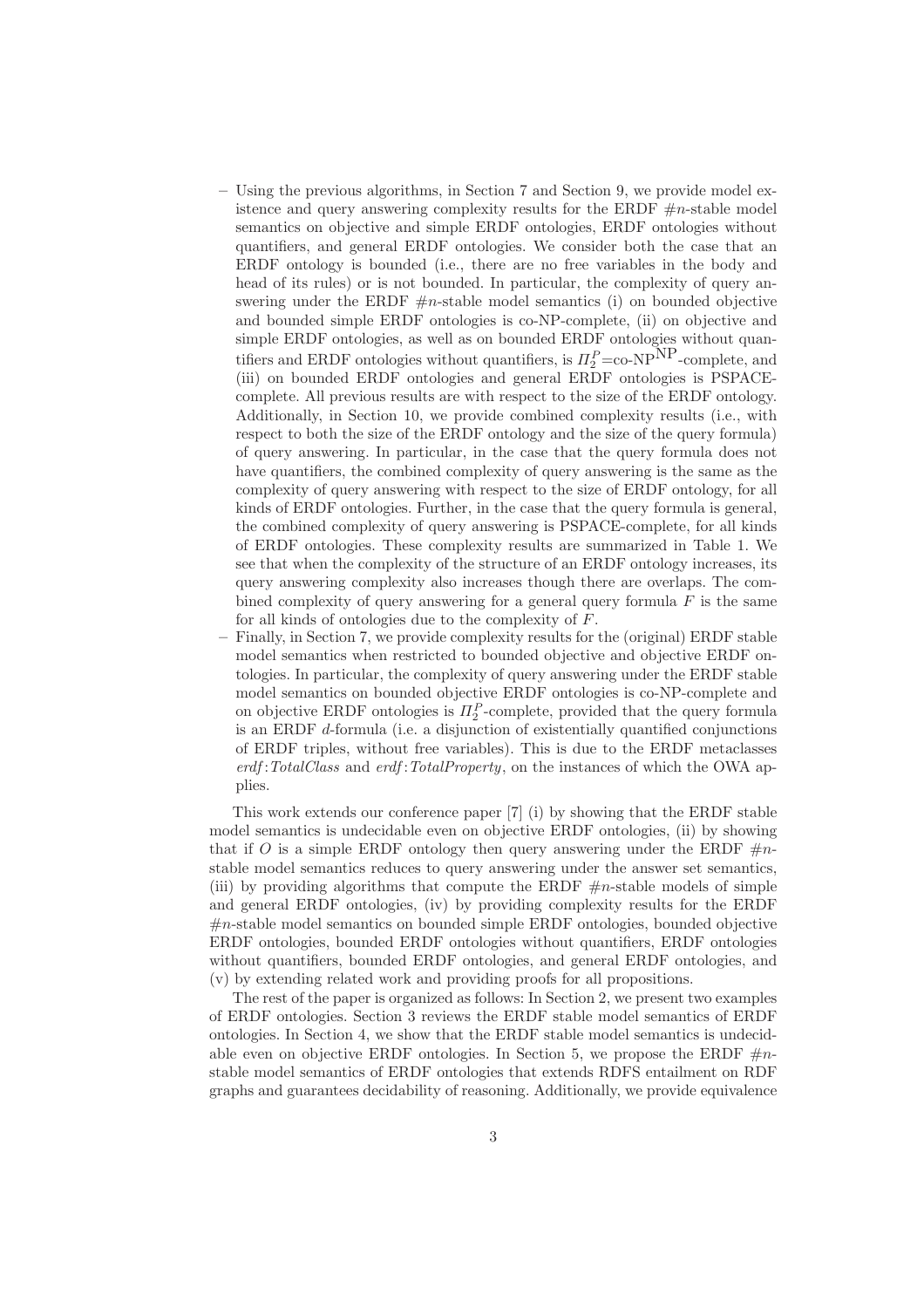- Using the previous algorithms, in Section 7 and Section 9, we provide model existence and query answering complexity results for the ERDF  $\#n$ -stable model semantics on objective and simple ERDF ontologies, ERDF ontologies without quantifiers, and general ERDF ontologies. We consider both the case that an ERDF ontology is bounded (i.e., there are no free variables in the body and head of its rules) or is not bounded. In particular, the complexity of query answering under the ERDF  $\#n$ -stable model semantics (i) on bounded objective and bounded simple ERDF ontologies is co-NP-complete, (ii) on objective and simple ERDF ontologies, as well as on bounded ERDF ontologies without quantifiers and ERDF ontologies without quantifiers, is  $\Pi_2^P =$ co-NPNP-complete, and (iii) on bounded ERDF ontologies and general ERDF ontologies is PSPACEcomplete. All previous results are with respect to the size of the ERDF ontology. Additionally, in Section 10, we provide combined complexity results (i.e., with respect to both the size of the ERDF ontology and the size of the query formula) of query answering. In particular, in the case that the query formula does not have quantifiers, the combined complexity of query answering is the same as the complexity of query answering with respect to the size of ERDF ontology, for all kinds of ERDF ontologies. Further, in the case that the query formula is general, the combined complexity of query answering is PSPACE-complete, for all kinds of ERDF ontologies. These complexity results are summarized in Table 1. We see that when the complexity of the structure of an ERDF ontology increases, its query answering complexity also increases though there are overlaps. The combined complexity of query answering for a general query formula  $F$  is the same for all kinds of ontologies due to the complexity of F.
- Finally, in Section 7, we provide complexity results for the (original) ERDF stable model semantics when restricted to bounded objective and objective ERDF ontologies. In particular, the complexity of query answering under the ERDF stable model semantics on bounded objective ERDF ontologies is co-NP-complete and on objective ERDF ontologies is  $\Pi_2^P$ -complete, provided that the query formula is an ERDF d-formula (i.e. a disjunction of existentially quantified conjunctions of ERDF triples, without free variables). This is due to the ERDF metaclasses erdf: TotalClass and erdf: TotalProperty, on the instances of which the OWA applies.

This work extends our conference paper [7] (i) by showing that the ERDF stable model semantics is undecidable even on objective ERDF ontologies, (ii) by showing that if O is a simple ERDF ontology then query answering under the ERDF  $\#n$ stable model semantics reduces to query answering under the answer set semantics, (iii) by providing algorithms that compute the ERDF  $\#n$ -stable models of simple and general ERDF ontologies, (iv) by providing complexity results for the ERDF  $\#n$ -stable model semantics on bounded simple ERDF ontologies, bounded objective ERDF ontologies, bounded ERDF ontologies without quantifiers, ERDF ontologies without quantifiers, bounded ERDF ontologies, and general ERDF ontologies, and (v) by extending related work and providing proofs for all propositions.

The rest of the paper is organized as follows: In Section 2, we present two examples of ERDF ontologies. Section 3 reviews the ERDF stable model semantics of ERDF ontologies. In Section 4, we show that the ERDF stable model semantics is undecidable even on objective ERDF ontologies. In Section 5, we propose the ERDF  $\#n$ stable model semantics of ERDF ontologies that extends RDFS entailment on RDF graphs and guarantees decidability of reasoning. Additionally, we provide equivalence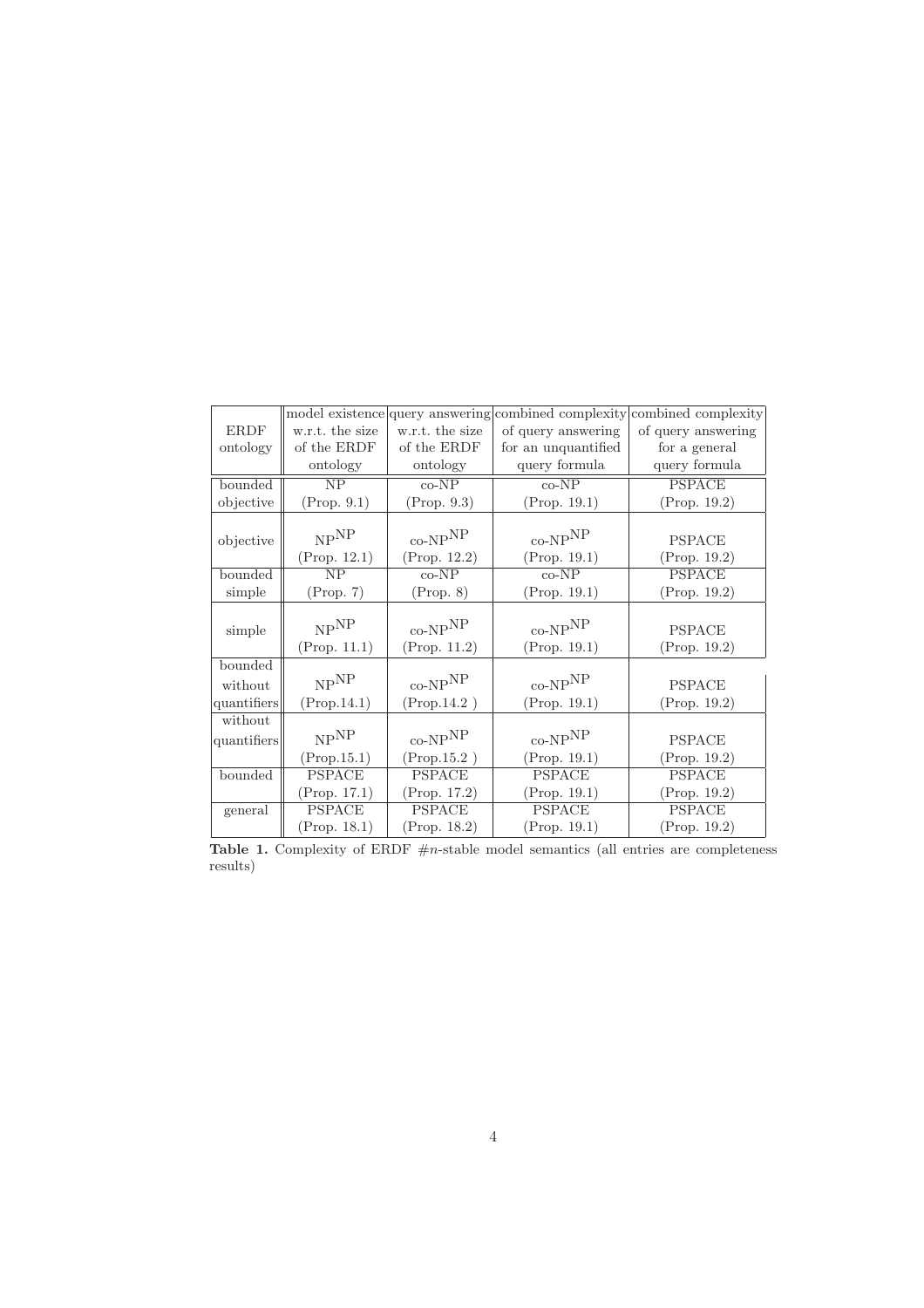|                        |                                   |                                         | model existence query answering combined complexity combined complexity |                               |
|------------------------|-----------------------------------|-----------------------------------------|-------------------------------------------------------------------------|-------------------------------|
| <b>ERDF</b>            | w.r.t. the size                   | w.r.t. the size                         | of query answering                                                      | of query answering            |
| ontology               | of the ERDF                       | of the ERDF                             | for an unquantified                                                     | for a general                 |
|                        | ontology                          | ontology                                | query formula                                                           | query formula                 |
| bounded                | <b>NP</b>                         | $co-NP$                                 | $co-NP$                                                                 | <b>PSPACE</b>                 |
| objective              | (Prop. 9.1)                       | (Prop. 9.3)                             | (Prop. 19.1)                                                            | (Prop. 19.2)                  |
| objective              | NP <sup>NP</sup><br>(Prop. 12.1)  | $_{\rm co-NP}^{\rm NP}$<br>(Prop. 12.2) | $_{\rm co-NP}^{\rm NP}$<br>(Prop. 19.1)                                 | <b>PSPACE</b><br>(Prop. 19.2) |
| bounded                | NP                                | $co-NP$                                 | $co-NP$                                                                 | <b>PSPACE</b>                 |
| simple                 | (Prop. 7)                         | (Prop. 8)                               | (Prop. 19.1)                                                            | (Prop. 19.2)                  |
| simple                 | NP <sup>NP<br/>(Prop. 11.1)</sup> | $_{\rm co-NP}^{\rm NP}$<br>(Prop. 11.2) | $_{\rm co-NP}^{\rm NP}$<br>(Prop. 19.1)                                 | <b>PSPACE</b><br>(Prop. 19.2) |
| bounded                |                                   |                                         |                                                                         |                               |
| without                | NP <sup>NP</sup>                  | $_{\rm co-NP}^{\rm NP}$                 | $_{\rm co-NP}^{\rm NP}$                                                 | <b>PSPACE</b>                 |
| quantifiers            | (Prop.14.1)                       | (Prop.14.2)                             | (Prop. 19.1)                                                            | (Prop. 19.2)                  |
| without<br>quantifiers | NP <sup>NP<br/>(Prop.15.1)</sup>  | $_{\rm co-NP}^{\rm NP}$<br>(Prop.15.2)  | $_{\rm co-NP}{}^{\rm NP}$<br>(Prop. 19.1)                               | <b>PSPACE</b><br>(Prop. 19.2) |
| bounded                | <b>PSPACE</b>                     | <b>PSPACE</b>                           | <b>PSPACE</b>                                                           | <b>PSPACE</b>                 |
|                        | (Prop. 17.1)                      | (Prop. 17.2)                            | (Prop. 19.1)                                                            | (Prop. 19.2)                  |
| general                | <b>PSPACE</b>                     | <b>PSPACE</b>                           | <b>PSPACE</b>                                                           | <b>PSPACE</b>                 |
|                        | (Prop. 18.1)                      | (Prop. 18.2)                            | (Prop. 19.1)                                                            | (Prop. 19.2)                  |

Table 1. Complexity of ERDF #n-stable model semantics (all entries are completeness results)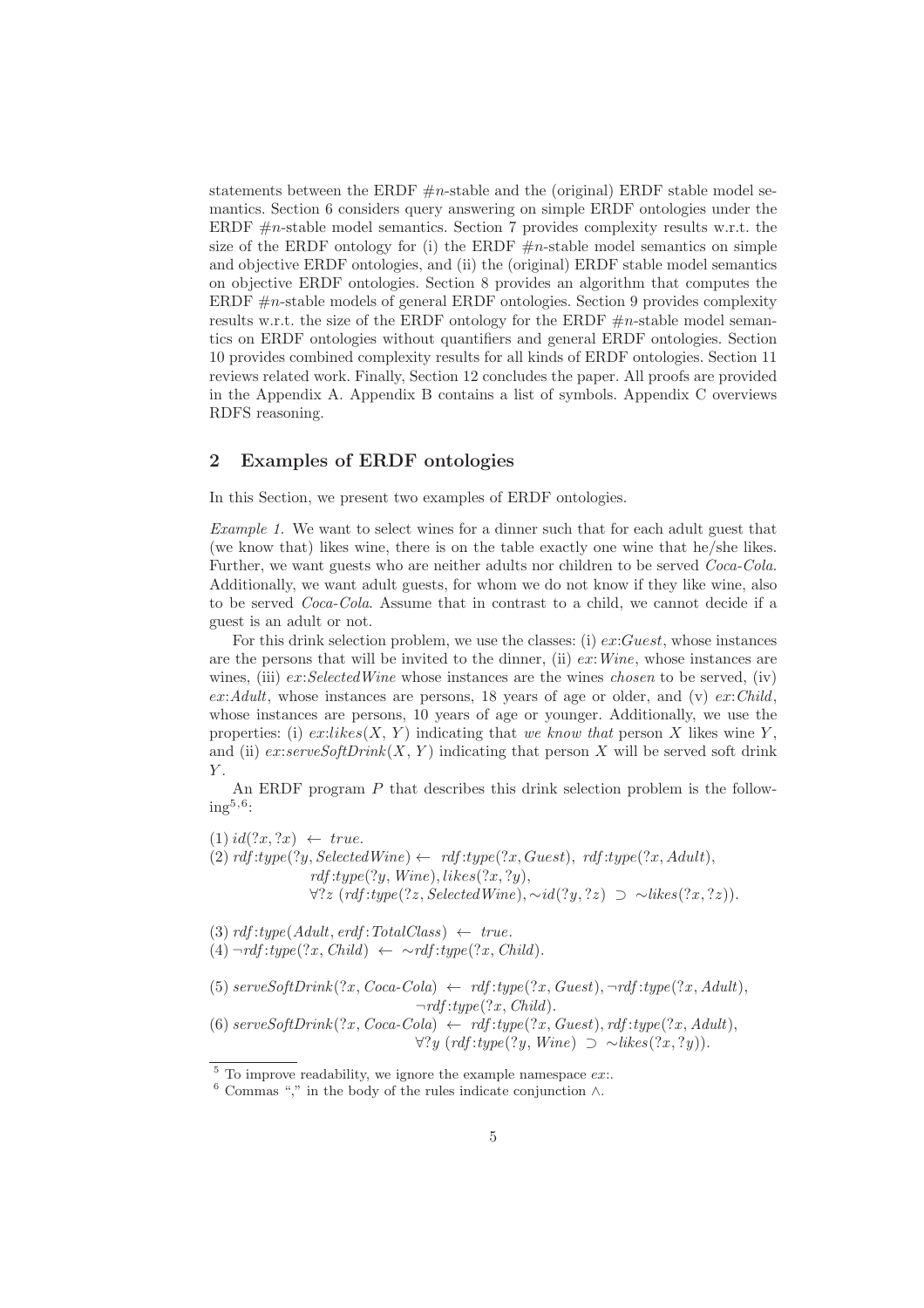statements between the ERDF  $\#n$ -stable and the (original) ERDF stable model semantics. Section 6 considers query answering on simple ERDF ontologies under the ERDF  $\#n$ -stable model semantics. Section 7 provides complexity results w.r.t. the size of the ERDF ontology for (i) the ERDF  $\#n$ -stable model semantics on simple and objective ERDF ontologies, and (ii) the (original) ERDF stable model semantics on objective ERDF ontologies. Section 8 provides an algorithm that computes the ERDF #n-stable models of general ERDF ontologies. Section 9 provides complexity results w.r.t. the size of the ERDF ontology for the ERDF  $\#n$ -stable model semantics on ERDF ontologies without quantifiers and general ERDF ontologies. Section 10 provides combined complexity results for all kinds of ERDF ontologies. Section 11 reviews related work. Finally, Section 12 concludes the paper. All proofs are provided in the Appendix A. Appendix B contains a list of symbols. Appendix C overviews RDFS reasoning.

## 2 Examples of ERDF ontologies

In this Section, we present two examples of ERDF ontologies.

Example 1. We want to select wines for a dinner such that for each adult guest that (we know that) likes wine, there is on the table exactly one wine that he/she likes. Further, we want guests who are neither adults nor children to be served Coca-Cola. Additionally, we want adult guests, for whom we do not know if they like wine, also to be served Coca-Cola. Assume that in contrast to a child, we cannot decide if a guest is an adult or not.

For this drink selection problem, we use the classes: (i)  $ex:Guest$ , whose instances are the persons that will be invited to the dinner, (ii)  $ex:Wine$ , whose instances are wines, (iii)  $ex:SelectedWine$  whose instances are the wines *chosen* to be served, (iv) ex: Adult, whose instances are persons, 18 years of age or older, and (v)  $ex:Child$ , whose instances are persons, 10 years of age or younger. Additionally, we use the properties: (i)  $ex:likes(X, Y)$  indicating that we know that person X likes wine Y, and (ii)  $ex:serveSoftDirink(X, Y)$  indicating that person X will be served soft drink  $Y$ .

An ERDF program P that describes this drink selection problem is the follow $ing^{5,6}$ :

 $(1) id(?x, ?x) \leftarrow true.$ 

(2) rdf:type(?y, SelectedWine)  $\leftarrow$  rdf:type(?x, Guest), rdf:type(?x, Adult),  $rdf: type(?y, \textit{Wine}), \textit{likes}(?x, ?y),$  $\forall$ ?z (rdf:type(?z, SelectedWine), ∼id(?y, ?z) ⊃ ∼likes(?x, ?z)).

(3)  $\textit{rdf:type}(A\textit{dult}, \textit{erdf:TotalClass}) \leftarrow \textit{true}.$ 

 $(4) \neg rdf : type(?x, Child) \leftarrow \neg rdf : type(?x, Child).$ 

(5)  $servesSoftDrink(?x, Coca-Cola) \leftarrow rdf: type(?x, Guest), \neg rdf: type(?x, Adult),$  $\neg\textit{rdf}:type(?x, Child).$ 

(6)  $serves of tDrink(?x, Coca-Cola) \leftarrow rdf: type(?x, Guest), rdf: type(?x, Adult),$  $\forall ?y \ (rdf:type(?y, \text{Wine}) \supset \sim \text{likes}(?x, ?y)).$ 

 $5$  To improve readability, we ignore the example namespace  $ex$ .

<sup>6</sup> Commas "," in the body of the rules indicate conjunction ∧.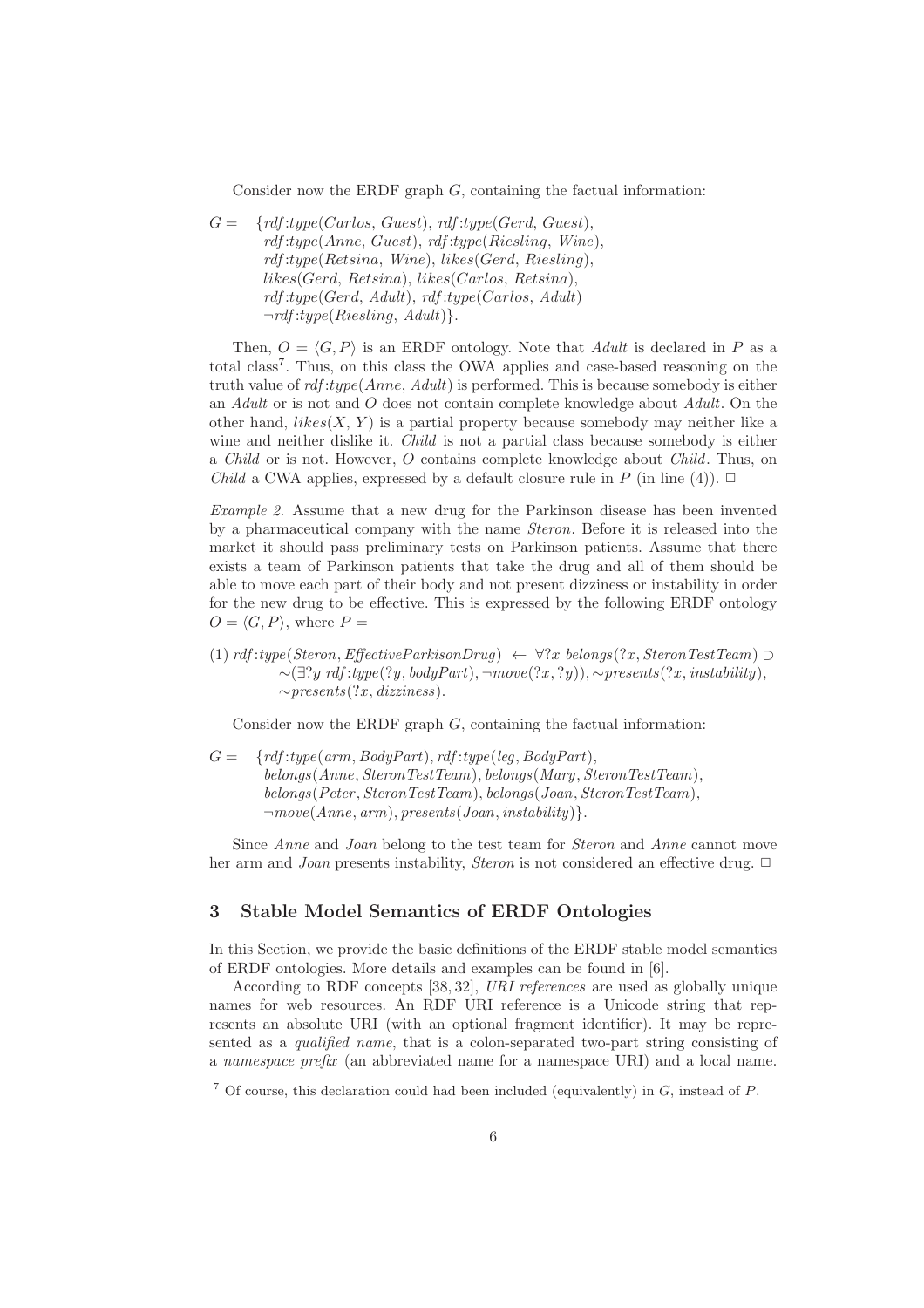Consider now the ERDF graph  $G$ , containing the factual information:

 $G = \{rdf: type(Carlos, Guest), rdf: type(Gerd, Guest),$ rdf :type(Anne, Guest), rdf :type(Riesling, Wine), rdf :type(Retsina, Wine), likes(Gerd, Riesling), likes(Gerd, Retsina), likes(Carlos, Retsina), rdf :type(Gerd, Adult), rdf :type(Carlos, Adult)  $\neg\textit{rdf}: type(Riesling, Adult)\}.$ 

Then,  $O = \langle G, P \rangle$  is an ERDF ontology. Note that Adult is declared in P as a total class<sup>7</sup>. Thus, on this class the OWA applies and case-based reasoning on the truth value of  $\textit{rdf}$ : $\textit{type}(\textit{Anne}, \textit{Adult})$  is performed. This is because somebody is either an Adult or is not and  $O$  does not contain complete knowledge about Adult. On the other hand,  $likes(X, Y)$  is a partial property because somebody may neither like a wine and neither dislike it. *Child* is not a partial class because somebody is either a Child or is not. However, O contains complete knowledge about Child. Thus, on Child a CWA applies, expressed by a default closure rule in P (in line (4)).  $\Box$ 

Example 2. Assume that a new drug for the Parkinson disease has been invented by a pharmaceutical company with the name Steron. Before it is released into the market it should pass preliminary tests on Parkinson patients. Assume that there exists a team of Parkinson patients that take the drug and all of them should be able to move each part of their body and not present dizziness or instability in order for the new drug to be effective. This is expressed by the following ERDF ontology  $Q = \langle G, P \rangle$ , where  $P =$ 

(1) rdf:type(Steron, EffectiveParkisonDrug) ←  $\forall$ ?x belongs(?x, SteronTestTeam) ⊃  $~\sim~(\exists ?y \; rdf: type(?y, bodyPart), \neg move(?x, ?y)), \sim presents(?x, instability),$  $\sim$ presents(?x, dizziness).

Consider now the ERDF graph  $G$ , containing the factual information:

 $G = \{rdf: type(arm, BodyPart), rdf: type(leg, BodyPart),$ belongs(Anne, SteronTestTeam), belongs(Mary, SteronTestTeam), belongs(Peter , SteronTestTeam), belongs(Joan, SteronTestTeam),  $\neg move(Anne, arm), presents(Joan, instability)\}.$ 

Since Anne and Joan belong to the test team for Steron and Anne cannot move her arm and *Joan* presents instability, *Steron* is not considered an effective drug.  $\Box$ 

## 3 Stable Model Semantics of ERDF Ontologies

In this Section, we provide the basic definitions of the ERDF stable model semantics of ERDF ontologies. More details and examples can be found in [6].

According to RDF concepts [38, 32], URI references are used as globally unique names for web resources. An RDF URI reference is a Unicode string that represents an absolute URI (with an optional fragment identifier). It may be represented as a qualified name, that is a colon-separated two-part string consisting of a namespace prefix (an abbreviated name for a namespace URI) and a local name.

 $\overline{7}$  Of course, this declaration could had been included (equivalently) in G, instead of P.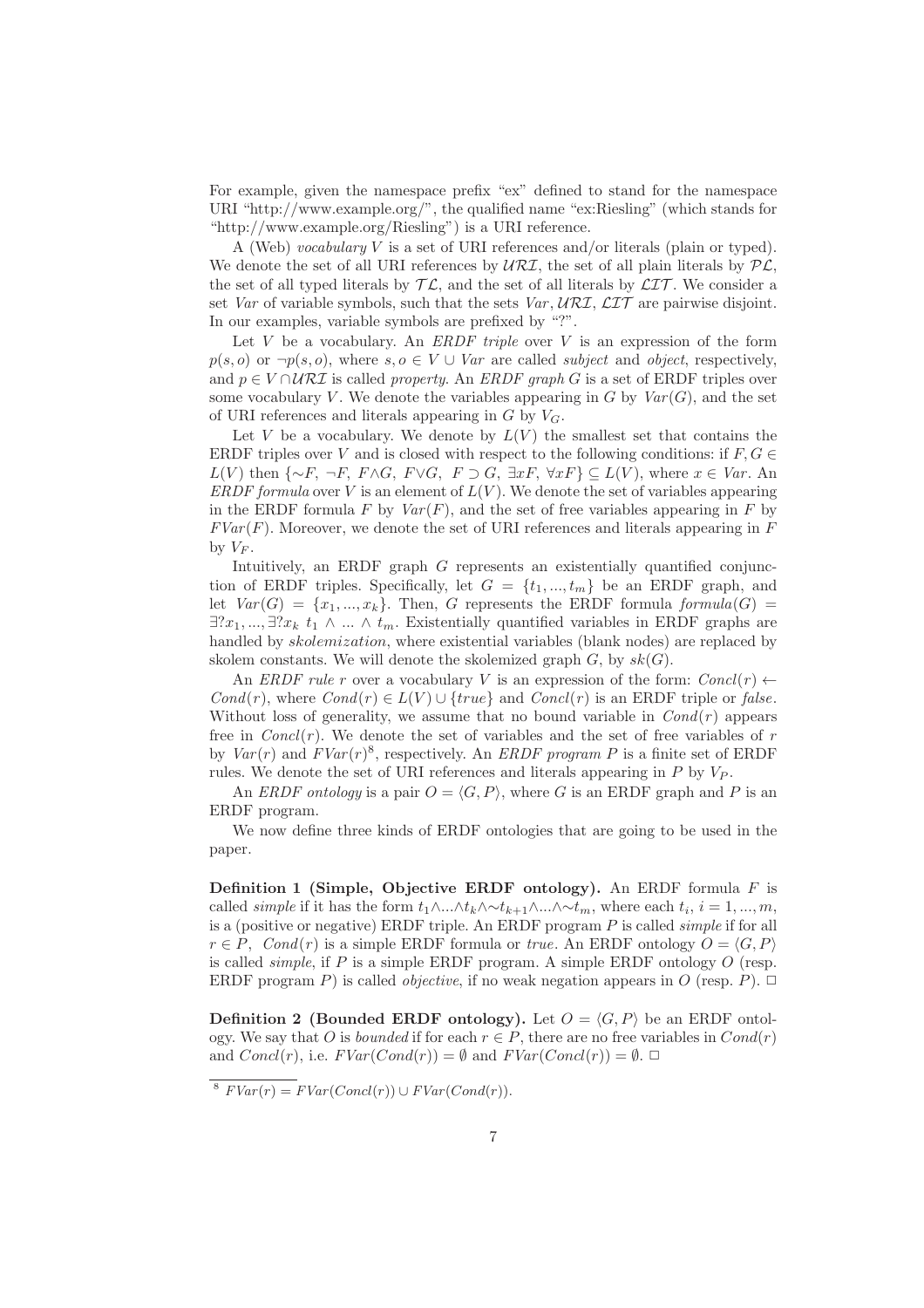For example, given the namespace prefix "ex" defined to stand for the namespace URI "http://www.example.org/", the qualified name "ex:Riesling" (which stands for "http://www.example.org/Riesling") is a URI reference.

A (Web) vocabulary V is a set of URI references and/or literals (plain or typed). We denote the set of all URI references by  $URI$ , the set of all plain literals by  $PL$ , the set of all typed literals by  $\mathcal{TL}$ , and the set of all literals by  $\mathcal{LIT}$ . We consider a set Var of variable symbols, such that the sets Var,  $\mathcal{URL}$ ,  $\mathcal{LIT}$  are pairwise disjoint. In our examples, variable symbols are prefixed by "?".

Let  $V$  be a vocabulary. An *ERDF triple* over  $V$  is an expression of the form  $p(s, o)$  or  $\neg p(s, o)$ , where  $s, o \in V \cup Var$  are called *subject* and *object*, respectively, and  $p \in V \cap URT$  is called property. An *ERDF graph G* is a set of ERDF triples over some vocabulary V. We denote the variables appearing in  $G$  by  $Var(G)$ , and the set of URI references and literals appearing in  $G$  by  $V_G$ .

Let V be a vocabulary. We denote by  $L(V)$  the smallest set that contains the ERDF triples over V and is closed with respect to the following conditions: if  $F, G \in$  $L(V)$  then  $\{\sim\!\! F, \neg F, F \wedge G, F \vee G, F \supset G, \exists x F, \forall x F\} \subseteq L(V)$ , where  $x \in Var$ . An ERDF formula over V is an element of  $L(V)$ . We denote the set of variables appearing in the ERDF formula F by  $Var(F)$ , and the set of free variables appearing in F by  $FVar(F)$ . Moreover, we denote the set of URI references and literals appearing in F by  $V_F$ .

Intuitively, an ERDF graph G represents an existentially quantified conjunction of ERDF triples. Specifically, let  $G = \{t_1, ..., t_m\}$  be an ERDF graph, and let  $Var(G) = \{x_1, ..., x_k\}$ . Then, G represents the ERDF formula formula  $(G)$  $\exists$ ?x<sub>1</sub>, ...,  $\exists$ ?x<sub>k</sub> t<sub>1</sub>  $\wedge$  ...  $\wedge$  t<sub>m</sub>. Existentially quantified variables in ERDF graphs are handled by skolemization, where existential variables (blank nodes) are replaced by skolem constants. We will denote the skolemized graph  $G$ , by  $sk(G)$ .

An ERDF rule r over a vocabulary V is an expression of the form:  $Concl(r) \leftarrow$  $Cond(r)$ , where  $Cond(r) \in L(V) \cup \{true\}$  and  $Concl(r)$  is an ERDF triple or false. Without loss of generality, we assume that no bound variable in  $Cond(r)$  appears free in  $Concl(r)$ . We denote the set of variables and the set of free variables of r by  $Var(r)$  and  $FVar(r)^8$ , respectively. An *ERDF program P* is a finite set of ERDF rules. We denote the set of URI references and literals appearing in  $P$  by  $V_P$ .

An ERDF ontology is a pair  $O = \langle G, P \rangle$ , where G is an ERDF graph and P is an ERDF program.

We now define three kinds of ERDF ontologies that are going to be used in the paper.

**Definition 1 (Simple, Objective ERDF ontology).** An ERDF formula  $F$  is called *simple* if it has the form  $t_1 \wedge ... \wedge t_k \wedge \neg t_{k+1} \wedge ... \wedge \neg t_m$ , where each  $t_i$ ,  $i = 1, ..., m$ , is a (positive or negative) ERDF triple. An ERDF program  $P$  is called *simple* if for all  $r \in P$ ,  $Cond(r)$  is a simple ERDF formula or true. An ERDF ontology  $O = \langle G, P \rangle$ is called *simple*, if P is a simple ERDF program. A simple ERDF ontology  $O$  (resp. ERDF program P) is called *objective*, if no weak negation appears in O (resp. P).  $\Box$ 

**Definition 2 (Bounded ERDF ontology).** Let  $O = \langle G, P \rangle$  be an ERDF ontology. We say that O is *bounded* if for each  $r \in P$ , there are no free variables in  $Cond(r)$ and  $Concl(r)$ , i.e.  $FVar(Cond(r)) = \emptyset$  and  $FVar(Concl(r)) = \emptyset$ .

<sup>&</sup>lt;sup>8</sup>  $FVar(r) = FVar(Concl(r)) \cup FVar(Cond(r)).$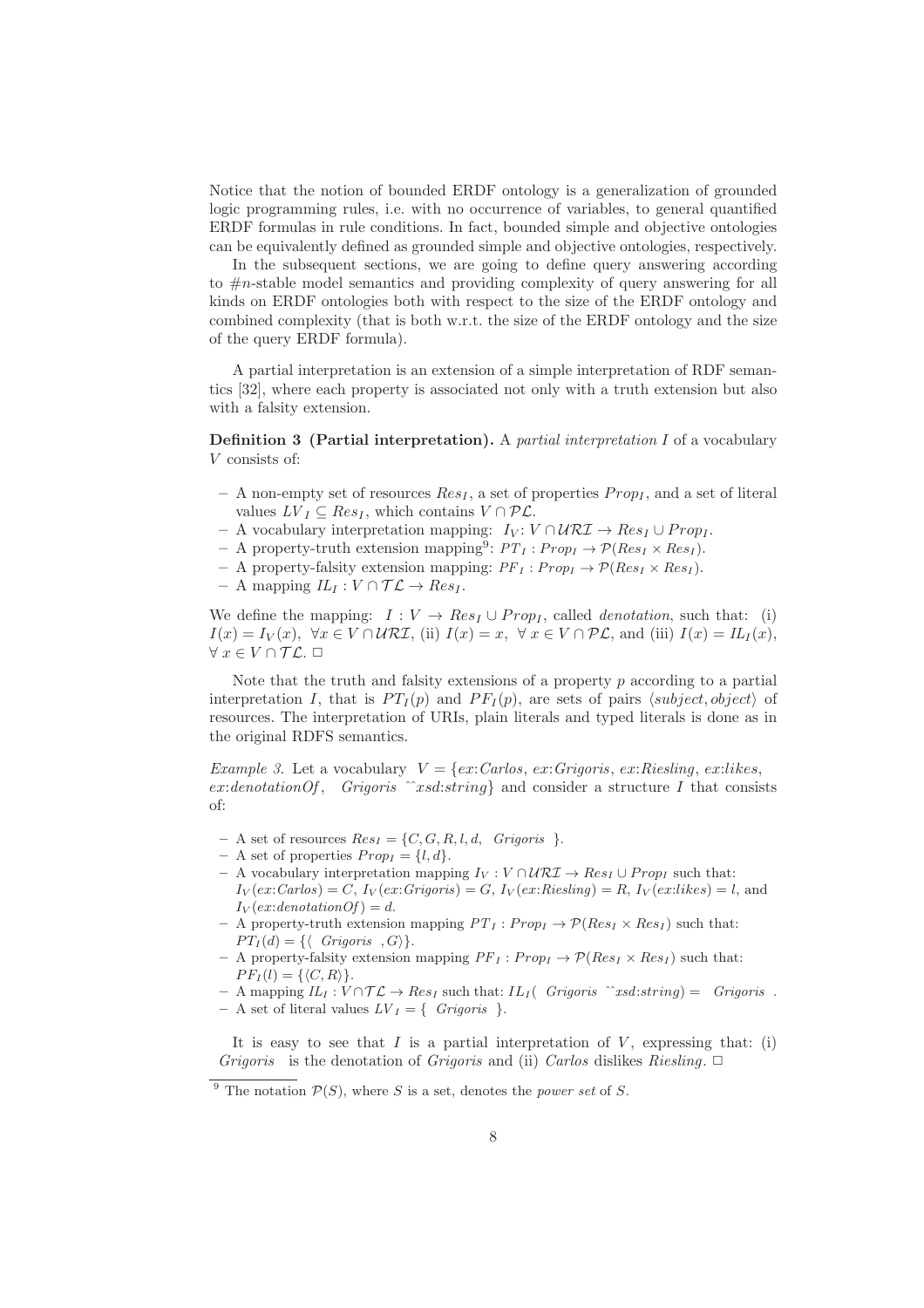Notice that the notion of bounded ERDF ontology is a generalization of grounded logic programming rules, i.e. with no occurrence of variables, to general quantified ERDF formulas in rule conditions. In fact, bounded simple and objective ontologies can be equivalently defined as grounded simple and objective ontologies, respectively.

In the subsequent sections, we are going to define query answering according to  $\#n$ -stable model semantics and providing complexity of query answering for all kinds on ERDF ontologies both with respect to the size of the ERDF ontology and combined complexity (that is both w.r.t. the size of the ERDF ontology and the size of the query ERDF formula).

A partial interpretation is an extension of a simple interpretation of RDF semantics [32], where each property is associated not only with a truth extension but also with a falsity extension.

**Definition 3 (Partial interpretation).** A *partial interpretation I* of a vocabulary V consists of:

- A non-empty set of resources  $Res_I$ , a set of properties  $Prop_I$ , and a set of literal values  $LV_I \subset Res_I$ , which contains  $V \cap \mathcal{PL}$ .
- A vocabulary interpretation mapping:  $I_V: V \cap \mathcal{U} \mathcal{R} \mathcal{I} \rightarrow Res_I \cup Prop_I$ .
- $-$  A property-truth extension mapping<sup>9</sup>:  $PT_I : Prop_I \rightarrow \mathcal{P}(Res_I \times Res_I)$ .
- $A$  property-falsity extension mapping:  $PF_I : Prop_I \rightarrow \mathcal{P}(Res_I \times Res_I)$ .
- A mapping  $IL_I: V \cap \mathcal{TL} \rightarrow Res_I$ .

We define the mapping:  $I: V \to Res_I \cup Prop_I$ , called *denotation*, such that: (i)  $I(x) = I_V(x)$ ,  $\forall x \in V \cap \mathcal{U} \mathcal{R} \mathcal{I}$ , (ii)  $I(x) = x$ ,  $\forall x \in V \cap \mathcal{P} \mathcal{L}$ , and (iii)  $I(x) = IL_I(x)$ ,  $\forall x \in V \cap \mathcal{TL}$ .

Note that the truth and falsity extensions of a property  $p$  according to a partial interpretation I, that is  $PT_I(p)$  and  $PF_I(p)$ , are sets of pairs  $\langle subject, object \rangle$  of resources. The interpretation of URIs, plain literals and typed literals is done as in the original RDFS semantics.

Example 3. Let a vocabulary  $V = \{ex: Carlos, ex: Grigoris, ex:Riesling, ex:likes,$ ex:denotationOf, Grigoris  $\hat{z}$ sd:string} and consider a structure I that consists of:

- $A$  set of resources  $Res_I = \{C, G, R, l, d, Grigoris \}$ .
- A set of properties  $Prop_I = \{l, d\}.$
- A vocabulary interpretation mapping  $I_V : V \cap URT \rightarrow Res_I \cup Prop_I$  such that:  $I_V(ex: Carlos) = C$ ,  $I_V(ex:Grigoris) = G$ ,  $I_V(ex:Riesling) = R$ ,  $I_V(ex:likes) = l$ , and  $I_V(ex:denotationOf) = d.$
- A property-truth extension mapping  $PT_I : Prop_I \rightarrow \mathcal{P}(Res_I \times Res_I)$  such that:  $PT_I(d) = \{ \langle \text{ Grigoris }, G \rangle \}.$
- A property-falsity extension mapping  $PF_I: Prop_I \rightarrow \mathcal{P}(Res_I \times Res_I)$  such that:  $PF_I(l) = \{\langle C, R \rangle\}.$
- $A$  mapping  $IL_I: V \cap T\mathcal{L} \rightarrow Res_I$  such that:  $IL_I$  (*Grigoris*  $\hat{ }$ *casationg*) = *Grigoris* .

 $-$  A set of literal values  $LV_I = \{$  *Grigoris*  $\}$ .

It is easy to see that  $I$  is a partial interpretation of  $V$ , expressing that: (i) Grigoris is the denotation of Grigoris and (ii) Carlos dislikes Riesling.  $\Box$ 

<sup>&</sup>lt;sup>9</sup> The notation  $P(S)$ , where S is a set, denotes the *power set* of S.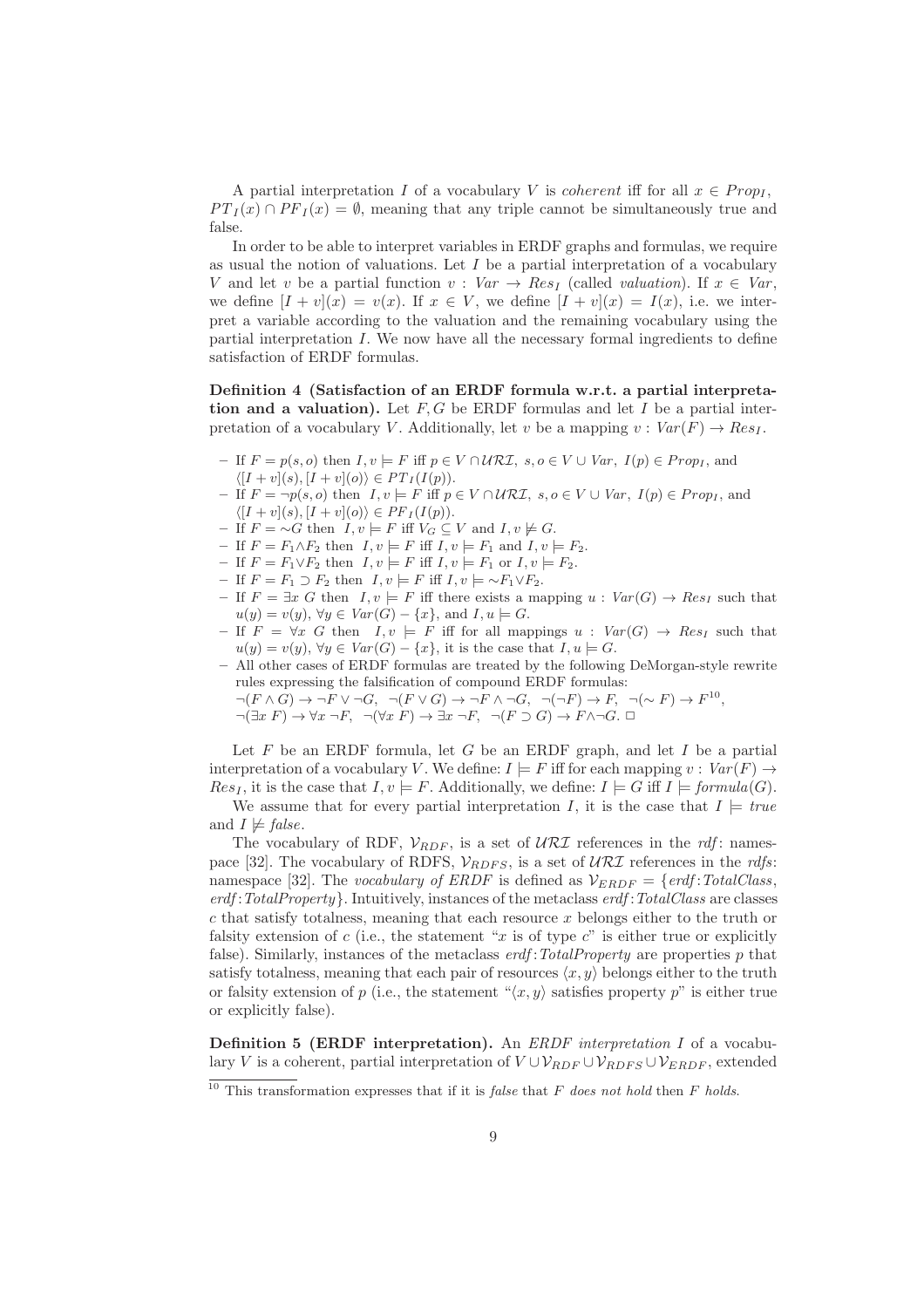A partial interpretation I of a vocabulary V is *coherent* iff for all  $x \in Prop<sub>I</sub>$ ,  $PT_I(x) \cap PF_I(x) = \emptyset$ , meaning that any triple cannot be simultaneously true and false.

In order to be able to interpret variables in ERDF graphs and formulas, we require as usual the notion of valuations. Let  $I$  be a partial interpretation of a vocabulary V and let v be a partial function  $v : Var \rightarrow Res_I$  (called valuation). If  $x \in Var$ , we define  $[I + v](x) = v(x)$ . If  $x \in V$ , we define  $[I + v](x) = I(x)$ , i.e. we interpret a variable according to the valuation and the remaining vocabulary using the partial interpretation I. We now have all the necessary formal ingredients to define satisfaction of ERDF formulas.

Definition 4 (Satisfaction of an ERDF formula w.r.t. a partial interpretation and a valuation). Let  $F, G$  be ERDF formulas and let I be a partial interpretation of a vocabulary V. Additionally, let v be a mapping  $v : Var(F) \rightarrow Res_I$ .

- If  $F = p(s, o)$  then  $I, v \models F$  iff  $p ∈ V ∩ U \mathcal{R} \mathcal{I}, s, o ∈ V ∪ Var, I(p) ∈ Prop<sub>I</sub>, and$  $\langle [I + v](s), [I + v](o) \rangle \in PT_I(I(p)).$
- If  $F = \neg p(s, o)$  then  $I, v \models F$  iff  $p ∈ V \cap URL$ ,  $s, o ∈ V \cup Var$ ,  $I(p) ∈ Prop<sub>I</sub>$ , and  $\langle [I + v](s), [I + v](o) \rangle \in PF_I(I(p)).$
- If  $F = \neg G$  then  $I, v \models F$  iff  $V_G ⊆ V$  and  $I, v \not\models G$ .
- If  $F = F_1 \wedge F_2$  then  $I, v \models F$  iff  $I, v \models F_1$  and  $I, v \models F_2$ .
- If  $F = F_1 \vee F_2$  then  $I, v \models F$  iff  $I, v \models F_1$  or  $I, v \models F_2$ .
- If  $F = F_1 \supset F_2$  then  $I, v \models F$  iff  $I, v \models \sim F_1 \vee F_2$ .
- If  $F = \exists x \ G$  then  $I, v \models F$  iff there exists a mapping  $u : Var(G) \rightarrow Res_I$  such that  $u(y) = v(y)$ ,  $\forall y \in Var(G) - \{x\}$ , and  $I, u \models G$ .
- If  $F = \forall x \ G$  then  $I, v \models F$  iff for all mappings  $u : Var(G) \rightarrow Res_I$  such that  $u(y) = v(y)$ ,  $\forall y \in Var(G) - \{x\}$ , it is the case that  $I, u \models G$ .
- All other cases of ERDF formulas are treated by the following DeMorgan-style rewrite rules expressing the falsification of compound ERDF formulas:
- $\neg(F \land G) \to \neg F \lor \neg G, \neg(F \lor G) \to \neg F \land \neg G, \neg(\neg F) \to F, \neg(\sim F) \to F^{10},$  $\neg(\exists x \ F) \rightarrow \forall x \ \neg F, \ \neg(\forall x \ F) \rightarrow \exists x \ \neg F, \ \neg(F \supset G) \rightarrow F \land \neg G. \ \Box$

Let  $F$  be an ERDF formula, let  $G$  be an ERDF graph, and let  $I$  be a partial interpretation of a vocabulary V. We define:  $I \models F$  iff for each mapping  $v : Var(F) \rightarrow$  $Res_I$ , it is the case that  $I, v \models F$ . Additionally, we define:  $I \models G$  iff  $I \models formula(G)$ .

We assume that for every partial interpretation I, it is the case that  $I \models true$ and  $I \not\models \text{false}.$ 

The vocabulary of RDF,  $V_{RDF}$ , is a set of  $URI$  references in the rdf: namespace [32]. The vocabulary of RDFS,  $V_{RDFS}$ , is a set of  $URI$  references in the *rdfs*: namespace [32]. The vocabulary of ERDF is defined as  $\mathcal{V}_{ERDF} = \{erdf : Total Class,$  $erdf:TotalProperty\}.$  Intuitively, instances of the metaclass  $erdf:TotalClass$  are classes  $c$  that satisfy totalness, meaning that each resource  $x$  belongs either to the truth or falsity extension of c (i.e., the statement "x is of type  $c$ " is either true or explicitly false). Similarly, instances of the metaclass  $erdf:TotalProperty$  are properties p that satisfy totalness, meaning that each pair of resources  $\langle x, y \rangle$  belongs either to the truth or falsity extension of p (i.e., the statement " $\langle x, y \rangle$  satisfies property p" is either true or explicitly false).

Definition 5 (ERDF interpretation). An *ERDF interpretation I* of a vocabulary V is a coherent, partial interpretation of  $V \cup \mathcal{V}_{RDF} \cup \mathcal{V}_{RDF S} \cup \mathcal{V}_{ERDF}$ , extended

<sup>10</sup> This transformation expresses that if it is *false* that F *does not hold* then F *holds*.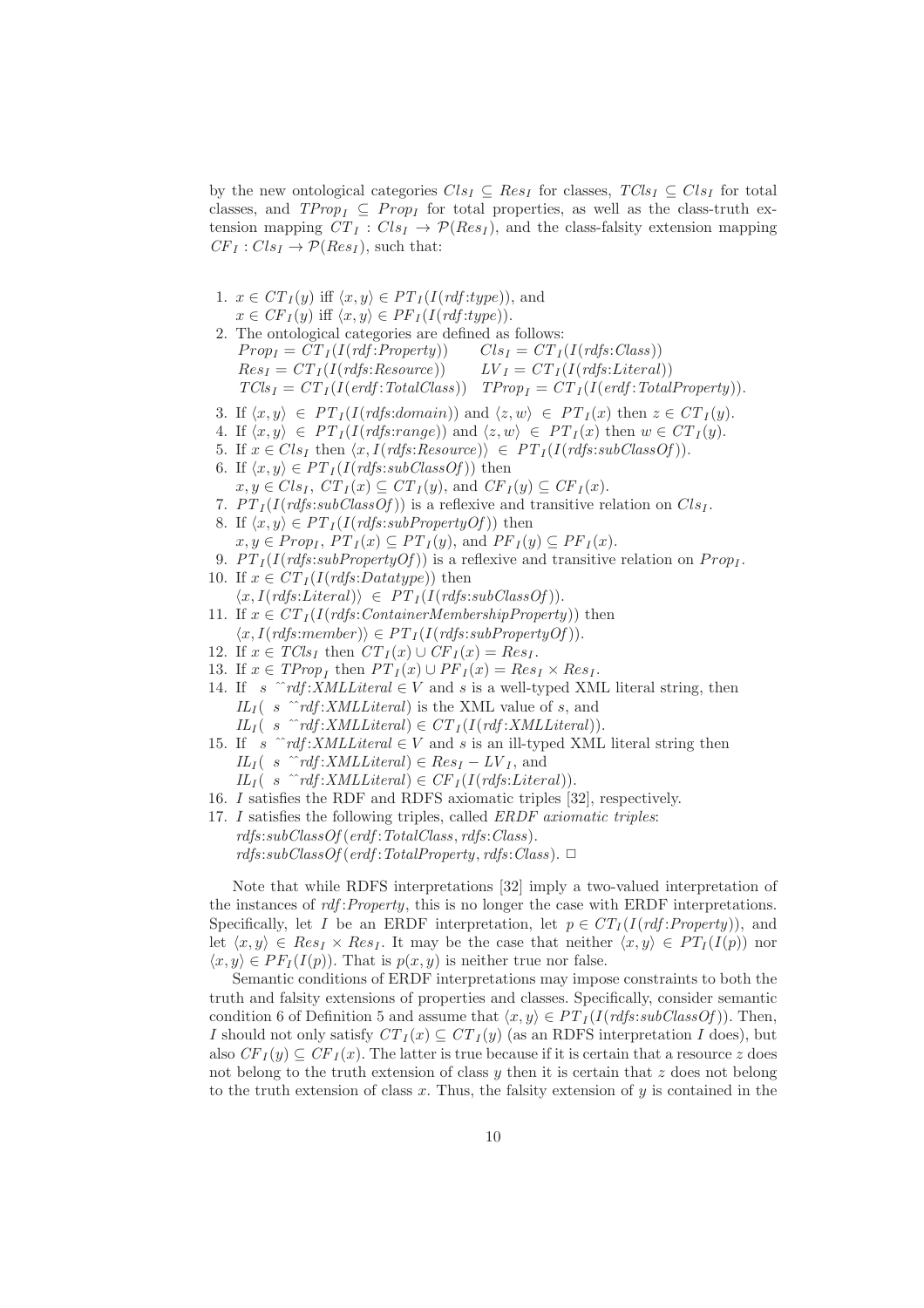by the new ontological categories  $Cls_I \subseteq Res_I$  for classes,  $TCls_I \subseteq Cls_I$  for total classes, and  $TProp_I \subseteq Prop_I$  for total properties, as well as the class-truth extension mapping  $CT_I : Cls_I \rightarrow \mathcal{P}(Res_I)$ , and the class-falsity extension mapping  $CF_I: Cls_I \rightarrow \mathcal{P}(Res_I)$ , such that:

- 1.  $x \in CT_I(y)$  iff  $\langle x, y \rangle \in PT_I(I(rdf:type)),$  and  $x \in CF_I(y)$  iff  $\langle x, y \rangle \in PF_I(I(rdf:type)).$
- 2. The ontological categories are defined as follows:  $Prop_I = CT_I (I (rdf : Property))$   $Cls_I = CT_I (I (rdfs:Class))$  $Res_I = CT_I(I(rdfs:Resource))$   $LV_I = CT_I(I(rdfs:Literal))$  $TCls_I = CT_I (I (erdf:TotalClass))$   $TProp_I = CT_I (I (erdf:TotalProperty)).$
- 3. If  $\langle x, y \rangle \in PT_I(I(rdfs:domain))$  and  $\langle z, w \rangle \in PT_I(x)$  then  $z \in CT_I(y)$ .
- 4. If  $\langle x, y \rangle \in PT_I(I(rdfs:range))$  and  $\langle z, w \rangle \in PT_I(x)$  then  $w \in CT_I(y)$ .
- 5. If  $x \in Cls_I$  then  $\langle x, I(rdfs:Resource)\rangle \in PT_I(I(rdfs:subClassOf))$ .
- 6. If  $\langle x, y \rangle \in PT_I(I(rdfs:subClassOf))$  then  $x, y \in Cls_I$ ,  $CT_I(x) \subseteq CT_I(y)$ , and  $CF_I(y) \subseteq CF_I(x)$ .
- 7.  $PT_I(I(rdfs:subClassOf))$  is a reflexive and transitive relation on  $Cls_I$ .
- 8. If  $\langle x, y \rangle \in PT_I(I(rdfs:subPropertyOf))$  then
- $x, y \in Prop_I$ ,  $PT_I(x) \subseteq PT_I(y)$ , and  $PF_I(y) \subseteq PF_I(x)$ .
- 9.  $PT_I(I(rdfs:subPropertyOf))$  is a reflexive and transitive relation on  $Prop_I$ .
- 10. If  $x \in CT_I(I(rdfs:Datatype))$  then
- $\langle x, I(rdfs:literal)\rangle \in PT_I(I(rdfs:subClassOf)).$
- 11. If  $x \in CT_I(I(rdfs:ContainerMembershipProperty))$  then  $\langle x, I(rdfs:member)\rangle \in PT_I(I(rdfs: subPropertyOf)).$
- 12. If  $x \in TCls_I$  then  $CT_I(x) \cup CF_I(x) = Res_I$ .
- 13. If  $x \in TProp_I$  then  $PT_I(x) \cup PF_I(x) = Res_I \times Res_I$ .
- 14. If s  $\hat{i}$ rdf:XMLLiteral  $\in V$  and s is a well-typed XML literal string, then  $IL_I$  (s  $\hat{G}$ rdf:XMLLiteral) is the XML value of s, and
	- $IL_I( s \ \hat{ }\$  rdf: XMLliteral) \in CT\_I(Idf: XMLLiteral)).
- 15. If s  $\hat{r}$ rdf:XMLLiteral  $\in V$  and s is an ill-typed XML literal string then  $IL_I(s \text{``}rdf: XMLliteral) \in Res_I - LV_I$ , and
	- $IL_I( s \ \hat{ }\$  rdf: XMLLiteral) \in CF\_I(I(rdfs:Literal)).
- 16. I satisfies the RDF and RDFS axiomatic triples [32], respectively.
- 17. I satisfies the following triples, called ERDF axiomatic triples: rdfs:subClassOf (erdf :TotalClass, rdfs:Class).  $rdfs:subClassOf(erdf:TotalProperty, rdfs:Class).$

Note that while RDFS interpretations [32] imply a two-valued interpretation of the instances of  $\mathit{rdf}:Property$ , this is no longer the case with ERDF interpretations. Specifically, let I be an ERDF interpretation, let  $p \in CT_I(I(rdf:Property))$ , and let  $\langle x, y \rangle \in Res_I \times Res_I$ . It may be the case that neither  $\langle x, y \rangle \in PT_I(I(p))$  nor  $\langle x, y \rangle \in PF_I(I(p))$ . That is  $p(x, y)$  is neither true nor false.

Semantic conditions of ERDF interpretations may impose constraints to both the truth and falsity extensions of properties and classes. Specifically, consider semantic condition 6 of Definition 5 and assume that  $\langle x, y \rangle \in PT_I(I(rdfs:subClassOf))$ . Then, I should not only satisfy  $CT_I(x) \subseteq CT_I(y)$  (as an RDFS interpretation I does), but also  $CF_I(y) \subseteq CF_I(x)$ . The latter is true because if it is certain that a resource z does not belong to the truth extension of class  $y$  then it is certain that  $z$  does not belong to the truth extension of class x. Thus, the falsity extension of  $y$  is contained in the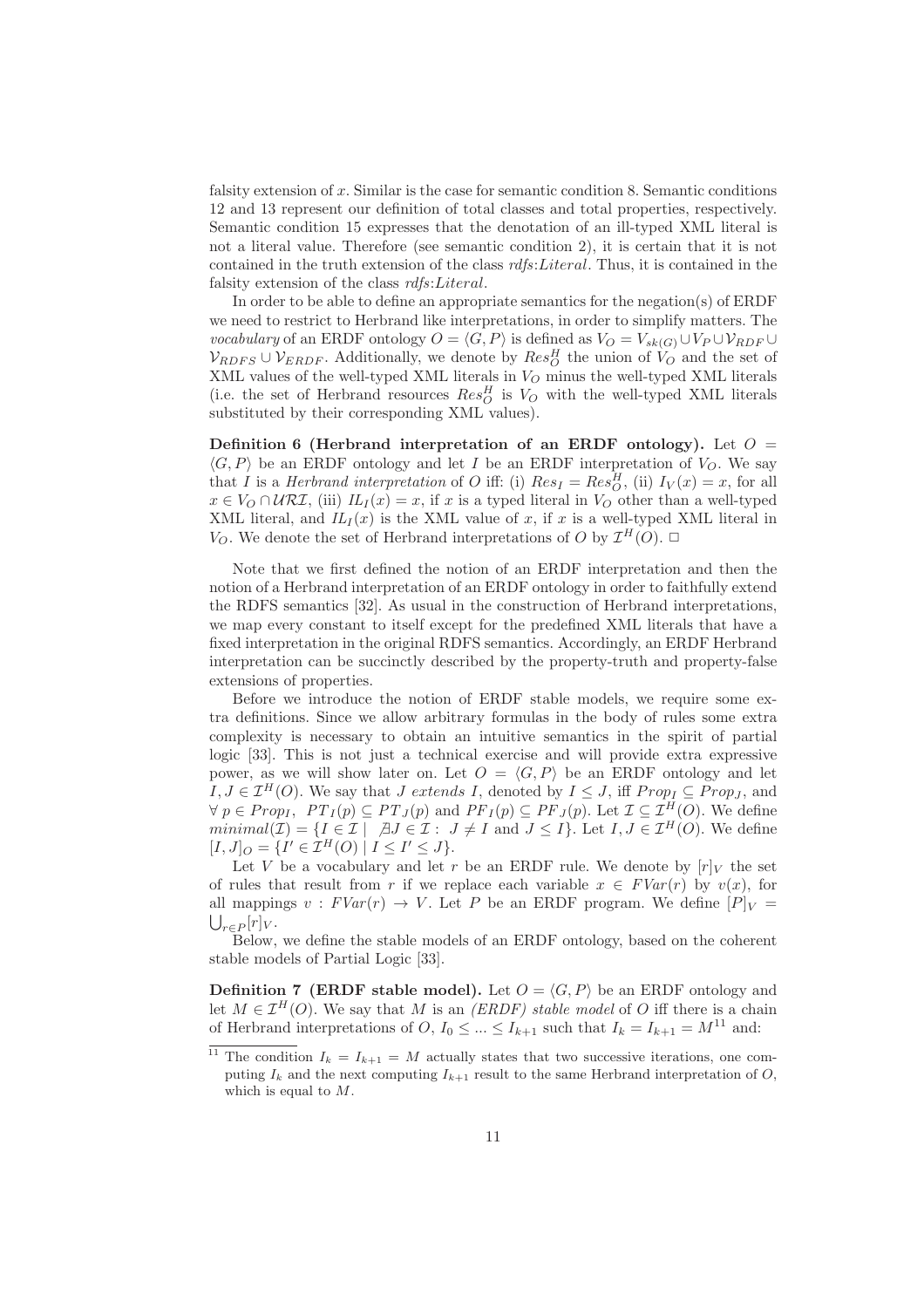falsity extension of  $x$ . Similar is the case for semantic condition 8. Semantic conditions 12 and 13 represent our definition of total classes and total properties, respectively. Semantic condition 15 expresses that the denotation of an ill-typed XML literal is not a literal value. Therefore (see semantic condition 2), it is certain that it is not contained in the truth extension of the class rdfs:Literal. Thus, it is contained in the falsity extension of the class *rdfs*: *Literal*.

In order to be able to define an appropriate semantics for the negation(s) of ERDF we need to restrict to Herbrand like interpretations, in order to simplify matters. The vocabulary of an ERDF ontology  $O = \langle G, P \rangle$  is defined as  $V_O = V_{sk(G)} \cup V_P \cup V_{RDF} \cup V_{RDF}$  $\mathcal{V}_{RDFS} \cup \mathcal{V}_{ERDF}$ . Additionally, we denote by  $Res^H_O$  the union of  $V_O$  and the set of XML values of the well-typed XML literals in  $V_O$  minus the well-typed XML literals (i.e. the set of Herbrand resources  $Res_{O}^{H}$  is  $V_{O}$  with the well-typed XML literals substituted by their corresponding XML values).

Definition 6 (Herbrand interpretation of an ERDF ontology). Let  $O =$  $\langle G, P \rangle$  be an ERDF ontology and let I be an ERDF interpretation of  $V_O$ . We say that I is a *Herbrand interpretation* of O iff: (i)  $Res_I = Res_O^H$ , (ii)  $I_V(x) = x$ , for all  $x \in V_O \cap URT$ , (iii)  $IL_I(x) = x$ , if x is a typed literal in  $V_O$  other than a well-typed XML literal, and  $IL_I(x)$  is the XML value of x, if x is a well-typed XML literal in V<sub>O</sub>. We denote the set of Herbrand interpretations of O by  $\mathcal{I}^H(O)$ .  $\Box$ 

Note that we first defined the notion of an ERDF interpretation and then the notion of a Herbrand interpretation of an ERDF ontology in order to faithfully extend the RDFS semantics [32]. As usual in the construction of Herbrand interpretations, we map every constant to itself except for the predefined XML literals that have a fixed interpretation in the original RDFS semantics. Accordingly, an ERDF Herbrand interpretation can be succinctly described by the property-truth and property-false extensions of properties.

Before we introduce the notion of ERDF stable models, we require some extra definitions. Since we allow arbitrary formulas in the body of rules some extra complexity is necessary to obtain an intuitive semantics in the spirit of partial logic [33]. This is not just a technical exercise and will provide extra expressive power, as we will show later on. Let  $O = \langle G, P \rangle$  be an ERDF ontology and let  $I, J \in \mathcal{I}^H(O)$ . We say that J extends I, denoted by  $I \leq J$ , iff  $Prop_I \subseteq Prop_J$ , and  $\forall p \in Prop_I, PT_I(p) \subseteq PT_J(p)$  and  $PF_I(p) \subseteq PF_J(p)$ . Let  $\mathcal{I} \subseteq \mathcal{I}^H(O)$ . We define  $minimal(\mathcal{I}) = \{I \in \mathcal{I} \mid \exists J \in \mathcal{I} : J \neq I \text{ and } J \leq I\}$ . Let  $I, J \in \mathcal{I}^H(O)$ . We define  $[I, J]_O = \{I' \in \mathcal{I}^H(O) \mid I \leq I' \leq J\}.$ 

Let V be a vocabulary and let r be an ERDF rule. We denote by  $[r]_V$  the set of rules that result from r if we replace each variable  $x \in FVar(r)$  by  $v(x)$ , for all mappings  $v : FVar(r) \rightarrow V$ . Let P be an ERDF program. We define  $[P]_V$  $\bigcup_{r\in P}[r]_V.$ 

Below, we define the stable models of an ERDF ontology, based on the coherent stable models of Partial Logic [33].

**Definition 7 (ERDF stable model).** Let  $O = \langle G, P \rangle$  be an ERDF ontology and let  $M \in \mathcal{I}^H(O)$ . We say that M is an (ERDF) stable model of O iff there is a chain of Herbrand interpretations of  $O, I_0 \leq ... \leq I_{k+1}$  such that  $I_k = I_{k+1} = M^{11}$  and:

<sup>&</sup>lt;sup>11</sup> The condition  $I_k = I_{k+1} = M$  actually states that two successive iterations, one computing  $I_k$  and the next computing  $I_{k+1}$  result to the same Herbrand interpretation of O, which is equal to M.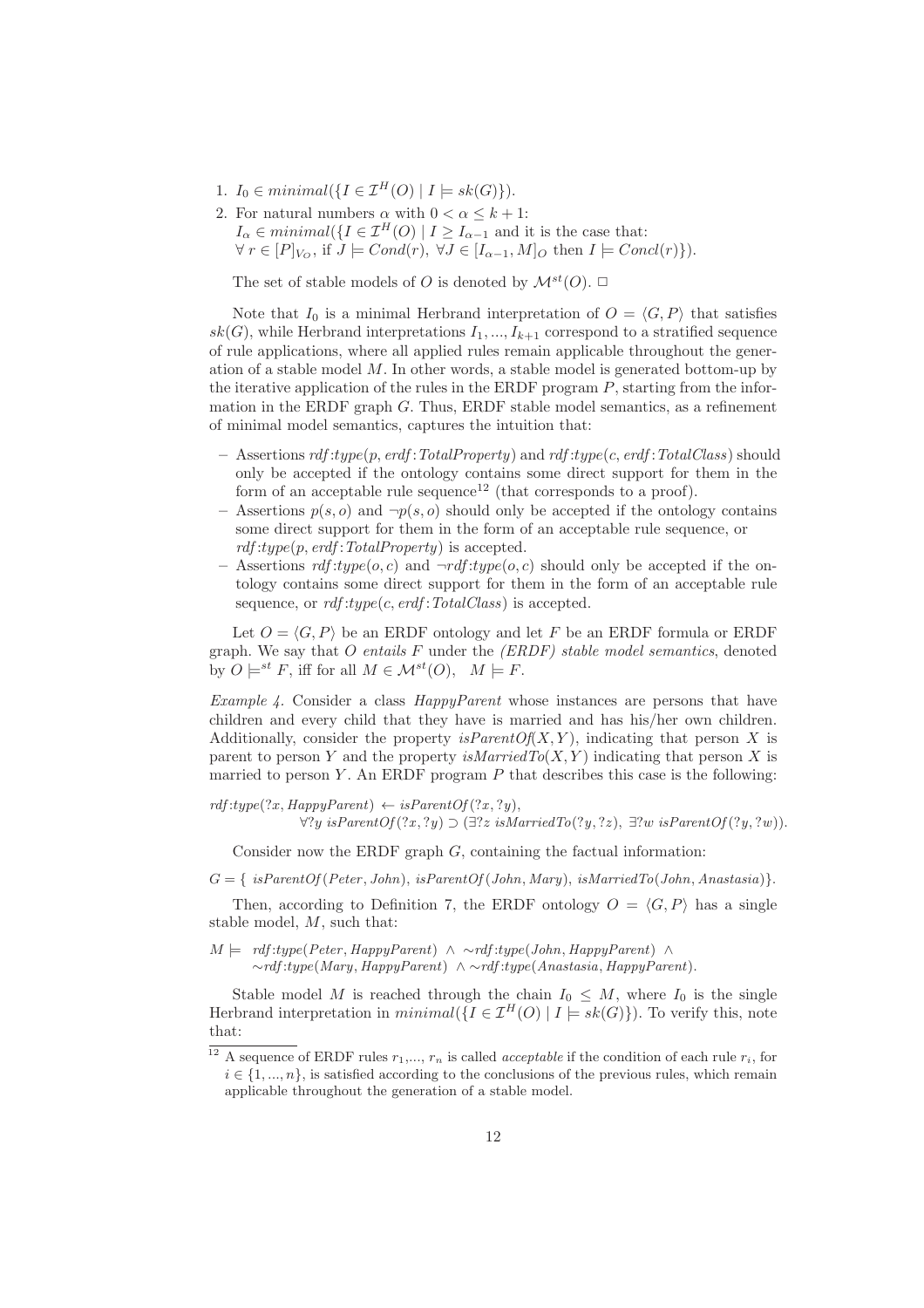- 1.  $I_0 \in minimal({I \in \mathcal{I}^H(O) \mid I \models sk(G)})$ .
- 2. For natural numbers  $\alpha$  with  $0 < \alpha \leq k + 1$ :
	- $I_{\alpha} \in minimal(\lbrace I \in \mathcal{I}^H(O) \mid I \geq I_{\alpha-1} \text{ and it is the case that:}$

 $\forall r \in [P]_{V_O}$ , if  $J \models Cond(r)$ ,  $\forall J \in [I_{\alpha-1}, M]_O$  then  $I \models Cond(r)$ .

The set of stable models of O is denoted by  $\mathcal{M}^{st}(O)$ .  $\Box$ 

Note that  $I_0$  is a minimal Herbrand interpretation of  $O = \langle G, P \rangle$  that satisfies  $sk(G)$ , while Herbrand interpretations  $I_1, ..., I_{k+1}$  correspond to a stratified sequence of rule applications, where all applied rules remain applicable throughout the generation of a stable model  $M$ . In other words, a stable model is generated bottom-up by the iterative application of the rules in the ERDF program  $P$ , starting from the information in the ERDF graph G. Thus, ERDF stable model semantics, as a refinement of minimal model semantics, captures the intuition that:

- Assertions  $\mathit{rdf:type}(p,\mathit{erdf:TotalProperty})$  and  $\mathit{rdf:type}(c,\mathit{erdf:TotalClass})$  should only be accepted if the ontology contains some direct support for them in the form of an acceptable rule sequence<sup>12</sup> (that corresponds to a proof).
- Assertions  $p(s, o)$  and  $\neg p(s, o)$  should only be accepted if the ontology contains some direct support for them in the form of an acceptable rule sequence, or  $rdf: type(p, erdf:TotalProperty)$  is accepted.
- Assertions  $\textit{rdf}:\textit{type}(o, c)$  and  $\neg \textit{rdf}:\textit{type}(o, c)$  should only be accepted if the ontology contains some direct support for them in the form of an acceptable rule sequence, or  $\mathit{rdf:type}(c,\mathit{erdf:TotalClass})$  is accepted.

Let  $O = \langle G, P \rangle$  be an ERDF ontology and let F be an ERDF formula or ERDF graph. We say that O entails  $F$  under the  $(ERDF)$  stable model semantics, denoted by  $O \models^{st} F$ , iff for all  $M \in \mathcal{M}^{st}(O)$ ,  $M \models F$ .

Example 4. Consider a class HappyParent whose instances are persons that have children and every child that they have is married and has his/her own children. Additionally, consider the property  $isParentOf(X, Y)$ , indicating that person X is parent to person Y and the property is Married  $To(X, Y)$  indicating that person X is married to person Y. An ERDF program  $P$  that describes this case is the following:

 $rdf: type(?x, HappyParent) \leftarrow isParentOf(?x, ?y),$  $∀?y isParentOf(?x, ?y) ⊇ (∃?z isMarriedTo(?y, ?z), ∃?w isParentOf(?y, ?w)).$ 

Consider now the ERDF graph  $G$ , containing the factual information:

 $G = \{ isParentOf(Peter, John), isParentOf(John, Mary), isMarriedTo(John, Anastasia)\}.$ 

Then, according to Definition 7, the ERDF ontology  $O = \langle G, P \rangle$  has a single stable model, M, such that:

M |= *rdf* :type(*Peter* , *HappyParent*) ∧ ∼*rdf* :type(*John*, *HappyParent*) ∧ ∼*rdf* :type(*Mary*, *HappyParent*) ∧ ∼*rdf* :type(*Anastasia*, *HappyParent*).

Stable model M is reached through the chain  $I_0 \n\t\leq M$ , where  $I_0$  is the single Herbrand interpretation in  $minimal({\{I \in \mathcal{I}^H(O) \mid I \models sk(G)\}})$ . To verify this, note that:

 $\frac{1}{12}$  A sequence of ERDF rules  $r_1, ..., r_n$  is called *acceptable* if the condition of each rule  $r_i$ , for  $i \in \{1, ..., n\}$ , is satisfied according to the conclusions of the previous rules, which remain applicable throughout the generation of a stable model.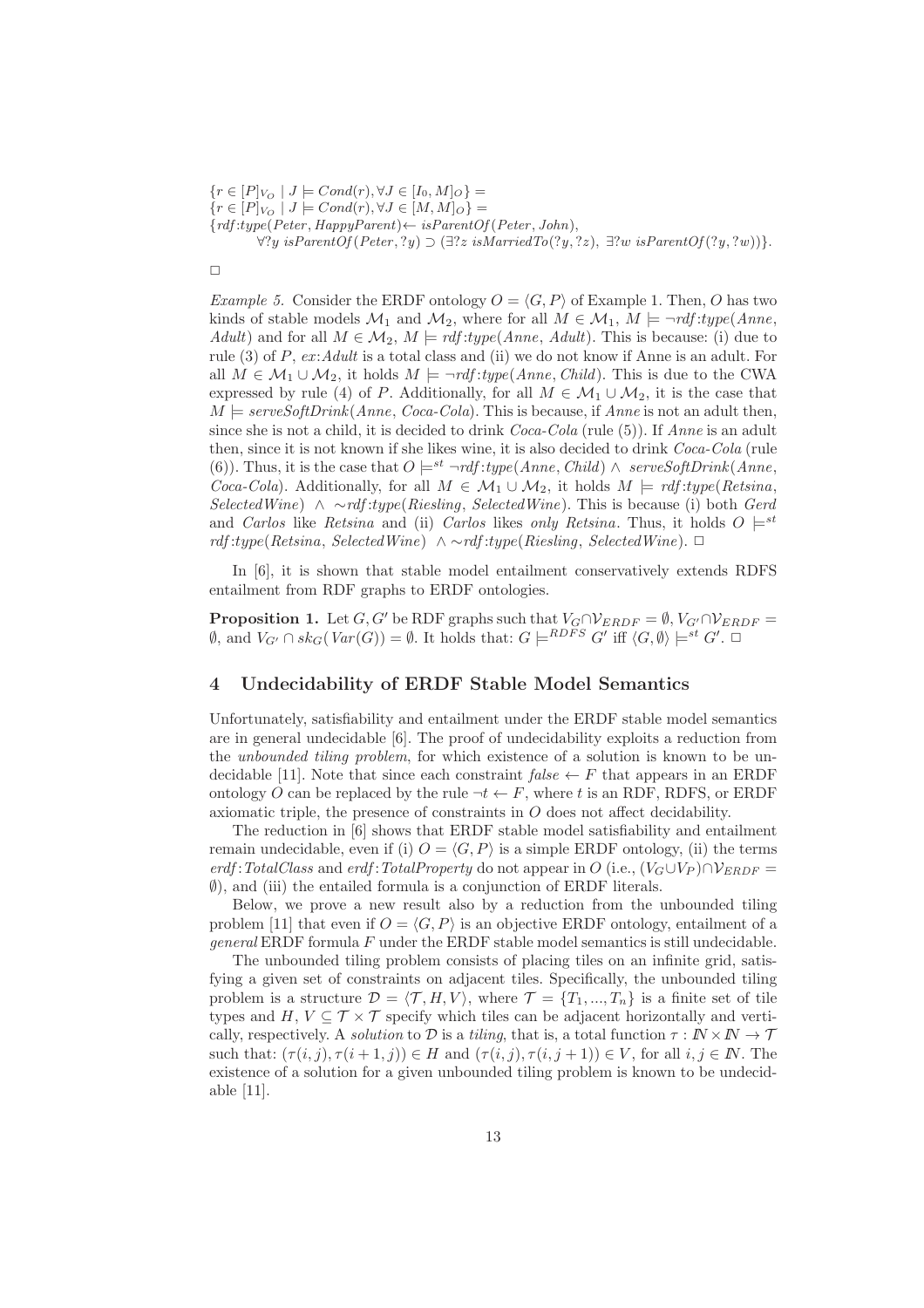${r \in [P]_{V_O} \mid J \models Cond(r), \forall J \in [I_0, M]_{O}}$  =  ${r \in [P]_{V_O} \mid J \models Cond(r), \forall J \in [M, M]_{O}}$ {*rdf* :type(*Peter*, *HappyParent*)← *isParentOf* (*Peter*, *John*),  $∀?y isParentOf(Peter, ?y) ⊇ (∃?z isMarriedTo(?y, ?z), ∃?w isParentOf(?y, ?w))$ .

 $\Box$ 

*Example 5.* Consider the ERDF ontology  $O = \langle G, P \rangle$  of Example 1. Then, O has two kinds of stable models  $\mathcal{M}_1$  and  $\mathcal{M}_2$ , where for all  $M \in \mathcal{M}_1$ ,  $M \models \neg \textit{rdf:type}(Anne,$ Adult) and for all  $M \in \mathcal{M}_2$ ,  $M \models \textit{rdf:type}(\textit{Anne}, \textit{Adult})$ . This is because: (i) due to rule (3) of  $P$ ,  $ex:Adult$  is a total class and (ii) we do not know if Anne is an adult. For all  $M \in \mathcal{M}_1 \cup \mathcal{M}_2$ , it holds  $M \models \neg rdf: type(Anne, Child)$ . This is due to the CWA expressed by rule (4) of P. Additionally, for all  $M \in \mathcal{M}_1 \cup \mathcal{M}_2$ , it is the case that  $M \models serveSoftDrink(Anne, Coca-Cola).$  This is because, if Anne is not an adult then, since she is not a child, it is decided to drink  $Coca-Cola$  (rule (5)). If Anne is an adult then, since it is not known if she likes wine, it is also decided to drink Coca-Cola (rule (6)). Thus, it is the case that  $O \models^{st} \neg rdf : type(Anne, Child) \wedge \textit{serveSoftDrink}(Anne,$ *Coca-Cola*). Additionally, for all  $M \in \mathcal{M}_1 \cup \mathcal{M}_2$ , it holds  $M \models \textit{rdf:type}(Restsina,$ Selected Wine)  $\wedge \sim rdf$ :type(Riesling, Selected Wine). This is because (i) both Gerd and Carlos like Retsina and (ii) Carlos likes only Retsina. Thus, it holds  $O \models^{st}$  $rdf: type(Restsina, SelectedWine) \wedge \sim rdf: type(Riesling, SelectedWine). \ \Box$ 

In [6], it is shown that stable model entailment conservatively extends RDFS entailment from RDF graphs to ERDF ontologies.

**Proposition 1.** Let G, G' be RDF graphs such that  $V_G \cap V_{ERDF} = \emptyset$ ,  $V_{G'} \cap V_{ERDF} =$  $\emptyset$ , and  $V_{G'} \cap sk_G(Var(G)) = \emptyset$ . It holds that:  $G \models^{RDFS} G'$  iff  $\langle G, \emptyset \rangle \models^{st} G'$ .  $\Box$ 

## 4 Undecidability of ERDF Stable Model Semantics

Unfortunately, satisfiability and entailment under the ERDF stable model semantics are in general undecidable [6]. The proof of undecidability exploits a reduction from the unbounded tiling problem, for which existence of a solution is known to be undecidable [11]. Note that since each constraint  $false \leftarrow F$  that appears in an ERDF ontology O can be replaced by the rule  $\neg t \leftarrow F$ , where t is an RDF, RDFS, or ERDF axiomatic triple, the presence of constraints in O does not affect decidability.

The reduction in [6] shows that ERDF stable model satisfiability and entailment remain undecidable, even if (i)  $O = \langle G, P \rangle$  is a simple ERDF ontology, (ii) the terms erdf: TotalClass and erdf: TotalProperty do not appear in O (i.e.,  $(V_G \cup V_P) \cap V_{ERDF} =$ ∅), and (iii) the entailed formula is a conjunction of ERDF literals.

Below, we prove a new result also by a reduction from the unbounded tiling problem [11] that even if  $O = \langle G, P \rangle$  is an objective ERDF ontology, entailment of a general ERDF formula F under the ERDF stable model semantics is still undecidable.

The unbounded tiling problem consists of placing tiles on an infinite grid, satisfying a given set of constraints on adjacent tiles. Specifically, the unbounded tiling problem is a structure  $\mathcal{D} = \langle \mathcal{T}, H, V \rangle$ , where  $\mathcal{T} = \{T_1, ..., T_n\}$  is a finite set of tile types and H,  $V \subseteq \mathcal{T} \times \mathcal{T}$  specify which tiles can be adjacent horizontally and vertically, respectively. A *solution* to D is a tiling, that is, a total function  $\tau : I \times N \times N \to T$ such that:  $(\tau(i, j), \tau(i + 1, j)) \in H$  and  $(\tau(i, j), \tau(i, j + 1)) \in V$ , for all  $i, j \in \mathbb{N}$ . The existence of a solution for a given unbounded tiling problem is known to be undecidable [11].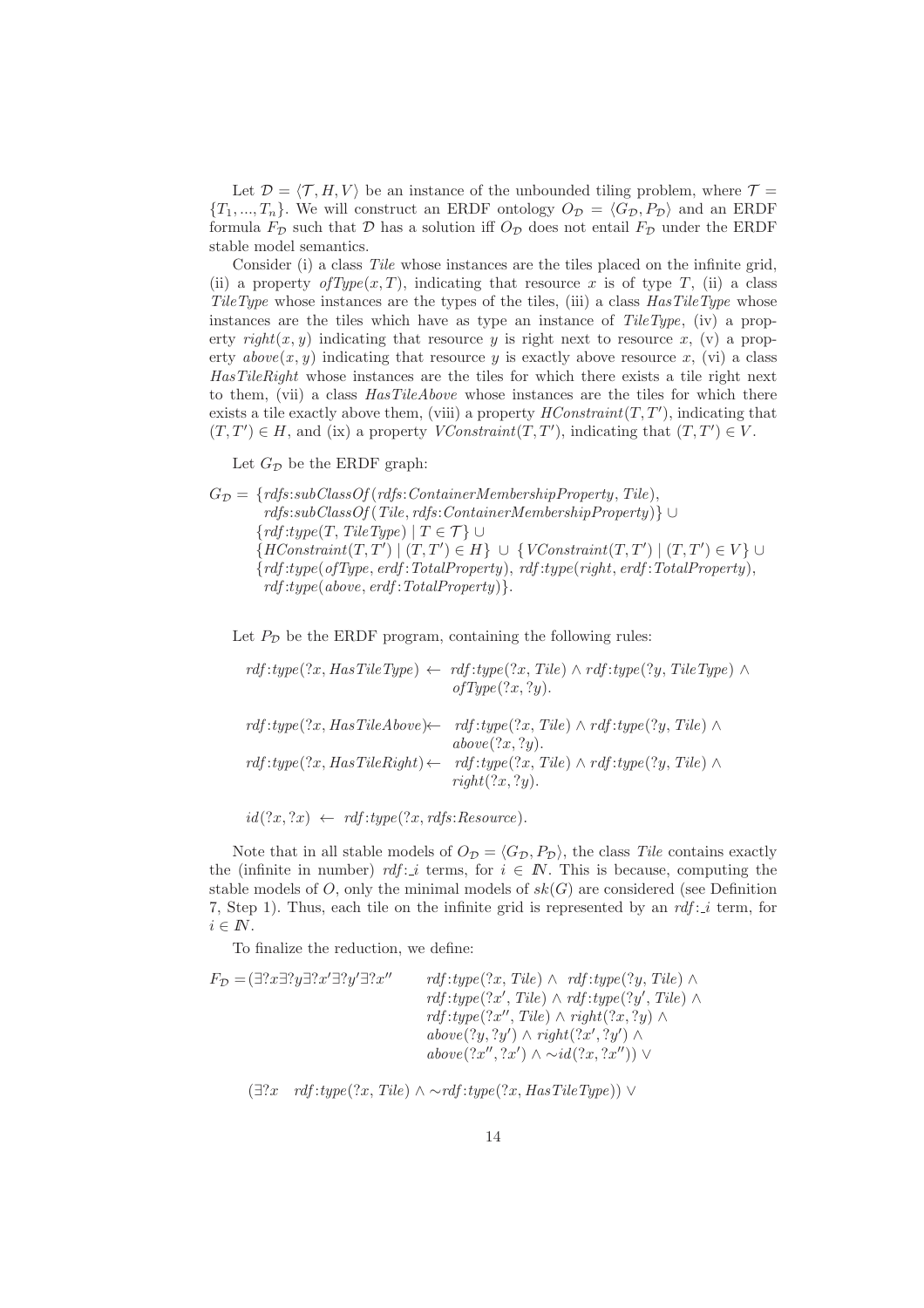Let  $\mathcal{D} = \langle \mathcal{T}, H, V \rangle$  be an instance of the unbounded tiling problem, where  $\mathcal{T} =$  ${T_1, ..., T_n}$ . We will construct an ERDF ontology  $O_{\mathcal{D}} = \langle G_{\mathcal{D}}, P_{\mathcal{D}} \rangle$  and an ERDF formula  $F_{\mathcal{D}}$  such that  $\mathcal D$  has a solution iff  $O_{\mathcal{D}}$  does not entail  $F_{\mathcal{D}}$  under the ERDF stable model semantics.

Consider (i) a class *Tile* whose instances are the tiles placed on the infinite grid, (ii) a property  $ofType(x, T)$ , indicating that resource x is of type T, (ii) a class TileType whose instances are the types of the tiles, (iii) a class  $HasTileType$  whose instances are the tiles which have as type an instance of  $TileType$ , (iv) a property right(x, y) indicating that resource y is right next to resource x, (v) a property  $above(x, y)$  indicating that resource y is exactly above resource x, (vi) a class HasTileRight whose instances are the tiles for which there exists a tile right next to them, (vii) a class  $HasTileAbove$  whose instances are the tiles for which there exists a tile exactly above them, (viii) a property  $HConstraint(T, T')$ , indicating that  $(T, T') \in H$ , and (ix) a property VConstraint $(T, T')$ , indicating that  $(T, T') \in V$ .

Let  $G_{\mathcal{D}}$  be the ERDF graph:

$$
G_{\mathcal{D}} = \{rdfs:subClassOf(rdfs:ContainerMembershipProperty, File),\nrdfs:subClassOf(Tile, rdfs:ContainerMembershipProperty))\} \cup\{rdf:type(T, TileType) | T \in T\} \cup\{HConstraint(T, T') | (T, T') \in H\} \cup \{VConstraint(T, T') | (T, T') \in V\} \cup\{rdf:type(ofType, erdf:TotalProperty), rdf:type(right, erdf:TotalProperty),\nrdf:type(above, erdf:TotalProperty)\}.
$$

Let  $P_{\mathcal{D}}$  be the ERDF program, containing the following rules:

|                                          | $rdf: type(?x, HasTileType) \leftarrow rdf: type(?x, File) \wedge rdf: type(?y, FileType) \wedge$<br>ofType(?x, ?y). |
|------------------------------------------|----------------------------------------------------------------------------------------------------------------------|
|                                          | $rdf: type(?x, HasTileAbove) \leftarrow rdf: type(?x, File) \wedge rdf: type(?y, File) \wedge$<br>above(?x, ?y).     |
| $rdf: type(?x, HasTileRight) \leftarrow$ | $rdf: type(?x, File) \wedge rdf: type(?y, File) \wedge$<br>right(?x, ?y).                                            |

 $id(?x, ?x) \leftarrow \mathit{rdf:type}(?x, \mathit{rdfs:Resource}).$ 

Note that in all stable models of  $O_{\mathcal{D}} = \langle G_{\mathcal{D}}, P_{\mathcal{D}} \rangle$ , the class Tile contains exactly the (infinite in number) rdf: i terms, for  $i \in \mathbb{N}$ . This is because, computing the stable models of  $O$ , only the minimal models of  $sk(G)$  are considered (see Definition 7, Step 1). Thus, each tile on the infinite grid is represented by an  $\textit{rdf}$  : i term, for  $i \in I\!\!N$ .

To finalize the reduction, we define:

 $F_{\mathcal{D}} = \left( \exists ? x \exists ? y \exists ? x' \exists ? y' \exists ? x \right)$  $\textit{rdf:type}(?x, \textit{File}) \wedge \textit{rdf:type}(?y, \textit{File}) \wedge$  $\textit{rdf:type}(?x', \textit{Tile}) \wedge \textit{rdf:type}(?y', \textit{File}) \wedge$  $\textit{rdf:type}(?x'', \textit{Tile}) \wedge \textit{right}(?x, ?y) \wedge$  $above(?y, ?y') \wedge right(?x', ?y') \wedge$  $above(?x'', ?x') \wedge \sim id(?x, ?x'') \vee$ 

 $(\exists?x \; rdf:type(?x, \text{File}) \land \sim rdf:type(?x, \text{HasFileType})) \lor$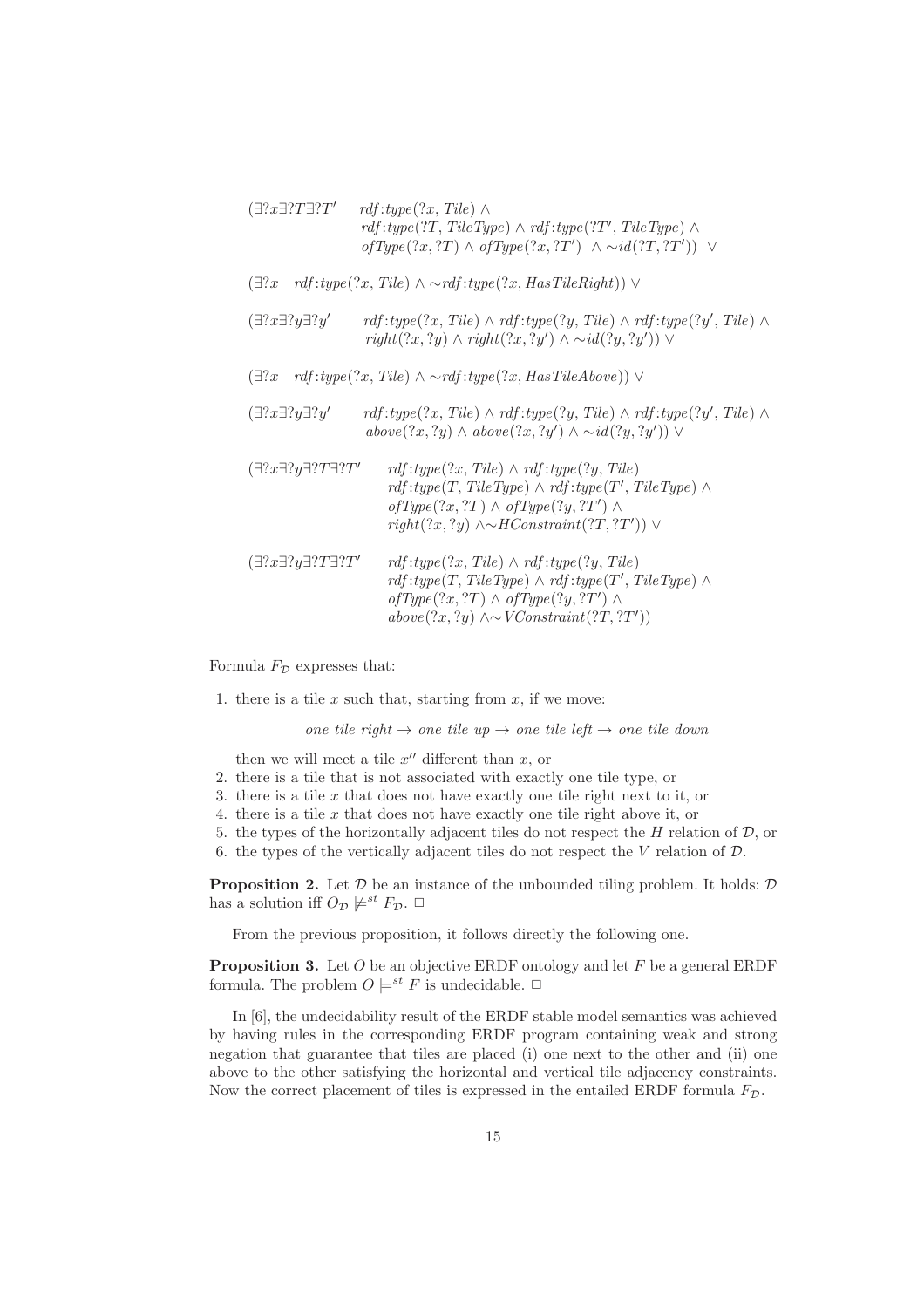| $(\exists ?x \exists ?T \exists ?T'$            | $\textit{rdf:type}(?x, \textit{Tile}) \wedge$<br>$rdf: type(?T, TileType) \wedge rdf: type(?T', TileType) \wedge$<br>of Type $(?x, ?T) \wedge$ of Type $(?x, ?T') \wedge \sim id(?T, ?T')$ $\vee$                                                              |
|-------------------------------------------------|----------------------------------------------------------------------------------------------------------------------------------------------------------------------------------------------------------------------------------------------------------------|
|                                                 | $(\exists !x \; rdf: type(!x, File) \wedge \neg rdf: type(!x, HasFileRight)) \vee$                                                                                                                                                                             |
| $(\exists?x \exists?y \exists?y'$               | $rdf: type(?x, File) \wedge rdf: type(?y, File) \wedge rdf: type(?y', File) \wedge$<br>$right(?x, ?y) \wedge right(?x, ?y') \wedge \sim id(?y, ?y')$                                                                                                           |
|                                                 | $(\exists?x \space rdf:type(?x, \text{File}) \land \sim rdf:type(?x, \text{HasFileAbove})) \lor$                                                                                                                                                               |
| $(\exists ?x \exists ?y \exists ?y'$            | $\mathit{rdf:type}(?x, \mathit{Tile}) \wedge \mathit{rdf:type}(?y, \mathit{Tile}) \wedge \mathit{rdf:type}(?y', \mathit{Tile}) \wedge$<br>$above(?x,?y) \wedge above(?x,?y') \wedge \sim id(?y,?y')) \vee$                                                     |
| $(\exists ?x \exists ?y \exists ?T \exists ?T'$ | $\textit{rdf:type}(?x, \textit{Tile}) \wedge \textit{rdf:type}(?y, \textit{File})$<br>$rdf: type(T, TileType) \wedge rdf: type(T', TileType) \wedge$<br>of $Type(?x, ?T) \wedge ofType(?y, ?T') \wedge$<br>$right(?x, ?y) \land \sim HConstant(?T, ?T')) \lor$ |
| $(\exists ?x \exists ?y \exists ?T \exists ?T'$ | $\textit{rdf:type}(?x, \textit{Tile}) \wedge \textit{rdf:type}(?y, \textit{File})$<br>$rdf: type(T, TileType) \wedge rdf: type(T', TileType) \wedge$<br>of Type $(?x, ?T) \wedge$ of Type $(?y, ?T') \wedge$<br>$above(?x, ?y) \land \sim VConstant(?T, ?T')$  |

Formula  $F_{\mathcal{D}}$  expresses that:

1. there is a tile  $x$  such that, starting from  $x$ , if we move:

one tile right  $\rightarrow$  one tile up  $\rightarrow$  one tile left  $\rightarrow$  one tile down

- then we will meet a tile  $x''$  different than  $x$ , or
- 2. there is a tile that is not associated with exactly one tile type, or
- 3. there is a tile  $x$  that does not have exactly one tile right next to it, or
- 4. there is a tile x that does not have exactly one tile right above it, or
- 5. the types of the horizontally adjacent tiles do not respect the  $H$  relation of  $D$ , or
- 6. the types of the vertically adjacent tiles do not respect the  $V$  relation of  $D$ .

**Proposition 2.** Let  $\mathcal{D}$  be an instance of the unbounded tiling problem. It holds:  $\mathcal{D}$ has a solution iff  $O_{\mathcal{D}} \not\models^{st} F_{\mathcal{D}}. \square$ 

From the previous proposition, it follows directly the following one.

**Proposition 3.** Let  $O$  be an objective ERDF ontology and let  $F$  be a general ERDF formula. The problem  $O \models^{st} F$  is undecidable.  $\Box$ 

In [6], the undecidability result of the ERDF stable model semantics was achieved by having rules in the corresponding ERDF program containing weak and strong negation that guarantee that tiles are placed (i) one next to the other and (ii) one above to the other satisfying the horizontal and vertical tile adjacency constraints. Now the correct placement of tiles is expressed in the entailed ERDF formula  $F_{\mathcal{D}}$ .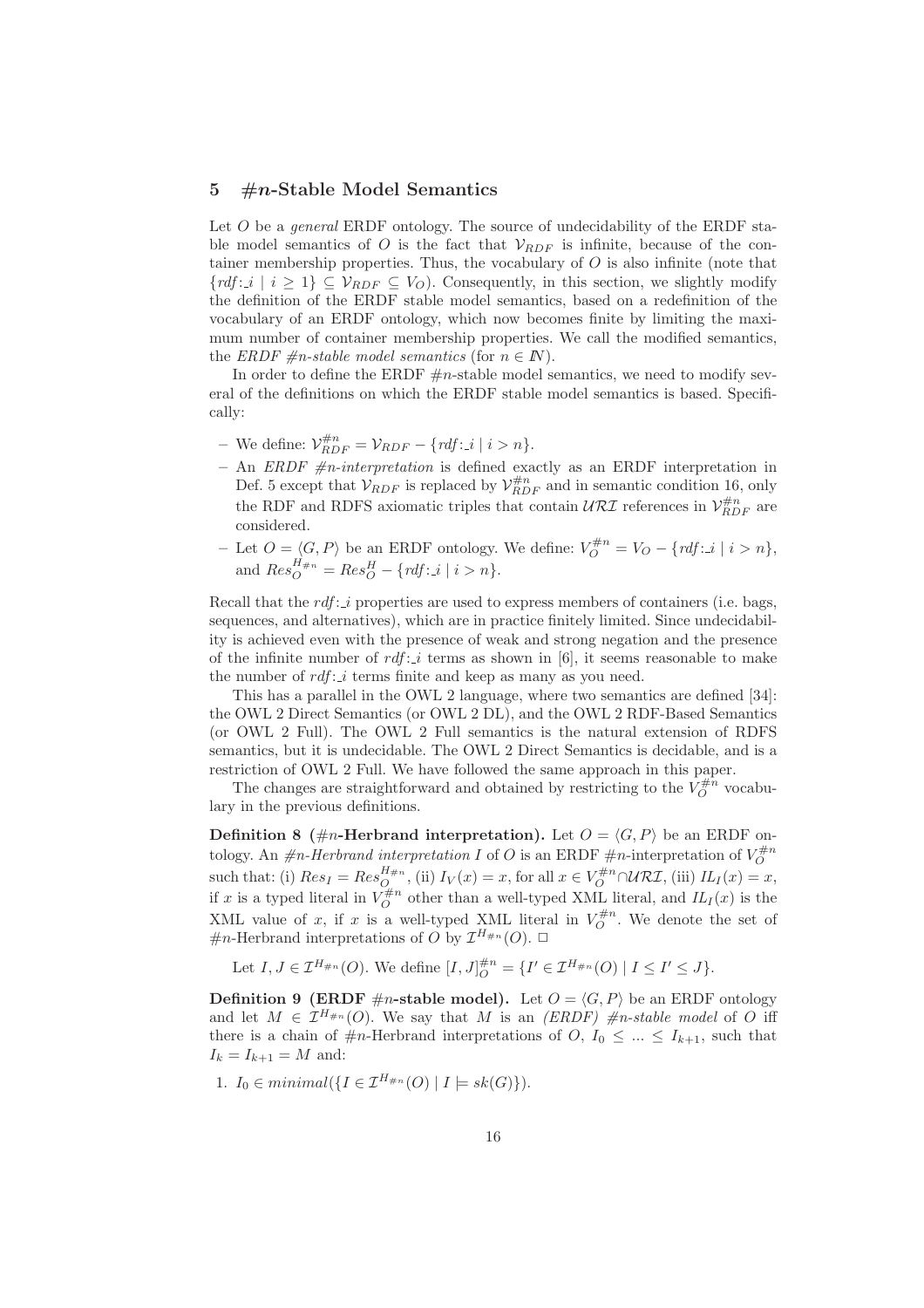## 5  $\#n$ -Stable Model Semantics

Let  $O$  be a *general* ERDF ontology. The source of undecidability of the ERDF stable model semantics of  $O$  is the fact that  $V_{RDF}$  is infinite, because of the container membership properties. Thus, the vocabulary of  $O$  is also infinite (note that  $\{rdf : i \mid i \geq 1\} \subseteq V_{RDF} \subseteq V_O$ . Consequently, in this section, we slightly modify the definition of the ERDF stable model semantics, based on a redefinition of the vocabulary of an ERDF ontology, which now becomes finite by limiting the maximum number of container membership properties. We call the modified semantics, the ERDF  $\#n\text{-stable model semantics (for } n \in \mathbb{N}$ ).

In order to define the ERDF  $\#n$ -stable model semantics, we need to modify several of the definitions on which the ERDF stable model semantics is based. Specifically:

- We define:  $\mathcal{V}_{RDF}^{\#n} = \mathcal{V}_{RDF} \{ rdf : i \mid i > n \}.$
- An ERDF  $\#n\text{-}interpretation$  is defined exactly as an ERDF interpretation in Def. 5 except that  $\mathcal{V}_{RDF}$  is replaced by  $\mathcal{V}_{RDF}^{\#n}$  and in semantic condition 16, only the RDF and RDFS axiomatic triples that contain  $\mathcal{U}\mathcal{R}\mathcal{I}$  references in  $\mathcal{V}^{\#n}_{RDF}$  are considered.
- Let  $O = \langle G, P \rangle$  be an ERDF ontology. We define:  $V_O^{\#n} = V_O \{ rdf : i \mid i > n \},\$ and  $Res_{O}^{H_{\#n}} = Res_{O}^{H} - \{ rdf : i \mid i > n \}.$

Recall that the  $\text{rdf}: i$  properties are used to express members of containers (i.e. bags, sequences, and alternatives), which are in practice finitely limited. Since undecidability is achieved even with the presence of weak and strong negation and the presence of the infinite number of  $rdf$ : i terms as shown in [6], it seems reasonable to make the number of  $rdf$ : *i* terms finite and keep as many as you need.

This has a parallel in the OWL 2 language, where two semantics are defined [34]: the OWL 2 Direct Semantics (or OWL 2 DL), and the OWL 2 RDF-Based Semantics (or OWL 2 Full). The OWL 2 Full semantics is the natural extension of RDFS semantics, but it is undecidable. The OWL 2 Direct Semantics is decidable, and is a restriction of OWL 2 Full. We have followed the same approach in this paper.

The changes are straightforward and obtained by restricting to the  $V^{\#n}_{O}$  vocabulary in the previous definitions.

**Definition 8** (#*n*-Herbrand interpretation). Let  $O = \langle G, P \rangle$  be an ERDF ontology. An  $\#n$ -Herbrand interpretation I of O is an ERDF  $\#n$ -interpretation of  $V_Q^{\#n}$ such that: (i)  $Res_I = Res_{O}^{H_{\#n}}$ , (ii)  $I_V(x) = x$ , for all  $x \in V_O^{\#n} \cap \mathcal{URL}$ , (iii)  $IL_I(x) = x$ , if x is a typed literal in  $V_O^{\#n}$  other than a well-typed XML literal, and  $IL_I(x)$  is the XML value of x, if x is a well-typed XML literal in  $V_Q^{\#n}$ . We denote the set of #n-Herbrand interpretations of O by  $\mathcal{I}^{H_{\#n}}(O)$ .  $\Box$ 

Let  $I, J \in \mathcal{I}^{H_{\#n}}(O)$ . We define  $[I, J]_{O}^{\#n} = \{I' \in \mathcal{I}^{H_{\#n}}(O) \mid I \leq I' \leq J\}$ .

**Definition 9 (ERDF** #n-stable model). Let  $O = \langle G, P \rangle$  be an ERDF ontology and let  $M \in \mathcal{I}^{H_{\#n}}(O)$ . We say that M is an *(ERDF)* #n-stable model of O iff there is a chain of #n-Herbrand interpretations of  $O, I_0 \leq ... \leq I_{k+1}$ , such that  $I_k = I_{k+1} = M$  and:

1. 
$$
I_0 \in minimal({I \in \mathcal{I}^{H_{\#n}}(O) \mid I \models sk(G)}).
$$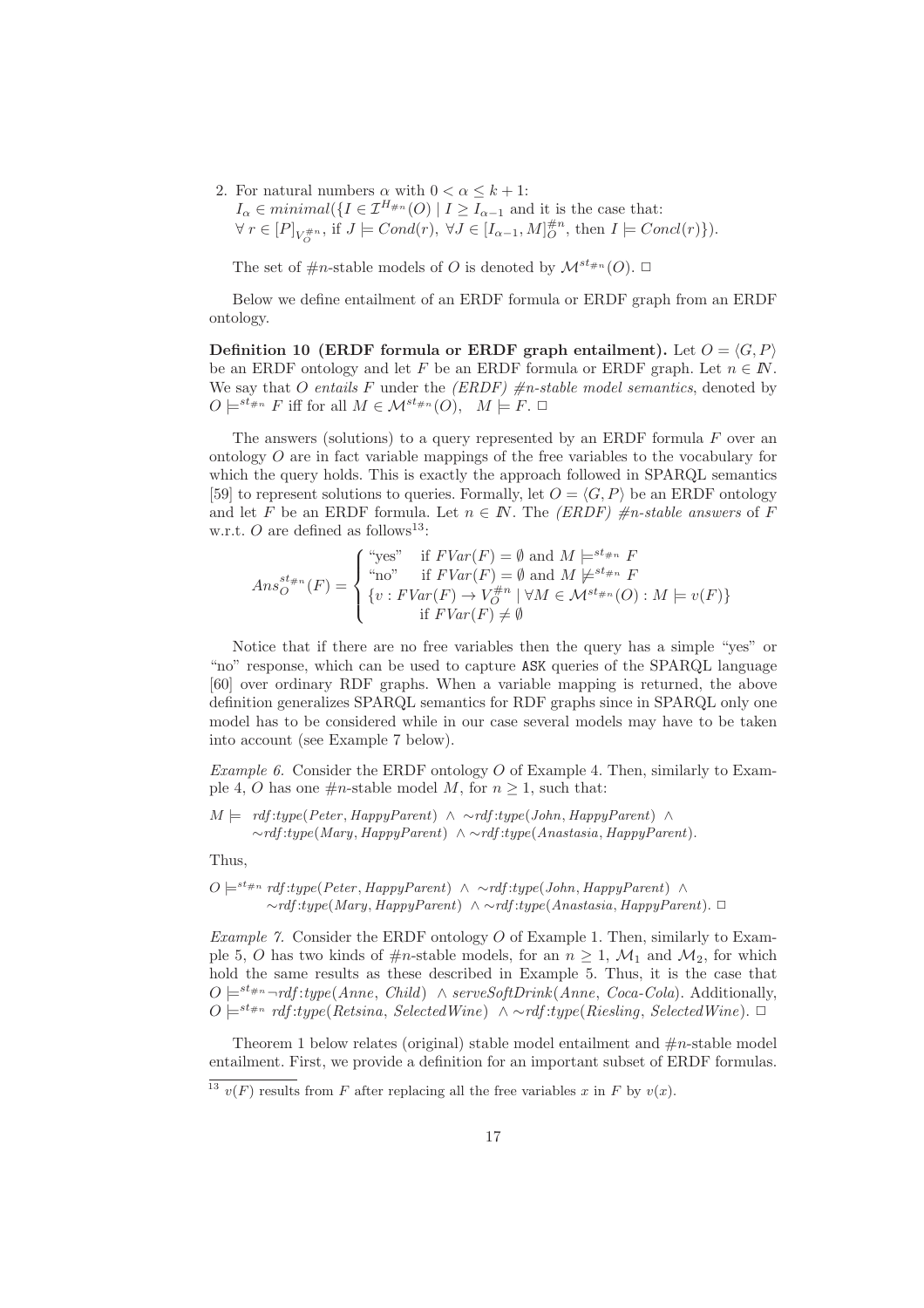- 2. For natural numbers  $\alpha$  with  $0 < \alpha \leq k + 1$ :
	- $I_{\alpha} \in minimal(\lbrace I \in \mathcal{I}^{H_{\#n}}(O) \mid I \geq I_{\alpha-1} \text{ and it is the case that:}$  $\forall r \in [P]_{V_{O}^{\#n}}$ , if  $J \models Cond(r), \ \forall J \in [I_{\alpha-1}, M]_{O}^{\#n}$ , then  $I \models Cond(r)\}).$

The set of  $\#n$ -stable models of O is denoted by  $\mathcal{M}^{st_{\#n}}(O)$ .  $\Box$ 

Below we define entailment of an ERDF formula or ERDF graph from an ERDF ontology.

Definition 10 (ERDF formula or ERDF graph entailment). Let  $O = \langle G, P \rangle$ be an ERDF ontology and let F be an ERDF formula or ERDF graph. Let  $n \in \mathbb{N}$ . We say that O entails F under the  $(ERDF)$  #n-stable model semantics, denoted by  $O \models^{st_{\#n}} F$  iff for all  $M \in \mathcal{M}^{st_{\#n}}(O)$ ,  $M \models F$ .  $\Box$ 

The answers (solutions) to a query represented by an ERDF formula  $F$  over an ontology  $O$  are in fact variable mappings of the free variables to the vocabulary for which the query holds. This is exactly the approach followed in SPARQL semantics [59] to represent solutions to queries. Formally, let  $O = \langle G, P \rangle$  be an ERDF ontology and let F be an ERDF formula. Let  $n \in \mathbb{N}$ . The *(ERDF)* #n-stable answers of F w.r.t. O are defined as follows<sup>13</sup>:

$$
Ans_{O}^{st_{\#n}}(F) = \begin{cases} \text{``yes''} & \text{if } FVar(F) = \emptyset \text{ and } M \models^{st_{\#n}} F \\ \text{``no''} & \text{if } FVar(F) = \emptyset \text{ and } M \not\models^{st_{\#n}} F \\ \{v : FVar(F) \to V_O^{\#n} \mid \forall M \in \mathcal{M}^{st_{\#n}}(O) : M \models v(F) \} \\ \text{if } FVar(F) \neq \emptyset \end{cases}
$$

Notice that if there are no free variables then the query has a simple "yes" or "no" response, which can be used to capture ASK queries of the SPARQL language [60] over ordinary RDF graphs. When a variable mapping is returned, the above definition generalizes SPARQL semantics for RDF graphs since in SPARQL only one model has to be considered while in our case several models may have to be taken into account (see Example 7 below).

Example 6. Consider the ERDF ontology  $O$  of Example 4. Then, similarly to Example 4, O has one  $\#n$ -stable model M, for  $n \geq 1$ , such that:

M |= *rdf* :type(*Peter* , *HappyParent*) ∧ ∼*rdf* :type(*John*, *HappyParent*) ∧ ∼*rdf* :type(*Mary*, *HappyParent*) ∧ ∼*rdf* :type(*Anastasia*, *HappyParent*).

Thus,

$$
O \models^{st_{\#n}} rdf: type(Peter, HappyParent) \land \sim rdf: type(John, HappyParent) \land \\ \sim rdf: type(Mary, HappyParent) \land \sim rdf: type(Anastasia, HappyParent). \Box
$$

*Example 7.* Consider the ERDF ontology  $O$  of Example 1. Then, similarly to Example 5, O has two kinds of  $\#n$ -stable models, for an  $n \geq 1$ ,  $\mathcal{M}_1$  and  $\mathcal{M}_2$ , for which hold the same results as these described in Example 5. Thus, it is the case that  $O \models^{st_{\#n}} \neg rdf : type(Anne, Child) \land serveSoftDrink(Anne, Coca-Cola)$ . Additionally,  $O \models^{st_{\#n}} rdf: type(Restsina, SelectedWine) \ \wedge \sim rdf: type(Riesling, SelectedWine). \ \Box$ 

Theorem 1 below relates (original) stable model entailment and  $\#n$ -stable model entailment. First, we provide a definition for an important subset of ERDF formulas.

<sup>&</sup>lt;sup>13</sup>  $v(F)$  results from F after replacing all the free variables x in F by  $v(x)$ .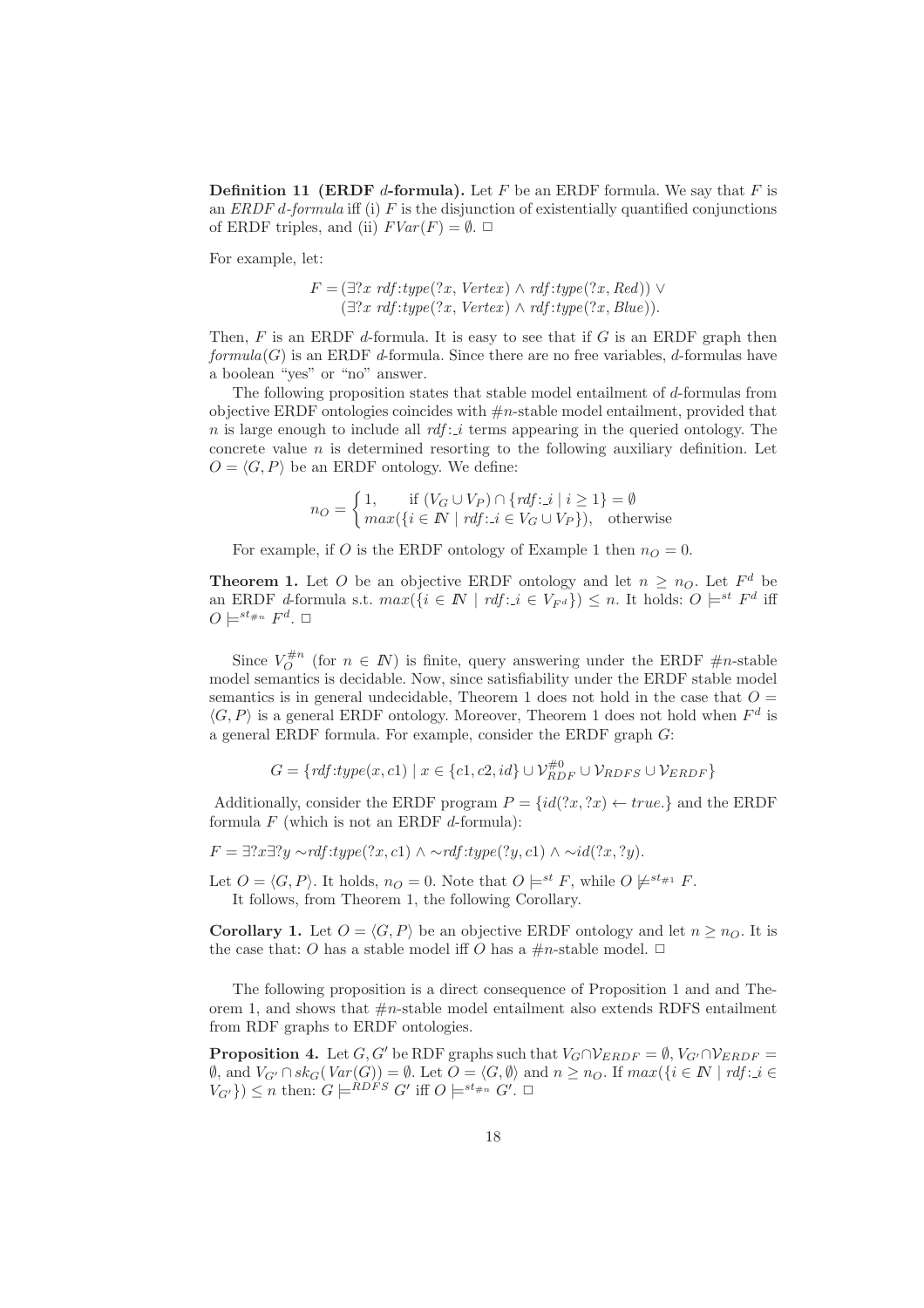**Definition 11 (ERDF** d-formula). Let F be an ERDF formula. We say that F is an ERDF d-formula iff (i)  $F$  is the disjunction of existentially quantified conjunctions of ERDF triples, and (ii)  $FVar(F) = \emptyset$ .

For example, let:

$$
F = (\exists?x \; rdf: type(?x, Vertex) \land rdf: type(?x, Red)) \lor (\exists?x \; rdf: type(?x, Vertex) \land rdf: type(?x, Blue)).
$$

Then,  $F$  is an ERDF  $d$ -formula. It is easy to see that if  $G$  is an ERDF graph then  $formula(G)$  is an ERDF d-formula. Since there are no free variables, d-formulas have a boolean "yes" or "no" answer.

The following proposition states that stable model entailment of d-formulas from objective ERDF ontologies coincides with  $\#n$ -stable model entailment, provided that n is large enough to include all  $\textit{rdf}$ : i terms appearing in the queried ontology. The concrete value  $n$  is determined resorting to the following auxiliary definition. Let  $O = \langle G, P \rangle$  be an ERDF ontology. We define:

$$
n_O = \begin{cases} 1, & \text{if } (V_G \cup V_P) \cap \{rdf : i \mid i \ge 1\} = \emptyset \\ \max(\{i \in \mathbb{N} \mid rdf : i \in V_G \cup V_P\}), & \text{otherwise} \end{cases}
$$

For example, if O is the ERDF ontology of Example 1 then  $n_Q = 0$ .

**Theorem 1.** Let O be an objective ERDF ontology and let  $n \geq n_Q$ . Let  $F^d$  be an ERDF d-formula s.t.  $max({i \in N \mid rdf : i \in V_{F^d}}) \leq n$ . It holds:  $O \models^{st} F^d$  iff  $O \models^{st_{\#n}} F^d$ .  $\Box$ 

Since  $V_O^{\#n}$  (for  $n \in \mathbb{N}$ ) is finite, query answering under the ERDF  $\#n$ -stable model semantics is decidable. Now, since satisfiability under the ERDF stable model semantics is in general undecidable. Theorem 1 does not hold in the case that  $O =$  $\langle G, P \rangle$  is a general ERDF ontology. Moreover, Theorem 1 does not hold when  $F^d$  is a general ERDF formula. For example, consider the ERDF graph G:

$$
G = \{ rdf : type(x, c1) \mid x \in \{c1, c2, id\} \cup \mathcal{V}_{RDF}^{#0} \cup \mathcal{V}_{RDFS} \cup \mathcal{V}_{ERDF} \}
$$

Additionally, consider the ERDF program  $P = \{id(?x, ?x) \leftarrow true.\}$  and the ERDF formula  $F$  (which is not an ERDF  $d$ -formula):

$$
F = \exists?x \exists?y \sim rdf : type(?x, c1) \land \sim rdf : type(?y, c1) \land \sim id(?x, ?y).
$$

Let  $O = \langle G, P \rangle$ . It holds,  $n_O = 0$ . Note that  $O \models^{st} F$ , while  $O \not\models^{st_{\#1}} F$ . It follows, from Theorem 1, the following Corollary.

**Corollary 1.** Let  $O = \langle G, P \rangle$  be an objective ERDF ontology and let  $n \geq n_O$ . It is the case that: O has a stable model iff O has a  $\#n$ -stable model.  $\Box$ 

The following proposition is a direct consequence of Proposition 1 and and Theorem 1, and shows that  $\#n$ -stable model entailment also extends RDFS entailment from RDF graphs to ERDF ontologies.

**Proposition 4.** Let G, G' be RDF graphs such that  $V_G \cap V_{ERDF} = \emptyset$ ,  $V_{G'} \cap V_{ERDF} =$  $\emptyset$ , and  $V_{G'} \cap sk_G(Var(G)) = \emptyset$ . Let  $O = \langle G, \emptyset \rangle$  and  $n \geq n_O$ . If  $max(\{i \in \mathbb{N} \mid rdf : i \in \mathbb{N} \mid \mathbb{N} \mid \mathbb{N} \mid \mathbb{N} \rangle)$  $V_{G'}\}) \leq n$  then:  $G \models$ <sup>RDFS</sup> G' iff  $O \models$ <sup>st<sub>#n</sub></sup> G'.  $\Box$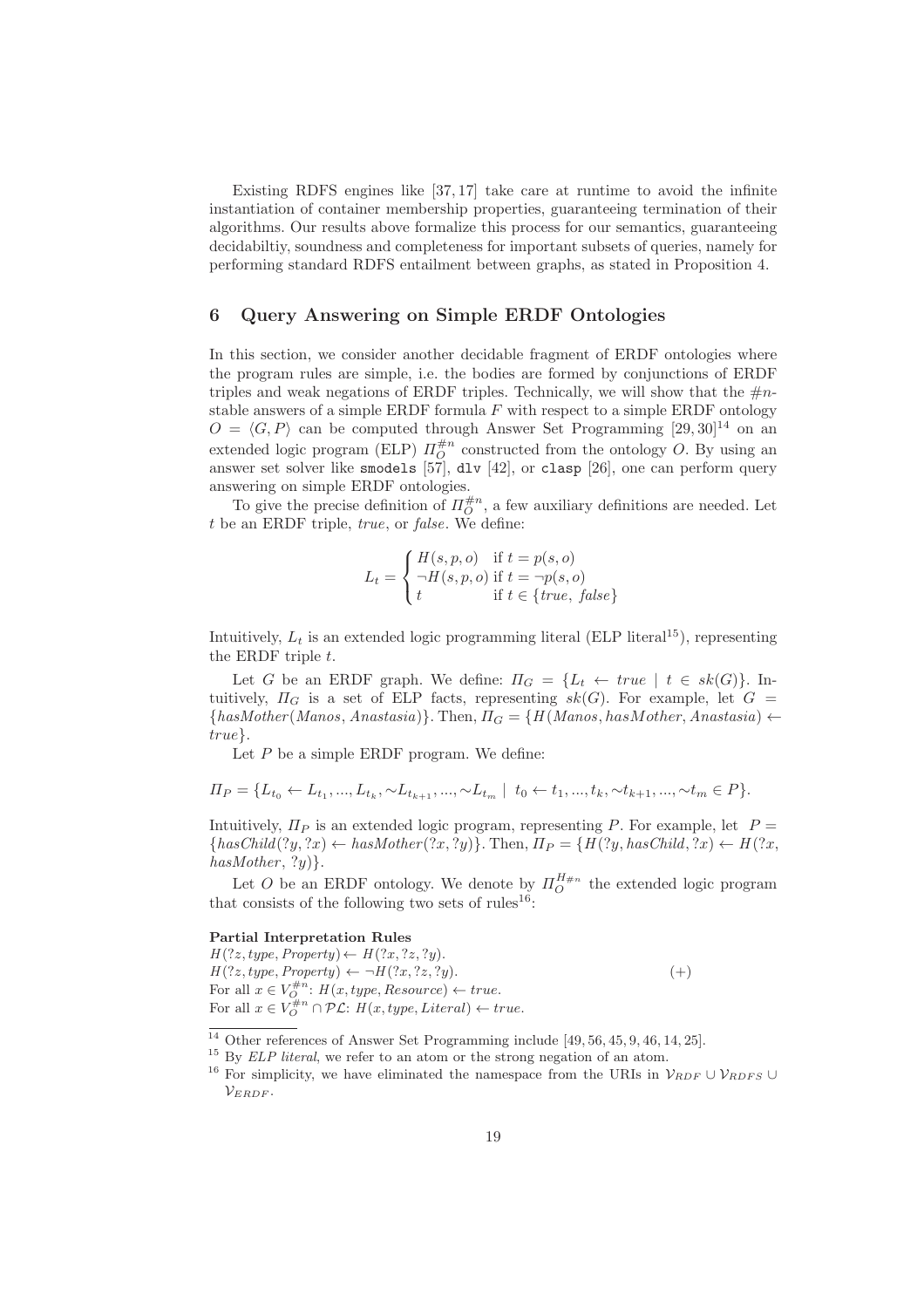Existing RDFS engines like [37, 17] take care at runtime to avoid the infinite instantiation of container membership properties, guaranteeing termination of their algorithms. Our results above formalize this process for our semantics, guaranteeing decidabiltiy, soundness and completeness for important subsets of queries, namely for performing standard RDFS entailment between graphs, as stated in Proposition 4.

## 6 Query Answering on Simple ERDF Ontologies

In this section, we consider another decidable fragment of ERDF ontologies where the program rules are simple, i.e. the bodies are formed by conjunctions of ERDF triples and weak negations of ERDF triples. Technically, we will show that the  $\#n$ stable answers of a simple ERDF formula  $F$  with respect to a simple ERDF ontology  $O = \langle G, P \rangle$  can be computed through Answer Set Programming [29, 30]<sup>14</sup> on an extended logic program (ELP)  $\Pi_{\mathcal{O}}^{\#n}$  constructed from the ontology O. By using an answer set solver like smodels [57], dlv [42], or clasp [26], one can perform query answering on simple ERDF ontologies.

To give the precise definition of  $\Pi_{\mathcal{O}}^{\#n}$ , a few auxiliary definitions are needed. Let t be an ERDF triple,  $true$ , or false. We define:

$$
L_t = \begin{cases} H(s, p, o) & \text{if } t = p(s, o) \\ \neg H(s, p, o) & \text{if } t = \neg p(s, o) \\ t & \text{if } t \in \{ \text{true}, \text{ false} \} \end{cases}
$$

Intuitively,  $L_t$  is an extended logic programming literal (ELP literal<sup>15</sup>), representing the ERDF triple  $t$ .

Let G be an ERDF graph. We define:  $\Pi_G = \{L_t \leftarrow true \mid t \in sk(G)\}\$ . Intuitively,  $\Pi_G$  is a set of ELP facts, representing  $sk(G)$ . For example, let  $G =$  ${hasMother(Manos, Anastasia)}$ . Then,  $\Pi_G = {H(Manos, hasMother, Anastasia)} \leftarrow$ true}.

Let  $P$  be a simple ERDF program. We define:

$$
\Pi_P = \{L_{t_0} \leftarrow L_{t_1}, ..., L_{t_k}, \sim L_{t_{k+1}}, ..., \sim L_{t_m} \mid t_0 \leftarrow t_1, ..., t_k, \sim t_{k+1}, ..., \sim t_m \in P\}.
$$

Intuitively,  $\Pi_P$  is an extended logic program, representing P. For example, let  $P =$  ${\text{[hasChild(?y, ?x)} \leftarrow \text{hasMother(?x, ?y)}}.$  Then,  $\Pi_P = {\text{[H(?y, hasChild, ?x)} \leftarrow \text{H(?x, ?y)}}.$ hasMother,  $?y$  }.

Let O be an ERDF ontology. We denote by  $\Pi_{\mathcal{O}}^{H_{\#n}}$  the extended logic program that consists of the following two sets of rules<sup>16</sup>:

#### Partial Interpretation Rules

 $H(?z, type, Property) \leftarrow H(?x, ?z, ?y).$  $H(?z, type, Property) \leftarrow \neg H(?x, ?z, ?y).$  (+) For all  $x \in V_O^{\#n}$ :  $H(x, type, Resource) \leftarrow true$ . For all  $x \in V_O^{\#n} \cap \mathcal{PL}$ :  $H(x, type, Literal) \leftarrow true$ .

<sup>14</sup> Other references of Answer Set Programming include [49, 56, 45, 9, 46, 14, 25].

<sup>15</sup> By *ELP literal*, we refer to an atom or the strong negation of an atom.

<sup>&</sup>lt;sup>16</sup> For simplicity, we have eliminated the namespace from the URIs in  $\mathcal{V}_{RDF} \cup \mathcal{V}_{RDFS} \cup$  $V_{ERDF}$ .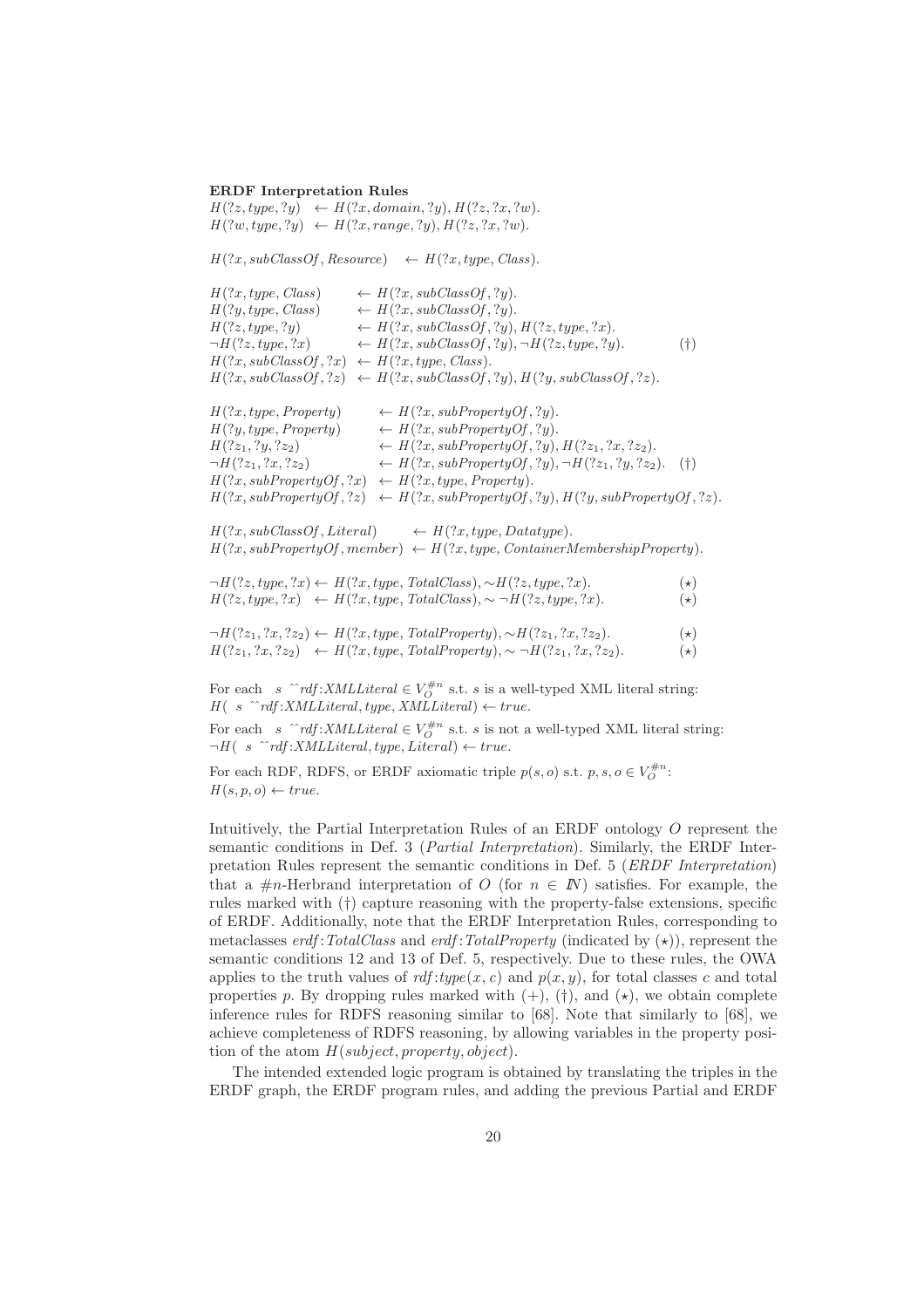#### ERDF Interpretation Rules

 $H(?z, type, ?y) \leftarrow H(?x, domain, ?y), H(?z, ?x, ?w).$  $H(?w, type, ?y) \leftarrow H(?x, range, ?y), H(?z, ?x, ?w).$ 

 $H(?x, subClassOf, Resource) \leftarrow H(?x, type, Class).$  $H(?x, type, Class) \leftarrow H(?x, subClassOf, ?y).$  $H(?y, type, Class)$   $\leftarrow$   $H(?x, subClassOf, ?y).$  $H(?z, type, ?y) \leftarrow H(?x, subClassOf, ?y), H(?z, type, ?x).$  $\neg H(?z, type, ?x) \leftarrow H(?x, subClassOf, ?y), \neg H(?z, type, ?y).$ (†)  $H(?x, subClassOf, ?x) \leftarrow H(?x, type, Class).$  $H(?x, subClassOf, ?z) \leftarrow H(?x, subClassOf, ?y), H(?y, subClassOf, ?z).$  $H(?x, type, Property) \leftarrow H(?x, subPropertyOf, ?y).$  $H(?y, type, Property)$   $\leftarrow$   $H(?x, subPropertyOf, ?y).$  $H(?z_1, ?y, ?z_2)$   $\leftarrow H(?x, subPropertyOf, ?y), H(?z_1, ?x, ?z_2).$  $\neg H(?z_1, ?x, ?z_2)$   $\qquad \leftarrow H(?x, subPropertyOf, ?y), \neg H(?z_1, ?y, ?z_2).$  (†)  $H(?x, subPropertyOf, ?x) \leftarrow H(?x, type, Property).$  $H(?x, subPropertyOf, ?z) \leftarrow H(?x, subPropertyOf, ?y), H(?y, subPropertyOf, ?z).$ 

 $H(?x, subClassOf, Literal) \rightarrow H(?x, type, Datatype).$  $H(?x, subPropertyOf, member) \leftarrow H(?x, type, ContainerMembershipProperty).$ 

¬*H* (?z, type, ?x) ← *H* (?x, type, *TotalClass*), ∼*H* (?z, type, ?x). (⋆) *H*(?z, *type*, ?x) ← *H*(?x, *type*, *TotalClass*), ∼ ¬*H*(?z, *type*, ?x). (★)

¬*H* (?z1, ?x, ?z2) ← *H* (?x, type, *TotalProperty*), ∼*H* (?z1, ?x, ?z2). (⋆) *H* (?z<sub>1</sub>, ?x, ?z<sub>2</sub>) ← *H* (?x, type, *TotalProperty*), ~  $\neg$  *H* (?z<sub>1</sub>, ?x, ?z<sub>2</sub>). (★)

For each  $s \text{``}rdf: XMLLiteral \in V_O^{\#n} \text{ s.t. } s \text{ is a well-typeed XML literal string:}$  $H($  s  $\hat{i}$ rdf:*XMLLiteral*, type, *XMLLiteral*)  $\leftarrow$  true.

For each  $s \text{``} \textit{rdf}: XML\textrm{literal} \in V_O^{\#n} \text{ s.t. } s \text{ is not a well-typeed XML literal string:}$  $\neg H($  s  $\hat{f}$ <sup> $\hat{f}$ </sup> $\hat{f}$ : *XMLLiteral*, type, *Literal* $) \leftarrow true$ .

For each RDF, RDFS, or ERDF axiomatic triple  $p(s, o)$  s.t.  $p, s, o \in V_O^{\#n}$ :  $H(s, p, o) \leftarrow true.$ 

Intuitively, the Partial Interpretation Rules of an ERDF ontology O represent the semantic conditions in Def. 3 (*Partial Interpretation*). Similarly, the ERDF Interpretation Rules represent the semantic conditions in Def. 5 (ERDF Interpretation) that a #n-Herbrand interpretation of O (for  $n \in \mathbb{N}$ ) satisfies. For example, the rules marked with (†) capture reasoning with the property-false extensions, specific of ERDF. Additionally, note that the ERDF Interpretation Rules, corresponding to metaclasses erdf: TotalClass and erdf: TotalProperty (indicated by  $(\star)$ ), represent the semantic conditions 12 and 13 of Def. 5, respectively. Due to these rules, the OWA applies to the truth values of  $\textit{rdf}$ :type(x, c) and  $p(x, y)$ , for total classes c and total properties p. By dropping rules marked with  $(+)$ ,  $(†)$ , and  $(\star)$ , we obtain complete inference rules for RDFS reasoning similar to [68]. Note that similarly to [68], we achieve completeness of RDFS reasoning, by allowing variables in the property position of the atom  $H(subject, property, object)$ .

The intended extended logic program is obtained by translating the triples in the ERDF graph, the ERDF program rules, and adding the previous Partial and ERDF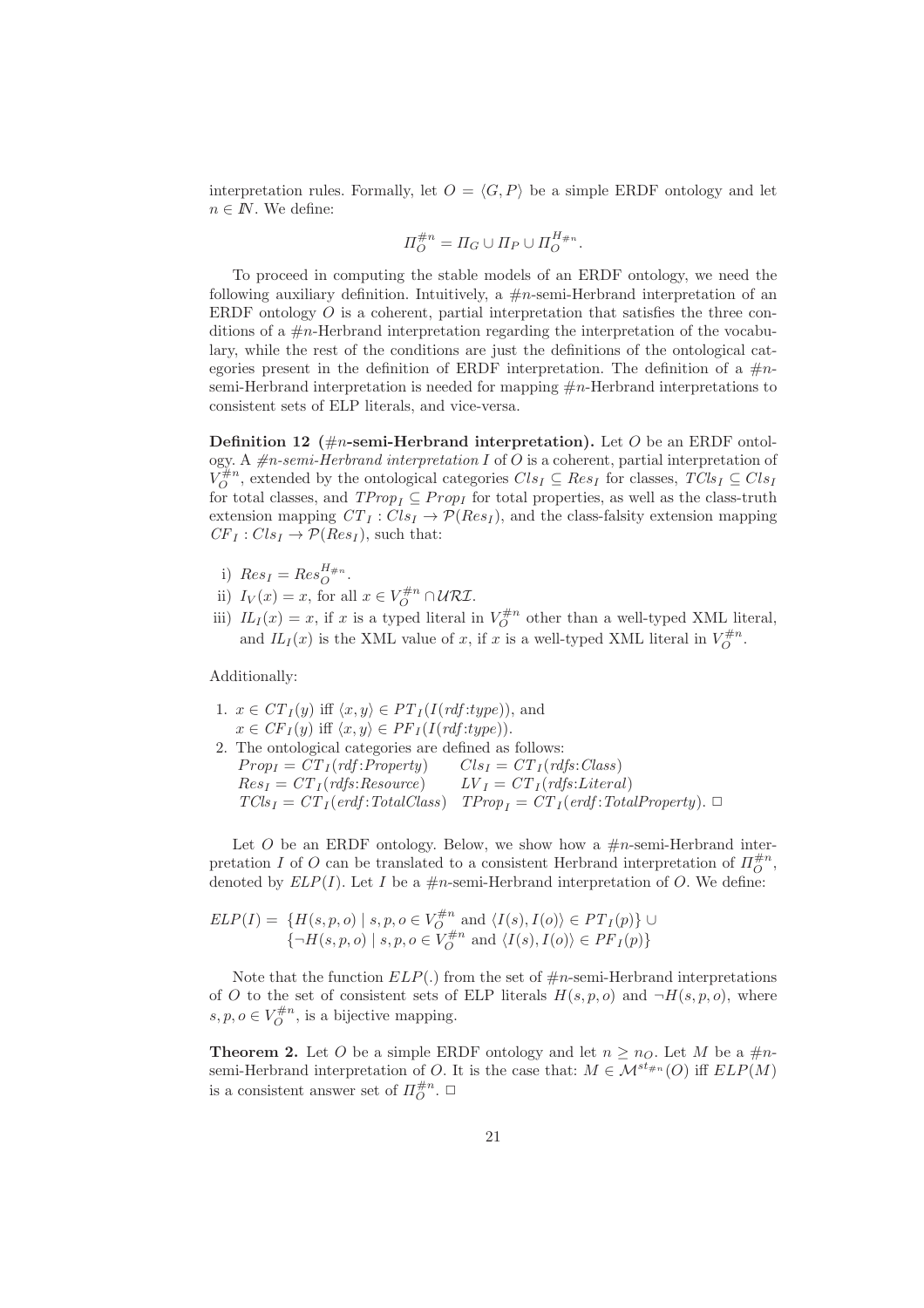interpretation rules. Formally, let  $O = \langle G, P \rangle$  be a simple ERDF ontology and let  $n \in \mathbb{N}$ . We define:

$$
\Pi_O^{\#n} = \Pi_G \cup \Pi_P \cup \Pi_O^{H_{\#n}}.
$$

To proceed in computing the stable models of an ERDF ontology, we need the following auxiliary definition. Intuitively, a  $\#n$ -semi-Herbrand interpretation of an ERDF ontology  $O$  is a coherent, partial interpretation that satisfies the three conditions of a  $\#n$ -Herbrand interpretation regarding the interpretation of the vocabulary, while the rest of the conditions are just the definitions of the ontological categories present in the definition of ERDF interpretation. The definition of a  $\#n$ semi-Herbrand interpretation is needed for mapping  $\#n$ -Herbrand interpretations to consistent sets of ELP literals, and vice-versa.

**Definition 12** ( $\#n$ -semi-Herbrand interpretation). Let O be an ERDF ontology. A  $\#n\text{-}semi-Herbrand interpretation I$  of O is a coherent, partial interpretation of  $\tilde{V}_O^{\#n}$ , extended by the ontological categories  $Cls_I \subseteq Res_I$  for classes,  $TCls_I \subseteq Cls_I$ for total classes, and  $TProp_I \subseteq Prop_I$  for total properties, as well as the class-truth extension mapping  $CT_I : Cls_I \rightarrow \mathcal{P}(Res_I)$ , and the class-falsity extension mapping  $CF_I: Cls_I \rightarrow \mathcal{P}(Res_I)$ , such that:

- i)  $Res_I = Res_O^{H_{\#n}}$ .
- ii)  $I_V(x) = x$ , for all  $x \in V_O^{\#n} \cap \mathcal{URI}$ .
- iii)  $IL_I(x) = x$ , if x is a typed literal in  $V_O^{\#n}$  other than a well-typed XML literal, and  $IL_I(x)$  is the XML value of x, if x is a well-typed XML literal in  $V_O^{\#n}$ .

Additionally:

- 1.  $x \in CT_I(y)$  iff  $\langle x, y \rangle \in PT_I(I(rdf:type)),$  and  $x \in CF_I(y)$  iff  $\langle x, y \rangle \in PF_I(I(rdf:type)).$
- 2. The ontological categories are defined as follows:<br> $Prop_I = CT_I(rdf:Property)$   $Cls_I = CT_I(rdfs:Class)$  $Prop_I = CT_I (rdf : Property)$   $Cls_I = CT_I (rdfs:Class)$ <br>  $Res_I = CT_I (rdfs:Resource)$   $LV_I = CT_I (rdfs:Literal)$  $Res_I = CT_I (rdfs:Resource)$  $TCls_I = CT_I (erdf:TotalClass)$   $TProp_I = CT_I (erdf:TotalProperty)$ .

Let O be an ERDF ontology. Below, we show how a  $\#n$ -semi-Herbrand interpretation I of O can be translated to a consistent Herbrand interpretation of  $\Pi_{\overline{O}}^{\#n}$ , denoted by  $ELP(I)$ . Let I be a #n-semi-Herbrand interpretation of O. We define:

$$
ELP(I) = \{H(s, p, o) \mid s, p, o \in V_O^{\#n} \text{ and } \langle I(s), I(o) \rangle \in PT_I(p)\} \cup \{\neg H(s, p, o) \mid s, p, o \in V_O^{\#n} \text{ and } \langle I(s), I(o) \rangle \in PF_I(p)\}
$$

Note that the function  $ELP(.)$  from the set of  $\#n$ -semi-Herbrand interpretations of O to the set of consistent sets of ELP literals  $H(s, p, o)$  and  $\neg H(s, p, o)$ , where  $s, p, o \in V_O^{\#n}$ , is a bijective mapping.

**Theorem 2.** Let O be a simple ERDF ontology and let  $n > n_Q$ . Let M be a #nsemi-Herbrand interpretation of O. It is the case that:  $M \in \mathcal{M}^{st_{\#n}}(O)$  iff  $ELP(M)$ is a consistent answer set of  $\Pi_{\mathcal{O}}^{\#n}$ .  $\Box$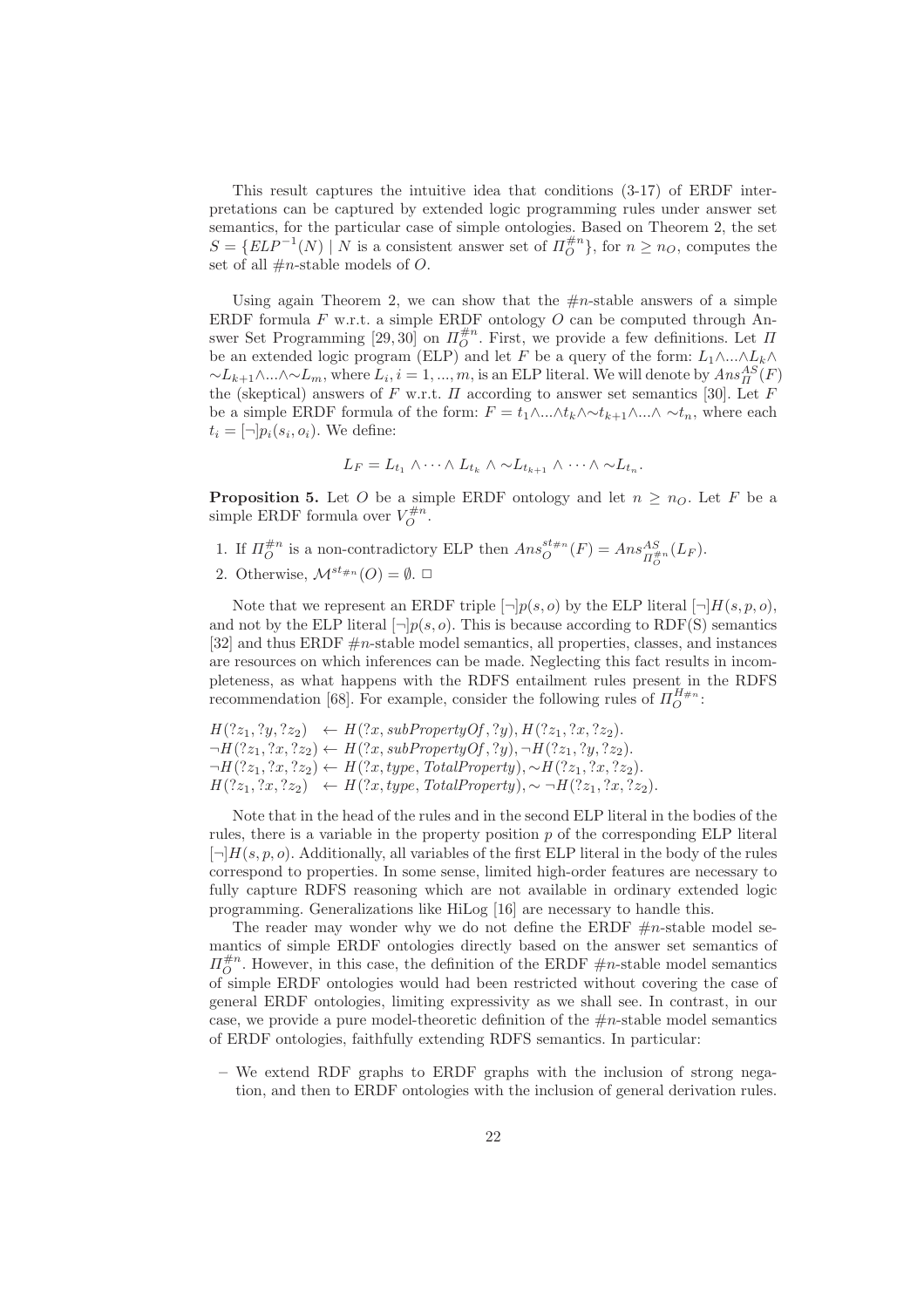This result captures the intuitive idea that conditions (3-17) of ERDF interpretations can be captured by extended logic programming rules under answer set semantics, for the particular case of simple ontologies. Based on Theorem 2, the set  $S = \{ELP^{-1}(N) | N$  is a consistent answer set of  $H_0^{m}$ , for  $n \geq n_O$ , computes the set of all  $\#n$ -stable models of O.

Using again Theorem 2, we can show that the  $\#n$ -stable answers of a simple ERDF formula  $F$  w.r.t. a simple ERDF ontology  $O$  can be computed through Answer Set Programming [29, 30] on  $\Pi_{\mathcal{O}}^{\#n}$ . First, we provide a few definitions. Let  $\Pi$ be an extended logic program (ELP) and let F be a query of the form:  $L_1 \wedge ... \wedge L_k \wedge$  $\sim L_{k+1} \wedge ... \wedge \sim L_m$ , where  $L_i$ ,  $i = 1, ..., m$ , is an ELP literal. We will denote by  $Ans_{\Pi}^{AS}(F)$ the (skeptical) answers of F w.r.t.  $\Pi$  according to answer set semantics [30]. Let F be a simple ERDF formula of the form:  $F = t_1 \wedge ... \wedge t_k \wedge \neg t_{k+1} \wedge ... \wedge \neg t_n$ , where each  $t_i = [\neg] p_i(s_i, o_i)$ . We define:

$$
L_F = L_{t_1} \wedge \cdots \wedge L_{t_k} \wedge \sim L_{t_{k+1}} \wedge \cdots \wedge \sim L_{t_n}.
$$

**Proposition 5.** Let O be a simple ERDF ontology and let  $n \geq n_O$ . Let F be a simple ERDF formula over  $V_Q^{\#n}$ .

- 1. If  $\Pi_{\overline{O}}^{\#n}$  is a non-contradictory ELP then  $Ans_{{\overline{O}}}^{st_{\#n}}(F) = Ans_{\overline{O}}^{AS} (L_F)$ .
- 2. Otherwise,  $\mathcal{M}^{st_{\#n}}(O) = \emptyset$ .

Note that we represent an ERDF triple  $[\neg]p(s, o)$  by the ELP literal  $[\neg]H(s, p, o)$ , and not by the ELP literal  $[\neg p(s, o)]$ . This is because according to RDF(S) semantics [32] and thus ERDF #n-stable model semantics, all properties, classes, and instances are resources on which inferences can be made. Neglecting this fact results in incompleteness, as what happens with the RDFS entailment rules present in the RDFS recommendation [68]. For example, consider the following rules of  $\Pi_{\mathcal{O}}^{H_{\#n}}$ :

$$
H(?z_1, ?y, ?z_2) \leftarrow H(?x, subPropertyOf, ?y), H(?z_1, ?x, ?z_2).
$$
  
\n
$$
\neg H(?z_1, ?x, ?z_2) \leftarrow H(?x, subPropertyOf, ?y), \neg H(?z_1, ?y, ?z_2).
$$
  
\n
$$
\neg H(?z_1, ?x, ?z_2) \leftarrow H(?x, type, TotalProperty), \sim H(?z_1, ?x, ?z_2).
$$
  
\n
$$
H(?z_1, ?x, ?z_2) \leftarrow H(?x, type, TotalProperty), \sim \neg H(?z_1, ?x, ?z_2).
$$

Note that in the head of the rules and in the second ELP literal in the bodies of the rules, there is a variable in the property position  $p$  of the corresponding ELP literal  $\lceil \neg H(s, p, o) \rceil$ . Additionally, all variables of the first ELP literal in the body of the rules correspond to properties. In some sense, limited high-order features are necessary to fully capture RDFS reasoning which are not available in ordinary extended logic programming. Generalizations like HiLog [16] are necessary to handle this.

The reader may wonder why we do not define the ERDF  $\#n$ -stable model semantics of simple ERDF ontologies directly based on the answer set semantics of  $\Pi_{\mathcal{O}}^{\#n}$ . However, in this case, the definition of the ERDF  $\#n$ -stable model semantics of simple ERDF ontologies would had been restricted without covering the case of general ERDF ontologies, limiting expressivity as we shall see. In contrast, in our case, we provide a pure model-theoretic definition of the  $\#n$ -stable model semantics of ERDF ontologies, faithfully extending RDFS semantics. In particular:

– We extend RDF graphs to ERDF graphs with the inclusion of strong negation, and then to ERDF ontologies with the inclusion of general derivation rules.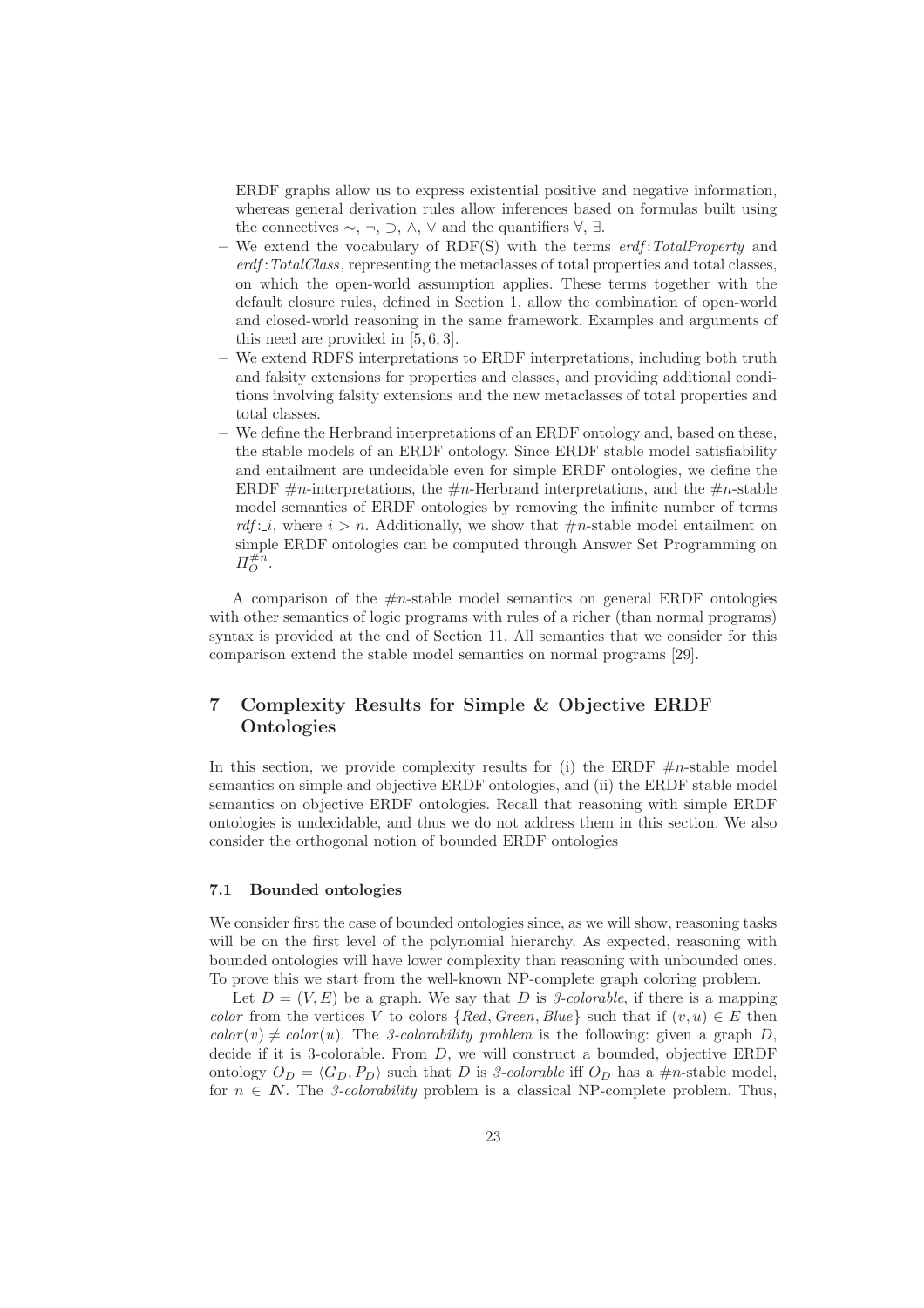ERDF graphs allow us to express existential positive and negative information, whereas general derivation rules allow inferences based on formulas built using the connectives  $\sim$ , ¬,  $\supset$ ,  $\wedge$ ,  $\vee$  and the quantifiers  $\forall$ ,  $\exists$ .

- We extend the vocabulary of RDF(S) with the terms  $erdf:TotalProperty$  and erdf: TotalClass, representing the metaclasses of total properties and total classes, on which the open-world assumption applies. These terms together with the default closure rules, defined in Section 1, allow the combination of open-world and closed-world reasoning in the same framework. Examples and arguments of this need are provided in [5, 6, 3].
- We extend RDFS interpretations to ERDF interpretations, including both truth and falsity extensions for properties and classes, and providing additional conditions involving falsity extensions and the new metaclasses of total properties and total classes.
- We define the Herbrand interpretations of an ERDF ontology and, based on these, the stable models of an ERDF ontology. Since ERDF stable model satisfiability and entailment are undecidable even for simple ERDF ontologies, we define the ERDF  $\#n$ -interpretations, the  $\#n$ -Herbrand interpretations, and the  $\#n$ -stable model semantics of ERDF ontologies by removing the infinite number of terms rdf:*i*, where  $i > n$ . Additionally, we show that  $\#n$ -stable model entailment on simple ERDF ontologies can be computed through Answer Set Programming on  $\Pi^{\#n}_{O}$ .

A comparison of the  $\#n$ -stable model semantics on general ERDF ontologies with other semantics of logic programs with rules of a richer (than normal programs) syntax is provided at the end of Section 11. All semantics that we consider for this comparison extend the stable model semantics on normal programs [29].

## 7 Complexity Results for Simple & Objective ERDF **Ontologies**

In this section, we provide complexity results for (i) the ERDF  $\#n$ -stable model semantics on simple and objective ERDF ontologies, and (ii) the ERDF stable model semantics on objective ERDF ontologies. Recall that reasoning with simple ERDF ontologies is undecidable, and thus we do not address them in this section. We also consider the orthogonal notion of bounded ERDF ontologies

#### 7.1 Bounded ontologies

We consider first the case of bounded ontologies since, as we will show, reasoning tasks will be on the first level of the polynomial hierarchy. As expected, reasoning with bounded ontologies will have lower complexity than reasoning with unbounded ones. To prove this we start from the well-known NP-complete graph coloring problem.

Let  $D = (V, E)$  be a graph. We say that D is 3-colorable, if there is a mapping color from the vertices V to colors  $\{Red, Green, Blue\}$  such that if  $(v, u) \in E$  then  $color(v) \neq color(u)$ . The 3-colorability problem is the following: given a graph D, decide if it is 3-colorable. From  $D$ , we will construct a bounded, objective ERDF ontology  $O_D = \langle G_D, P_D \rangle$  such that D is 3-colorable iff  $O_D$  has a #n-stable model, for  $n \in \mathbb{N}$ . The 3-colorability problem is a classical NP-complete problem. Thus,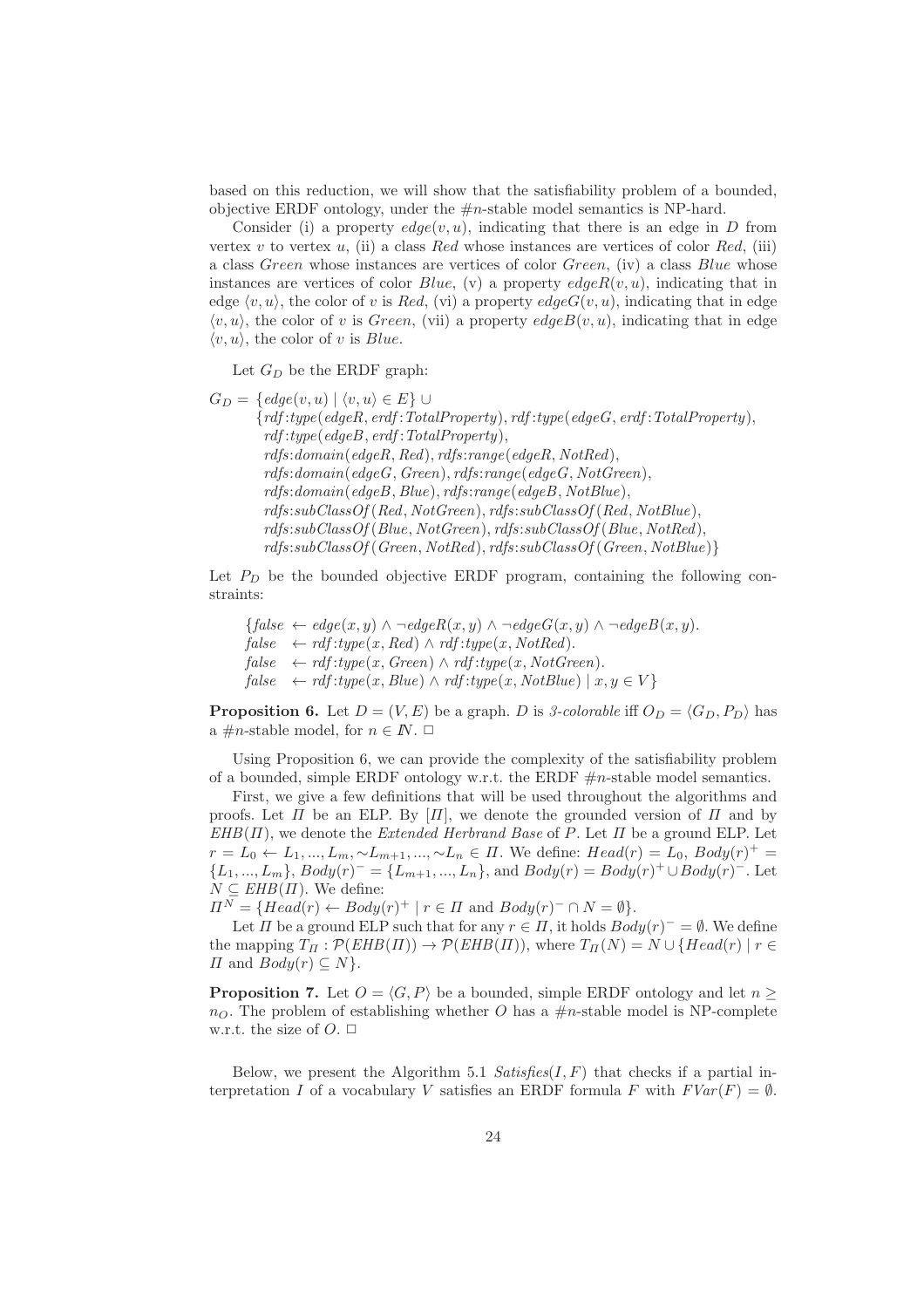based on this reduction, we will show that the satisfiability problem of a bounded, objective ERDF ontology, under the  $\#n$ -stable model semantics is NP-hard.

Consider (i) a property  $edge(v, u)$ , indicating that there is an edge in D from vertex  $v$  to vertex  $u$ , (ii) a class Red whose instances are vertices of color Red, (iii) a class Green whose instances are vertices of color Green, (iv) a class Blue whose instances are vertices of color Blue, (v) a property  $edge(v, u)$ , indicating that in edge  $\langle v, u \rangle$ , the color of v is Red, (vi) a property edgeG(v, u), indicating that in edge  $\langle v, u \rangle$ , the color of v is Green, (vii) a property edge  $B(v, u)$ , indicating that in edge  $\langle v, u \rangle$ , the color of v is *Blue*.

Let  $G_D$  be the ERDF graph:

 $G_D = \{edge(v, u) \mid \langle v, u \rangle \in E\} \cup$  ${rdf : type (edgeR, erdf : TotalProperty), rdf : type (edgeG, erdf : TotalProperty),}$  $rdf: type (edgeB, erdf:TotalProperty),$ rdfs:domain(edgeR, Red), rdfs:range(edgeR, NotRed), rdfs:domain(edgeG, Green), rdfs:range(edgeG, NotGreen), rdfs:domain(edgeB, Blue), rdfs:range(edgeB, NotBlue), rdfs:subClassOf (Red, NotGreen), rdfs:subClassOf (Red, NotBlue), rdfs:subClassOf (Blue, NotGreen), rdfs:subClassOf (Blue, NotRed), rdfs:subClassOf (Green, NotRed), rdfs:subClassOf (Green, NotBlue)}

Let  $P_D$  be the bounded objective ERDF program, containing the following constraints:

 ${false \leftarrow edge(x, y) \land \neg edgeR(x, y) \land \neg edgeG(x, y) \land \neg edgeB(x, y).}$  $false \leftarrow \text{rdf}: type(x, Red) \wedge \text{rdf}: type(x, NotRed).$ false  $\leftarrow$  rdf:type(x, Green)  $\land$  rdf:type(x, NotGreen).  $false \leftarrow \textit{rdf}: type(x, Blue) \wedge \textit{rdf}: type(x, NotBlue) \mid x, y \in V$ 

**Proposition 6.** Let  $D = (V, E)$  be a graph. D is 3-colorable iff  $O_D = (G_D, P_D)$  has a #n-stable model, for  $n \in \mathbb{N}$ .  $\Box$ 

Using Proposition 6, we can provide the complexity of the satisfiability problem of a bounded, simple ERDF ontology w.r.t. the ERDF  $\#n$ -stable model semantics.

First, we give a few definitions that will be used throughout the algorithms and proofs. Let  $\Pi$  be an ELP. By  $[\Pi]$ , we denote the grounded version of  $\Pi$  and by  $EHB(T)$ , we denote the *Extended Herbrand Base* of P. Let  $\Pi$  be a ground ELP. Let  $r = L_0 \leftarrow L_1, ..., L_m, \sim L_{m+1}, ..., \sim L_n \in \Pi$ . We define:  $Head(r) = L_0, Body(r)^{+} =$  ${L_1, ..., L_m}$ ,  $Body(r)^{-} = {L_{m+1}, ..., L_n}$ , and  $Body(r) = Body(r)^{+} \cup Body(r)^{-}$ . Let  $N \subseteq EHB(\Pi)$ . We define:

 $\Pi^N = \{Head(r) \leftarrow Body(r)^+ \mid r \in \Pi \text{ and } Body(r)^- \cap N = \emptyset \}.$ 

Let  $\Pi$  be a ground ELP such that for any  $r \in \Pi$ , it holds  $Body(r)^{-} = \emptyset$ . We define the mapping  $T_{\Pi} : \mathcal{P}(EHB(\Pi)) \to \mathcal{P}(EHB(\Pi))$ , where  $T_{\Pi}(N) = N \cup \{Head(r) | r \in$  $\Pi$  and  $Body(r) \subseteq N$ .

**Proposition 7.** Let  $O = \langle G, P \rangle$  be a bounded, simple ERDF ontology and let  $n \geq$  $n<sub>O</sub>$ . The problem of establishing whether O has a #n-stable model is NP-complete w.r.t. the size of  $O \square$ 

Below, we present the Algorithm 5.1 Satisfies  $(I, F)$  that checks if a partial interpretation I of a vocabulary V satisfies an ERDF formula F with  $FVar(F) = \emptyset$ .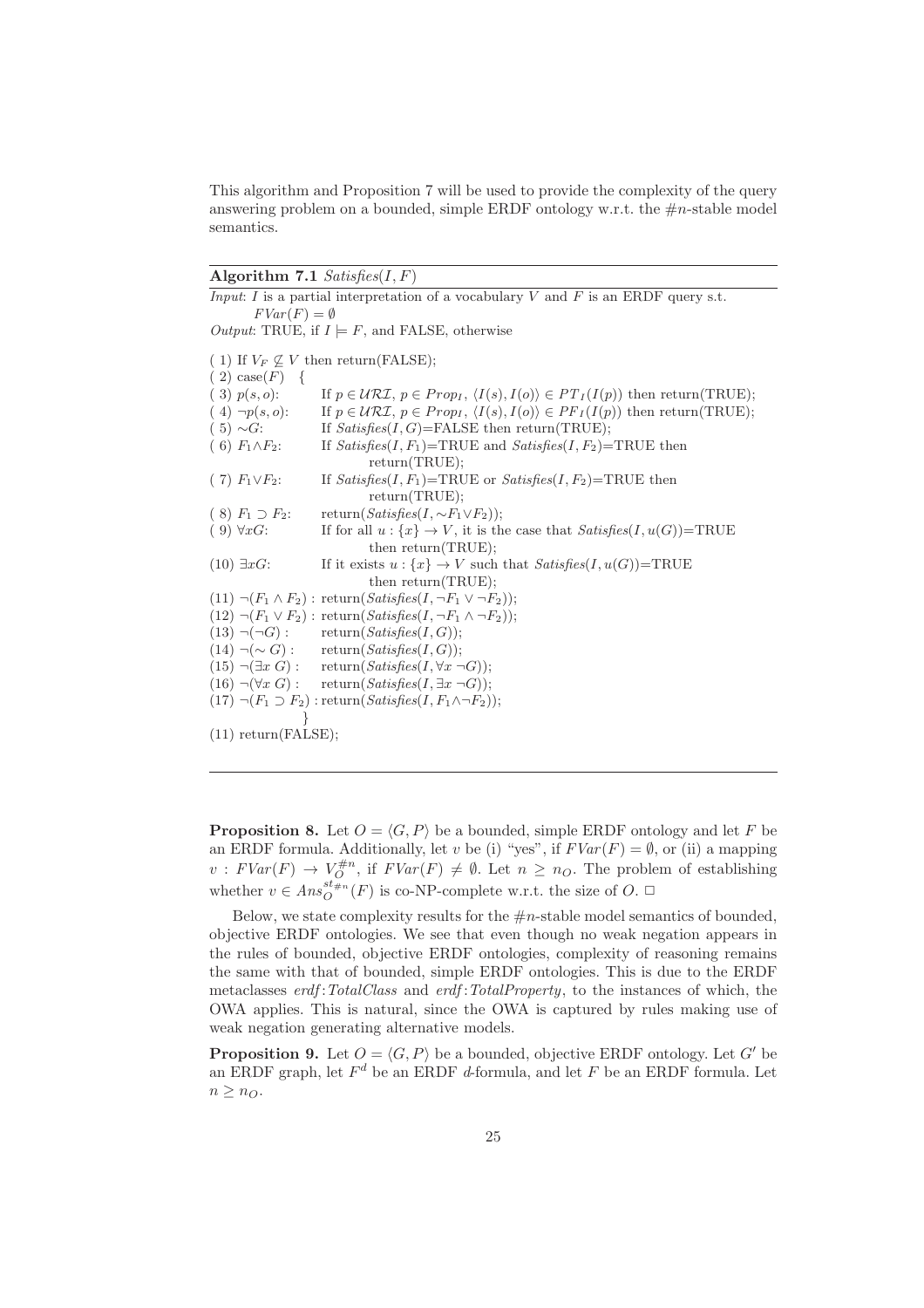This algorithm and Proposition 7 will be used to provide the complexity of the query answering problem on a bounded, simple ERDF ontology w.r.t. the  $\#n$ -stable model semantics.

## Algorithm 7.1  $Satisfies (I, F)$

*Input: I* is a partial interpretation of a vocabulary V and F is an ERDF query s.t.  $FVar(F) = \emptyset$ *Output*: TRUE, if  $I \models F$ , and FALSE, otherwise ( 1) If  $V_F \not\subseteq V$  then return(FALSE);  $(2) \cose(F) \{$ ( 3)  $p(s, o)$ : If  $p \in \mathcal{U} \mathcal{R} \mathcal{I}, p \in Prop_I, \langle I(s), I(o) \rangle \in PT_I(I(p))$  then return(TRUE); ( 4)  $\neg p(s, o):$  If  $p \in \mathcal{URL}$ ,  $p \in Prop_I$ ,  $\langle I(s), I(o) \rangle \in PF_I(I(p))$  then return(TRUE); ( 5)  $\sim$ *G*: If *Satisfies*(*I*, *G*)=FALSE then return(TRUE); ( 6)  $F_1 \wedge F_2$ : If  $Satisfies (I, F_1) = \text{TRUE}$  and  $Satisfies (I, F_2) = \text{TRUE}$  then return(TRUE); ( 7)  $F_1 \vee F_2$ : If  $Satisfies (I, F_1) = \text{TRUE or } Satisfies (I, F_2) = \text{TRUE then}$ return(TRUE); ( 8)  $F_1 \supset F_2$ : return(*Satisfies*( $I, \sim F_1 \vee F_2$ )); ( 9)  $\forall x G:$  If for all  $u: \{x\} \to V$ , it is the case that  $Satisfies(I, u(G)) = \text{TRUE}$ then return(TRUE); (10)  $\exists xG:$  If it exists  $u: \{x\} \to V$  such that  $Satisfies(I, u(G)) = \text{TRUE}$ then return(TRUE); (11) ¬(F<sup>1</sup> ∧ F2) : return(*Satisfies*(I,¬F<sup>1</sup> ∨ ¬F2)); (12) ¬(F<sup>1</sup> ∨ F2) : return(*Satisfies*(I,¬F<sup>1</sup> ∧ ¬F2));  $(13) \neg (\neg G)$ : return(*Satisfies*(*I*, *G*));  $(14)$  ¬(∼ G) : return(*Satisfies*(*I*, *G*));  $(15) \neg (\exists x \ G)$ : return(*Satisfies*(*I*, ∀x ¬*G*)); (16)  $\neg(\forall x \ G)$ : return(*Satisfies*(*I*, ∃x  $\neg G$ )); (17) ¬(F<sup>1</sup> ⊃ F2) : return(*Satisfies*(I, F1∧¬F2)); } (11) return(FALSE);

**Proposition 8.** Let  $O = \langle G, P \rangle$  be a bounded, simple ERDF ontology and let F be an ERDF formula. Additionally, let v be (i) "yes", if  $FVar(F) = \emptyset$ , or (ii) a mapping  $v: FVar(F) \to V_O^{\#n}$ , if  $FVar(F) \neq \emptyset$ . Let  $n \geq n_O$ . The problem of establishing whether  $v \in Ans_O^{st_{\#n}}(F)$  is co-NP-complete w.r.t. the size of  $O. \Box$ 

Below, we state complexity results for the  $\#n$ -stable model semantics of bounded, objective ERDF ontologies. We see that even though no weak negation appears in the rules of bounded, objective ERDF ontologies, complexity of reasoning remains the same with that of bounded, simple ERDF ontologies. This is due to the ERDF metaclasses erdf: TotalClass and erdf: TotalProperty, to the instances of which, the OWA applies. This is natural, since the OWA is captured by rules making use of weak negation generating alternative models.

**Proposition 9.** Let  $O = \langle G, P \rangle$  be a bounded, objective ERDF ontology. Let G' be an ERDF graph, let  $F^d$  be an ERDF d-formula, and let F be an ERDF formula. Let  $n \geq n_O$ .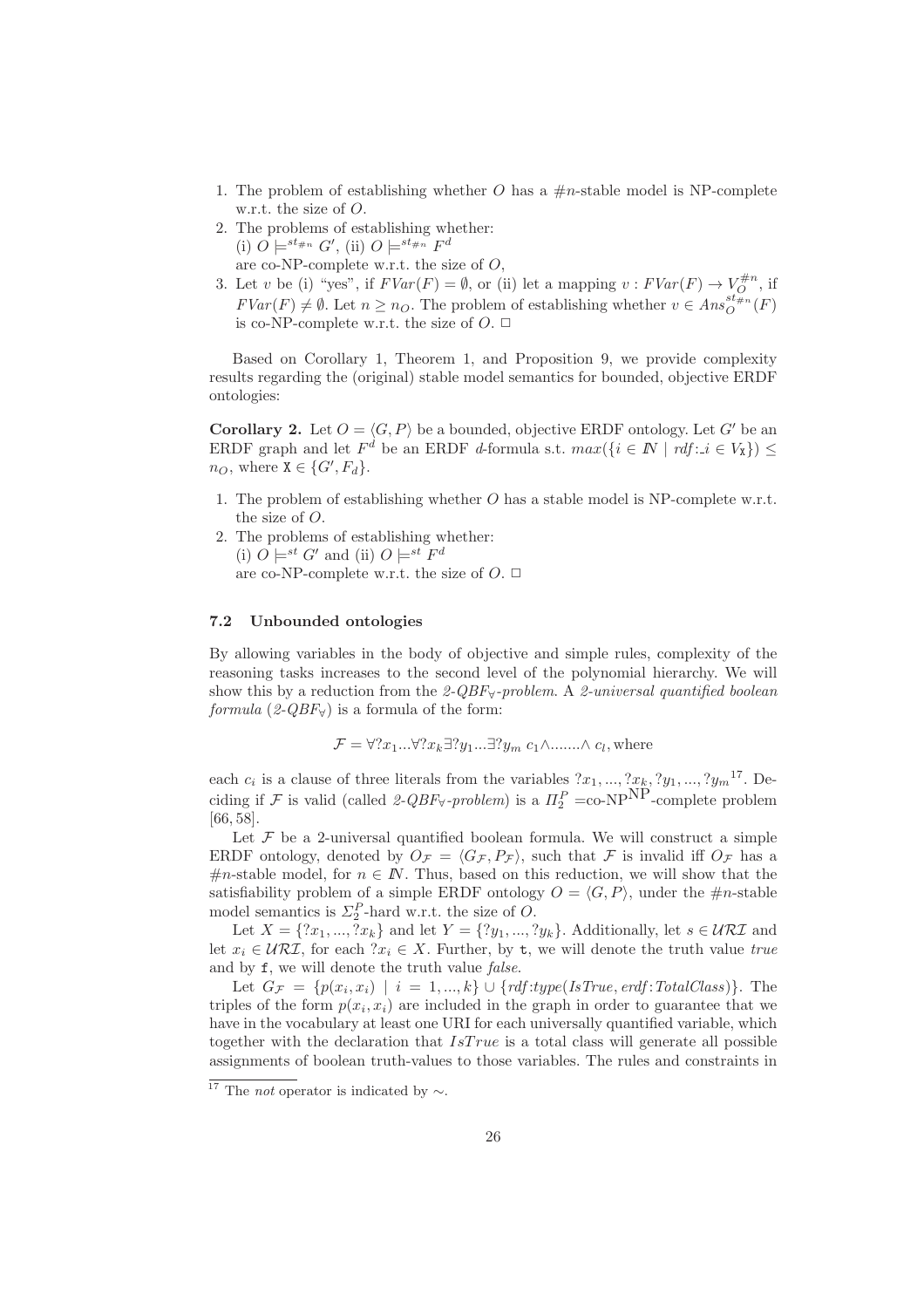- 1. The problem of establishing whether O has a  $\#n$ -stable model is NP-complete w.r.t. the size of O.
- 2. The problems of establishing whether: (i)  $O \models^{st_{\#n}} G'$ , (ii)  $O \models^{st_{\#n}} F^d$ are co-NP-complete w.r.t. the size of O,
- 3. Let v be (i) "yes", if  $FVar(F) = \emptyset$ , or (ii) let a mapping  $v : FVar(F) \to V_O^{\#n}$ , if  $FVar(F) \neq \emptyset$ . Let  $n \geq n_Q$ . The problem of establishing whether  $v \in Ans_O^{st_{\#n}^{*}}(F)$ is co-NP-complete w.r.t. the size of  $O \square$

Based on Corollary 1, Theorem 1, and Proposition 9, we provide complexity results regarding the (original) stable model semantics for bounded, objective ERDF ontologies:

**Corollary 2.** Let  $O = \langle G, P \rangle$  be a bounded, objective ERDF ontology. Let G' be an ERDF graph and let  $F^d$  be an ERDF d-formula s.t.  $max({i \in N \mid rdf : i \in V_X}) \le$  $n_O$ , where  $X \in \{G', F_d\}.$ 

- 1. The problem of establishing whether O has a stable model is NP-complete w.r.t. the size of O.
- 2. The problems of establishing whether: (i)  $O \models^{st} G'$  and (ii)  $O \models^{st} F^d$ are co-NP-complete w.r.t. the size of  $O \subseteq \Box$

#### 7.2 Unbounded ontologies

By allowing variables in the body of objective and simple rules, complexity of the reasoning tasks increases to the second level of the polynomial hierarchy. We will show this by a reduction from the 2-QBF $_{\forall}$ -problem. A 2-universal quantified boolean formula  $(2\text{-}QBF_{\forall})$  is a formula of the form:

$$
\mathcal{F} = \forall ?x_1...\forall ?x_k \exists ?y_1...\exists ?y_m \ c_1 \land ...... \land c_l, \text{where}
$$

each  $c_i$  is a clause of three literals from the variables  $x_1, ..., x_k, y_1, ..., y_m$ <sup>17</sup>. Deciding if F is valid (called 2- $QBF_{\forall}$ -problem) is a  $\Pi_2^P$  =co-NP<sup>NP</sup>-complete problem [66, 58].

Let  $\mathcal F$  be a 2-universal quantified boolean formula. We will construct a simple ERDF ontology, denoted by  $O_{\mathcal{F}} = \langle G_{\mathcal{F}}, P_{\mathcal{F}} \rangle$ , such that  $\mathcal F$  is invalid iff  $O_{\mathcal{F}}$  has a #n-stable model, for  $n \in \mathbb{N}$ . Thus, based on this reduction, we will show that the satisfiability problem of a simple ERDF ontology  $O = \langle G, P \rangle$ , under the #n-stable model semantics is  $\Sigma_2^P$ -hard w.r.t. the size of O.

Let  $X = \{?x_1, ..., ?x_k\}$  and let  $Y = \{?y_1, ..., ?y_k\}$ . Additionally, let  $s \in URT$  and let  $x_i \in \mathcal{U} \mathcal{R} \mathcal{I}$ , for each  $x_i \in X$ . Further, by t, we will denote the truth value true and by f, we will denote the truth value false.

Let  $G_{\mathcal{F}} = \{p(x_i, x_i) \mid i = 1, ..., k\} \cup \{rdf: type(IsTrue, erdf:TotalClass)\}.$  The triples of the form  $p(x_i, x_i)$  are included in the graph in order to guarantee that we have in the vocabulary at least one URI for each universally quantified variable, which together with the declaration that  $IsTrue$  is a total class will generate all possible assignments of boolean truth-values to those variables. The rules and constraints in

<sup>17</sup> The *not* operator is indicated by ∼.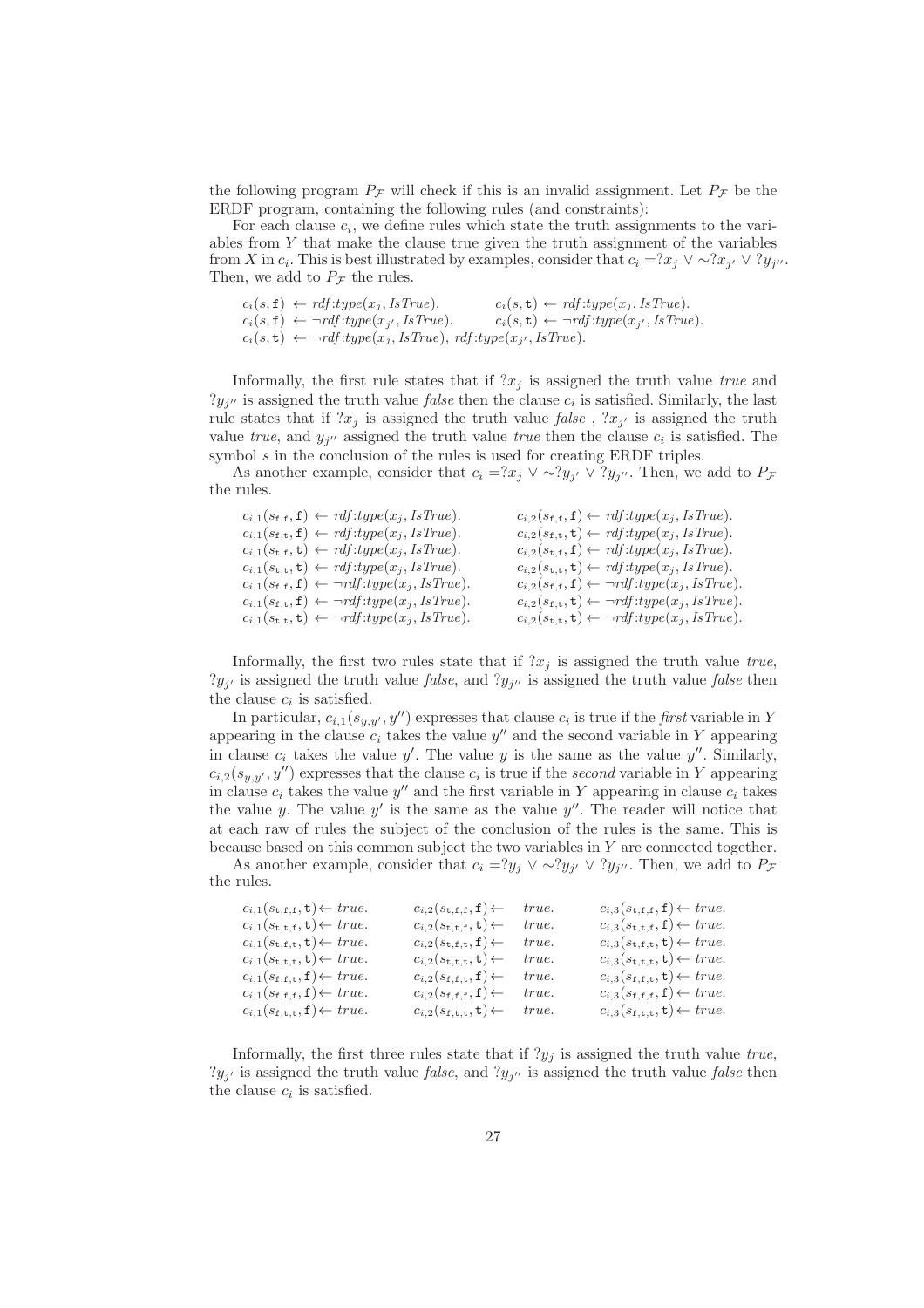the following program  $P_{\mathcal{F}}$  will check if this is an invalid assignment. Let  $P_{\mathcal{F}}$  be the ERDF program, containing the following rules (and constraints):

For each clause  $c_i$ , we define rules which state the truth assignments to the variables from  $Y$  that make the clause true given the truth assignment of the variables from X in  $c_i$ . This is best illustrated by examples, consider that  $c_i = x_j \vee \neg x_{j'} \vee x_{j''}$ . Then, we add to  $P_{\mathcal{F}}$  the rules.

| $c_i(s, \mathbf{f}) \leftarrow rdf: type(x_j, IsTrue).$                        | $c_i(s, t) \leftarrow rdf: type(x_j, IsTrue).$          |
|--------------------------------------------------------------------------------|---------------------------------------------------------|
| $c_i(s, \mathbf{f}) \leftarrow \neg rdf : type(x_{j'}, IsTrue).$               | $c_i(s, t) \leftarrow \neg rdf : type(x_{j'}, IsTrue).$ |
| $c_i(s, t) \leftarrow \neg rdf: type(x_j, IsTrue), rdf: type(x_{j'}, IsTrue).$ |                                                         |

Informally, the first rule states that if  $x_j$  is assigned the truth value true and  $?y_{j''}$  is assigned the truth value *false* then the clause  $c_i$  is satisfied. Similarly, the last rule states that if  $2x_j$  is assigned the truth value false,  $2x_{j'}$  is assigned the truth value true, and  $y_{j''}$  assigned the truth value true then the clause  $c_i$  is satisfied. The symbol s in the conclusion of the rules is used for creating ERDF triples.

As another example, consider that  $c_i = x_j \vee \neg 2y_{j'} \vee 2y_{j''}$ . Then, we add to  $P_{\mathcal{F}}$ the rules.

| $c_{i,1}(s_{\texttt{f,f}}, \texttt{f}) \leftarrow \textit{rdf}: type(x_j, \textit{IsTrue}).$             | $c_{i,2}(s_{\text{f,f}},\text{f}) \leftarrow rdf: type(x_j, IsTrue).$                              |
|----------------------------------------------------------------------------------------------------------|----------------------------------------------------------------------------------------------------|
| $c_{i,1}(s_{\texttt{f},\texttt{t}},\texttt{f}) \leftarrow \textit{rdf}: type(x_j, \textit{IsTrue}).$     | $c_{i,2}(s_{\text{f},\text{t}},\text{t}) \leftarrow rdf: type(x_j, IsTrue).$                       |
| $c_{i,1}(s_{\text{t,f}},\text{t}) \leftarrow \text{rdf:type}(x_j, \text{IsTrue}).$                       | $c_{i,2}(s_{\text{t,f}},\text{f}) \leftarrow rdf: type(x_j, IsTrue).$                              |
| $c_{i,1}(s_{\text{t},\text{t}},\text{t}) \leftarrow rdf: type(x_j, IsTrue).$                             | $c_{i,2}(s_{\text{t},\text{t}},\text{t}) \leftarrow rdf: type(x_i, IsTrue).$                       |
| $c_{i,1}(s_{\texttt{f},\texttt{f}},\texttt{f}) \leftarrow \neg \textit{rdf}.type(x_j, \textit{IsTrue}).$ | $c_{i,2}(s_{\texttt{f,f}},\texttt{f}) \leftarrow \neg \textit{rdf} : type(x_j, \textit{IsTrue}).$  |
| $c_{i,1}(s_{\texttt{f},\texttt{t}},\texttt{f}) \leftarrow \neg \textit{rdf}.type(x_j, \textit{IsTrue}).$ | $c_{i,2}(s_{\text{f},\text{t}},\text{t}) \leftarrow \neg rdf: type(x_j, IsTrue).$                  |
| $c_{i,1}(s_{\text{t},\text{t}},\text{t}) \leftarrow \neg rdf: type(x_j, IsTrue).$                        | $c_{i,2}(s_{\text{t},\text{t}},\text{t}) \leftarrow \neg \textit{rdf}.type(x_j, \textit{IsTrue}).$ |

Informally, the first two rules state that if  $2x_i$  is assigned the truth value true,  $?y_{j'}$  is assigned the truth value *false*, and  $?y_{j''}$  is assigned the truth value *false* then the clause  $c_i$  is satisfied.

In particular,  $c_{i,1}(s_{y,y'}, y'')$  expresses that clause  $c_i$  is true if the *first* variable in Y appearing in the clause  $c_i$  takes the value  $y''$  and the second variable in Y appearing in clause  $c_i$  takes the value y'. The value y is the same as the value y''. Similarly,  $c_{i,2}(s_{y,y}, y'')$  expresses that the clause  $c_i$  is true if the second variable in Y appearing in clause  $c_i$  takes the value  $y''$  and the first variable in Y appearing in clause  $c_i$  takes the value y. The value  $y'$  is the same as the value  $y''$ . The reader will notice that at each raw of rules the subject of the conclusion of the rules is the same. This is because based on this common subject the two variables in  $Y$  are connected together.

As another example, consider that  $c_i = ?y_j \vee \neg ?y_{j'} \vee ?y_{j''}$ . Then, we add to  $P_{\mathcal{F}}$ the rules.

| $c_{i,1}(s_{\text{t,f,f}},\text{t}) \leftarrow true.$                       | $c_{i,2}(s_{\text{t.f.f}}, \textbf{f}) \leftarrow$   | true. | $c_{i,3}(s_{\text{t.f.f}}, \textbf{f}) \leftarrow true.$            |
|-----------------------------------------------------------------------------|------------------------------------------------------|-------|---------------------------------------------------------------------|
| $c_{i,1}(s_{\text{t},\text{t},\text{f}},\text{t}) \leftarrow true.$         | $c_{i,2}(s_{\text{t.t.f}}, \text{t}) \leftarrow$     | true. | $c_{i,3}(s_{\text{t},\text{t},\text{f}},\text{f}) \leftarrow true.$ |
| $c_{i,1}(s_{\text{t,f,t}},\text{t}) \leftarrow true.$                       | $c_{i,2}(s_{\text{t.f.t.}}, \mathbf{f}) \leftarrow$  | true. | $c_{i,3}(s_{\text{t.f.t}}, \text{t}) \leftarrow true.$              |
| $c_{i,1}(s_{\text{t},\text{t},\text{t}},\text{t}) \leftarrow true.$         | $c_{i,2}(s_{\text{t.t.t.}}; \text{t}) \leftarrow$    | true. | $c_{i,3}(s_{\text{t},\text{t},\text{t}},\text{t}) \leftarrow true.$ |
| $c_{i,1}(s_{\texttt{f},\texttt{f},\texttt{t}},\texttt{f}) \leftarrow true.$ | $c_{i,2}(s_{\text{f.f.t.}}; \textbf{f}) \leftarrow$  | true. | $c_{i,3}(s_{\texttt{f.f.t}}, \texttt{t}) \leftarrow true.$          |
| $c_{i,1}(s_{\texttt{f,f,f}}, \texttt{f}) \leftarrow true.$                  | $c_{i,2}(s_{\texttt{f.f.f}}, \texttt{f}) \leftarrow$ | true. | $c_{i,3}(s_{\texttt{f,f,f}}, \texttt{f}) \leftarrow true.$          |
| $c_{i,1}(s_{\texttt{f},\texttt{t},\texttt{t}},\texttt{f}) \leftarrow true.$ | $c_{i,2}(s_{\text{f.t.t}}, \text{t}) \leftarrow$     | true. | $c_{i,3}(s_{\texttt{f.t.t.}}; \texttt{t}) \leftarrow true.$         |

Informally, the first three rules state that if  $?y_j$  is assigned the truth value true,  $?y_{j'}$  is assigned the truth value *false*, and  $?y_{j''}$  is assigned the truth value *false* then the clause  $c_i$  is satisfied.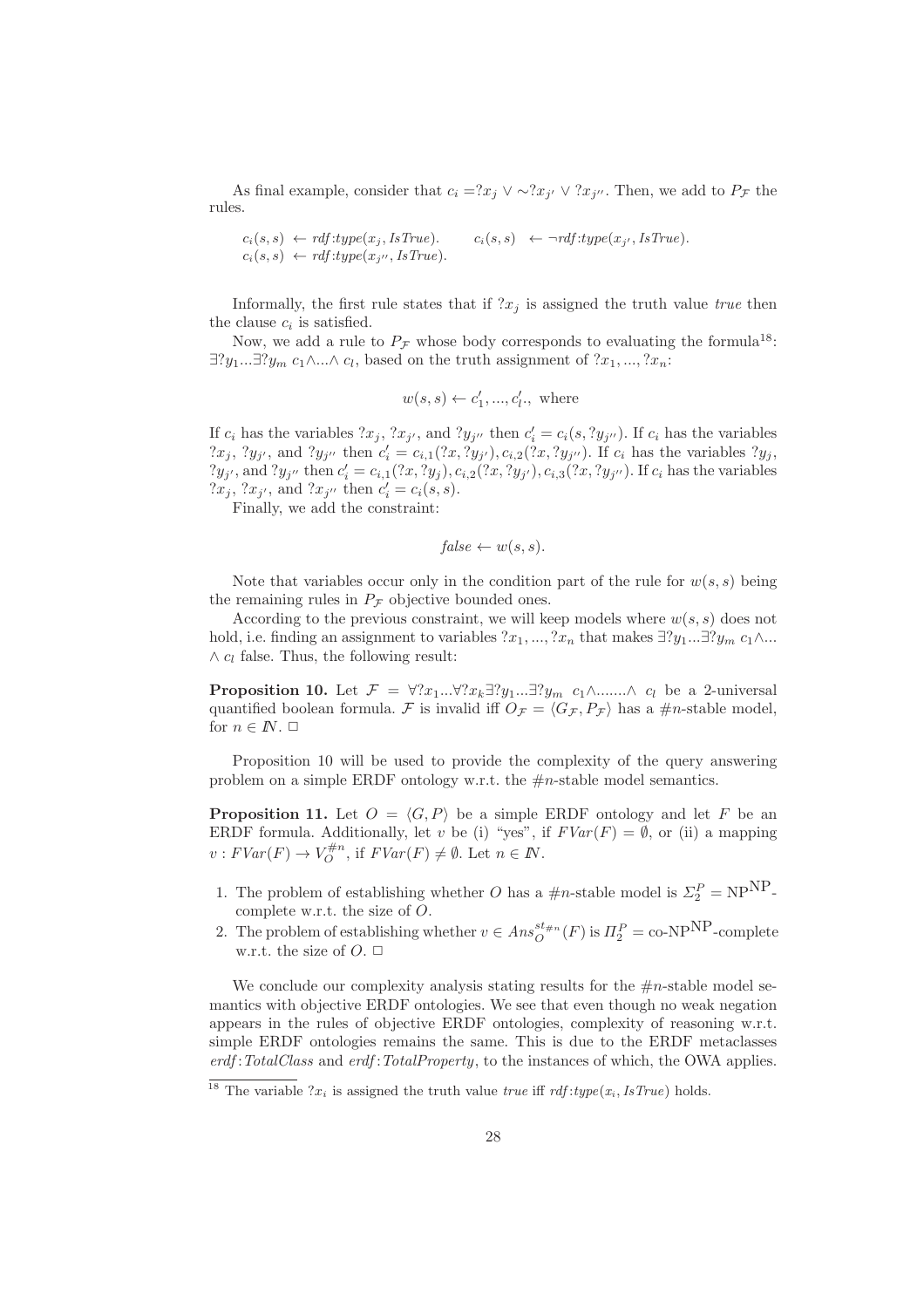As final example, consider that  $c_i = ?x_j \vee \neg ?x_{j'} \vee ?x_{j''}$ . Then, we add to  $P_{\mathcal{F}}$  the rules.

$$
c_i(s, s) \leftarrow rdf: type(x_j, IsTrue). \qquad c_i(s, s) \leftarrow \neg rdf: type(x_{j'}, IsTrue).
$$
  

$$
c_i(s, s) \leftarrow rdf: type(x_{j''}, IsTrue).
$$

Informally, the first rule states that if  $2x_j$  is assigned the truth value true then the clause  $c_i$  is satisfied.

Now, we add a rule to  $P_{\mathcal{F}}$  whose body corresponds to evaluating the formula<sup>18</sup>:  $\exists$ ?y<sub>1</sub>... $\exists$ ?y<sub>m</sub>  $c_1 \wedge ... \wedge c_l$ , based on the truth assignment of ?x<sub>1</sub>, ..., ?x<sub>n</sub>:

$$
w(s,s) \leftarrow c'_1, ..., c'_l., \text{ where }
$$

If  $c_i$  has the variables  $x_j$ ,  $x_{j'}$ , and  $y_{j''}$  then  $c'_i = c_i(s, y_{j''})$ . If  $c_i$  has the variables  $?x_j, ?y_{j'}$ , and  $?y_{j''}$  then  $c'_i = c_{i,1}(?x, ?y_{j'})$ ,  $c_{i,2}(?x, ?y_{j''})$ . If  $c_i$  has the variables  $?y_j$ ,  $?y_{j'}$ , and  $?y_{j''}$  then  $c'_i = c_{i,1}(?x, ?y_j), c_{i,2}(?x, ?y_{j'}), c_{i,3}(?x, ?y_{j''}).$  If  $c_i$  has the variables  $?x_j, ?x_{j'}$ , and  $?x_{j''}$  then  $c'_i = c_i(s, s)$ .

Finally, we add the constraint:

$$
false \leftarrow w(s, s).
$$

Note that variables occur only in the condition part of the rule for  $w(s, s)$  being the remaining rules in  $P_{\mathcal{F}}$  objective bounded ones.

According to the previous constraint, we will keep models where  $w(s, s)$  does not hold, i.e. finding an assignment to variables  $?x_1, ..., ?x_n$  that makes  $\exists ?y_1... \exists ?y_m c_1 \wedge ...$  $\wedge$  c<sub>l</sub> false. Thus, the following result:

**Proposition 10.** Let  $\mathcal{F} = \forall$ ? $x_1...\forall$ ? $x_k \exists$ ? $y_1...\exists$ ? $y_m$   $c_1 \land \dots \land c_l$  be a 2-universal quantified boolean formula. F is invalid iff  $O_{\mathcal{F}} = \langle G_{\mathcal{F}}, P_{\mathcal{F}} \rangle$  has a #n-stable model. for  $n \in \mathbb{N}$ .  $\Box$ 

Proposition 10 will be used to provide the complexity of the query answering problem on a simple ERDF ontology w.r.t. the  $\#n$ -stable model semantics.

**Proposition 11.** Let  $O = \langle G, P \rangle$  be a simple ERDF ontology and let F be an ERDF formula. Additionally, let v be (i) "yes", if  $FVar(F) = \emptyset$ , or (ii) a mapping  $v: FVar(F) \to V_O^{\#n}$ , if  $FVar(F) \neq \emptyset$ . Let  $n \in \mathbb{N}$ .

- 1. The problem of establishing whether O has a  $\#n$ -stable model is  $\Sigma_2^P = \text{NP}^{\text{NP}}$ complete w.r.t. the size of O.
- 2. The problem of establishing whether  $v \in Ans_{O}^{st_{\#n}}(F)$  is  $\Pi_{2}^{P} = \text{co-NP}^{NP}$ -complete w.r.t. the size of  $O. \Box$

We conclude our complexity analysis stating results for the  $\#n$ -stable model semantics with objective ERDF ontologies. We see that even though no weak negation appears in the rules of objective ERDF ontologies, complexity of reasoning w.r.t. simple ERDF ontologies remains the same. This is due to the ERDF metaclasses erdf: TotalClass and erdf: TotalProperty, to the instances of which, the OWA applies.

<sup>&</sup>lt;sup>18</sup> The variable  $?x_i$  is assigned the truth value *true* iff  $\textit{rdf:type}(x_i, \textit{IsTrue})$  holds.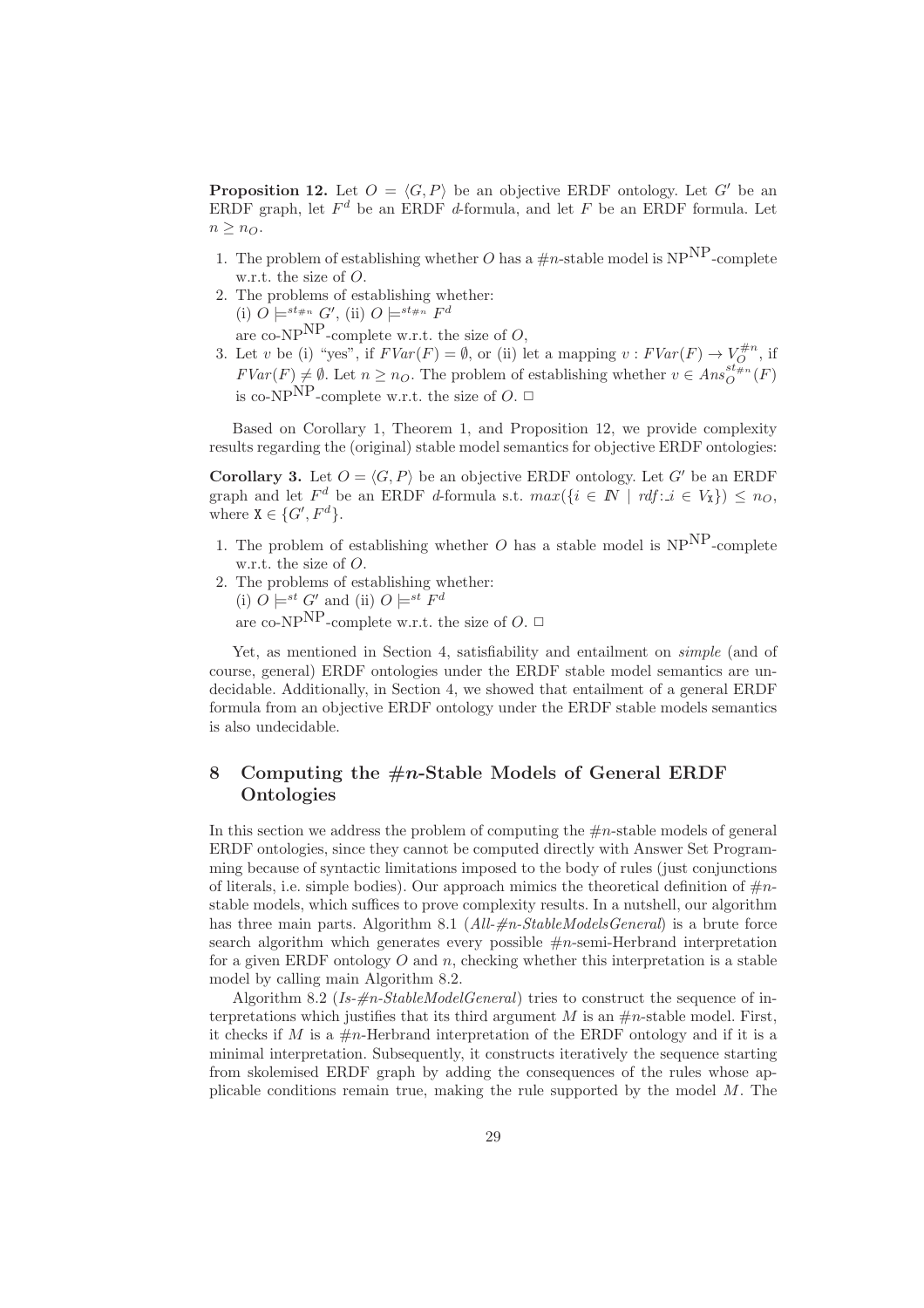**Proposition 12.** Let  $O = \langle G, P \rangle$  be an objective ERDF ontology. Let G' be an ERDF graph, let  $F<sup>d</sup>$  be an ERDF d-formula, and let F be an ERDF formula. Let  $n > n_O$ .

- 1. The problem of establishing whether O has a  $\#n$ -stable model is NP<sup>NP</sup>-complete w.r.t. the size of O.
- 2. The problems of establishing whether: (i)  $O \models^{st_{\#n}} G'$ , (ii)  $O \models^{st_{\#n}} F^d$ are co-NP<sup>NP</sup>-complete w.r.t. the size of  $O$ ,

is co-NP<sup>NP</sup>-complete w.r.t. the size of  $O \subseteq$ 

3. Let v be (i) "yes", if  $FVar(F) = \emptyset$ , or (ii) let a mapping  $v : FVar(F) \to V_O^{\#n}$ , if  $FVar(F) \neq \emptyset$ . Let  $n \geq n_Q$ . The problem of establishing whether  $v \in Ans_O^{st_{\#n}^*}(F)$ 

Based on Corollary 1, Theorem 1, and Proposition 12, we provide complexity results regarding the (original) stable model semantics for objective ERDF ontologies:

**Corollary 3.** Let  $O = \langle G, P \rangle$  be an objective ERDF ontology. Let G' be an ERDF graph and let  $F^d$  be an ERDF d-formula s.t.  $max({i \in N \mid rdf : i \in V_X}) \le n_Q$ , where  $X \in \{G', F^d\}.$ 

- 1. The problem of establishing whether  $O$  has a stable model is  $NP<sup>NP</sup>$ -complete w.r.t. the size of O.
- 2. The problems of establishing whether: (i)  $O \models^{st} G'$  and (ii)  $O \models^{st} F^d$ are co-NP<sup>NP</sup>-complete w.r.t. the size of  $O$ .  $\Box$

Yet, as mentioned in Section 4, satisfiability and entailment on simple (and of course, general) ERDF ontologies under the ERDF stable model semantics are undecidable. Additionally, in Section 4, we showed that entailment of a general ERDF formula from an objective ERDF ontology under the ERDF stable models semantics is also undecidable.

## 8 Computing the  $\#n$ -Stable Models of General ERDF **Ontologies**

In this section we address the problem of computing the  $\#n$ -stable models of general ERDF ontologies, since they cannot be computed directly with Answer Set Programming because of syntactic limitations imposed to the body of rules (just conjunctions of literals, i.e. simple bodies). Our approach mimics the theoretical definition of  $\#n$ stable models, which suffices to prove complexity results. In a nutshell, our algorithm has three main parts. Algorithm 8.1 ( $All\text{-}\#n\text{-}Stable Models General$ ) is a brute force search algorithm which generates every possible  $\#n$ -semi-Herbrand interpretation for a given ERDF ontology  $O$  and  $n$ , checking whether this interpretation is a stable model by calling main Algorithm 8.2.

Algorithm 8.2 (Is- $\#n\text{-}StableModelGeneral$ ) tries to construct the sequence of interpretations which justifies that its third argument M is an  $\#n$ -stable model. First, it checks if M is a  $\#n$ -Herbrand interpretation of the ERDF ontology and if it is a minimal interpretation. Subsequently, it constructs iteratively the sequence starting from skolemised ERDF graph by adding the consequences of the rules whose applicable conditions remain true, making the rule supported by the model  $M$ . The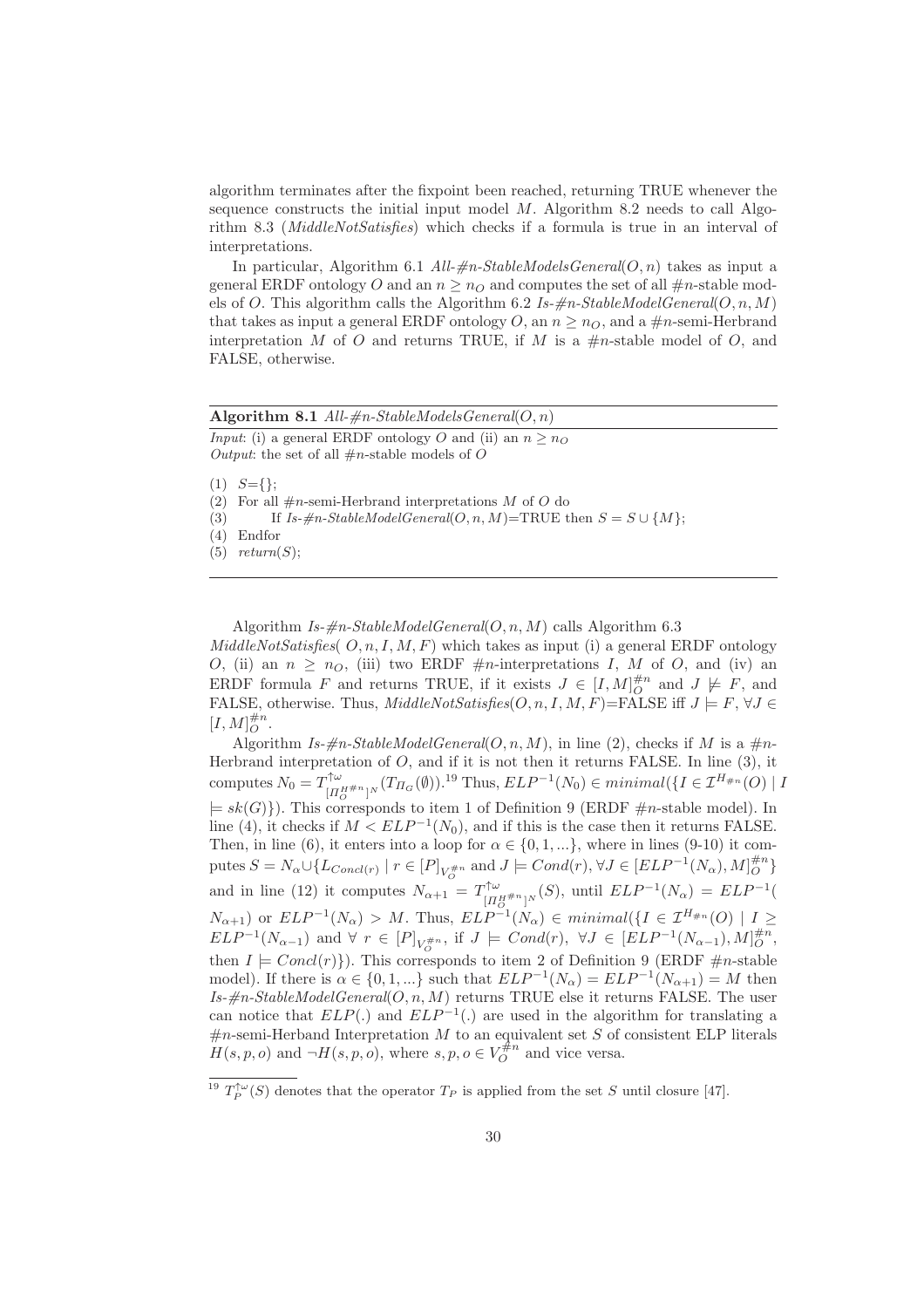algorithm terminates after the fixpoint been reached, returning TRUE whenever the sequence constructs the initial input model  $M$ . Algorithm 8.2 needs to call Algorithm 8.3 (MiddleNotSatisfies) which checks if a formula is true in an interval of interpretations.

In particular, Algorithm 6.1 All- $\#n\text{-}Stable Models General}(O, n)$  takes as input a general ERDF ontology O and an  $n \geq n_Q$  and computes the set of all  $\#n$ -stable models of O. This algorithm calls the Algorithm 6.2 Is- $\#n$ -StableModelGeneral(O, n, M) that takes as input a general ERDF ontology O, an  $n \geq n_Q$ , and a #n-semi-Herbrand interpretation M of O and returns TRUE, if M is a  $\#n$ -stable model of O, and FALSE, otherwise.

| <b>Algorithm 8.1</b> All- $\#n$ -StableModelsGeneral( $O, n$ )                                                                                                                                       |
|------------------------------------------------------------------------------------------------------------------------------------------------------------------------------------------------------|
| <i>Input</i> : (i) a general ERDF ontology O and (ii) an $n > n_Q$<br><i>Output</i> : the set of all $\#n$ -stable models of O                                                                       |
| $(1)$ $S=\{\};$<br>(2)<br>For all $\#n$ -semi-Herbrand interpretations M of O do<br>If Is-#n-StableModelGeneral(O, n, M)=TRUE then $S = S \cup \{M\}$ ;<br>(3)<br>(4)<br>Endfor<br>(5)<br>return(S); |
|                                                                                                                                                                                                      |

Algorithm Is- $\#n\text{-StableModelGeneral}(O, n, M)$  calls Algorithm 6.3  $MidleNotSatisfies( O, n, I, M, F)$  which takes as input (i) a general ERDF ontology O, (ii) an  $n \ge n_O$ , (iii) two ERDF #*n*-interpretations I, M of O, and (iv) an ERDF formula F and returns TRUE, if it exists  $J \in [I, M]_{O}^{\#n}$  and  $J \not\models F$ , and FALSE, otherwise. Thus,  $\textit{MiddleNotSatisfies}(O, n, I, M, F) = \text{FALSE}$  iff  $J \models F$ ,  $\forall J \in$  $[I, M]_{O}^{\#n}$ .

Algorithm  $Is \neq n-StableModelGeneral(O, n, M)$ , in line (2), checks if M is a  $\neq n$ -Herbrand interpretation of  $O$ , and if it is not then it returns FALSE. In line  $(3)$ , it computes  $N_0 = T^{\uparrow \omega}_{[H_G^{H\#n}]^N}(T_{H_G}(\emptyset)).^{19}$  Thus,  $ELP^{-1}(N_0) \in minimal(\lbrace I \in \mathcal{I}^{H_{\#n}}(O) \mid I \rbrace)$  $\models sk(G)$ . This corresponds to item 1 of Definition 9 (ERDF #n-stable model). In line (4), it checks if  $M < ELP^{-1}(N_0)$ , and if this is the case then it returns FALSE. Then, in line (6), it enters into a loop for  $\alpha \in \{0, 1, ...\}$ , where in lines (9-10) it computes  $S = N_{\alpha} \cup \{L_{Concl(r)} \mid r \in [P]_{V_{O}^{\#n}} \text{ and } J \models Cond(r), \forall J \in [ELP^{-1}(N_{\alpha}), M]_{O}^{\#n} \}$ and in line (12) it computes  $N_{\alpha+1} = T^{\uparrow \omega}_{\lfloor \Pi_{\mathcal{O}}^{H^{\#n}} \rfloor^N}(S)$ , until  $ELP^{-1}(N_{\alpha}) = ELP^{-1}$  $N_{\alpha+1}$ ) or  $ELP^{-1}(N_{\alpha}) > M$ . Thus,  $ELP^{-1}(N_{\alpha}) \in minimal(\lbrace I \in \mathcal{I}^{H_{\#n}}(O) \mid I \geq \alpha \rbrace$  $ELP^{-1}(N_{\alpha-1})$  and  $\forall r \in [P]_{V_{Q}^{\#n}}$ , if  $J \models Cond(r), \forall J \in [ELP^{-1}(N_{\alpha-1}), M]_{Q}^{\#n}$ , then  $I \models Concl(r)$ . This corresponds to item 2 of Definition 9 (ERDF #n-stable model). If there is  $\alpha \in \{0, 1, ...\}$  such that  $ELP^{-1}(N_{\alpha}) = ELP^{-1}(N_{\alpha+1}) = M$  then  $Is$ -#n-StableModelGeneral( $O, n, M$ ) returns TRUE else it returns FALSE. The user can notice that  $ELP(.)$  and  $ELP^{-1}(.)$  are used in the algorithm for translating a  $\#n$ -semi-Herband Interpretation M to an equivalent set S of consistent ELP literals  $H(s, p, o)$  and  $\neg H(s, p, o)$ , where  $s, p, o \in V_Q^{\#n}$  and vice versa.

<sup>&</sup>lt;sup>19</sup>  $T_P^{\uparrow \omega}(S)$  denotes that the operator  $T_P$  is applied from the set S until closure [47].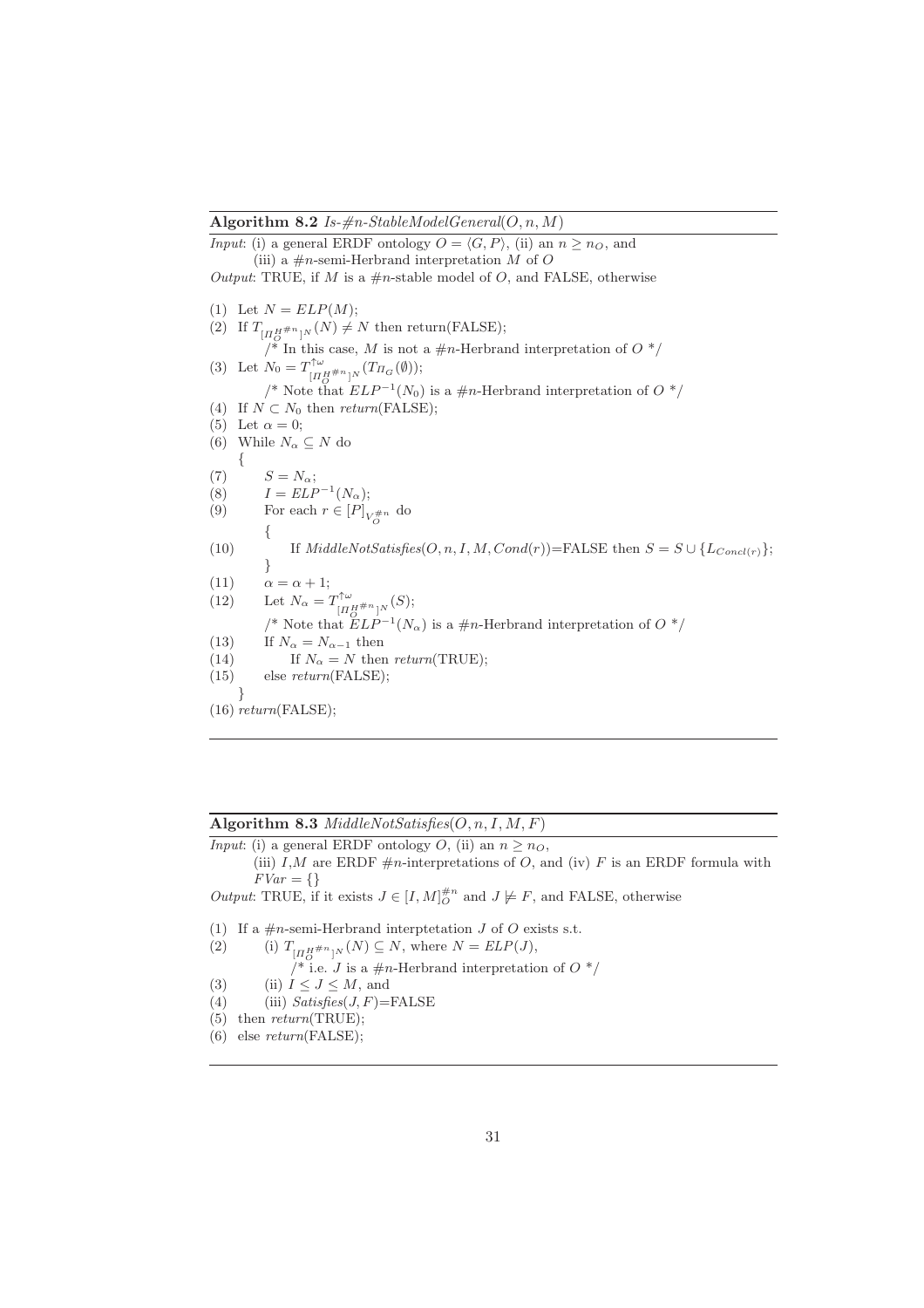#### Algorithm 8.2 Is- $\#n$ -StableModelGeneral(O, n, M)

*Input*: (i) a general ERDF ontology  $O = \langle G, P \rangle$ , (ii) an  $n \geq n_O$ , and (iii) a  $\#n$ -semi-Herbrand interpretation M of O *Output*: TRUE, if  $M$  is a  $\#n$ -stable model of  $O$ , and FALSE, otherwise (1) Let  $N = ELP(M);$ (2) If  $T_{\left[\prod_{i=0}^{n}A^{m}\right]^{N}}(N) \neq N$  then return(FALSE);  $\frac{1}{\sqrt{2}}$  In this case, M is not a #n-Herbrand interpretation of  $O^*$ / (3) Let  $N_0 = T_{\left[\prod_{O} H^{H+n}\right]N}^{\uparrow \omega} (T_{\Pi_G}(\emptyset));$ <sup>\*</sup> Note that  $ELP^{-1}(N_0)$  is a #n-Herbrand interpretation of  $O^*$ / (4) If  $N^{'} \subset N_0$  then  $return(\text{FALSE});$ (5) Let  $\alpha = 0$ ; (6) While  $N_\alpha\subseteq N$ do { (7)  $S = N_{\alpha};$ (8)  $I = ELP^{-1}(N_{\alpha});$ (9) For each  $r \in [P]_{V_Q^{\#n}}$  do { (10) If *MiddleNotSatisfies*( $O, n, I, M, Cond(r)$ )=FALSE then  $S = S \cup \{L_{Concl(r)}\};$ } (11)  $\alpha = \alpha + 1;$ (12) Let  $N_{\alpha} = T^{\uparrow \omega}_{\left[\prod_{O} H^{H+n}\right]N}(S);$ <sup>\*</sup> Note that  $\widetilde{E}LP^{-1}(N_\alpha)$  is a #n-Herbrand interpretation of O  $^*/$ (13) If  $N_{\alpha} = N_{\alpha-1}$  then (14) If  $N_{\alpha} = N$  then  $return(\text{TRUE})$ ; (15) else *return*(FALSE); } (16) *return*(FALSE);

## Algorithm 8.3  $\textit{MiddleNotSatisfies}(O, n, I, M, F)$

*Input*: (i) a general ERDF ontology O, (ii) an  $n > n_Q$ ,

(iii) I, M are ERDF  $\#n$ -interpretations of O, and (iv) F is an ERDF formula with  $FVar = \{\}$ 

*Output*: TRUE, if it exists  $J \in [I, M]_{O}^{\#n}$  and  $J \not\models F$ , and FALSE, otherwise

- (1) If a  $\#n$ -semi-Herbrand interptetation J of O exists s.t.
- (2) (i)  $T_{[H_G^{H^{\#n}}]^N}(N) \subseteq N$ , where  $N = ELP(J)$ ,

$$
/*
$$
 i.e. *J* is a  $#n$ -Herbrand interpretation of  $O*/$ 

- (3) (ii)  $I \leq J \leq M$ , and
- (4) (iii)  $Satisfies (J, F) = \text{FALSE}$
- (5) then *return*(TRUE);
- (6) else *return*(FALSE);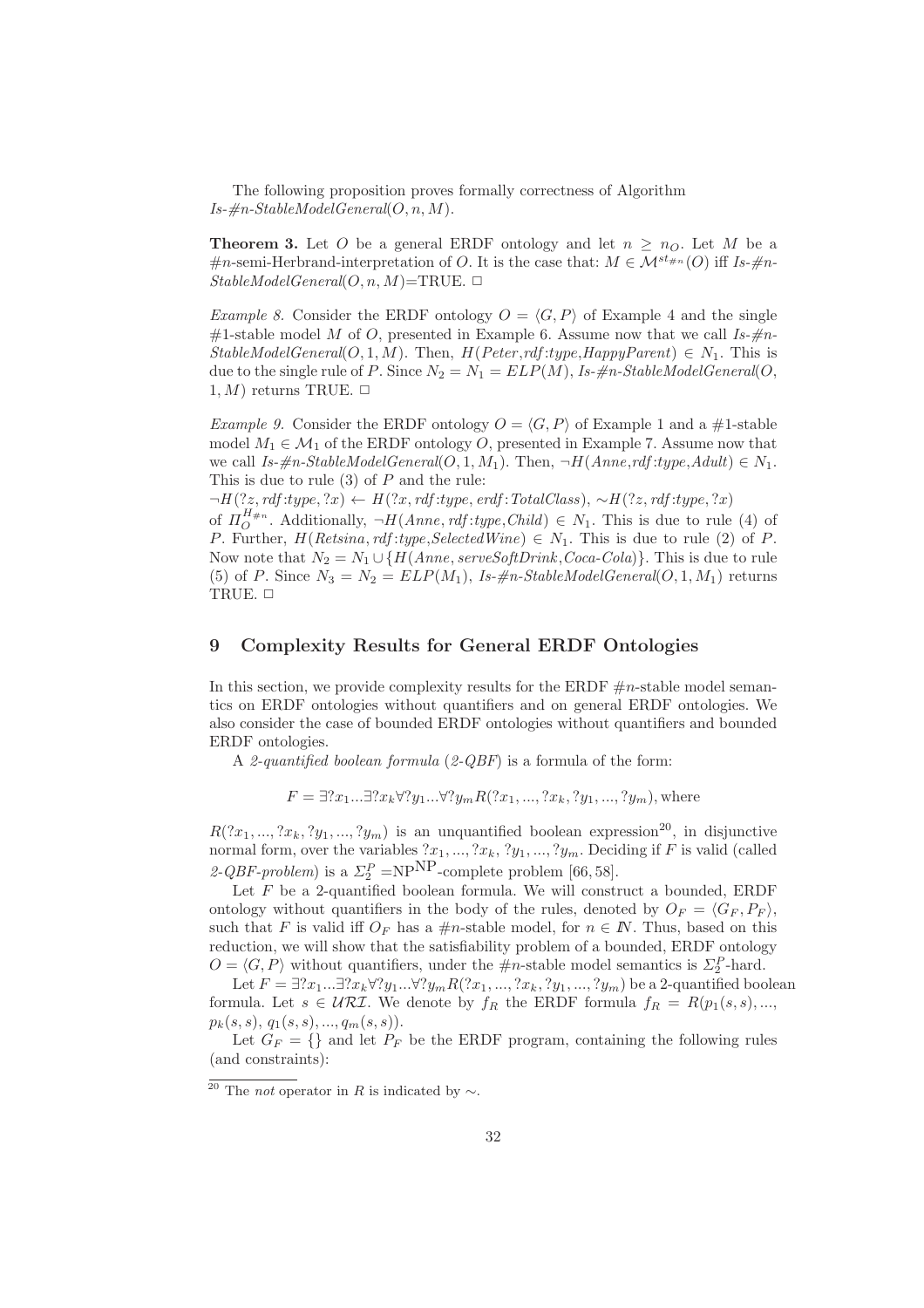The following proposition proves formally correctness of Algorithm  $Is-#n-Stable Model General(O, n, M).$ 

**Theorem 3.** Let O be a general ERDF ontology and let  $n \geq n_Q$ . Let M be a #n-semi-Herbrand-interpretation of O. It is the case that:  $M \in \mathcal{M}^{st_{\#n}}(O)$  iff Is-#n- $StableModelGeneral(O, n, M) = TRUE. \Box$ 

*Example 8.* Consider the ERDF ontology  $O = \langle G, P \rangle$  of Example 4 and the single #1-stable model M of O, presented in Example 6. Assume now that we call  $Is-\#n StableModelGeneral(O, 1, M)$ . Then,  $H(Peter, rdf: type, HappyParent) \in N_1$ . This is due to the single rule of P. Since  $N_2 = N_1 = ELP(M)$ , Is-#n-StableModelGeneral(O,  $1, M$ ) returns TRUE.  $\Box$ 

*Example 9.* Consider the ERDF ontology  $O = \langle G, P \rangle$  of Example 1 and a #1-stable model  $M_1 \in \mathcal{M}_1$  of the ERDF ontology O, presented in Example 7. Assume now that we call  $Is-\#n-StableModelGeneral(O, 1, M_1)$ . Then,  $\neg H(Anne, rdf: type, Adult) \in N_1$ . This is due to rule  $(3)$  of  $P$  and the rule:

 $\neg H(?z, rdf:type, ?x) \leftarrow H(?x, rdf:type, erdf:TotalClass), \sim H(?z, rdf:type, ?x)$ of  $\Pi_{O}^{H_{\#n}}$ . Additionally,  $\neg H(Anne, rdf: type, Child) \in N_1$ . This is due to rule (4) of P. Further,  $H(Restsina, rdf: type, SelectedWine) \in N_1$ . This is due to rule (2) of P. Now note that  $N_2 = N_1 \cup \{H(Anne, serveSoftDrink, Coca-Cola)\}.$  This is due to rule (5) of P. Since  $N_3 = N_2 = ELP(M_1)$ , Is-#n-StableModelGeneral(O, 1, M<sub>1</sub>) returns TRUE.  $\Box$ 

## 9 Complexity Results for General ERDF Ontologies

In this section, we provide complexity results for the ERDF  $\#n$ -stable model semantics on ERDF ontologies without quantifiers and on general ERDF ontologies. We also consider the case of bounded ERDF ontologies without quantifiers and bounded ERDF ontologies.

A 2-quantified boolean formula (2-QBF) is a formula of the form:

 $F = \exists$ ? $x_1...\exists$ ? $x_k \forall$ ? $y_1...\forall$ ? $y_m R$ (? $x_1,...,x_k$ , ? $y_1,...,y_m$ ), where

 $R(2x_1, ..., 2x_k, 2y_1, ..., 2y_m)$  is an unquantified boolean expression<sup>20</sup>, in disjunctive normal form, over the variables  $x_1, ..., x_k, y_1, ..., y_m$ . Deciding if F is valid (called 2-QBF-problem) is a  $\Sigma_2^P$  =NP<sup>NP</sup>-complete problem [66, 58].

Let  $F$  be a 2-quantified boolean formula. We will construct a bounded, ERDF ontology without quantifiers in the body of the rules, denoted by  $O_F = \langle G_F, P_F \rangle$ , such that F is valid iff  $O_F$  has a #n-stable model, for  $n \in \mathbb{N}$ . Thus, based on this reduction, we will show that the satisfiability problem of a bounded, ERDF ontology  $O = \langle G, P \rangle$  without quantifiers, under the #n-stable model semantics is  $\Sigma_2^P$ -hard.

Let  $F = \exists ?x_1...\exists ?x_k \forall ?y_1...\forall ?y_m R(?x_1, ..., ?x_k, ?y_1, ..., ?y_m)$  be a 2-quantified boolean formula. Let  $s \in URT$ . We denote by  $f_R$  the ERDF formula  $f_R = R(p_1(s, s), \ldots,$  $p_k(s, s), q_1(s, s), ..., q_m(s, s).$ 

Let  $G_F = \{\}$  and let  $P_F$  be the ERDF program, containing the following rules (and constraints):

 $\overline{20}$  The *not* operator in R is indicated by ∼.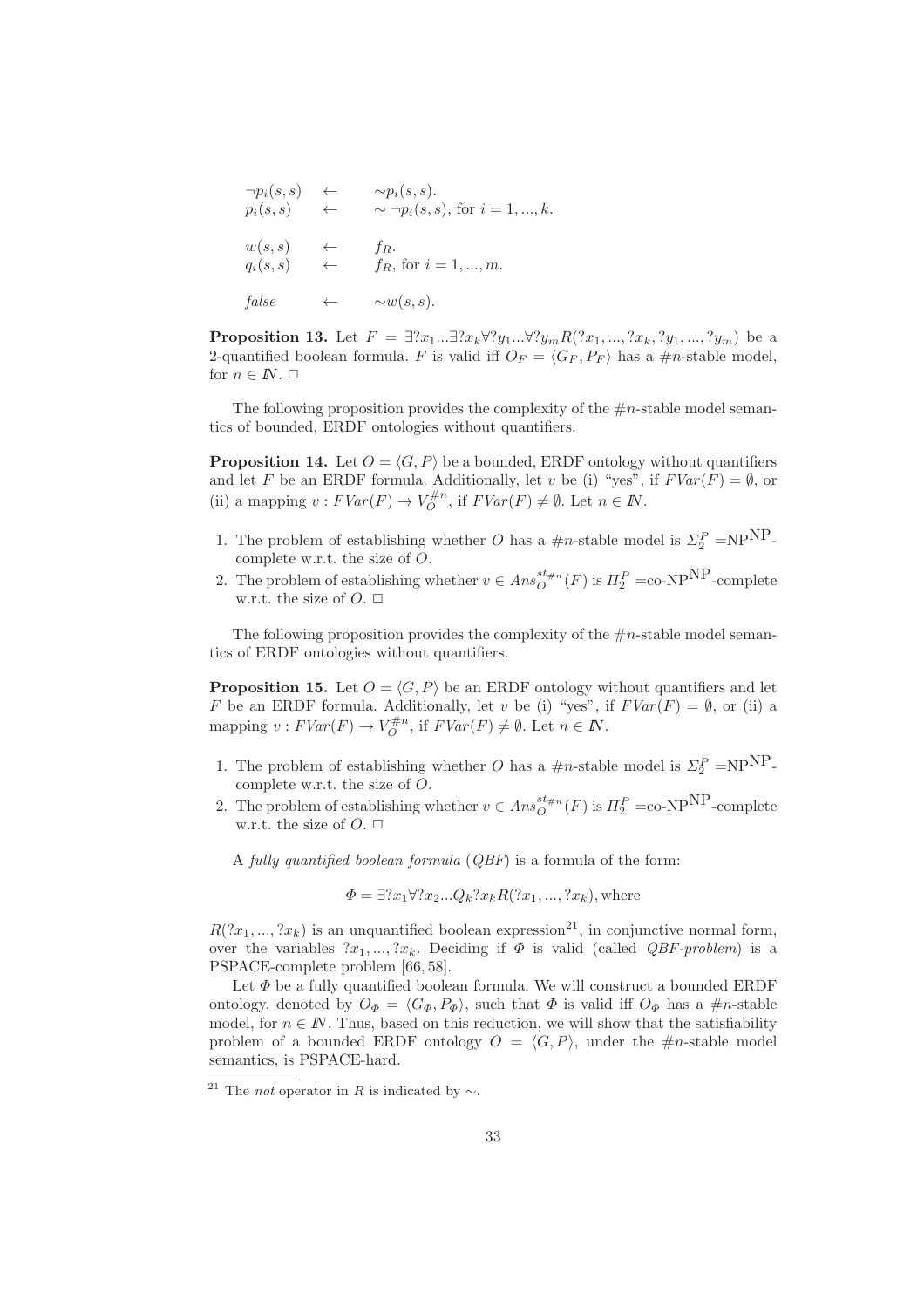$$
\neg p_i(s, s) \leftarrow \neg p_i(s, s).
$$
\n
$$
p_i(s, s) \leftarrow \neg p_i(s, s), \text{ for } i = 1, ..., k.
$$
\n
$$
w(s, s) \leftarrow f_R.
$$
\n
$$
q_i(s, s) \leftarrow f_R, \text{ for } i = 1, ..., m.
$$
\n
$$
false \leftarrow \neg w(s, s).
$$

**Proposition 13.** Let  $F = \exists$ ? $x_1 \dots \exists$ ? $x_k \forall$ ? $y_1 \dots \forall$ ? $y_m R$  $($ ? $x_1, \dots, x_k, y_1, \dots, y_m)$  be a 2-quantified boolean formula. F is valid iff  $O_F = \langle G_F, P_F \rangle$  has a #n-stable model, for  $n \in \mathbb{N}$ .  $\Box$ 

The following proposition provides the complexity of the  $\#n$ -stable model semantics of bounded, ERDF ontologies without quantifiers.

**Proposition 14.** Let  $O = \langle G, P \rangle$  be a bounded, ERDF ontology without quantifiers and let F be an ERDF formula. Additionally, let v be (i) "yes", if  $FVar(F) = \emptyset$ , or (ii) a mapping  $v: FVar(F) \to V_O^{\#n}$ , if  $FVar(F) \neq \emptyset$ . Let  $n \in \mathbb{N}$ .

- 1. The problem of establishing whether O has a  $\#n$ -stable model is  $\Sigma_2^P = NP^{NP}$ complete w.r.t. the size of O.
- 2. The problem of establishing whether  $v \in Ans_O^{st_{\#n}}(F)$  is  $\Pi_2^P = \text{co-NP}^{\text{NP}}$ -complete w.r.t. the size of  $O. \Box$

The following proposition provides the complexity of the  $\#n$ -stable model semantics of ERDF ontologies without quantifiers.

**Proposition 15.** Let  $O = \langle G, P \rangle$  be an ERDF ontology without quantifiers and let F be an ERDF formula. Additionally, let v be (i) "yes", if  $FVar(F) = \emptyset$ , or (ii) a mapping  $v: FVar(F) \to V_Q^{\#n}$ , if  $FVar(F) \neq \emptyset$ . Let  $n \in \mathbb{N}$ .

- 1. The problem of establishing whether O has a  $\#n$ -stable model is  $\Sigma_2^P = NP^{NP}$ complete w.r.t. the size of O.
- 2. The problem of establishing whether  $v \in Ans_O^{st_{\#n}}(F)$  is  $\Pi_2^P = \text{co-NP}^{\text{NP}}$ -complete w.r.t. the size of  $O. \Box$ 
	- A fully quantified boolean formula (QBF) is a formula of the form:

$$
\Phi = \exists? x_1 \forall? x_2 ... Q_k? x_k R(?x_1, ..., ?x_k),
$$
 where

 $R(2x_1, ..., 2x_k)$  is an unquantified boolean expression<sup>21</sup>, in conjunctive normal form, over the variables  $x_1, ..., x_k$ . Deciding if  $\Phi$  is valid (called *QBF-problem*) is a PSPACE-complete problem [66, 58].

Let  $\Phi$  be a fully quantified boolean formula. We will construct a bounded ERDF ontology, denoted by  $O_{\Phi} = \langle G_{\Phi}, P_{\Phi} \rangle$ , such that  $\Phi$  is valid iff  $O_{\Phi}$  has a #n-stable model, for  $n \in \mathbb{N}$ . Thus, based on this reduction, we will show that the satisfiability problem of a bounded ERDF ontology  $O = \langle G, P \rangle$ , under the #n-stable model semantics, is PSPACE-hard.

<sup>&</sup>lt;sup>21</sup> The *not* operator in R is indicated by  $\sim$ .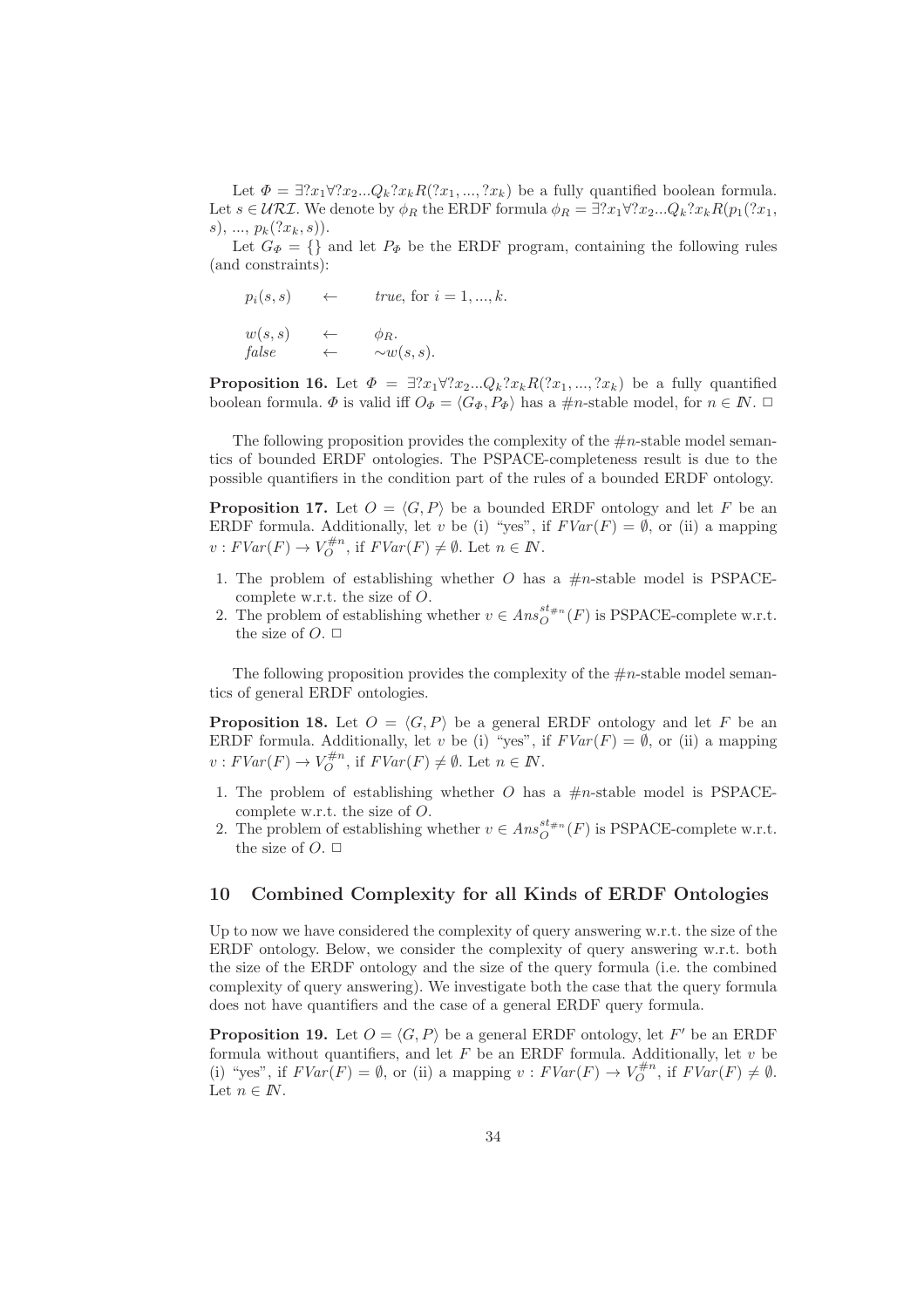Let  $\Phi = \exists? x_1 \forall? x_2...Q_k? x_k R(?x_1,...,?x_k)$  be a fully quantified boolean formula. Let  $s \in \mathcal{URI}$ . We denote by  $\phi_R$  the ERDF formula  $\phi_R = \exists? x_1 \forall? x_2... Q_k? x_k R(p_1(?x_1,$  $s), \ldots, p_k(?x_k, s)).$ 

Let  $G_{\Phi} = \{\}\$ and let  $P_{\Phi}$  be the ERDF program, containing the following rules (and constraints):

$$
p_i(s, s) \leftarrow true, \text{ for } i = 1, ..., k.
$$
  
\n
$$
w(s, s) \leftarrow \phi_R.
$$
  
\n
$$
false \leftarrow \sim w(s, s).
$$

**Proposition 16.** Let  $\Phi = \exists$ ? $x_1 \forall$ ? $x_2...Q_k$ ? $x_k R$  $(Yx_1,..., Yx_k)$  be a fully quantified boolean formula.  $\Phi$  is valid iff  $O_{\Phi} = \langle G_{\Phi}, P_{\Phi} \rangle$  has a #n-stable model, for  $n \in \mathbb{N}$ .  $\Box$ 

The following proposition provides the complexity of the  $\#n$ -stable model semantics of bounded ERDF ontologies. The PSPACE-completeness result is due to the possible quantifiers in the condition part of the rules of a bounded ERDF ontology.

**Proposition 17.** Let  $O = \langle G, P \rangle$  be a bounded ERDF ontology and let F be an ERDF formula. Additionally, let v be (i) "yes", if  $FVar(F) = \emptyset$ , or (ii) a mapping  $v: FVar(F) \to V_O^{\#n}$ , if  $FVar(F) \neq \emptyset$ . Let  $n \in \mathbb{N}$ .

- 1. The problem of establishing whether O has a  $\#n$ -stable model is PSPACEcomplete w.r.t. the size of O.
- 2. The problem of establishing whether  $v \in Ans_O^{st_{\#n}}(F)$  is PSPACE-complete w.r.t. the size of  $O. \Box$

The following proposition provides the complexity of the  $\#n$ -stable model semantics of general ERDF ontologies.

**Proposition 18.** Let  $O = \langle G, P \rangle$  be a general ERDF ontology and let F be an ERDF formula. Additionally, let v be (i) "yes", if  $FVar(F) = \emptyset$ , or (ii) a mapping  $v: FVar(F) \to V_O^{\#n}$ , if  $FVar(F) \neq \emptyset$ . Let  $n \in \mathbb{N}$ .

- 1. The problem of establishing whether O has a  $\#n$ -stable model is PSPACEcomplete w.r.t. the size of O.
- 2. The problem of establishing whether  $v \in Ans_O^{st_{\#n}}(F)$  is PSPACE-complete w.r.t. the size of  $O$ .  $\Box$

## 10 Combined Complexity for all Kinds of ERDF Ontologies

Up to now we have considered the complexity of query answering w.r.t. the size of the ERDF ontology. Below, we consider the complexity of query answering w.r.t. both the size of the ERDF ontology and the size of the query formula (i.e. the combined complexity of query answering). We investigate both the case that the query formula does not have quantifiers and the case of a general ERDF query formula.

**Proposition 19.** Let  $O = \langle G, P \rangle$  be a general ERDF ontology, let F' be an ERDF formula without quantifiers, and let  $F$  be an ERDF formula. Additionally, let  $v$  be (i) "yes", if  $FVar(F) = \emptyset$ , or (ii) a mapping  $v : FVar(F) \to V_O^{\#n}$ , if  $FVar(F) \neq \emptyset$ . Let  $n \in \mathbb{N}$ .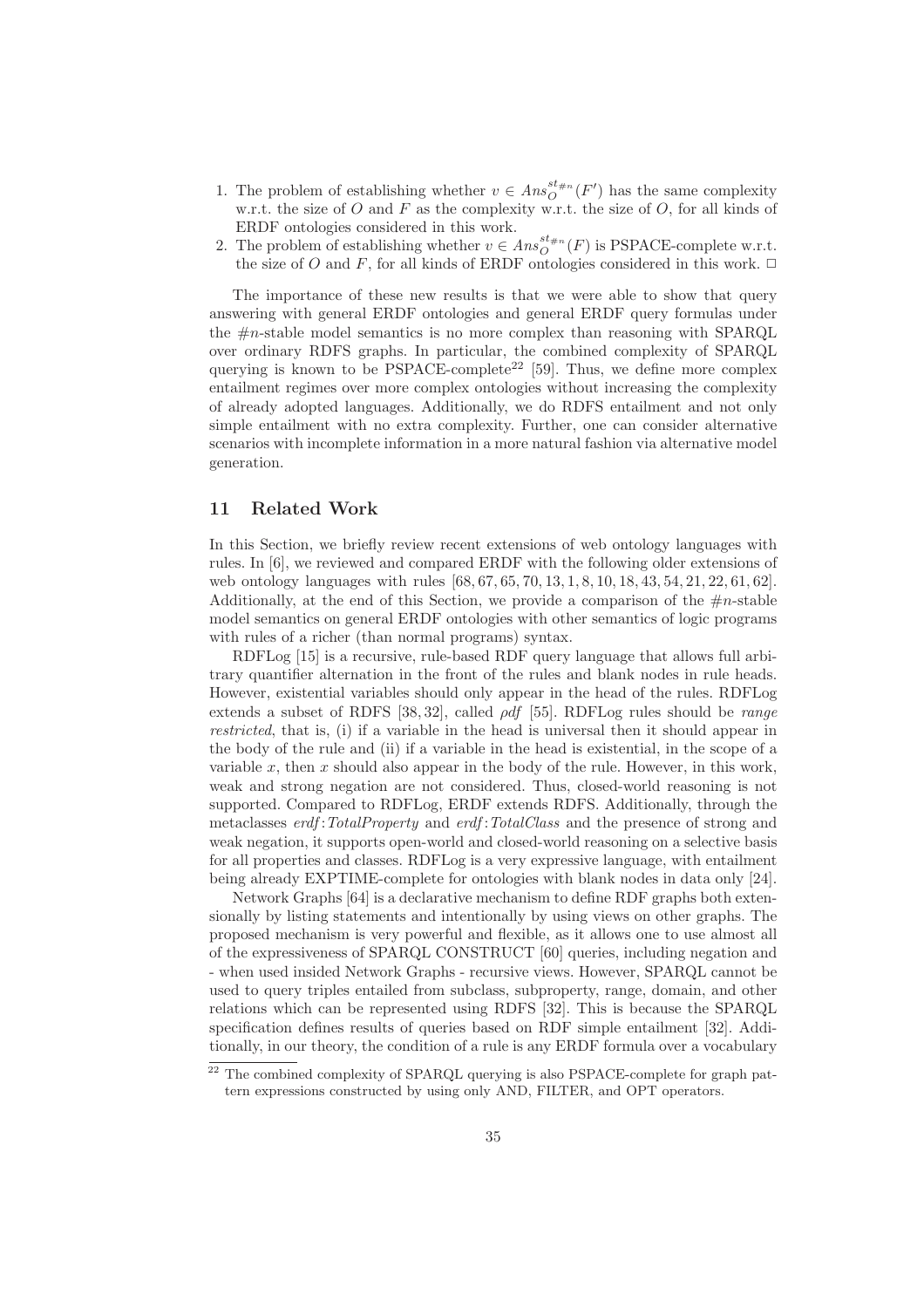- 1. The problem of establishing whether  $v \in Ans_0^{st_{\#n}}(F')$  has the same complexity w.r.t. the size of O and F as the complexity w.r.t. the size of O, for all kinds of ERDF ontologies considered in this work.
- 2. The problem of establishing whether  $v \in Ans_{O}^{st_{\#n}}(F)$  is PSPACE-complete w.r.t. the size of O and F, for all kinds of ERDF ontologies considered in this work.  $\Box$

The importance of these new results is that we were able to show that query answering with general ERDF ontologies and general ERDF query formulas under the  $\#n$ -stable model semantics is no more complex than reasoning with SPARQL over ordinary RDFS graphs. In particular, the combined complexity of SPARQL querying is known to be PSPACE-complete<sup>22</sup> [59]. Thus, we define more complex entailment regimes over more complex ontologies without increasing the complexity of already adopted languages. Additionally, we do RDFS entailment and not only simple entailment with no extra complexity. Further, one can consider alternative scenarios with incomplete information in a more natural fashion via alternative model generation.

## 11 Related Work

In this Section, we briefly review recent extensions of web ontology languages with rules. In [6], we reviewed and compared ERDF with the following older extensions of web ontology languages with rules [68, 67, 65, 70, 13, 1, 8, 10, 18, 43, 54, 21, 22, 61, 62]. Additionally, at the end of this Section, we provide a comparison of the  $\#n$ -stable model semantics on general ERDF ontologies with other semantics of logic programs with rules of a richer (than normal programs) syntax.

RDFLog [15] is a recursive, rule-based RDF query language that allows full arbitrary quantifier alternation in the front of the rules and blank nodes in rule heads. However, existential variables should only appear in the head of the rules. RDFLog extends a subset of RDFS [38, 32], called  $\rho df$  [55]. RDFLog rules should be *range* restricted, that is, (i) if a variable in the head is universal then it should appear in the body of the rule and (ii) if a variable in the head is existential, in the scope of a variable x, then x should also appear in the body of the rule. However, in this work, weak and strong negation are not considered. Thus, closed-world reasoning is not supported. Compared to RDFLog, ERDF extends RDFS. Additionally, through the metaclasses erdf: TotalProperty and erdf: TotalClass and the presence of strong and weak negation, it supports open-world and closed-world reasoning on a selective basis for all properties and classes. RDFLog is a very expressive language, with entailment being already EXPTIME-complete for ontologies with blank nodes in data only [24].

Network Graphs [64] is a declarative mechanism to define RDF graphs both extensionally by listing statements and intentionally by using views on other graphs. The proposed mechanism is very powerful and flexible, as it allows one to use almost all of the expressiveness of SPARQL CONSTRUCT [60] queries, including negation and - when used insided Network Graphs - recursive views. However, SPARQL cannot be used to query triples entailed from subclass, subproperty, range, domain, and other relations which can be represented using RDFS [32]. This is because the SPARQL specification defines results of queries based on RDF simple entailment [32]. Additionally, in our theory, the condition of a rule is any ERDF formula over a vocabulary

<sup>&</sup>lt;sup>22</sup> The combined complexity of SPARQL querying is also PSPACE-complete for graph pattern expressions constructed by using only AND, FILTER, and OPT operators.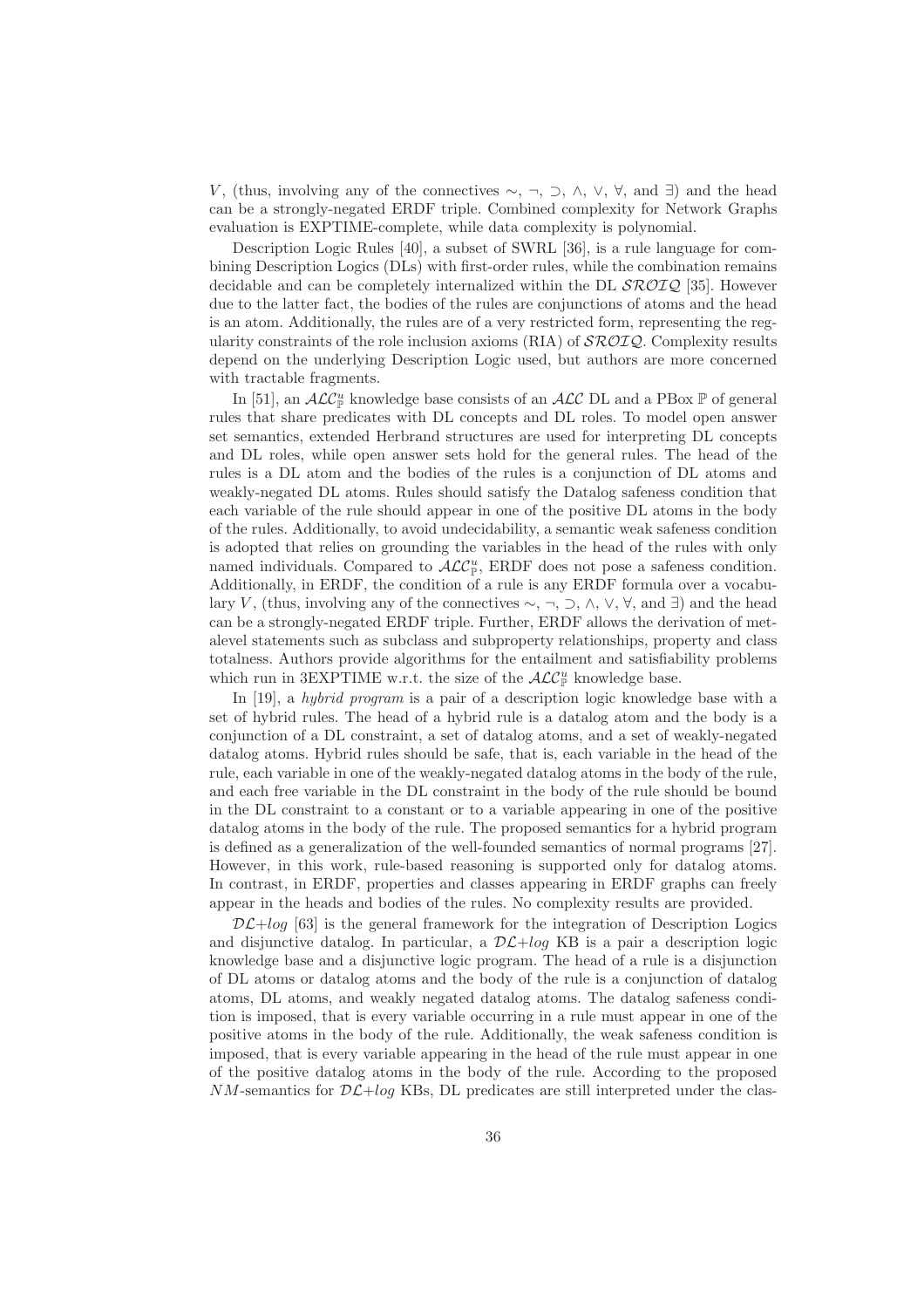V, (thus, involving any of the connectives  $\sim$ ,  $\neg$ ,  $\Diamond$ ,  $\Diamond$ ,  $\forall$ ,  $\forall$ , and  $\exists$ ) and the head can be a strongly-negated ERDF triple. Combined complexity for Network Graphs evaluation is EXPTIME-complete, while data complexity is polynomial.

Description Logic Rules [40], a subset of SWRL [36], is a rule language for combining Description Logics (DLs) with first-order rules, while the combination remains decidable and can be completely internalized within the DL  $\mathcal{SROLQ}$  [35]. However due to the latter fact, the bodies of the rules are conjunctions of atoms and the head is an atom. Additionally, the rules are of a very restricted form, representing the regularity constraints of the role inclusion axioms  $(RIA)$  of  $\mathcal{SROLQ}$ . Complexity results depend on the underlying Description Logic used, but authors are more concerned with tractable fragments.

In [51], an  $\mathcal{ALC}_{\mathbb{P}}^u$  knowledge base consists of an  $\mathcal{ALC}$  DL and a PBox  $\mathbb P$  of general rules that share predicates with DL concepts and DL roles. To model open answer set semantics, extended Herbrand structures are used for interpreting DL concepts and DL roles, while open answer sets hold for the general rules. The head of the rules is a DL atom and the bodies of the rules is a conjunction of DL atoms and weakly-negated DL atoms. Rules should satisfy the Datalog safeness condition that each variable of the rule should appear in one of the positive DL atoms in the body of the rules. Additionally, to avoid undecidability, a semantic weak safeness condition is adopted that relies on grounding the variables in the head of the rules with only named individuals. Compared to  $\mathcal{ALC}_{\mathbb{P}}^u$ , ERDF does not pose a safeness condition. Additionally, in ERDF, the condition of a rule is any ERDF formula over a vocabulary V, (thus, involving any of the connectives  $\sim$ ,  $\neg$ ,  $\wedge$ ,  $\vee$ ,  $\forall$ ,  $\vee$ , and ∃) and the head can be a strongly-negated ERDF triple. Further, ERDF allows the derivation of metalevel statements such as subclass and subproperty relationships, property and class totalness. Authors provide algorithms for the entailment and satisfiability problems which run in 3EXPTIME w.r.t. the size of the  $\mathcal{ALC}_{\mathbb{P}}^u$  knowledge base.

In [19], a hybrid program is a pair of a description logic knowledge base with a set of hybrid rules. The head of a hybrid rule is a datalog atom and the body is a conjunction of a DL constraint, a set of datalog atoms, and a set of weakly-negated datalog atoms. Hybrid rules should be safe, that is, each variable in the head of the rule, each variable in one of the weakly-negated datalog atoms in the body of the rule, and each free variable in the DL constraint in the body of the rule should be bound in the DL constraint to a constant or to a variable appearing in one of the positive datalog atoms in the body of the rule. The proposed semantics for a hybrid program is defined as a generalization of the well-founded semantics of normal programs [27]. However, in this work, rule-based reasoning is supported only for datalog atoms. In contrast, in ERDF, properties and classes appearing in ERDF graphs can freely appear in the heads and bodies of the rules. No complexity results are provided.

 $\mathcal{DL}+log$  [63] is the general framework for the integration of Description Logics and disjunctive datalog. In particular, a  $\mathcal{DL}+log$  KB is a pair a description logic knowledge base and a disjunctive logic program. The head of a rule is a disjunction of DL atoms or datalog atoms and the body of the rule is a conjunction of datalog atoms, DL atoms, and weakly negated datalog atoms. The datalog safeness condition is imposed, that is every variable occurring in a rule must appear in one of the positive atoms in the body of the rule. Additionally, the weak safeness condition is imposed, that is every variable appearing in the head of the rule must appear in one of the positive datalog atoms in the body of the rule. According to the proposed  $NM$ -semantics for  $DL+log$  KBs, DL predicates are still interpreted under the clas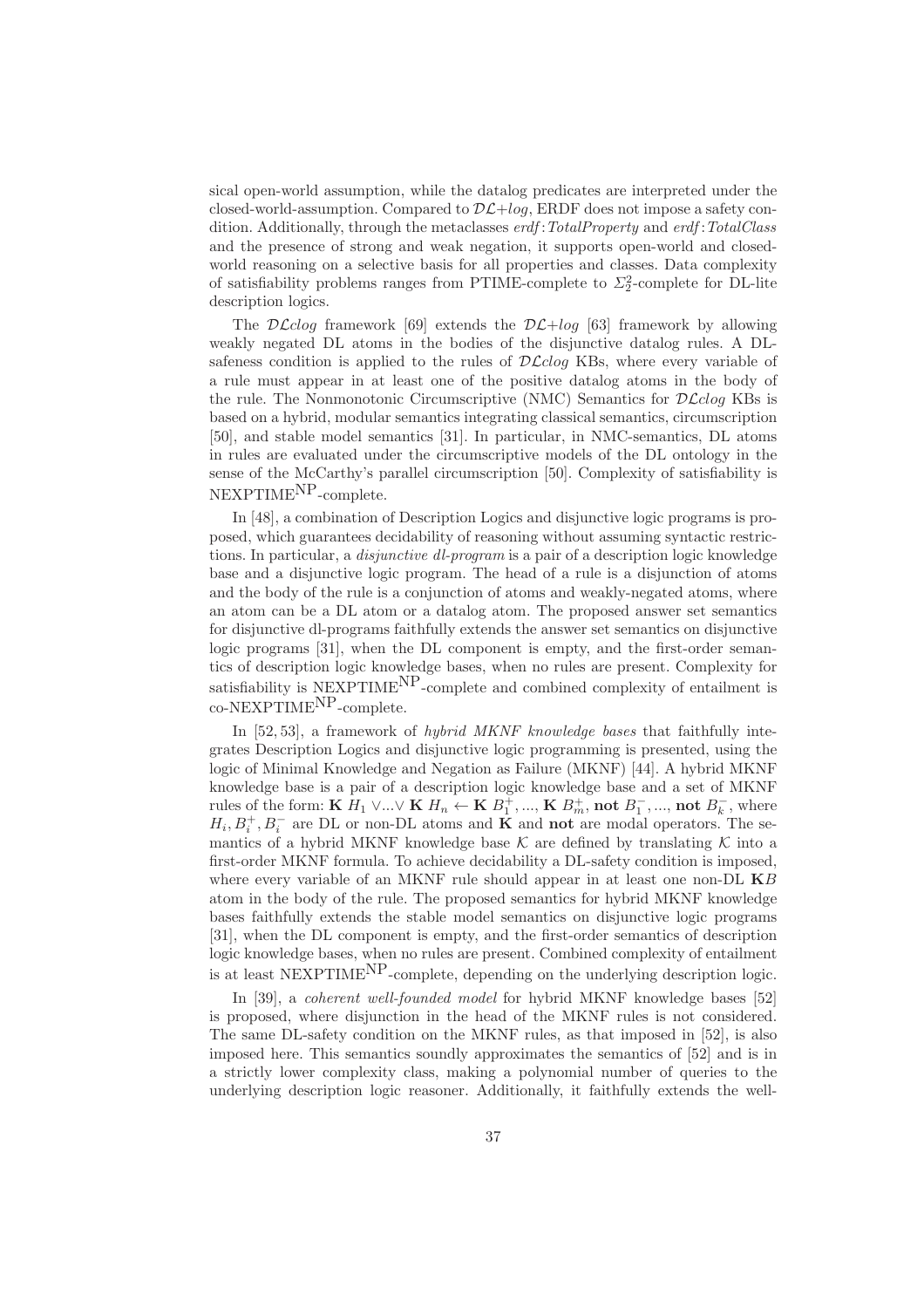sical open-world assumption, while the datalog predicates are interpreted under the closed-world-assumption. Compared to  $\mathcal{DL}+log$ , ERDF does not impose a safety condition. Additionally, through the metaclasses erdf: TotalProperty and erdf: TotalClass and the presence of strong and weak negation, it supports open-world and closedworld reasoning on a selective basis for all properties and classes. Data complexity of satisfiability problems ranges from PTIME-complete to  $\Sigma_2^2$ -complete for DL-lite description logics.

The DLclog framework [69] extends the DL+log [63] framework by allowing weakly negated DL atoms in the bodies of the disjunctive datalog rules. A DLsafeness condition is applied to the rules of  $D\mathcal{L}clog$  KBs, where every variable of a rule must appear in at least one of the positive datalog atoms in the body of the rule. The Nonmonotonic Circumscriptive (NMC) Semantics for  $D\mathcal{L}clog$  KBs is based on a hybrid, modular semantics integrating classical semantics, circumscription [50], and stable model semantics [31]. In particular, in NMC-semantics, DL atoms in rules are evaluated under the circumscriptive models of the DL ontology in the sense of the McCarthy's parallel circumscription [50]. Complexity of satisfiability is NEXPTIME<sup>NP</sup>-complete.

In [48], a combination of Description Logics and disjunctive logic programs is proposed, which guarantees decidability of reasoning without assuming syntactic restrictions. In particular, a disjunctive dl-program is a pair of a description logic knowledge base and a disjunctive logic program. The head of a rule is a disjunction of atoms and the body of the rule is a conjunction of atoms and weakly-negated atoms, where an atom can be a DL atom or a datalog atom. The proposed answer set semantics for disjunctive dl-programs faithfully extends the answer set semantics on disjunctive logic programs [31], when the DL component is empty, and the first-order semantics of description logic knowledge bases, when no rules are present. Complexity for satisfiability is NEXPTIME<sup>NP</sup>-complete and combined complexity of entailment is co-NEXPTIMENP-complete.

In [52, 53], a framework of hybrid MKNF knowledge bases that faithfully integrates Description Logics and disjunctive logic programming is presented, using the logic of Minimal Knowledge and Negation as Failure (MKNF) [44]. A hybrid MKNF knowledge base is a pair of a description logic knowledge base and a set of MKNF rules of the form: **K**  $H_1 \vee ... \vee$  **K**  $H_n \leftarrow$  **K**  $B_1^+, ...,$  **K**  $B_m^+$ , **not**  $B_1^-$ , *...*, **not**  $B_k^-$ , where  $H_i, B_i^+, B_i^-$  are DL or non-DL atoms and **K** and **not** are modal operators. The semantics of a hybrid MKNF knowledge base  $K$  are defined by translating  $K$  into a first-order MKNF formula. To achieve decidability a DL-safety condition is imposed, where every variable of an MKNF rule should appear in at least one non-DL  $KB$ atom in the body of the rule. The proposed semantics for hybrid MKNF knowledge bases faithfully extends the stable model semantics on disjunctive logic programs [31], when the DL component is empty, and the first-order semantics of description logic knowledge bases, when no rules are present. Combined complexity of entailment is at least NEXPTIME<sup>NP</sup>-complete, depending on the underlying description logic.

In [39], a *coherent well-founded model* for hybrid MKNF knowledge bases [52] is proposed, where disjunction in the head of the MKNF rules is not considered. The same DL-safety condition on the MKNF rules, as that imposed in [52], is also imposed here. This semantics soundly approximates the semantics of [52] and is in a strictly lower complexity class, making a polynomial number of queries to the underlying description logic reasoner. Additionally, it faithfully extends the well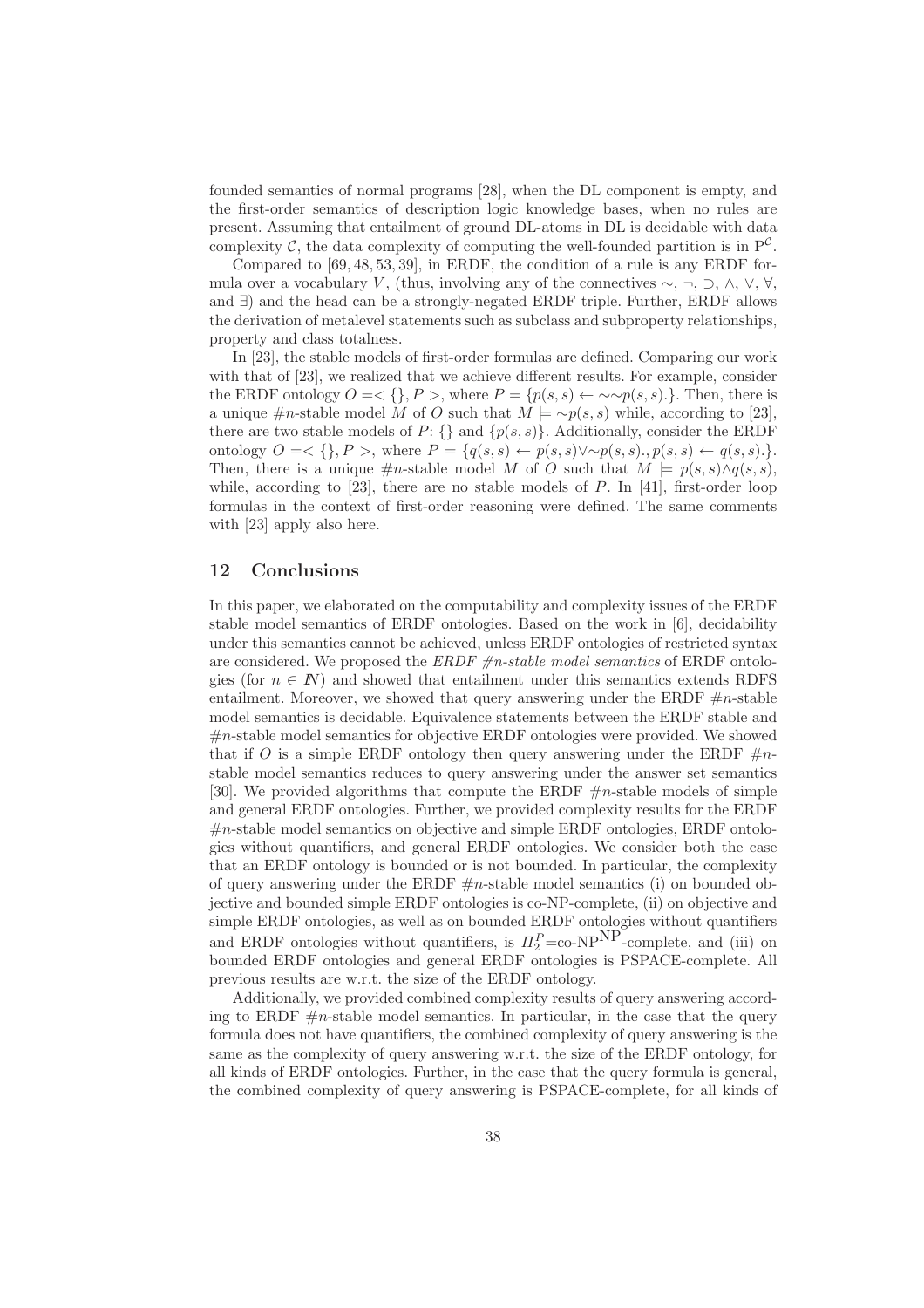founded semantics of normal programs [28], when the DL component is empty, and the first-order semantics of description logic knowledge bases, when no rules are present. Assuming that entailment of ground DL-atoms in DL is decidable with data complexity  $\mathcal{C}$ , the data complexity of computing the well-founded partition is in  $P^{\mathcal{C}}$ .

Compared to [69, 48, 53, 39], in ERDF, the condition of a rule is any ERDF formula over a vocabulary V, (thus, involving any of the connectives  $\sim$ ,  $\neg$ ,  $\triangleright$ ,  $\wedge$ ,  $\vee$ ,  $\forall$ , and ∃) and the head can be a strongly-negated ERDF triple. Further, ERDF allows the derivation of metalevel statements such as subclass and subproperty relationships, property and class totalness.

In [23], the stable models of first-order formulas are defined. Comparing our work with that of [23], we realized that we achieve different results. For example, consider the ERDF ontology  $O = \{ \}, P >$ , where  $P = \{ p(s, s) \leftarrow \sim p(s, s) \}.$  Then, there is a unique #n-stable model M of O such that  $M \models \sim p(s, s)$  while, according to [23], there are two stable models of  $P: \{\}$  and  $\{p(s, s)\}.$  Additionally, consider the ERDF ontology  $O = \{ \}, P >$ , where  $P = \{ q(s, s) \leftarrow p(s, s) \vee \sim p(s, s), p(s, s) \leftarrow q(s, s) \}.$ Then, there is a unique #n-stable model M of O such that  $M \models p(s, s) \land q(s, s)$ , while, according to  $[23]$ , there are no stable models of P. In [41], first-order loop formulas in the context of first-order reasoning were defined. The same comments with [23] apply also here.

## 12 Conclusions

In this paper, we elaborated on the computability and complexity issues of the ERDF stable model semantics of ERDF ontologies. Based on the work in [6], decidability under this semantics cannot be achieved, unless ERDF ontologies of restricted syntax are considered. We proposed the  $ERDF \#n-stable \ model \ semantics$  of ERDF ontologies (for  $n \in \mathbb{N}$ ) and showed that entailment under this semantics extends RDFS entailment. Moreover, we showed that query answering under the ERDF  $\#n$ -stable model semantics is decidable. Equivalence statements between the ERDF stable and #n-stable model semantics for objective ERDF ontologies were provided. We showed that if O is a simple ERDF ontology then query answering under the ERDF  $\#n$ stable model semantics reduces to query answering under the answer set semantics [30]. We provided algorithms that compute the ERDF  $\#n$ -stable models of simple and general ERDF ontologies. Further, we provided complexity results for the ERDF #n-stable model semantics on objective and simple ERDF ontologies, ERDF ontologies without quantifiers, and general ERDF ontologies. We consider both the case that an ERDF ontology is bounded or is not bounded. In particular, the complexity of query answering under the ERDF  $\#n$ -stable model semantics (i) on bounded objective and bounded simple ERDF ontologies is co-NP-complete, (ii) on objective and simple ERDF ontologies, as well as on bounded ERDF ontologies without quantifiers and ERDF ontologies without quantifiers, is  $\Pi_2^P =$ co-NP<sup>NP</sup>-complete, and (iii) on bounded ERDF ontologies and general ERDF ontologies is PSPACE-complete. All previous results are w.r.t. the size of the ERDF ontology.

Additionally, we provided combined complexity results of query answering according to ERDF  $\#n$ -stable model semantics. In particular, in the case that the query formula does not have quantifiers, the combined complexity of query answering is the same as the complexity of query answering w.r.t. the size of the ERDF ontology, for all kinds of ERDF ontologies. Further, in the case that the query formula is general, the combined complexity of query answering is PSPACE-complete, for all kinds of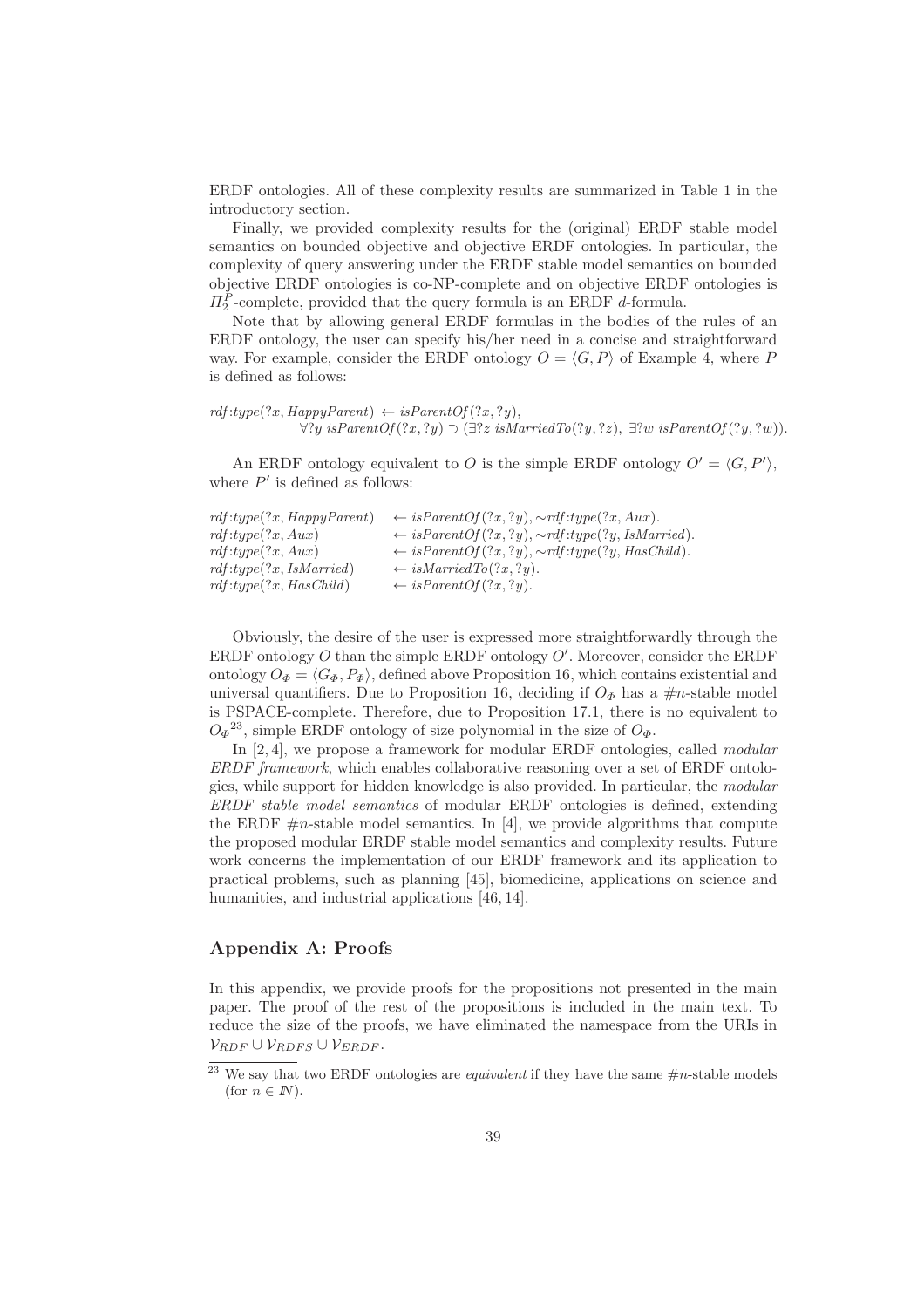ERDF ontologies. All of these complexity results are summarized in Table 1 in the introductory section.

Finally, we provided complexity results for the (original) ERDF stable model semantics on bounded objective and objective ERDF ontologies. In particular, the complexity of query answering under the ERDF stable model semantics on bounded objective ERDF ontologies is co-NP-complete and on objective ERDF ontologies is  $\Pi_2^P$ -complete, provided that the query formula is an ERDF d-formula.

Note that by allowing general ERDF formulas in the bodies of the rules of an ERDF ontology, the user can specify his/her need in a concise and straightforward way. For example, consider the ERDF ontology  $O = \langle G, P \rangle$  of Example 4, where P is defined as follows:

 $rdf: type(?x, HappyParent) \leftarrow isParentOf(?x, ?y),$  $∀?y isParentOf(?x, ?y) ⊃ (∃?z isMarriedTo(?y, ?z), ∃?w isParentOf(?y, ?w)).$ 

An ERDF ontology equivalent to O is the simple ERDF ontology  $O' = \langle G, P' \rangle$ , where  $P'$  is defined as follows:

| rdf: type(?x, HappyParent)                 | $\leftarrow isParentOf(?x, ?y), \sim rdf: type(?x, Aux).$       |
|--------------------------------------------|-----------------------------------------------------------------|
| $\textit{rdf:type}(?x, Aux)$               | $\leftarrow isParentOf(?x, ?y), \sim rdf: type(?y, IsMarried).$ |
| rdf: type(?x, Aux)                         | $\leftarrow isParentOf(?x, ?y), \sim rdf: type(?y, HasChild).$  |
| $\eta$ rdf:type $(?x, IsMarried)$          | $\leftarrow isMarriedTo(?x, ?y).$                               |
| $\textit{rdf:type}(?x, \textit{HasChild})$ | $\leftarrow isParentOf(?x, ?y).$                                |

Obviously, the desire of the user is expressed more straightforwardly through the ERDF ontology O than the simple ERDF ontology O'. Moreover, consider the ERDF ontology  $O_{\Phi} = \langle G_{\Phi}, P_{\Phi} \rangle$ , defined above Proposition 16, which contains existential and universal quantifiers. Due to Proposition 16, deciding if  $O_{\Phi}$  has a #n-stable model is PSPACE-complete. Therefore, due to Proposition 17.1, there is no equivalent to  $O_{\Phi}^{23}$ , simple ERDF ontology of size polynomial in the size of  $O_{\Phi}$ .

In [2, 4], we propose a framework for modular ERDF ontologies, called modular ERDF framework, which enables collaborative reasoning over a set of ERDF ontologies, while support for hidden knowledge is also provided. In particular, the modular ERDF stable model semantics of modular ERDF ontologies is defined, extending the ERDF  $\#n$ -stable model semantics. In [4], we provide algorithms that compute the proposed modular ERDF stable model semantics and complexity results. Future work concerns the implementation of our ERDF framework and its application to practical problems, such as planning [45], biomedicine, applications on science and humanities, and industrial applications [46, 14].

## Appendix A: Proofs

In this appendix, we provide proofs for the propositions not presented in the main paper. The proof of the rest of the propositions is included in the main text. To reduce the size of the proofs, we have eliminated the namespace from the URIs in  $\mathcal{V}_{RDF} \cup \mathcal{V}_{RDFS} \cup \mathcal{V}_{ERDF}.$ 

 $\frac{23}{23}$  We say that two ERDF ontologies are *equivalent* if they have the same  $\#n$ -stable models (for  $n \in \mathbb{N}$ ).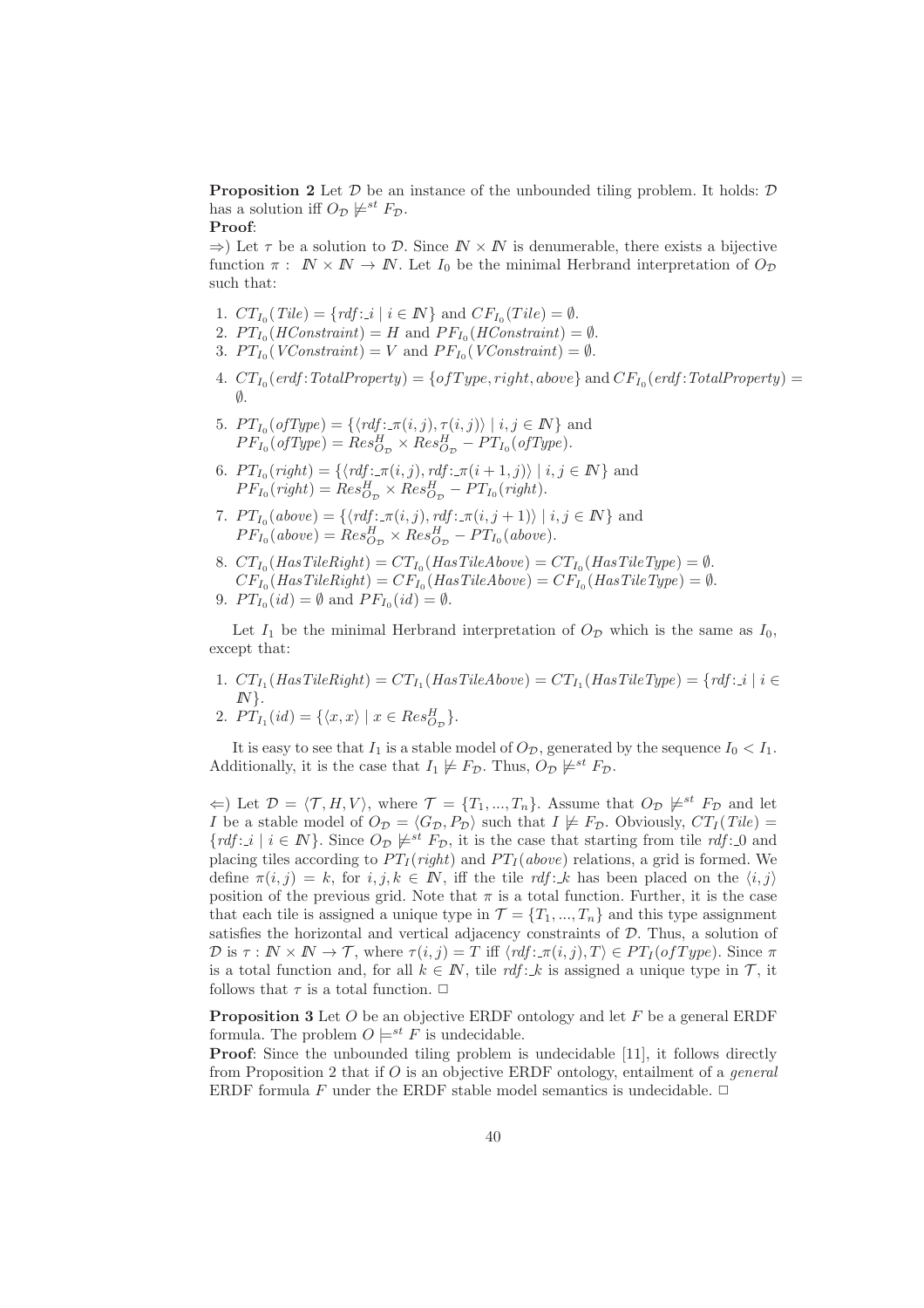**Proposition 2** Let  $\mathcal{D}$  be an instance of the unbounded tiling problem. It holds:  $\mathcal{D}$ has a solution iff  $O_{\mathcal{D}} \not\models^{st} F_{\mathcal{D}}$ .

## Proof:

 $\Rightarrow$ ) Let  $\tau$  be a solution to D. Since  $N \times N$  is denumerable, there exists a bijective function  $\pi : I \to N \times N \to N$ . Let  $I_0$  be the minimal Herbrand interpretation of  $O_p$ such that:

- 1.  $CT_{I_0}(Tile) = \{ rdf : i \mid i \in \mathbb{N} \}$  and  $CF_{I_0}(Tile) = \emptyset$ .
- 2.  $PT_{I_0}(HConstant) = H$  and  $PF_{I_0}(HConstant) = \emptyset$ .
- 3.  $PT_{I_0}(VConstant) = V$  and  $PF_{I_0}(VConstant) = \emptyset$ .
- 4.  $CT_{I_0}(erdf:TotalProperty) = \{ofType, right, above\}$  and  $CF_{I_0}(erdf:TotalProperty) =$ ∅.
- 5.  $PT_{I_0}(ofType) = \{\langle rdf : \pi(i, j), \tau(i, j)\rangle | i, j \in \mathbb{N}\}\$ and  $PF_{I_0}(ofType) = Res_{O_{\mathcal{D}}}^{H} \times Res_{O_{\mathcal{D}}}^{H} - PT_{I_0}(ofType).$
- 6.  $PT_{I_0}(right) = {\langle rdf : \pi(i, j), rdf : \pi(i + 1, j) \rangle | i, j \in \mathbb{N}}$  and  $PF_{I_0}(right) = Res_{O_{\mathcal{D}}}^H \times Res_{O_{\mathcal{D}}}^H - PT_{I_0}(right).$
- 7.  $PT_{I_0}(above) = \{\langle rdf : \pi(i, j), rdf : \pi(i, j + 1)\rangle \mid i, j \in \mathbb{N}\}\$ and  $PF_{I_0}(above) = Res_{O_{\mathcal{D}}}^H \times Res_{O_{\mathcal{D}}}^H - PT_{I_0}(above).$
- 8.  $CT_{I_0}(HasTileRight) = CT_{I_0}(HasTileAbove) = CT_{I_0}(HasTileType) = \emptyset.$  $CF_{I_0}(HasTileRight) = CF_{I_0}(HasTileAbove) = CF_{I_0}(HasTileType) = \emptyset.$
- 9.  $PT_{I_0}(id) = \emptyset$  and  $PF_{I_0}(id) = \emptyset$ .

Let  $I_1$  be the minimal Herbrand interpretation of  $O_{\mathcal{D}}$  which is the same as  $I_0$ , except that:

1.  $CT_{I_1}(HasTileRight) = CT_{I_1}(HasTileAbove) = CT_{I_1}(HasTileType) = \{rdf : i \mid i \in I_1\}$  $I\!\!N$ .

2. 
$$
PT_{I_1}(id) = \{ \langle x, x \rangle \mid x \in Res_{O_{\mathcal{D}}}^{H} \}.
$$

It is easy to see that  $I_1$  is a stable model of  $O_{\mathcal{D}}$ , generated by the sequence  $I_0 < I_1$ . Additionally, it is the case that  $I_1 \not\models F_{\mathcal{D}}$ . Thus,  $O_{\mathcal{D}} \not\models^{st} F_{\mathcal{D}}$ .

 $\Leftarrow$ ) Let  $\mathcal{D} = \langle \mathcal{T}, H, V \rangle$ , where  $\mathcal{T} = \{T_1, ..., T_n\}$ . Assume that  $O_{\mathcal{D}} \not\models^{st} F_{\mathcal{D}}$  and let I be a stable model of  $O_{\mathcal{D}} = \langle G_{\mathcal{D}}, P_{\mathcal{D}} \rangle$  such that  $I \not\models F_{\mathcal{D}}$ . Obviously,  $CT_I (Tile) =$  $\{rdf : i \mid i \in \mathbb{N}\}\.$  Since  $O_{\mathcal{D}} \not\models^{st} F_{\mathcal{D}}$ , it is the case that starting from tile  $rdf : 0$  and placing tiles according to  $PT_I(\text{right})$  and  $PT_I(\text{above})$  relations, a grid is formed. We define  $\pi(i, j) = k$ , for  $i, j, k \in \mathbb{N}$ , iff the tile rdf: k has been placed on the  $\langle i, j \rangle$ position of the previous grid. Note that  $\pi$  is a total function. Further, it is the case that each tile is assigned a unique type in  $\mathcal{T} = \{T_1, ..., T_n\}$  and this type assignment satisfies the horizontal and vertical adjacency constraints of  $D$ . Thus, a solution of D is  $\tau : \mathbb{N} \times \mathbb{N} \to \mathcal{T}$ , where  $\tau(i, j) = T$  iff  $\langle rdf : \pi(i, j), T \rangle \in PT_I(ofType)$ . Since  $\pi$ is a total function and, for all  $k \in \mathbb{N}$ , tile rdf: k is assigned a unique type in  $\mathcal{T}$ , it follows that  $\tau$  is a total function.  $\Box$ 

**Proposition 3** Let O be an objective ERDF ontology and let F be a general ERDF formula. The problem  $O \models^{st} F$  is undecidable.

**Proof:** Since the unbounded tiling problem is undecidable [11], it follows directly from Proposition 2 that if  $O$  is an objective ERDF ontology, entailment of a *general* ERDF formula F under the ERDF stable model semantics is undecidable.  $\Box$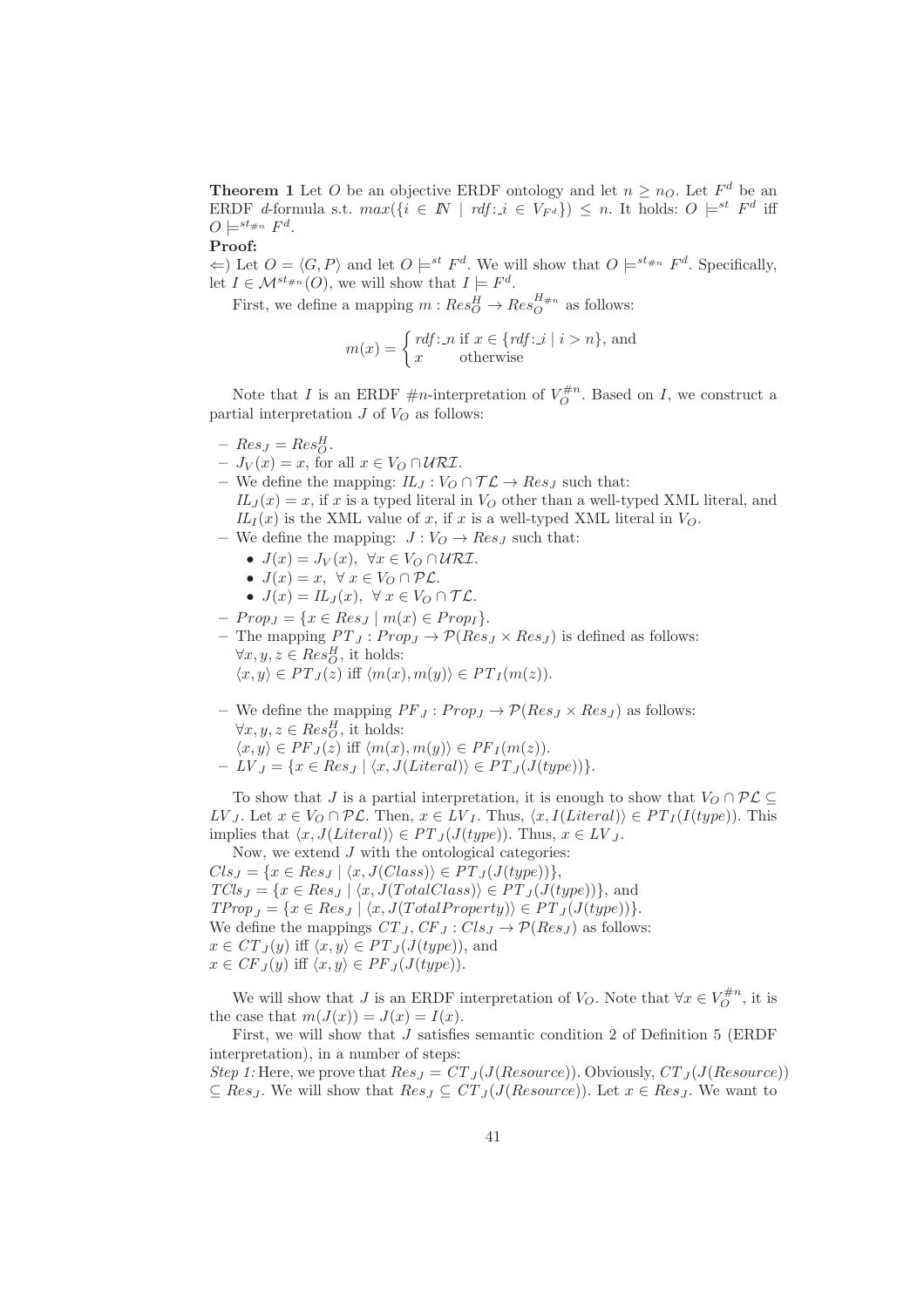**Theorem 1** Let O be an objective ERDF ontology and let  $n \geq n_O$ . Let  $F^d$  be an ERDF d-formula s.t.  $max({i \in \mathbb{N} \mid \mathit{rdf}: i \in V_{F^d}}) \leq n$ . It holds:  $O \models^{st} F^d$  iff  $O \models^{st_{\#n}} F^d$ .

#### Proof:

 $\Leftarrow$ ) Let  $O = \langle G, P \rangle$  and let  $O \models^{st} F^d$ . We will show that  $O \models^{st_{\#n}} F^d$ . Specifically, let  $I \in \mathcal{M}^{st_{\#n}}(O)$ , we will show that  $I \models F^d$ .

First, we define a mapping  $m: Res_O^H \to Res_O^{H_{\#n}}$  as follows:

$$
m(x) = \begin{cases} rdf \text{ :.} n \text{ if } x \in \{rdf \text{ :.} i \mid i > n\}, \text{ and} \\ x \text{ otherwise} \end{cases}
$$

Note that I is an ERDF  $\#n$ -interpretation of  $V_Q^{\#n}$ . Based on I, we construct a partial interpretation  $J$  of  $V_O$  as follows:

- $Res_J = Res_O^H$ .
- $-J_V(x) = x$ , for all  $x \in V_O \cap URT$ .
- We define the mapping:  $IL_J: V_O \cap T\mathcal{L} \rightarrow Res_J$  such that:  $IL_J(x) = x$ , if x is a typed literal in  $V_O$  other than a well-typed XML literal, and

 $IL_I(x)$  is the XML value of x, if x is a well-typed XML literal in  $V_O$ .

- We define the mapping:  $J: V_O \rightarrow Res_J$  such that:
	- $J(x) = J_V(x)$ ,  $\forall x \in V_O \cap URL$ .
	- $J(x) = x, \forall x \in V_O \cap \mathcal{PL}.$
	- $J(x) = IL_J(x), \forall x \in V_O \cap \mathcal{TL}.$
- $Prop_J = \{x \in Res_J \mid m(x) \in Prop_I \}.$
- The mapping  $PT_J: Prop_J \to P(Res_J \times Res_J)$  is defined as follows:  $\forall x, y, z \in Res_O^H$ , it holds:  $\langle x, y \rangle \in PT_J(z)$  iff  $\langle m(x), m(y) \rangle \in PT_I(m(z)).$
- We define the mapping  $PF_J: Prop_J \to \mathcal{P}(Res_J \times Res_J)$  as follows:  $\forall x, y, z \in Res_O^H$ , it holds:  $\langle x, y \rangle \in PF_J(z)$  iff  $\langle m(x), m(y) \rangle \in PF_I(m(z)).$
- $-IV_J = \{x \in Res_J \mid \langle x, J(Literal) \rangle \in PT_J(J(type))\}.$

To show that J is a partial interpretation, it is enough to show that  $V_O \cap \mathcal{PL} \subseteq$ *LV J*. Let  $x \in V_O \cap \mathcal{PL}$ . Then,  $x \in LV_I$ . Thus,  $\langle x, I(Literal) \rangle \in PT_I(I(type))$ . This implies that  $\langle x, J(Literal) \rangle \in PT_J(J(type))$ . Thus,  $x \in LV_J$ .

Now, we extend J with the ontological categories:

 $Cls_J = \{x \in Res_J \mid \langle x, J(Class \rangle) \in PT_J(J(type))\},\$  $TCls_J = \{x \in Res_J \mid \langle x, J(TotalClass) \rangle \in PT_J(J(type))\},$  and  $TProp_J = \{x \in Res_J \mid \langle x, J(Total Property) \rangle \in PT_J(J(type))\}.$ We define the mappings  $CT_J, CF_J : Cls_J \rightarrow \mathcal{P}(Res_J)$  as follows:  $x \in CT_J(y)$  iff  $\langle x, y \rangle \in PT_J(J(type))$ , and  $x \in CF_J(y)$  iff  $\langle x, y \rangle \in PF_J(J(type)).$ 

We will show that J is an ERDF interpretation of  $V_O$ . Note that  $\forall x \in V_O^{\#n}$ , it is the case that  $m(J(x)) = J(x) = I(x)$ .

First, we will show that J satisfies semantic condition 2 of Definition 5 (ERDF interpretation), in a number of steps:

Step 1: Here, we prove that  $Res_J = CT_J(J(Resource))$ . Obviously,  $CT_J(J(Resource))$  $\subseteq Res_J$ . We will show that  $Res_J \subseteq CT_J(J(Resource))$ . Let  $x \in Res_J$ . We want to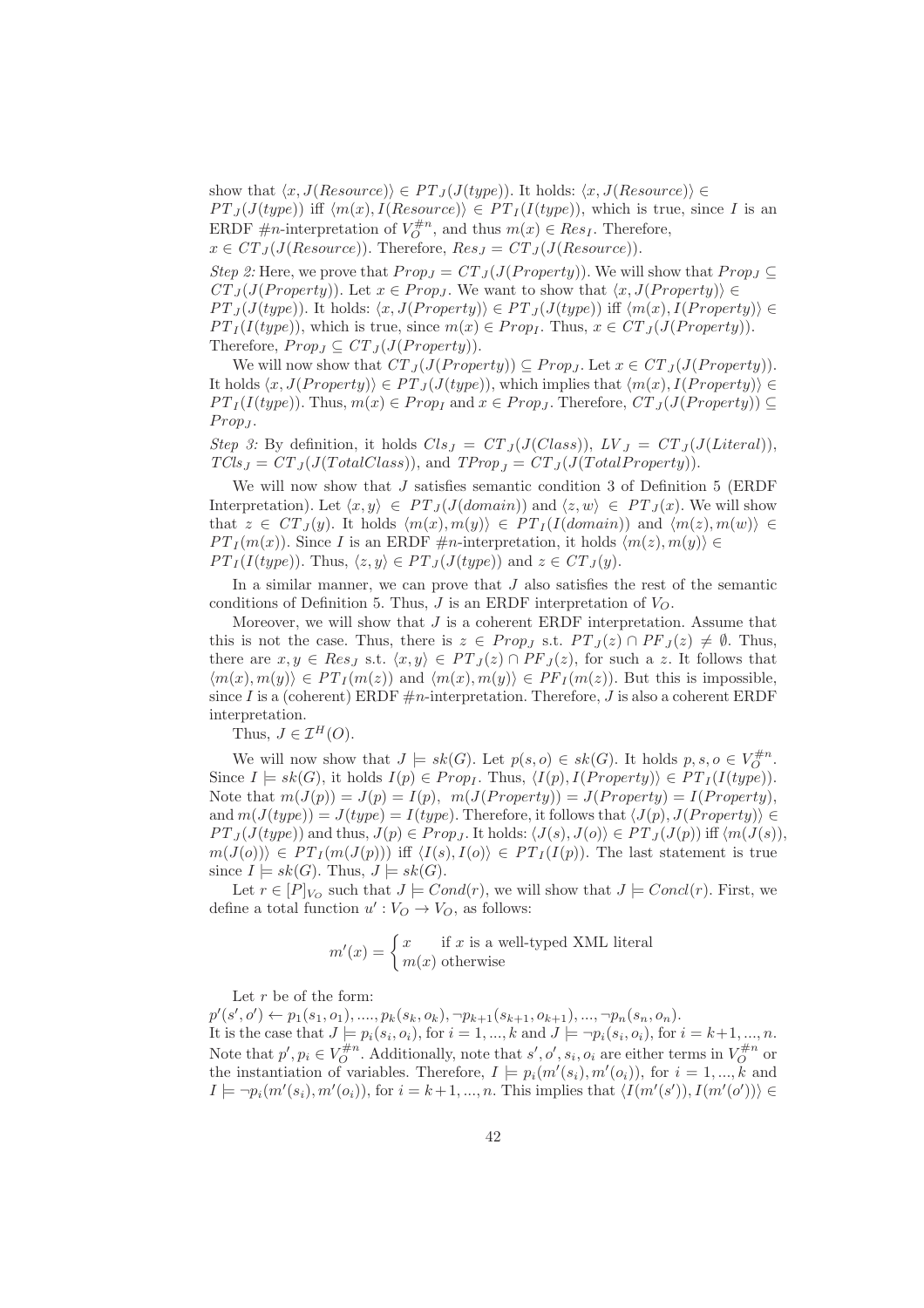show that  $\langle x, J(Resource) \rangle \in PT_J(J(type))$ . It holds:  $\langle x, J(Resource) \rangle \in$  $PT_J(J(type))$  iff  $\langle m(x), I(Resource) \rangle \in PT_I(I(type)),$  which is true, since I is an ERDF #n-interpretation of  $V_0^{\#n}$ , and thus  $m(x) \in Res_I$ . Therefore,  $x \in CT_J(J(Resource))$ . Therefore,  $Res_J = CT_J(J(Resource))$ .

Step 2: Here, we prove that  $Prop_J = CT_J(J(Property))$ . We will show that  $Prop_J \subseteq$  $CT_J(J(Property))$ . Let  $x \in Prop_J$ . We want to show that  $\langle x, J(Property) \rangle \in$  $PT_J(J(type))$ . It holds:  $\langle x, J(Property) \rangle \in PT_J(J(type))$  iff  $\langle m(x), I(Property) \rangle \in$  $PT_I(I(type)),$  which is true, since  $m(x) \in Prop_I$ . Thus,  $x \in CT_J(J(Property)).$ Therefore,  $Prop_J \subseteq CT_J(J(Property)).$ 

We will now show that  $CT_J(J(Property)) \subseteq Prop_J$ . Let  $x \in CT_J(J(Property))$ . It holds  $\langle x, J(Property) \rangle \in PT_J(J(type)),$  which implies that  $\langle m(x), I(Property) \rangle \in$  $PT_I(I(type)).$  Thus,  $m(x) \in Prop_I$  and  $x \in Prop_J$ . Therefore,  $CT_J(J(Property)) \subseteq$  $Prop_{J}$ .

Step 3: By definition, it holds  $Cls_J = CT_J(J(Class))$ ,  $LV_J = CT_J(J(Literal))$ ,  $TCls_J = CT_J (J(TotalClass))$ , and  $TProp_J = CT_J (J(TotalProperty))$ .

We will now show that  $J$  satisfies semantic condition 3 of Definition 5 (ERDF) Interpretation). Let  $\langle x, y \rangle \in PT_J(J(domain))$  and  $\langle z, w \rangle \in PT_J(x)$ . We will show that  $z \in CT_J(y)$ . It holds  $\langle m(x), m(y) \rangle \in PT_I(I(domain))$  and  $\langle m(z), m(w) \rangle \in$  $PT_I(m(x))$ . Since I is an ERDF #n-interpretation, it holds  $\langle m(z), m(y) \rangle \in$  $PT_I(I(type))$ . Thus,  $\langle z, y \rangle \in PT_J(J(type))$  and  $z \in CT_J(y)$ .

In a similar manner, we can prove that  $J$  also satisfies the rest of the semantic conditions of Definition 5. Thus,  $J$  is an ERDF interpretation of  $V_O$ .

Moreover, we will show that  $J$  is a coherent ERDF interpretation. Assume that this is not the case. Thus, there is  $z \in Prop_I$  s.t.  $PT_J(z) \cap PF_J(z) \neq \emptyset$ . Thus, there are  $x, y \in Res_J$  s.t.  $\langle x, y \rangle \in PT_J(z) \cap PF_J(z)$ , for such a z. It follows that  $\langle m(x), m(y) \rangle \in PT_I(m(z))$  and  $\langle m(x), m(y) \rangle \in PF_I(m(z))$ . But this is impossible, since I is a (coherent) ERDF  $\#n$ -interpretation. Therefore, J is also a coherent ERDF interpretation.

Thus,  $J \in \mathcal{I}^H(O)$ .

We will now show that  $J \models sk(G)$ . Let  $p(s, o) \in sk(G)$ . It holds  $p, s, o \in V_O^{\#n}$ . Since  $I \models sk(G)$ , it holds  $I(p) \in Prop_I$ . Thus,  $\langle I(p), I(Property) \rangle \in PT_I(I(type)).$ Note that  $m(J(p)) = J(p) = I(p)$ ,  $m(J(Property)) = J(Property) = I(Property)$ , and  $m(J(type)) = J(type) = I(type)$ . Therefore, it follows that  $\langle J(p), J(Property) \rangle \in$  $PT_J(J(type))$  and thus,  $J(p) \in Prop_J$ . It holds:  $\langle J(s), J(o) \rangle \in PT_J(J(p))$  iff  $\langle m(J(s)) \rangle$  $m(J(o))\in PT_I(m(J(p)))$  iff  $\langle I(s), I(o)\rangle \in PT_I(I(p))$ . The last statement is true since  $I \models sk(G)$ . Thus,  $J \models sk(G)$ .

Let  $r \in [P]_{V_O}$  such that  $J \models Cond(r)$ , we will show that  $J \models Cond(r)$ . First, we define a total function  $u': V_O \to V_O$ , as follows:

$$
m'(x) = \begin{cases} x & \text{if } x \text{ is a well-typeed XML literal} \\ m(x) & \text{otherwise} \end{cases}
$$

Let  $r$  be of the form:

 $p'(s', o') \leftarrow p_1(s_1, o_1), \dots, p_k(s_k, o_k), \neg p_{k+1}(s_{k+1}, o_{k+1}), \dots, \neg p_n(s_n, o_n).$ It is the case that  $J \models p_i(s_i, o_i)$ , for  $i = 1, ..., k$  and  $J \models \neg p_i(s_i, o_i)$ , for  $i = k+1, ..., n$ . Note that  $p', p_i \in V_U^{\#n}$ . Additionally, note that  $s', o', s_i, o_i$  are either terms in  $V_U^{\#n}$  or the instantiation of variables. Therefore,  $I \models p_i(m'(s_i), m'(o_i))$ , for  $i = 1, ..., k$  and  $I \models \neg p_i(m'(s_i), m'(o_i))$ , for  $i = k+1, ..., n$ . This implies that  $\langle I(m'(s')), I(m'(o')) \rangle \in$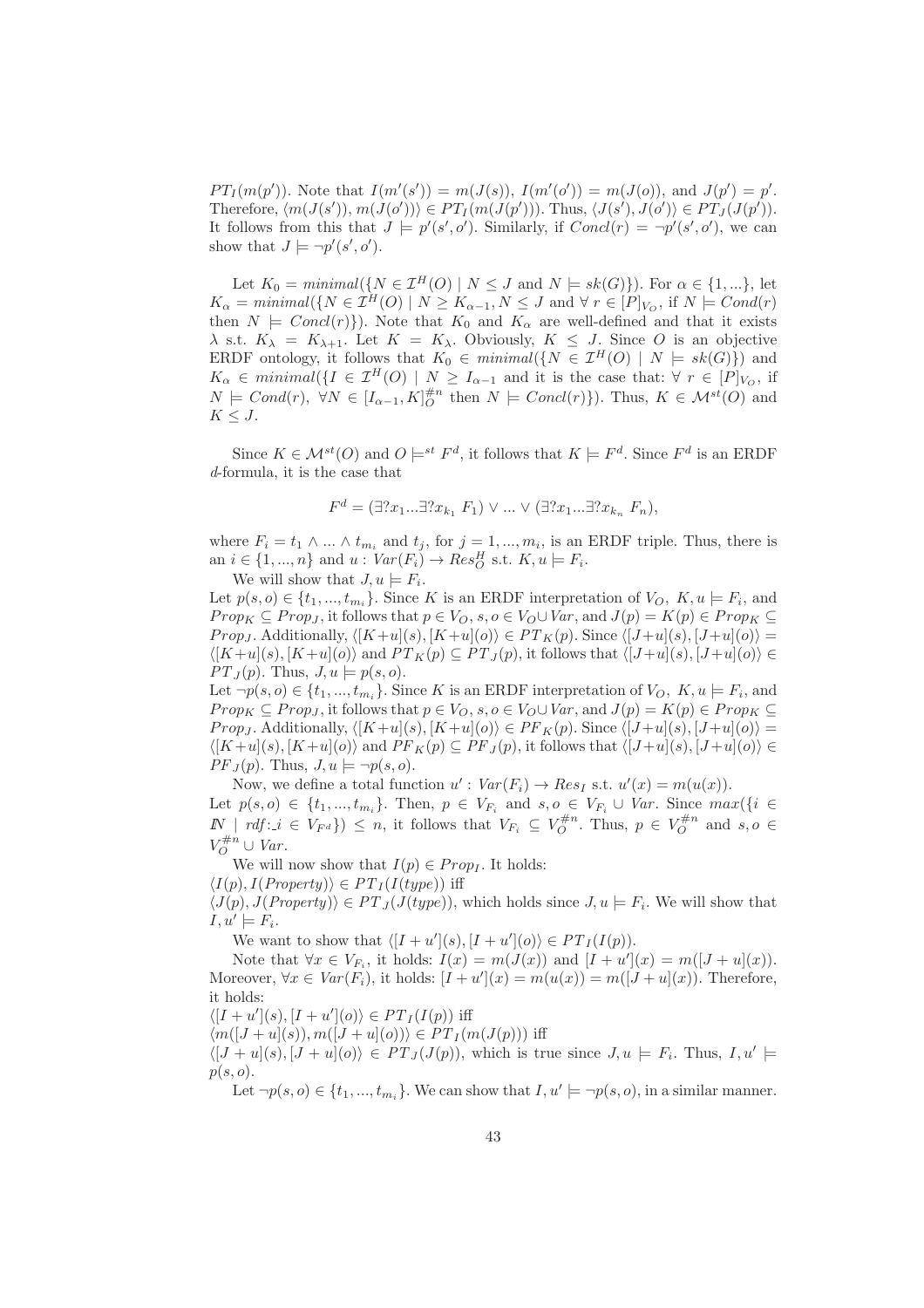$PT_I(m(p'))$ . Note that  $I(m'(s')) = m(J(s)), I(m'(o')) = m(J(o)),$  and  $J(p') = p'$ . Therefore,  $\langle m(J(s')), m(J(o')) \rangle \in PT_I(m(J(p')))$ . Thus,  $\langle J(s'), J(o') \rangle \in PT_J(J(p'))$ . It follows from this that  $J \models p'(s', o')$ . Similarly, if  $Concl(r) = \neg p'(s', o')$ , we can show that  $J \models \neg p'(s', o').$ 

Let  $K_0 = \text{minimal}(\{N \in \mathcal{I}^H(O) \mid N \leq J \text{ and } N \models sk(G)\})$ . For  $\alpha \in \{1, \ldots\}$ , let  $K_{\alpha} = \text{minimal}(\lbrace N \in \mathcal{I}^H(O) \mid N \geq K_{\alpha-1}, N \leq J \text{ and } \forall r \in [P]_{V_O} \text{, if } N \models \text{Cond}(r)$ then  $N \models Cond(r)$ . Note that  $K_0$  and  $K_\alpha$  are well-defined and that it exists  $\lambda$  s.t.  $K_{\lambda} = K_{\lambda+1}$ . Let  $K = K_{\lambda}$ . Obviously,  $K \leq J$ . Since O is an objective ERDF ontology, it follows that  $K_0 \in minimal({N \in \mathcal{I}^H(O) \mid N \models sk(G)})$  and  $K_{\alpha} \in \text{minimal}(\lbrace I \in \mathcal{I}^H(O) \mid N \geq I_{\alpha-1} \text{ and it is the case that: } \forall r \in [P]_{V_O}, \text{ if }$  $N \models Cond(r), \forall N \in [I_{\alpha-1}, K]_{O}^{\#n}$  then  $N \models Cond(r)$ . Thus,  $K \in \mathcal{M}^{st}(O)$  and  $K \leq J$ .

Since  $K \in \mathcal{M}^{st}(O)$  and  $O \models^{st} F^d$ , it follows that  $K \models F^d$ . Since  $F^d$  is an ERDF d-formula, it is the case that

$$
F^d = (\exists! x_1 \dots \exists! x_{k_1} F_1) \lor \dots \lor (\exists! x_1 \dots \exists! x_{k_n} F_n),
$$

where  $F_i = t_1 \wedge ... \wedge t_{m_i}$  and  $t_j$ , for  $j = 1, ..., m_i$ , is an ERDF triple. Thus, there is an  $i \in \{1, ..., n\}$  and  $u: Var(F_i) \to Res_O^H$  s.t.  $K, u \models F_i$ .

We will show that  $J, u \models F_i$ .

Let  $p(s, o) \in \{t_1, ..., t_{m_i}\}$ . Since K is an ERDF interpretation of  $V_O$ ,  $K, u \models F_i$ , and  $Prop_K \subseteq Prop_J$ , it follows that  $p \in V_O$ ,  $s, o \in V_O \cup Var$ , and  $J(p) = K(p) \in Prop_K \subseteq$ *Propj*. Additionally,  $\langle [K+u](s), [K+u](o) \rangle \in PT_K(p)$ . Since  $\langle [J+u](s), [J+u](o) \rangle =$  $\langle [K+u](s), [K+u](o) \rangle$  and  $PT_K(p) \subseteq PT_J(p)$ , it follows that  $\langle [J+u](s), [J+u](o) \rangle \in$  $PT_J(p)$ . Thus,  $J, u \models p(s, o)$ .

Let  $\neg p(s, o) \in \{t_1, ..., t_{m_i}\}$ . Since K is an ERDF interpretation of  $V_O$ ,  $K, u \models F_i$ , and  $Prop_K \subseteq Prop_J$ , it follows that  $p \in V_O$ ,  $s, o \in V_O \cup Var$ , and  $J(p) = K(p) \in Prop_K \subseteq V_O$ *Prop*<sub>J</sub>. Additionally,  $\langle [K+u](s), [K+u](o) \rangle \in PF_K(p)$ . Since  $\langle [J+u](s), [J+u](o) \rangle =$  $\langle [K+u](s), [K+u](o) \rangle$  and  $PF_K(p) \subseteq PF_J(p)$ , it follows that  $\langle [J+u](s), [J+u](o) \rangle \in$  $PF_J(p)$ . Thus,  $J, u \models \neg p(s, o)$ .

Now, we define a total function  $u': Var(F_i) \to Res_I \text{ s.t. } u'(x) = m(u(x)).$ 

Let  $p(s, o) \in \{t_1, ..., t_{m_i}\}$ . Then,  $p \in V_{F_i}$  and  $s, o \in V_{F_i} \cup Var$ . Since  $max(\{i \in$  $\mathbb{N}$  |  $\{ r df : i \in V_{F^d} \}$   $\leq n$ , it follows that  $V_{F_i} \subseteq V^{\#n}_{O}$ . Thus,  $p \in V^{\#n}_{O}$  and  $s, o \in V$  $V_O^{\#n} \cup Var.$ 

We will now show that  $I(p) \in Prop_I$ . It holds:

 $\langle I(p), I(Property) \rangle \in PT_I(I(type))$  iff

 $\langle J(p), J(Property) \rangle \in PT_J(J(type)),$  which holds since  $J, u \models F_i$ . We will show that  $I, u' \models F_i.$ 

We want to show that  $\langle [I + u'](s), [I + u'](o) \rangle \in PT_I(I(p)).$ 

Note that  $\forall x \in V_{F_i}$ , it holds:  $I(x) = m(J(x))$  and  $[I + u'](x) = m([J + u](x))$ . Moreover,  $\forall x \in Var(F_i)$ , it holds:  $[I + u'](x) = m(u(x)) = m([J + u](x))$ . Therefore, it holds:

 $\langle [I + u'](s), [I + u'](o) \rangle \in PT_I(I(p))$  iff

 $\langle m([J+u](s)), m([J+u](o)) \rangle \in PT_I(m(J(p)))$  iff

 $\langle [J + u](s), [J + u](o) \rangle \in PT_J(J(p)),$  which is true since  $J, u \models F_i$ . Thus,  $I, u' \models$  $p(s, o)$ .

Let  $\neg p(s, o) \in \{t_1, ..., t_{m_i}\}\.$  We can show that  $I, u' \models \neg p(s, o)$ , in a similar manner.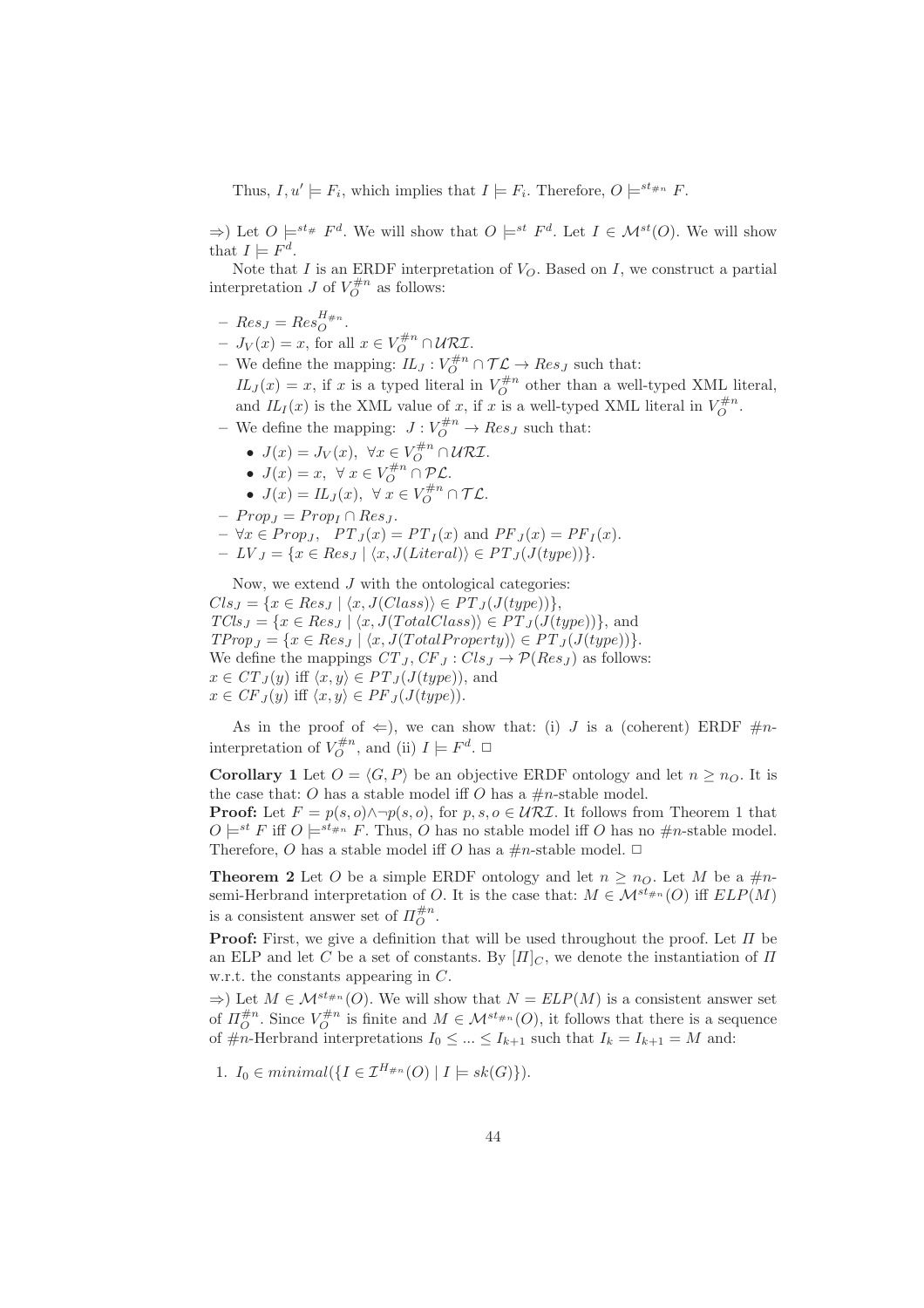Thus,  $I, u' \models F_i$ , which implies that  $I \models F_i$ . Therefore,  $O \models^{st_{\#n}} F$ .

 $\Rightarrow$ ) Let  $O \models^{st} F^d$ . We will show that  $O \models^{st} F^d$ . Let  $I \in \mathcal{M}^{st}(O)$ . We will show that  $I \models F^d$ .

Note that I is an ERDF interpretation of  $V_O$ . Based on I, we construct a partial interpretation J of  $V_Q^{\#n}$  as follows:

- $Res_J = Res_O^{H_{\#n}}.$
- $-J_V(x) = x$ , for all  $x \in V_O^{\#n} \cap URL$ .
- We define the mapping:  $IL_J: V_O^{\#n} \cap \mathcal{TL} \to Res_J$  such that:

 $IL_J(x) = x$ , if x is a typed literal in  $V_O^{\#n}$  other than a well-typed XML literal, and  $IL_I(x)$  is the XML value of x, if x is a well-typed XML literal in  $V_O^{\#n}$ .

- We define the mapping:  $J: V_O^{\#n} \to Res_J$  such that:
	- $J(x) = J_V(x)$ ,  $\forall x \in V_O^{\#n} \cap \mathcal{URL}$ .
	- $J(x) = x, \forall x \in V_O^{\#n} \cap P.C.$
	- $J(x) = IL_J(x), \forall x \in V_O^{\#n} \cap \mathcal{TL}.$
- $Prop<sub>J</sub> = Prop<sub>I</sub> \cap Res<sub>J</sub>$ .
- $-\forall x \in Prop_J$ ,  $PT_J(x) = PT_I(x)$  and  $PF_J(x) = PF_I(x)$ .
- $LV_J = \{x \in Res_J \mid \langle x, J(Literal) \rangle \in PT_J(J(type))\}.$

Now, we extend  $J$  with the ontological categories:  $Cls_J = \{x \in Res_J \mid \langle x, J(Class \rangle) \in PT_J(J(type))\},\$  $TCls_J = \{x \in Res_J \mid \langle x, J(TotalClass) \rangle \in PT_J(J(type))\},$  and  $TProp_J = \{x \in Res_J \mid \langle x, J(TotalProperty) \rangle \in PT_J(J(type))\}.$ We define the mappings  $CT_J, CF_J : Cls_J \rightarrow \mathcal{P}(Res_J)$  as follows:  $x \in CT_J(y)$  iff  $\langle x, y \rangle \in PT_J(J(type))$ , and  $x \in CF_J(y)$  iff  $\langle x, y \rangle \in PF_J(J(type)).$ 

As in the proof of  $\Leftarrow$ ), we can show that: (i) J is a (coherent) ERDF  $\#n$ interpretation of  $V_Q^{\#n}$ , and (ii)  $I \models F^d$ .  $\Box$ 

**Corollary** 1 Let  $O = \langle G, P \rangle$  be an objective ERDF ontology and let  $n \geq n_O$ . It is the case that: O has a stable model iff O has a  $\#n$ -stable model.

**Proof:** Let  $F = p(s, o) \land \neg p(s, o)$ , for  $p, s, o \in URL$ . It follows from Theorem 1 that  $O \models^{st} F$  iff  $O \models^{st_{\#n}} F$ . Thus, O has no stable model iff O has no  $\#n$ -stable model. Therefore, O has a stable model iff O has a  $\#n$ -stable model.  $\Box$ 

**Theorem 2** Let O be a simple ERDF ontology and let  $n \geq n_O$ . Let M be a #nsemi-Herbrand interpretation of O. It is the case that:  $M \in \mathcal{M}^{st_{\#n}}(O)$  iff  $ELP(M)$ is a consistent answer set of  $\Pi_{\mathcal{O}}^{\#n}$ .

**Proof:** First, we give a definition that will be used throughout the proof. Let  $\Pi$  be an ELP and let C be a set of constants. By  $[I]_C$ , we denote the instantiation of  $\Pi$ w.r.t. the constants appearing in C.

 $\Rightarrow$ ) Let  $M \in \mathcal{M}^{st_{\#n}}(O)$ . We will show that  $N = ELP(M)$  is a consistent answer set of  $\Pi_{\mathcal{O}}^{\#n}$ . Since  $V_{\mathcal{O}}^{\#n}$  is finite and  $M \in \mathcal{M}^{st_{\#n}}(\mathcal{O})$ , it follows that there is a sequence of #n-Herbrand interpretations  $I_0 \leq \ldots \leq I_{k+1}$  such that  $I_k = I_{k+1} = M$  and:

1.  $I_0 \in minimal({I \in \mathcal{I}^{H_{\#n}}(O) \mid I \models sk(G)})$ .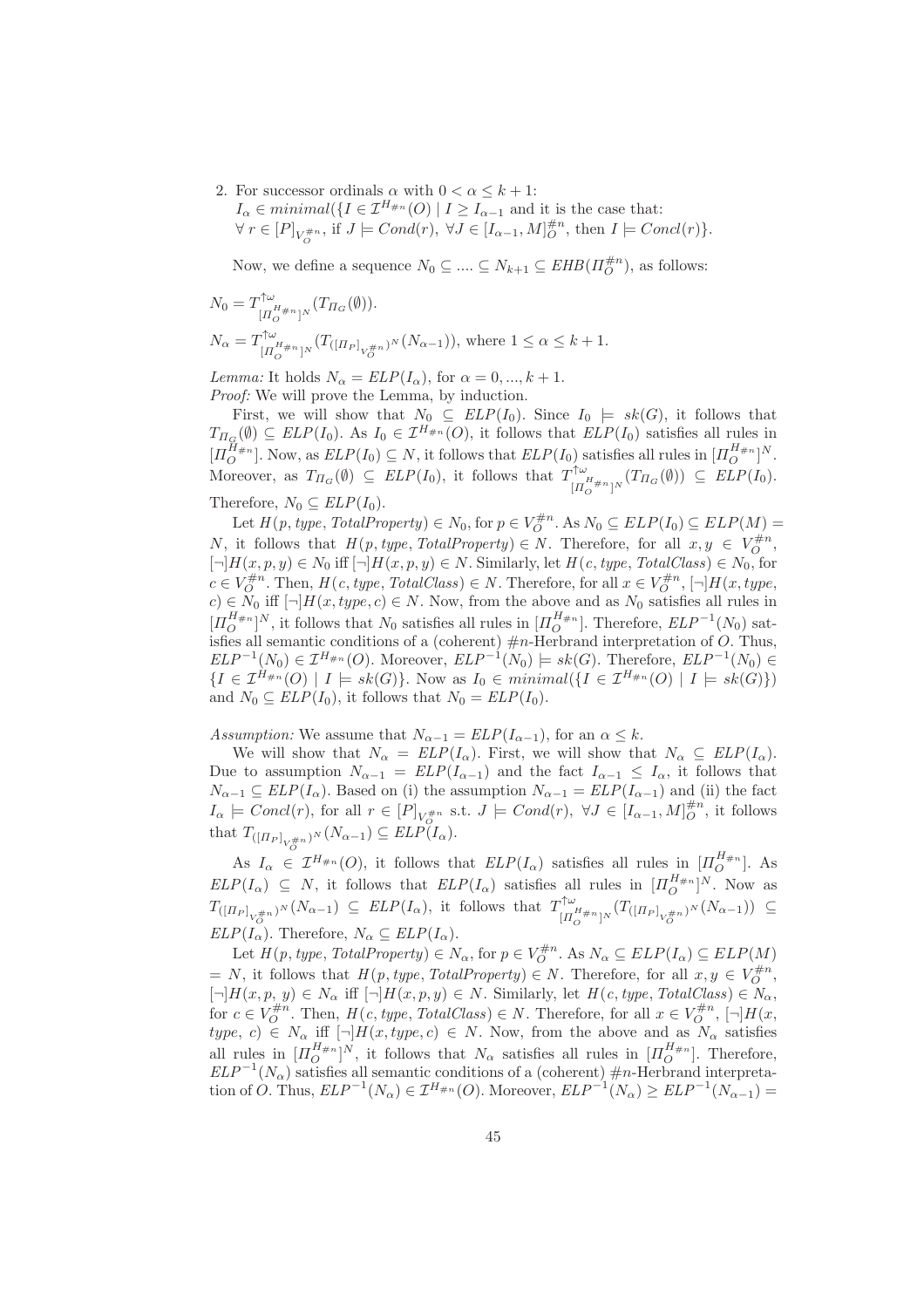2. For successor ordinals  $\alpha$  with  $0 < \alpha \leq k + 1$ :

 $I_{\alpha} \in minimal(\lbrace I \in \mathcal{I}^{H_{\#n}}(O) \mid I \geq I_{\alpha-1} \text{ and it is the case that:}$  $\forall r \in [P]_{V_{\mathcal{O}}^{\#n}}$ , if  $J \models Cond(r), \ \forall J \in [I_{\alpha-1}, M]_{\mathcal{O}}^{\#n}$ , then  $I \models Cond(r)$ .

Now, we define a sequence  $N_0 \subseteq \dots \subseteq N_{k+1} \subseteq EHB(\Pi_{O}^{\#n})$ , as follows:

$$
N_0 = T^{\uparrow \omega}_{[II_{O}^{H_{\#n}}]^{N}}(T_{II_{G}}(\emptyset)).
$$
  

$$
N_{\alpha} = T^{\uparrow \omega}_{[II_{O}^{H_{\#n}}]^{N}}(T_{([II_{P}]_{V_{O}^{\#n}})^{N}}(N_{\alpha-1})), \text{ where } 1 \leq \alpha \leq k+1.
$$

Lemma: It holds  $N_{\alpha} = ELP(I_{\alpha})$ , for  $\alpha = 0, ..., k + 1$ . Proof: We will prove the Lemma, by induction.

First, we will show that  $N_0 \subseteq ELP(I_0)$ . Since  $I_0 \models sk(G)$ , it follows that  $T_{\Pi_G}(\emptyset) \subseteq ELP(I_0)$ . As  $I_0 \in \mathcal{I}^{H_{\#n}}(O)$ , it follows that  $ELP(I_0)$  satisfies all rules in  $[H_O^{H_{\#n}}]$ . Now, as  $ELP(I_0) \subseteq N$ , it follows that  $ELP(I_0)$  satisfies all rules in  $[H_O^{H_{\#n}}]^{N}$ . Moreover, as  $T_{\Pi_G}(\emptyset) \subseteq ELP(I_0)$ , it follows that  $T_{\Pi_G}^{\uparrow \omega}$  $\prod_{[H_O^{H_{\#n}}]^{N}}^{[m]}(T_{H_G}(\emptyset)) \subseteq ELP(I_0).$ Therefore,  $N_0 \subseteq ELP(I_0)$ .

Let  $H(p, type, TotalProperty) \in N_0$ , for  $p \in V_O^{\#n}$ . As  $N_0 \subseteq ELP(I_0) \subseteq ELP(M)$ N, it follows that  $H(p, type, TotalProperty) \in N$ . Therefore, for all  $x, y \in V_Q^{\#n}$ ,  $[\neg]H(x, p, y) \in N_0$  iff  $[\neg]H(x, p, y) \in N$ . Similarly, let  $H(c, type, Total Class) \in N_0$ , for  $c \in V_O^{\#n}$ . Then,  $H(c, type, Total Class) \in N$ . Therefore, for all  $x \in V_O^{\#n}$ ,  $[\neg]H(x, type,$  $c) \in N_0$  iff  $[\neg]H(x, type, c) \in N$ . Now, from the above and as  $N_0$  satisfies all rules in  $[I_0^{H_{\#n}}]^N$ , it follows that  $N_0$  satisfies all rules in  $[I_0^{H_{\#n}}]$ . Therefore,  $ELP^{-1}(N_0)$  satisfies all semantic conditions of a (coherent)  $\#n$ -Herbrand interpretation of O. Thus,  $ELP^{-1}(N_0) \in \mathcal{I}^{H_{\#n}}(O)$ . Moreover,  $ELP^{-1}(N_0) \models sk(G)$ . Therefore,  $ELP^{-1}(N_0) \in$  $\{I \in \mathcal{I}^{H_{\#n}}(O) \mid I \models sk(G)\}\$ . Now as  $I_0 \in minimal(\{I \in \mathcal{I}^{H_{\#n}}(O) \mid I \models sk(G)\})$ and  $N_0 \subseteq ELP(I_0)$ , it follows that  $N_0 = ELP(I_0)$ .

Assumption: We assume that  $N_{\alpha-1} = ELP(I_{\alpha-1}),$  for an  $\alpha \leq k$ .

We will show that  $N_{\alpha} = ELP(I_{\alpha})$ . First, we will show that  $N_{\alpha} \subseteq ELP(I_{\alpha})$ . Due to assumption  $N_{\alpha-1} = ELP(I_{\alpha-1})$  and the fact  $I_{\alpha-1} \leq I_{\alpha}$ , it follows that  $N_{\alpha-1} \subseteq ELP(I_\alpha)$ . Based on (i) the assumption  $N_{\alpha-1} = ELP(I_{\alpha-1})$  and (ii) the fact  $I_{\alpha} \models Concl(r)$ , for all  $r \in [P]_{V_{\mathcal{O}}^{\#n}}$  s.t.  $J \models Cond(r), \ \forall J \in [I_{\alpha-1}, M]_{\mathcal{O}}^{\#n}$ , it follows that  $T_{([I]_V\#^n)^N}(N_{\alpha-1}) \subseteq ELP(I_\alpha)$ .

As  $I_{\alpha} \in \mathcal{I}^{H_{\#n}}(O)$ , it follows that  $ELP(I_{\alpha})$  satisfies all rules in  $[I_{O}^{H_{\#n}}]$ . As  $ELP(I_{\alpha}) \subseteq N$ , it follows that  $ELP(I_{\alpha})$  satisfies all rules in  $[I_0^{H_{\#n}}]^{N}$ . Now as  $T_{([II_P]_{V_{\tilde{O}}^{\#n}})^N}(N_{\alpha-1}) \subseteq ELP(I_\alpha)$ , it follows that  $T_{[II]}^{\uparrow \omega}$  $\frac{1}{[H_{O}^{H_{\#n}}]^{N}}(T_{([H_{P}]_{V_{O}^{\#n}})^{N}}(N_{\alpha-1})) \subseteq$  $ELP(\tilde{I_{\alpha}})$ . Therefore,  $N_{\alpha} \subseteq ELP(I_{\alpha})$ .

Let  $H(p, type, TotalProperty) \in N_\alpha$ , for  $p \in V_Q^{\#n}$ . As  $N_\alpha \subseteq ELP(I_\alpha) \subseteq ELP(M)$  $N$ , it follows that  $H(p, type, TotalProperty) \in N$ . Therefore, for all  $x, y \in V_Q^{\#n}$ ,  $\neg H(x, p, y) \in N_\alpha$  iff  $\neg H(x, p, y) \in N$ . Similarly, let  $H(c, type, Total Class) \in N_\alpha$ , for  $c \in V_0^{\#n}$ . Then,  $H(c, type, Total Class) \in N$ . Therefore, for all  $x \in V_0^{\#n}$ ,  $[\neg]H(x, \neg)$ type, c)  $\in N_\alpha$  iff  $[\neg]H(x, type, c) \in N$ . Now, from the above and as  $N_\alpha$  satisfies all rules in  $[I_0^{H_{\#n}}]^N$ , it follows that  $N_\alpha$  satisfies all rules in  $[I_0^{H_{\#n}}]$ . Therefore,  $ELP^{-1}(N_{\alpha})$  satisfies all semantic conditions of a (coherent) #n-Herbrand interpretation of O. Thus,  $ELP^{-1}(N_{\alpha}) \in \mathcal{I}^{H_{\#n}}(O)$ . Moreover,  $ELP^{-1}(N_{\alpha}) \geq ELP^{-1}(N_{\alpha-1}) =$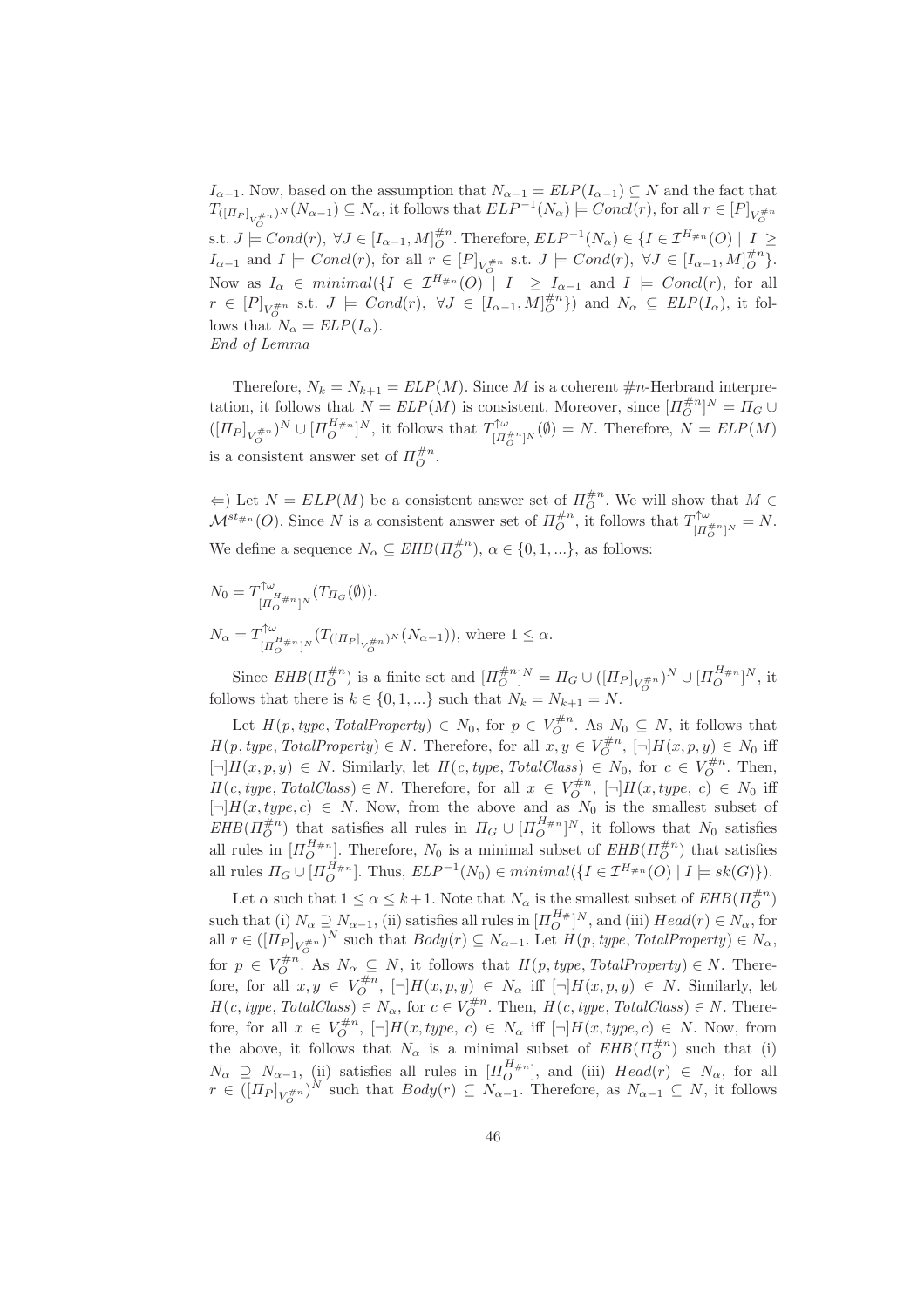$I_{\alpha-1}$ . Now, based on the assumption that  $N_{\alpha-1} = ELP(I_{\alpha-1}) \subseteq N$  and the fact that  $T_{([H_P]_{V_Q^{\#n}})^N}(N_{\alpha-1}) \subseteq N_\alpha$ , it follows that  $ELP^{-1}(N_\alpha) \models Cond(r)$ , for all  $r \in [P]_{V_Q^{\#n}}$ s.t.  $J \models Cond(r), \ \forall J \in [I_{\alpha-1}, M]_{O}^{\#n}$ . Therefore,  $ELP^{-1}(N_{\alpha}) \in \{I \in \mathcal{I}^{H_{\#n}}(O) \mid I \geq$  $I_{\alpha-1}$  and  $I \models Cond(r)$ , for all  $r \in [P]_{V_{\alpha}^{\#n}}$  s.t.  $J \models Cond(r), \ \forall J \in [I_{\alpha-1}, M]_{O}^{\#n}$ . Now as  $I_{\alpha} \in \text{minimal}(\lbrace I \in \mathcal{I}^{H_{\#n}}(O) \mid I \geq I_{\alpha-1} \text{ and } I \models \text{Concl}(r), \text{ for all }$  $r \in [P]_{V_{\mathcal{O}}^{\#n}}$  s.t.  $J \models Cond(r), \forall J \in [I_{\alpha-1}, M]_{\mathcal{O}}^{\#n}$ ) and  $N_{\alpha} \subseteq ELP(I_{\alpha})$ , it follows that  $N_{\alpha} = ELP(I_{\alpha}).$ End of Lemma

Therefore,  $N_k = N_{k+1} = ELP(M)$ . Since M is a coherent #n-Herbrand interpretation, it follows that  $N = ELP(M)$  is consistent. Moreover, since  $[I_0^{\#n}]^N = \Pi_G \cup$  $([I_P]_{V_O^{\#n}})^N \cup [I_O^{H_{\#n}}]^N$ , it follows that  $T_{[II]}^{\uparrow \omega}$  $\prod_{[H^{\#n}_{\mathcal{O}}]^N} (\emptyset) = N$ . Therefore,  $N = ELP(M)$ is a consistent answer set of  $\Pi_{\mathcal{O}}^{\#n}$ .

 $\Leftarrow$ ) Let  $N = ELP(M)$  be a consistent answer set of  $\Pi_{\mathcal{O}}^{\#n}$ . We will show that  $M \in$  $\mathcal{M}^{st_{\#n}}(O)$ . Since N is a consistent answer set of  $\Pi_{O}^{\#n}$ , it follows that  $T_{\{II\}}^{\uparrow\omega}$  $\prod_{i=0}^{\infty} \binom{m}{i} N_i = N.$ We define a sequence  $N_{\alpha} \subseteq EHB(\Pi_{O}^{\#n})$ ,  $\alpha \in \{0, 1, ...\}$ , as follows:

$$
N_0 = T^{\uparrow \omega}_{[II_{O}^{\mu_{\#n}}]^{N}}(T_{\Pi_{G}}(\emptyset)).
$$
  

$$
N_{\alpha} = T^{\uparrow \omega}_{[II_{O}^{\mu_{\#n}}]^{N}}(T_{([II_{P}]_{V_{O}^{\#n}})^{N}}(N_{\alpha-1})), \text{ where } 1 \leq \alpha.
$$

Since  $EHB(\Pi_{O}^{\#n})$  is a finite set and  $[\Pi_{O}^{\#n}]^{N} = \Pi_{G} \cup ([\Pi_{P}]_{V_{O}^{\#n}})^{N} \cup [\Pi_{O}^{H_{\#n}}]^{N}$ , it follows that there is  $k \in \{0, 1, ...\}$  such that  $N_k = N_{k+1} = N$ .

Let  $H(p, type, TotalProperty) \in N_0$ , for  $p \in V_Q^{\#n}$ . As  $N_0 \subseteq N$ , it follows that  $H(p, type, TotalProperty) \in N$ . Therefore, for all  $x, y \in V_Q^{\#n}$ ,  $[\neg] H(x, p, y) \in N_0$  iff  $\nonumber [\neg] H(x, p, y) \in N$ . Similarly, let  $H(c, type, Total Class) \in N_0$ , for  $c \in V_0^{\#n}$ . Then,  $H(c, type, Total Class) \in N$ . Therefore, for all  $x \in V_Q^{\#n}$ ,  $[\neg]H(x, type, c) \in N_0$  iff  $\neg H(x, type, c) \in N$ . Now, from the above and as  $N_0$  is the smallest subset of  $EHB(\Pi_{O}^{\#n})$  that satisfies all rules in  $\Pi_{G} \cup [\Pi_{O}^{H_{\#n}}]^{N}$ , it follows that  $N_{0}$  satisfies all rules in  $[H_0^{H_{\#n}}]$ . Therefore,  $N_0$  is a minimal subset of  $EHB(\Pi_{\mathcal{O}}^{\#n})$  that satisfies all rules  $\Pi_G \cup [\Pi_O^{H_{\#n}}]$ . Thus,  $ELP^{-1}(N_0) \in minimal(\lbrace I \in \mathcal{I}^{H_{\#n}}(O) \mid I \models sk(G) \rbrace)$ .

Let  $\alpha$  such that  $1 \leq \alpha \leq k+1$ . Note that  $N_{\alpha}$  is the smallest subset of  $EHB(\Pi_{O}^{\#n})$ such that (i)  $N_{\alpha} \supseteq N_{\alpha-1}$ , (ii) satisfies all rules in  $[I_{O}^{H_{\#}}]^{N}$ , and (iii)  $Head(r) \in N_{\alpha}$ , for all  $r \in (\left[\overline{H}_P\right]_{V_Q^{\#n}})^N$  such that  $Body(r) \subseteq N_{\alpha-1}$ . Let  $H(p, type, TotalProperty) \in N_{\alpha}$ , for  $p \in V_O^{\#n}$ . As  $N_\alpha \subseteq N$ , it follows that  $H(p, type, TotalProperty) \in N$ . Therefore, for all  $x, y \in V_Q^{\#n}$ ,  $[\neg]H(x, p, y) \in N_\alpha$  iff  $[\neg]H(x, p, y) \in N$ . Similarly, let  $H(c, type, Total Class) \in N_{\alpha}$ , for  $c \in V_O^{\#n}$ . Then,  $H(c, type, Total Class) \in N$ . Therefore, for all  $x \in V_0^{\#n}$ ,  $[\neg]H(x, type, c) \in N_\alpha$  iff  $[\neg]H(x, type, c) \in N$ . Now, from the above, it follows that  $N_{\alpha}$  is a minimal subset of  $EHB(\Pi_{\mathcal{O}}^{\#n})$  such that (i)  $N_{\alpha} \supseteq N_{\alpha-1}$ , (ii) satisfies all rules in  $[I_0^{H_{\#n}}]$ , and (iii)  $Head(r) \in N_{\alpha}$ , for all  $r \in ([\Pi_P]_{V_Q^{\#n}})^N$  such that  $Body(r) \subseteq N_{\alpha-1}$ . Therefore, as  $N_{\alpha-1} \subseteq N$ , it follows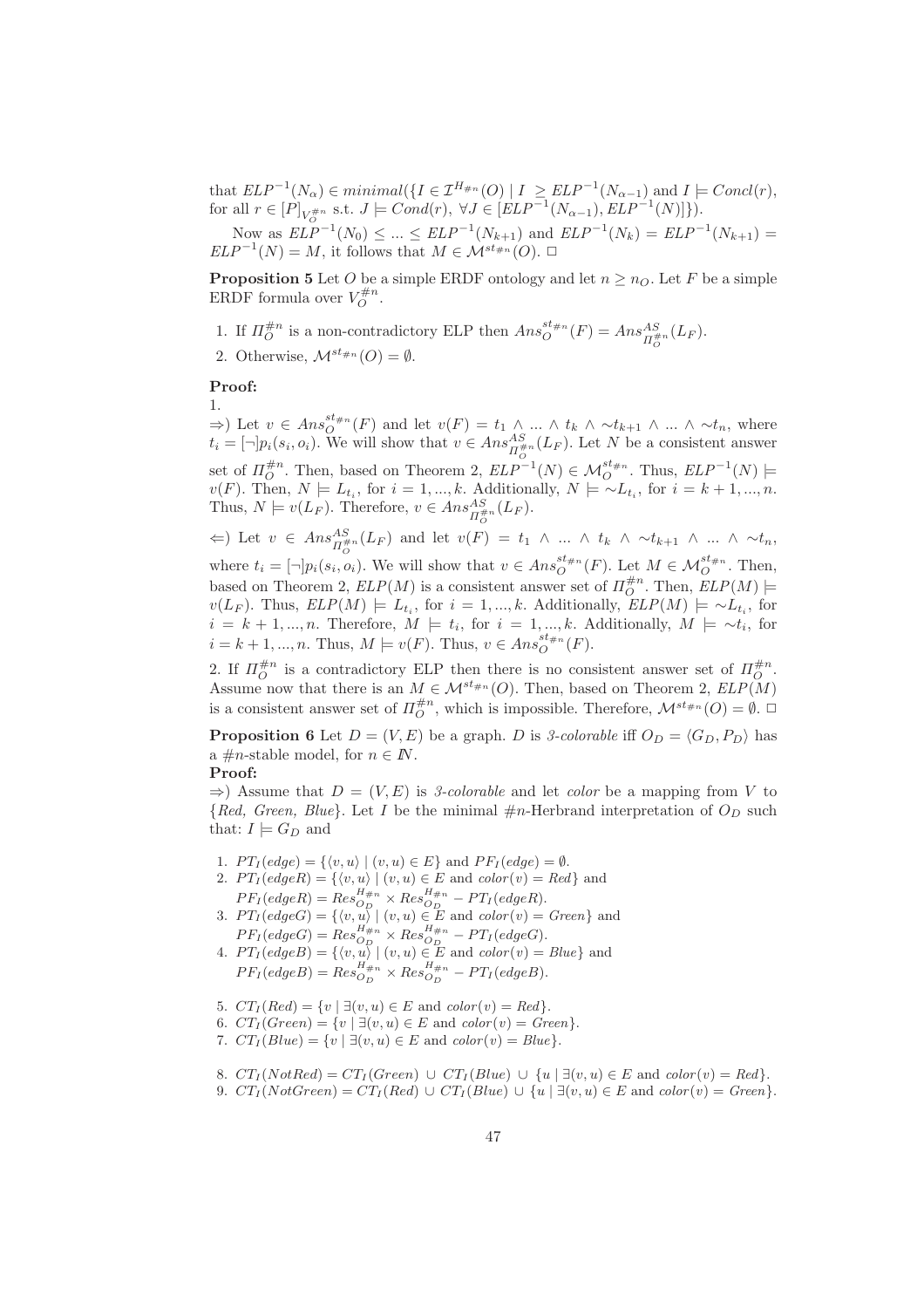that  $ELP^{-1}(N_{\alpha}) \in minimal(\lbrace I \in \mathcal{I}^{H_{\#n}}(O) \mid I \geq ELP^{-1}(N_{\alpha-1}) \text{ and } I \models Concl(r),$ for all  $r \in [P]_{V_{Q}^{\#n}}$  s.t.  $J \models Cond(r), \forall J \in [ELP^{-1}(N_{\alpha-1}), ELP^{-1}(N)]\}).$ 

Now as  $ELP^{-1}(N_0) \leq ... \leq ELP^{-1}(N_{k+1})$  and  $ELP^{-1}(N_k) = ELP^{-1}(N_{k+1}) =$  $ELP^{-1}(N) = M$ , it follows that  $M \in \mathcal{M}^{st_{\#n}}(O)$ .  $\Box$ 

**Proposition 5** Let O be a simple ERDF ontology and let  $n \ge n_Q$ . Let F be a simple ERDF formula over  $V_O^{\#n}$ .

1. If  $\Pi_{\overline{O}}^{\#n}$  is a non-contradictory ELP then  $Ans_{{\overline{O}}}^{st_{\#n}}(F) = Ans_{{\overline{O}}^{\#n}}^{AS}(L_F)$ .

2. Otherwise,  $\mathcal{M}^{st_{\#n}}(O) = \emptyset$ .

Proof:

1.

⇒) Let  $v \in Ans_0^{st_{\#n}}(F)$  and let  $v(F) = t_1 \wedge \ldots \wedge t_k \wedge \neg t_{k+1} \wedge \ldots \wedge \neg t_n$ , where  $t_i = [\neg] p_i(s_i, o_i)$ . We will show that  $v \in Ans_{\Pi_{\mathcal{O}}^{\#n}}^{AS}(L_F)$ . Let N be a consistent answer set of  $\Pi_{O}^{\#n}$ . Then, based on Theorem 2,  $ELP^{-1}(N) \in \mathcal{M}_{O}^{st_{\#n}}$ . Thus,  $ELP^{-1}(N) \models$  $v(F)$ . Then,  $N \models L_{t_i}$ , for  $i = 1, ..., k$ . Additionally,  $N \models \sim L_{t_i}$ , for  $i = k + 1, ..., n$ . Thus,  $N \models v(L_F)$ . Therefore,  $v \in Ans_{\Pi_{\mathcal{O}}^{\#n}}^{AS}(L_F)$ .

 $\Leftarrow$ ) Let  $v \in Ans_{\Pi_{\mathcal{O}}^{\#n}}^{AS}(L_F)$  and let  $v(F) = t_1 \wedge ... \wedge t_k \wedge \neg t_{k+1} \wedge ... \wedge \neg t_n$ , where  $t_i = [\neg] p_i(s_i, o_i)$ . We will show that  $v \in Ans_O^{st_{\#n}}(F)$ . Let  $M \in \mathcal{M}_O^{st_{\#n}}$ . Then, based on Theorem 2,  $ELP(M)$  is a consistent answer set of  $\Pi_{O}^{\#n}$ . Then,  $ELP(M) \models$  $v(L_F)$ . Thus,  $ELP(M) \models L_{t_i}$ , for  $i = 1,...,k$ . Additionally,  $ELP(M) \models \sim L_{t_i}$ , for  $i = k+1, ..., n$ . Therefore,  $M \models t_i$ , for  $i = 1, ..., k$ . Additionally,  $M \models \sim t_i$ , for  $i = k + 1, ..., n$ . Thus,  $M \models v(F)$ . Thus,  $v \in Ans_O^{st_{\#n}}(F)$ .

2. If  $\Pi_{\mathcal{O}}^{\#n}$  is a contradictory ELP then there is no consistent answer set of  $\Pi_{\mathcal{O}}^{\#n}$ . Assume now that there is an  $M \in \mathcal{M}^{st_{\#n}}(O)$ . Then, based on Theorem 2,  $ELP(M)$ is a consistent answer set of  $\Pi_{\mathcal{O}}^{\#n}$ , which is impossible. Therefore,  $\mathcal{M}^{st_{\#n}}(O) = \emptyset$ .  $\Box$ 

**Proposition 6** Let  $D = (V, E)$  be a graph. D is 3-colorable iff  $O_D = (G_D, P_D)$  has a #n-stable model, for  $n \in \mathbb{N}$ .

## Proof:

 $\Rightarrow$ ) Assume that  $D = (V, E)$  is 3-colorable and let color be a mapping from V to  ${Red, Green, Blue}$ . Let I be the minimal  $\#n$ -Herbrand interpretation of  $O_p$  such that:  $I \models G_D$  and

- 1.  $PT_I (edge) = {\langle v, u \rangle | (v, u) \in E}$  and  $PF_I (edge) = \emptyset$ .
- 2.  $PT_I (edge R) = \{ \langle v, u \rangle \mid (v, u) \in E \text{ and } color(v) = Red \}$  and  $PF_I (edge R) = Res_{Op}^{H_{\#n}} \times Res_{Op}^{H_{\#n}} - PT_I (edge R).$
- 3.  $PT_I (edge G) = \{ \langle v, u \rangle | (v, u) \in E \text{ and } color(v) = Green \}$  and  $PF_I (edge G) = Res_{Op}^{H_{\#n}} \times Res_{Op}^{H_{\#n}} - PT_I (edge G).$
- 4.  $PT_I (edge B) = \{ \langle v, u \rangle | (v, u) \in E \text{ and } color(v) = Blue \}$  and  $PF_I (edge B) = Res_{Op}^{H_{\#n}} \times Res_{Op}^{H_{\#n}} - PT_I (edge B).$
- 5.  $CT_I (Red) = \{v \mid \exists (v, u) \in E \text{ and } color(v) = Red\}.$
- 6.  $CT_I (Green) = \{v \mid \exists (v, u) \in E \text{ and } color(v) = Green\}.$
- 7.  $CT_I (Blue) = \{v \mid \exists (v, u) \in E \text{ and } color(v) = Blue\}.$
- 8.  $CT_I (NotRed) = CT_I (Green) \cup CT_I (Blue) \cup \{u \mid \exists (v, u) \in E \text{ and } color(v) = Red\}.$
- 9.  $CT_I (NotGreen) = CT_I (Red) \cup CT_I (Blue) \cup \{u \mid \exists (v, u) \in E \text{ and } color(v) = Green\}.$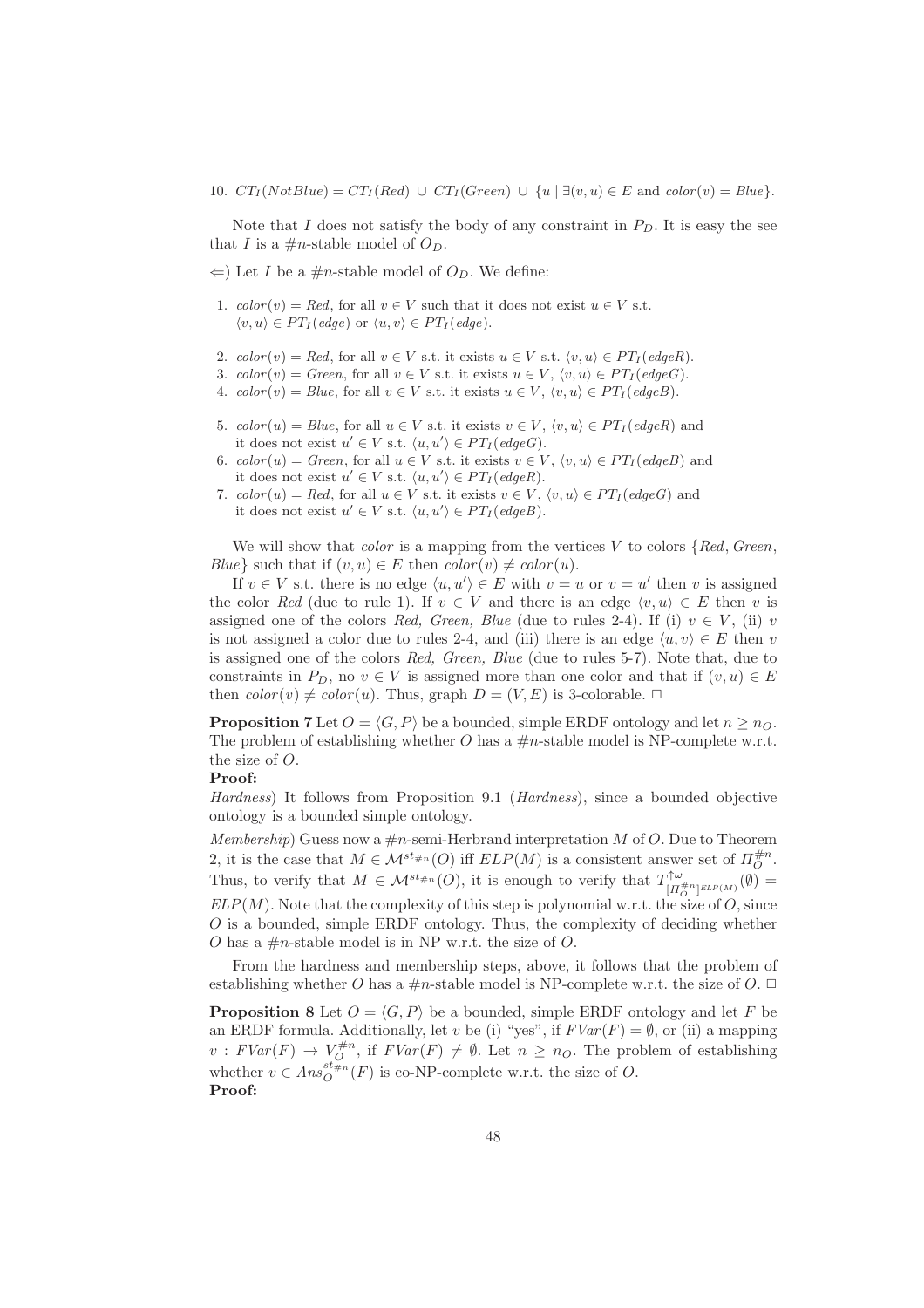10.  $CT_I (NotBlue) = CT_I (Red) \cup CT_I (Green) \cup \{u \mid \exists (v, u) \in E \text{ and } color(v) = Blue\}.$ 

Note that I does not satisfy the body of any constraint in  $P_D$ . It is easy the see that I is a  $\#n$ -stable model of  $O_D$ .

- $\Leftarrow$ ) Let *I* be a #*n*-stable model of  $O_D$ . We define:
- 1.  $color(v) = Red$ , for all  $v \in V$  such that it does not exist  $u \in V$  s.t.  $\langle v, u \rangle \in PT_I(\text{edge})$  or  $\langle u, v \rangle \in PT_I(\text{edge}).$
- 2.  $color(v) = Red$ , for all  $v \in V$  s.t. it exists  $u \in V$  s.t.  $\langle v, u \rangle \in PT_I$  (*edgeR*).
- 3.  $color(v) = Green$ , for all  $v \in V$  s.t. it exists  $u \in V$ ,  $\langle v, u \rangle \in PT_I (edge G)$ .
- 4.  $color(v) = Blue$ , for all  $v \in V$  s.t. it exists  $u \in V$ ,  $\langle v, u \rangle \in PT_I$  (*edgeB*).
- 5.  $color(u) = Blue$ , for all  $u \in V$  s.t. it exists  $v \in V$ ,  $\langle v, u \rangle \in PT_I$  (*edgeR*) and it does not exist  $u' \in V$  s.t.  $\langle u, u' \rangle \in PT_I$  (*edgeG*).
- 6.  $color(u) = Green$ , for all  $u \in V$  s.t. it exists  $v \in V$ ,  $\langle v, u \rangle \in PT_I (edge B)$  and it does not exist  $u' \in V$  s.t.  $\langle u, u' \rangle \in PT_I$  (*edgeR*).
- 7.  $color(u) = Red$ , for all  $u \in V$  s.t. it exists  $v \in V$ ,  $\langle v, u \rangle \in PT_I (edge G)$  and it does not exist  $u' \in V$  s.t.  $\langle u, u' \rangle \in PT_I(dgeB)$ .

We will show that *color* is a mapping from the vertices V to colors  $\{Red, Green,$ Blue} such that if  $(v, u) \in E$  then  $color(v) \neq color(u)$ .

If  $v \in V$  s.t. there is no edge  $\langle u, u' \rangle \in E$  with  $v = u$  or  $v = u'$  then v is assigned the color Red (due to rule 1). If  $v \in V$  and there is an edge  $\langle v, u \rangle \in E$  then v is assigned one of the colors Red, Green, Blue (due to rules 2-4). If (i)  $v \in V$ , (ii) v is not assigned a color due to rules 2-4, and (iii) there is an edge  $\langle u, v \rangle \in E$  then v is assigned one of the colors Red, Green, Blue (due to rules 5-7). Note that, due to constraints in  $P_D$ , no  $v \in V$  is assigned more than one color and that if  $(v, u) \in E$ then  $color(v) \neq color(u)$ . Thus, graph  $D = (V, E)$  is 3-colorable.  $\Box$ 

**Proposition 7** Let  $O = \langle G, P \rangle$  be a bounded, simple ERDF ontology and let  $n \geq n_O$ . The problem of establishing whether O has a  $\#n$ -stable model is NP-complete w.r.t. the size of O.

#### Proof:

Hardness) It follows from Proposition 9.1 (Hardness), since a bounded objective ontology is a bounded simple ontology.

Membership) Guess now a  $\#n$ -semi-Herbrand interpretation M of O. Due to Theorem 2, it is the case that  $M \in \mathcal{M}^{st_{\#n}}(O)$  iff  $ELP(M)$  is a consistent answer set of  $\Pi_{O}^{\#n}$ . Thus, to verify that  $M \in \mathcal{M}^{st_{\#n}}(O)$ , it is enough to verify that  $T_{\text{trn}}^{\uparrow \omega}$  $\frac{1}{[H_O^{\#n}]^{ELP(M)}}(\emptyset) =$  $ELP(M)$ . Note that the complexity of this step is polynomial w.r.t. the size of O, since  $O$  is a bounded, simple ERDF ontology. Thus, the complexity of deciding whether O has a  $\#n$ -stable model is in NP w.r.t. the size of O.

From the hardness and membership steps, above, it follows that the problem of establishing whether O has a  $\#n$ -stable model is NP-complete w.r.t. the size of O.  $\Box$ 

**Proposition 8** Let  $O = \langle G, P \rangle$  be a bounded, simple ERDF ontology and let F be an ERDF formula. Additionally, let v be (i) "yes", if  $FVar(F) = \emptyset$ , or (ii) a mapping  $v: FVar(F) \to V_O^{\#n}$ , if  $FVar(F) \neq \emptyset$ . Let  $n \geq n_O$ . The problem of establishing whether  $v \in Ans_O^{st_{\#n}}(F)$  is co-NP-complete w.r.t. the size of O. Proof: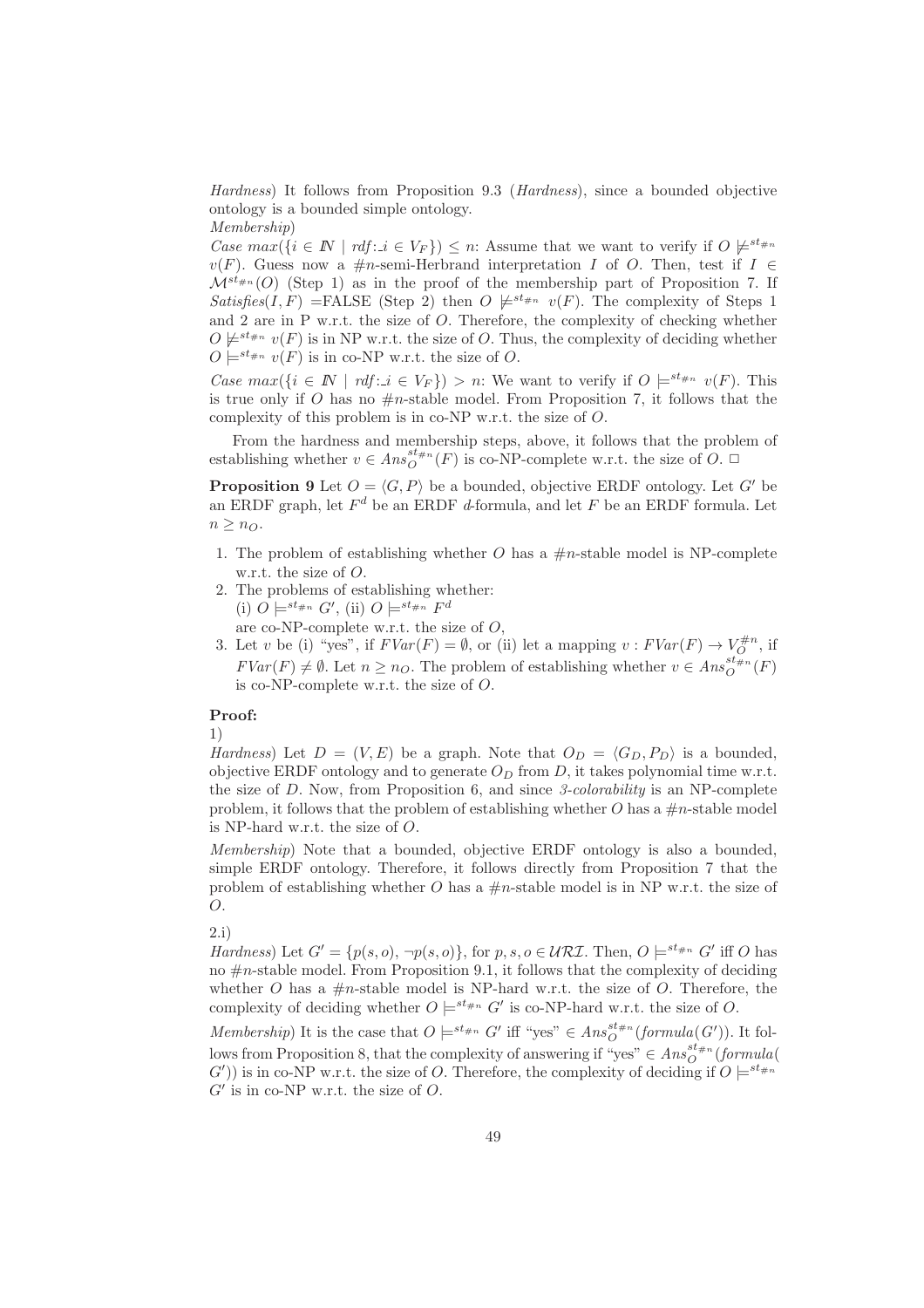Hardness) It follows from Proposition 9.3 (Hardness), since a bounded objective ontology is a bounded simple ontology. Membership)

Case  $max({i \in N \mid rdf : i \in V_F}) \leq n$ : Assume that we want to verify if  $O \not\models^{st_{\#n}}$  $v(F)$ . Guess now a #n-semi-Herbrand interpretation I of O. Then, test if I  $\in$  $\mathcal{M}^{st_{\#n}}(O)$  (Step 1) as in the proof of the membership part of Proposition 7. If Satisfies(I, F) =FALSE (Step 2) then  $O \not\models^{st_{\#n}} v(F)$ . The complexity of Steps 1 and 2 are in P w.r.t. the size of O. Therefore, the complexity of checking whether  $O \not\models^{st_{\#n}} v(F)$  is in NP w.r.t. the size of O. Thus, the complexity of deciding whether  $O \models^{st_{\#n}} v(F)$  is in co-NP w.r.t. the size of O.

Case  $max({i \in N \mid rdf : i \in V_F}) > n$ : We want to verify if  $O \models^{st_{\#n}} v(F)$ . This is true only if O has no  $\#n$ -stable model. From Proposition 7, it follows that the complexity of this problem is in co-NP w.r.t. the size of O.

From the hardness and membership steps, above, it follows that the problem of establishing whether  $v \in Ans_{O}^{st_{\#n}}(F)$  is co-NP-complete w.r.t. the size of O.  $\Box$ 

**Proposition 9** Let  $O = \langle G, P \rangle$  be a bounded, objective ERDF ontology. Let G' be an ERDF graph, let  $F^d$  be an ERDF d-formula, and let F be an ERDF formula. Let  $n \geq n_O$ .

- 1. The problem of establishing whether O has a  $\#n$ -stable model is NP-complete w.r.t. the size of O.
- 2. The problems of establishing whether: (i)  $O \models^{st_{\#n}} G'$ , (ii)  $O \models^{st_{\#n}} F^d$
- are co-NP-complete w.r.t. the size of O, 3. Let v be (i) "yes", if  $FVar(F) = \emptyset$ , or (ii) let a mapping  $v : FVar(F) \to V_O^{\#n}$ , if
- $FVar(F) \neq \emptyset$ . Let  $n \geq n_Q$ . The problem of establishing whether  $v \in Ans_Q^{st_{\#n}}(F)$ is co-NP-complete w.r.t. the size of O.

#### Proof:

#### 1)

Hardness) Let  $D = (V, E)$  be a graph. Note that  $O_D = \langle G_D, P_D \rangle$  is a bounded, objective ERDF ontology and to generate  $O_D$  from D, it takes polynomial time w.r.t. the size of  $D$ . Now, from Proposition 6, and since 3-colorability is an NP-complete problem, it follows that the problem of establishing whether  $O$  has a  $\#n$ -stable model is NP-hard w.r.t. the size of O.

Membership) Note that a bounded, objective ERDF ontology is also a bounded, simple ERDF ontology. Therefore, it follows directly from Proposition 7 that the problem of establishing whether O has a  $\#n$ -stable model is in NP w.r.t. the size of O.

2.i)

Hardness) Let  $G' = \{p(s, o), \neg p(s, o)\}\$ , for p, s,  $o \in \mathcal{URI}$ . Then,  $O \models^{st_{\#n}} G'$  iff O has no  $\#n$ -stable model. From Proposition 9.1, it follows that the complexity of deciding whether O has a  $\#n$ -stable model is NP-hard w.r.t. the size of O. Therefore, the complexity of deciding whether  $O \models^{st_{\#n}} G'$  is co-NP-hard w.r.t. the size of O.

Membership) It is the case that  $O \models^{st_{\#n}} G'$  iff "yes"  $\in Ans_{O}^{st_{\#n}}(formula(G'))$ . It follows from Proposition 8, that the complexity of answering if "yes"  $\in Ans_O^{st_{\#n}}(formula($  $(G')$ ) is in co-NP w.r.t. the size of O. Therefore, the complexity of deciding if  $O \models^{st_{\#n}}$  $G'$  is in co-NP w.r.t. the size of  $O$ .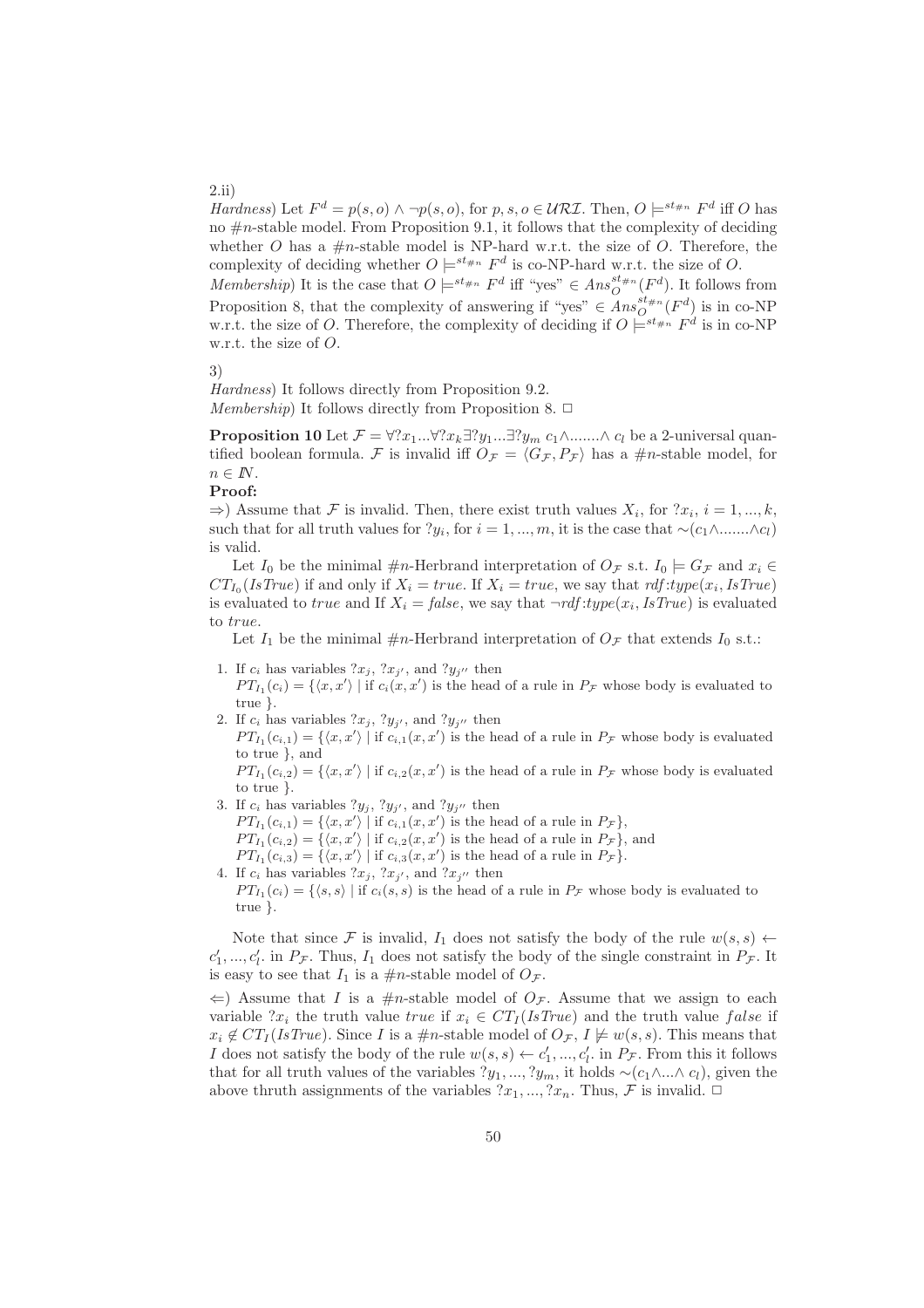#### 2.ii)

*Hardness*) Let  $F^d = p(s, o) \land \neg p(s, o)$ , for  $p, s, o \in \mathcal{URI}$ . Then,  $O \models^{st_{\#n}} F^d$  iff O has no  $\#n$ -stable model. From Proposition 9.1, it follows that the complexity of deciding whether O has a  $\#n$ -stable model is NP-hard w.r.t. the size of O. Therefore, the complexity of deciding whether  $O \models^{st_{\#n}} F^d$  is co-NP-hard w.r.t. the size of O. Membership) It is the case that  $O \models^{st_{\#n}} F^d$  iff "yes"  $\in Ans_O^{st_{\#n}}(F^d)$ . It follows from Proposition 8, that the complexity of answering if "yes"  $\in Ans_{O}^{st_{\#n}}(F^d)$  is in co-NP w.r.t. the size of O. Therefore, the complexity of deciding if  $O \models^{st_{\#n}} F^d$  is in co-NP

3)

w.r.t. the size of O.

Hardness) It follows directly from Proposition 9.2. *Membership*) It follows directly from Proposition 8.  $\Box$ 

**Proposition 10** Let  $\mathcal{F} = \forall$ ? $x_1...\forall$ ? $x_k \exists$ ? $y_1...\exists$ ? $y_m$   $c_1 \land \dots \land c_l$  be a 2-universal quantified boolean formula. F is invalid iff  $O_F = \langle G_F, P_F \rangle$  has a #n-stable model, for  $n \in I\!\!N$ .

#### Proof:

 $\Rightarrow$ ) Assume that F is invalid. Then, there exist truth values  $X_i$ , for  $?x_i$ ,  $i = 1, ..., k$ , such that for all truth values for  $?y_i$ , for  $i = 1, ..., m$ , it is the case that  $\sim (c_1 \land ... \land c_l)$ is valid.

Let  $I_0$  be the minimal #n-Herbrand interpretation of  $O_{\mathcal{F}}$  s.t.  $I_0 \models G_{\mathcal{F}}$  and  $x_i \in$  $CT_{I_0}(IsTrue)$  if and only if  $X_i = true$ . If  $X_i = true$ , we say that  $\textit{rdf:type}(x_i, IsTrue)$ is evaluated to *true* and If  $X_i = false$ , we say that  $\neg rdf: type(x_i, IsTrue)$  is evaluated to true.

Let  $I_1$  be the minimal  $\#n$ -Herbrand interpretation of  $O_{\mathcal{F}}$  that extends  $I_0$  s.t.:

- 1. If  $c_i$  has variables  $x_j$ ,  $x_{j'}$ , and  $y_{j''}$  then  $PT_{I_1}(c_i) = \{ \langle x, x' \rangle \mid \text{if } c_i(x, x') \text{ is the head of a rule in } P_{\mathcal{F}} \text{ whose body is evaluated to }$ true }.
- 2. If  $c_i$  has variables  $?x_j, ?y_{j'}$ , and  $?y_{j''}$  then

 $PT_{I_1}(c_{i,1}) = \{ \langle x, x' \rangle \mid \text{if } c_{i,1}(x, x') \text{ is the head of a rule in } P_{\mathcal{F}} \text{ whose body is evaluated} \}$ to true }, and

 $PT_{I_1}(c_{i,2}) = \{ \langle x, x' \rangle \mid \text{if } c_{i,2}(x, x') \text{ is the head of a rule in } P_{\mathcal{F}} \text{ whose body is evaluated} \}$ to true }.

- 3. If  $c_i$  has variables  $?y_j, ?y_{j'}$ , and  $?y_{j''}$  then  $PT_{I_1}(c_{i,1}) = \{ \langle x, x' \rangle \mid \text{if } c_{i,1}(x, x') \text{ is the head of a rule in } P_{\mathcal{F}} \},\$  $PT_{I_1}(c_{i,2}) = \{\langle x, x' \rangle \mid \text{if } c_{i,2}(x, x') \text{ is the head of a rule in } P_{\mathcal{F}}\},\$ and  $PT_{I_1}(c_{i,3}) = \{ \langle x, x' \rangle \mid \text{if } c_{i,3}(x, x') \text{ is the head of a rule in } P_{\mathcal{F}} \}.$
- 4. If  $c_i$  has variables  $x_j$ ,  $x_{j'}$ , and  $x_{j''}$  then  $PT_{I_1}(c_i) = \{\langle s, s \rangle | \text{ if } c_i(s, s) \text{ is the head of a rule in } P_{\mathcal{F}} \text{ whose body is evaluated to }$ true }.

Note that since F is invalid,  $I_1$  does not satisfy the body of the rule  $w(s, s) \leftarrow$  $c'_1, ..., c'_l$  in  $P_{\mathcal{F}}$ . Thus,  $I_1$  does not satisfy the body of the single constraint in  $P_{\mathcal{F}}$ . It is easy to see that  $I_1$  is a #n-stable model of  $O_{\mathcal{F}}$ .

 $\Leftarrow$ ) Assume that I is a #n-stable model of  $O_{\mathcal{F}}$ . Assume that we assign to each variable  $?x_i$  the truth value true if  $x_i \in CT_I (IsTrue)$  and the truth value false if  $x_i \notin CT_I(\textit{IsTrue}).$  Since I is a #n-stable model of  $O_{\mathcal{F}}$ ,  $I \not\models w(s, s)$ . This means that I does not satisfy the body of the rule  $w(s,s) \leftarrow c'_1, ..., c'_l$  in  $P_{\mathcal{F}}$ . From this it follows that for all truth values of the variables  $?y_1, ..., ?y_m$ , it holds  $\sim$ ( $c_1 \land ... \land c_l$ ), given the above thruth assignments of the variables  $x_1, ..., x_n$ . Thus, F is invalid.  $\Box$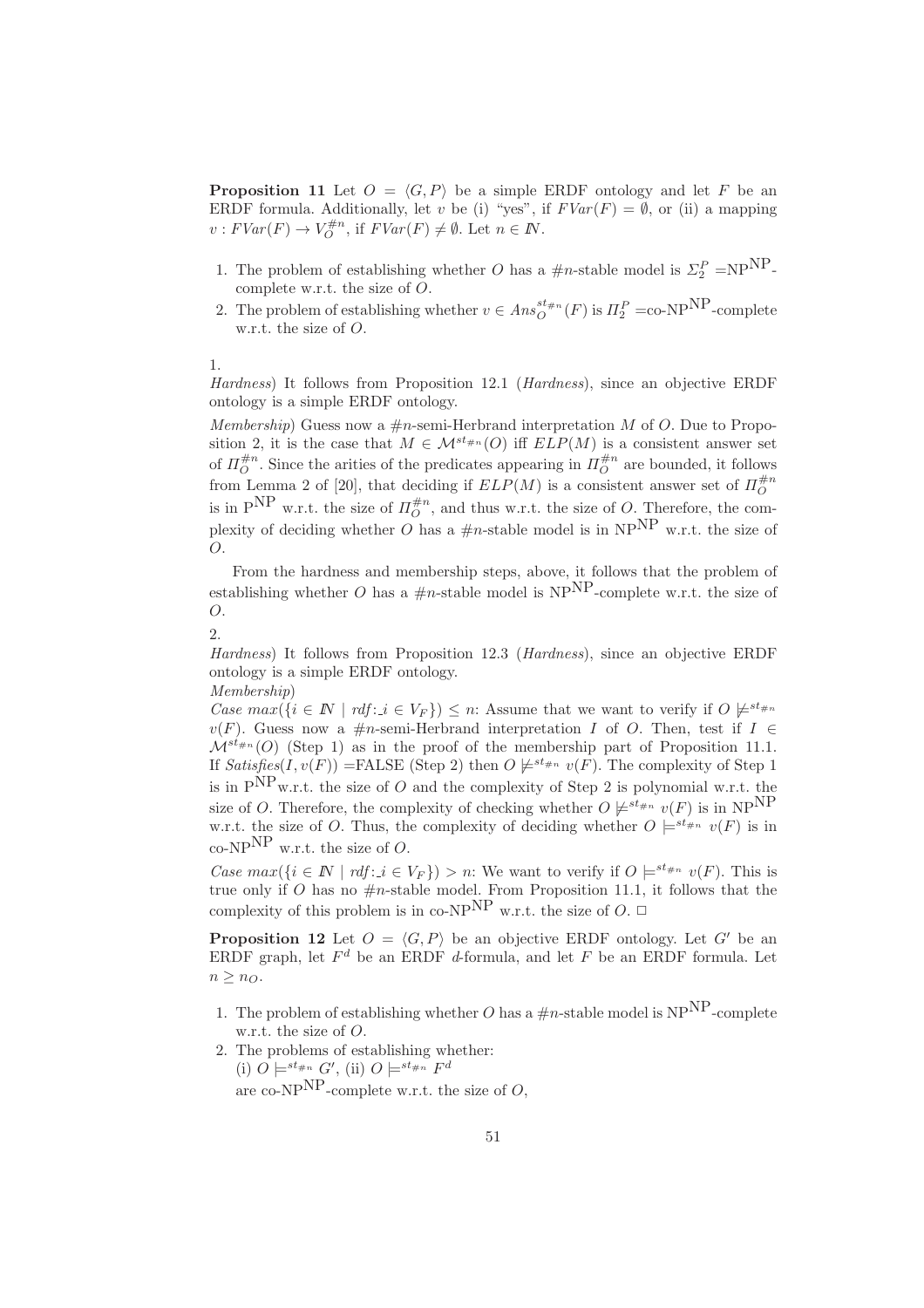**Proposition 11** Let  $O = \langle G, P \rangle$  be a simple ERDF ontology and let F be an ERDF formula. Additionally, let v be (i) "yes", if  $FVar(F) = \emptyset$ , or (ii) a mapping  $v: FVar(F) \to V_O^{\#n}$ , if  $FVar(F) \neq \emptyset$ . Let  $n \in \mathbb{N}$ .

- 1. The problem of establishing whether O has a  $\#n$ -stable model is  $\Sigma_2^P = NP^{NP}$ complete w.r.t. the size of O.
- 2. The problem of establishing whether  $v \in Ans_O^{st_{\#n}}(F)$  is  $\Pi_2^P = \text{co-NP}^{\text{NP}}$ -complete w.r.t. the size of O.

1.

Hardness) It follows from Proposition 12.1 (Hardness), since an objective ERDF ontology is a simple ERDF ontology.

Membership) Guess now a  $\#n$ -semi-Herbrand interpretation M of O. Due to Proposition 2, it is the case that  $M \in \mathcal{M}^{st_{\#n}}(O)$  iff  $ELP(M)$  is a consistent answer set of  $\Pi_{\mathcal{O}}^{\#n}$ . Since the arities of the predicates appearing in  $\Pi_{\mathcal{O}}^{\#n}$  are bounded, it follows from Lemma 2 of [20], that deciding if  $ELP(M)$  is a consistent answer set of  $\Pi_{\mathcal{O}}^{\#n}$ is in P<sup>NP</sup> w.r.t. the size of  $\Pi_{\mathcal{O}}^{\#n}$ , and thus w.r.t. the size of O. Therefore, the complexity of deciding whether O has a  $\#n$ -stable model is in NP<sup>NP</sup> w.r.t. the size of O.

From the hardness and membership steps, above, it follows that the problem of establishing whether O has a  $\#n$ -stable model is NP<sup>NP</sup>-complete w.r.t. the size of O.

2.

Hardness) It follows from Proposition 12.3 (Hardness), since an objective ERDF ontology is a simple ERDF ontology.

Membership)

Case  $max({i \in N \mid rdf : i \in V_F}) \leq n$ : Assume that we want to verify if  $O \not\models^{st_{\#n}}$  $v(F)$ . Guess now a #n-semi-Herbrand interpretation I of O. Then, test if  $I \in$  $\mathcal{M}^{st_{\#n}}(O)$  (Step 1) as in the proof of the membership part of Proposition 11.1. If Satisfies(I,  $v(F)$ ) =FALSE (Step 2) then  $O \not\models^{st_{\#n}} v(F)$ . The complexity of Step 1 is in PNPw.r.t. the size of O and the complexity of Step 2 is polynomial w.r.t. the size of O. Therefore, the complexity of checking whether  $O \not\models^{st_{\#n}} v(F)$  is in NP<sup>NP</sup> w.r.t. the size of O. Thus, the complexity of deciding whether  $O \models^{st_{\#n}} v(F)$  is in  $_{\rm co-NP}$ <sup>NP</sup> w.r.t. the size of O.

Case  $max({i \in N \mid rdf : i \in V_F}) > n$ : We want to verify if  $O \models^{st_{\#n}} v(F)$ . This is true only if  $O$  has no  $\#n$ -stable model. From Proposition 11.1, it follows that the complexity of this problem is in co-NP<sup>NP</sup> w.r.t. the size of  $O$ .  $\Box$ 

**Proposition 12** Let  $O = \langle G, P \rangle$  be an objective ERDF ontology. Let G' be an ERDF graph, let  $F^d$  be an ERDF d-formula, and let F be an ERDF formula. Let  $n > n_O$ .

- 1. The problem of establishing whether O has a  $\#n$ -stable model is NP<sup>NP</sup>-complete w.r.t. the size of O.
- 2. The problems of establishing whether: (i)  $O \models^{st_{\#n}} G'$ , (ii)  $O \models^{st_{\#n}} F^d$ are co-NP<sup>NP</sup>-complete w.r.t. the size of  $O$ ,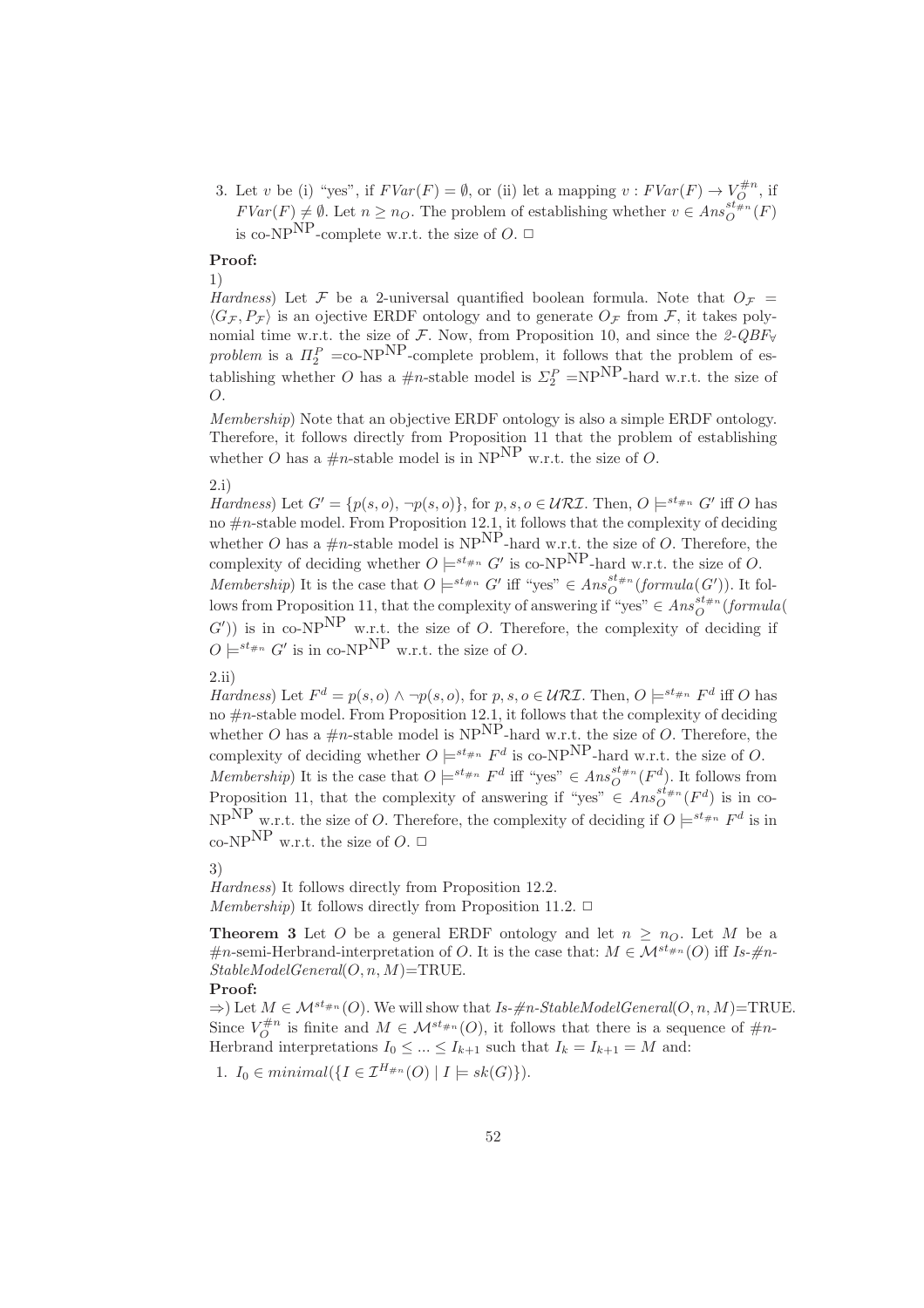3. Let v be (i) "yes", if  $FVar(F) = \emptyset$ , or (ii) let a mapping  $v : FVar(F) \to V_O^{\#n}$ , if  $FVar(F) \neq \emptyset$ . Let  $n \geq n_Q$ . The problem of establishing whether  $v \in Ans_Q^{st_{\#n}}(F)$ is co-NP<sup>NP</sup>-complete w.r.t. the size of  $O \square$ 

## Proof:

1)

Hardness) Let F be a 2-universal quantified boolean formula. Note that  $O_F =$  $\langle G_{\mathcal{F}}, P_{\mathcal{F}} \rangle$  is an ojective ERDF ontology and to generate  $O_{\mathcal{F}}$  from  $\mathcal{F}$ , it takes polynomial time w.r.t. the size of F. Now, from Proposition 10, and since the  $2-QBF_{\forall}$ problem is a  $\Pi_2^P$  =co-NP<sup>NP</sup>-complete problem, it follows that the problem of establishing whether O has a  $\#n$ -stable model is  $\Sigma_2^P$  =NP<sup>NP</sup>-hard w.r.t. the size of O.

Membership) Note that an objective ERDF ontology is also a simple ERDF ontology. Therefore, it follows directly from Proposition 11 that the problem of establishing whether O has a  $\#n$ -stable model is in NP<sup>NP</sup> w.r.t. the size of O.

#### 2.i)

Hardness) Let  $G' = \{p(s, o), \neg p(s, o)\}\$ , for  $p, s, o \in \mathcal{URI}$ . Then,  $O \models^{st_{\#n}} G'$  iff O has no #n-stable model. From Proposition 12.1, it follows that the complexity of deciding whether O has a  $\#n$ -stable model is NP<sup>NP</sup>-hard w.r.t. the size of O. Therefore, the complexity of deciding whether  $O \models^{st_{\#n}} G'$  is co-NP<sup>NP</sup>-hard w.r.t. the size of O. Membership) It is the case that  $O \models^{st_{\#n}} G'$  iff "yes"  $\in Ans_{O}^{st_{\#n}}(formula(G'))$ . It follows from Proposition 11, that the complexity of answering if "yes"  $\in Ans_O^{st_{\#n}}(formula($  $(G')$ ) is in co-NP<sup>NP</sup> w.r.t. the size of O. Therefore, the complexity of deciding if  $O \models^{st_{\#n}} G'$  is in co-NP<sup>NP</sup> w.r.t. the size of O.

#### 2.ii)

*Hardness*) Let  $F^d = p(s, o) \land \neg p(s, o)$ , for  $p, s, o \in \mathcal{URI}$ . Then,  $O \models^{st_{\#n}} F^d$  iff O has no  $\#n$ -stable model. From Proposition 12.1, it follows that the complexity of deciding whether O has a  $\#n$ -stable model is NP<sup>NP</sup>-hard w.r.t. the size of O. Therefore, the complexity of deciding whether  $O \models^{st_{\#n}} F^d$  is co-NP<sup>NP</sup>-hard w.r.t. the size of O. Membership) It is the case that  $O \models^{st_{\#n}} F^d$  iff "yes"  $\in Ans_O^{st_{\#n}}(F^d)$ . It follows from Proposition 11, that the complexity of answering if "yes"  $\in Ans_0^{st_{\#n}}(F^d)$  is in co-NP<sup>NP</sup> w.r.t. the size of O. Therefore, the complexity of deciding if  $O \models^{st_{\#n}} F^d$  is in co-NP<sup>NP</sup> w.r.t. the size of  $O. \Box$ 

3)

Hardness) It follows directly from Proposition 12.2. *Membership*) It follows directly from Proposition 11.2.  $\Box$ 

**Theorem 3** Let O be a general ERDF ontology and let  $n \ge n_Q$ . Let M be a #n-semi-Herbrand-interpretation of O. It is the case that:  $M \in \mathcal{M}^{st_{\#n}}(O)$  iff Is-#n- $Stable Model General(O, n, M) = \text{TRUE}.$ 

#### Proof:

 $\Rightarrow$ ) Let  $M \in \mathcal{M}^{st_{\#n}}(O)$ . We will show that Is-#n-StableModelGeneral( $O, n, M$ )=TRUE. Since  $V_O^{\#n}$  is finite and  $M \in \mathcal{M}^{st_{\#n}}(O)$ , it follows that there is a sequence of  $\#n$ -Herbrand interpretations  $I_0 \leq ... \leq I_{k+1}$  such that  $I_k = I_{k+1} = M$  and:

1.  $I_0 \in minimal({I \in \mathcal{I}^{H_{\#n}}(O) \mid I \models sk(G)})$ .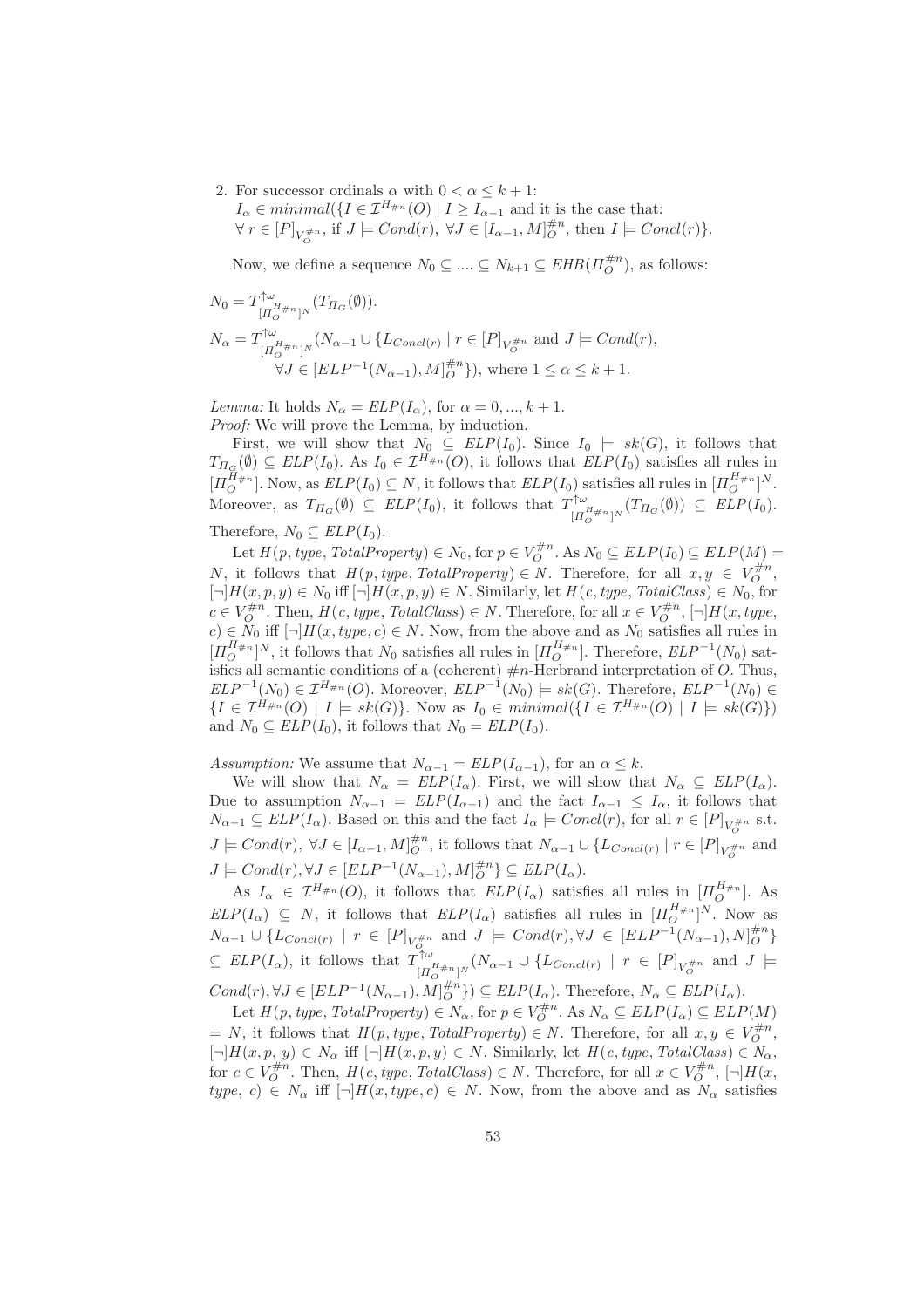2. For successor ordinals  $\alpha$  with  $0 < \alpha \leq k + 1$ :

 $I_{\alpha} \in minimal(\lbrace I \in \mathcal{I}^{H_{\#n}}(O) \mid I \geq I_{\alpha-1} \text{ and it is the case that:}$  $\forall r \in [P]_{V_{\mathcal{O}}^{\#n}}$ , if  $J \models Cond(r), \ \forall J \in [I_{\alpha-1}, M]_{\mathcal{O}}^{\#n}$ , then  $I \models Cond(r)$ .

Now, we define a sequence  $N_0 \subseteq \ldots \subseteq N_{k+1} \subseteq EHB(\Pi_{O}^{\#n})$ , as follows:

$$
N_0 = T_{[H_O^{\mu_{\#_n}}]^N}^{\uparrow \omega} (T_{H_G}(\emptyset)).
$$
  
\n
$$
N_{\alpha} = T_{[H_O^{\mu_{\#_n}}]^N}^{\uparrow \omega} (N_{\alpha-1} \cup \{L_{Concl(r)} \mid r \in [P]_{V_O^{\#_n}} \text{ and } J \models Cond(r),
$$
  
\n
$$
\forall J \in [ELP^{-1}(N_{\alpha-1}), M]_{O}^{\#n} \}, \text{ where } 1 \le \alpha \le k+1.
$$

Lemma: It holds  $N_{\alpha} = ELP(I_{\alpha})$ , for  $\alpha = 0, ..., k + 1$ . Proof: We will prove the Lemma, by induction.

First, we will show that  $N_0 \subseteq ELP(I_0)$ . Since  $I_0 \models sk(G)$ , it follows that  $T_{\Pi_G}(\emptyset) \subseteq ELP(I_0)$ . As  $I_0 \in \mathcal{I}^{H_{\#n}}(O)$ , it follows that  $ELP(I_0)$  satisfies all rules in  $[H_O^{H_{\#n}}]$ . Now, as  $ELP(I_0) \subseteq N$ , it follows that  $ELP(I_0)$  satisfies all rules in  $[H_O^{H_{\#n}}]^{N}$ . Moreover, as  $T_{\Pi_G}(\emptyset) \subseteq ELP(I_0)$ , it follows that  $T_{\Pi_G}^{\uparrow \omega}$  $\prod_{[H_O^{H_{\#n}}]^{N}}^{[m]}(T_{H_G}(\emptyset)) \subseteq ELP(I_0).$ Therefore,  $N_0 \subseteq ELP(I_0)$ .

Let  $H(p, type, TotalProperty) \in N_0$ , for  $p \in V_O^{\#n}$ . As  $N_0 \subseteq ELP(I_0) \subseteq ELP(M)$ N, it follows that  $H(p, type, TotalProperty) \in N$ . Therefore, for all  $x, y \in V_Q^{\#n}$ ,  $[\neg]H(x, p, y) \in N_0$  iff  $[\neg]H(x, p, y) \in N$ . Similarly, let  $H(c, type, Total Class) \in N_0$ , for  $c \in V_O^{\#n}$ . Then,  $H(c, type, Total Class) \in N$ . Therefore, for all  $x \in V_O^{\#n}$ ,  $\neg H(x, type,$  $c) \in N_0$  iff  $\neg H(x, type, c) \in N$ . Now, from the above and as  $N_0$  satisfies all rules in  $[I_0^{H_{\#n}}]^N$ , it follows that  $N_0$  satisfies all rules in  $[I_0^{H_{\#n}}]$ . Therefore,  $ELP^{-1}(N_0)$  satisfies all semantic conditions of a (coherent)  $\#n$ -Herbrand interpretation of O. Thus,  $ELP^{-1}(N_0) \in \mathcal{I}^{H_{\#n}}(O)$ . Moreover,  $ELP^{-1}(N_0) \models sk(G)$ . Therefore,  $ELP^{-1}(N_0) \in$  ${I \in \mathcal{I}^{H_{\#n}}(O) \mid I \models sk(G)}$ . Now as  $I_0 \in minimal({I \in \mathcal{I}^{H_{\#n}}(O) \mid I \models sk(G)})$ and  $N_0 \subseteq ELP(I_0)$ , it follows that  $N_0 = ELP(I_0)$ .

Assumption: We assume that  $N_{\alpha-1} = ELP(I_{\alpha-1}),$  for an  $\alpha \leq k$ .

We will show that  $N_{\alpha} = ELP(I_{\alpha})$ . First, we will show that  $N_{\alpha} \subseteq ELP(I_{\alpha})$ . Due to assumption  $N_{\alpha-1} = ELP(I_{\alpha-1})$  and the fact  $I_{\alpha-1} \leq I_{\alpha}$ , it follows that  $N_{\alpha-1} \subseteq ELP(I_\alpha)$ . Based on this and the fact  $I_\alpha \models Cond(r)$ , for all  $r \in [P]_{V_{\alpha}^{\#n}}$  s.t.  $J \models Cond(r), \ \forall J \in [I_{\alpha-1}, M]_{O}^{\#n}$ , it follows that  $N_{\alpha-1} \cup \{L_{Concl(r)} \mid r \in [P]_{V_{O}^{\#n}}\}$  and  $J \models Cond(r), \forall J \in [ELP^{-1}(N_{\alpha-1}), M]_{O}^{\#n} \subseteq ELP(I_{\alpha}).$ 

As  $I_{\alpha} \in \mathcal{I}^{H_{\#n}}(O)$ , it follows that  $ELP(I_{\alpha})$  satisfies all rules in  $[I_{O}^{H_{\#n}}]$ . As  $ELP(I_{\alpha}) \subseteq N$ , it follows that  $ELP(I_{\alpha})$  satisfies all rules in  $[I_0^{H_{\#n}}]^N$ . Now as  $N_{\alpha-1} \cup \{L_{Concl(r)} \mid r \in [P]_{V_{O}^{\#n}} \text{ and } J \models Cond(r), \forall J \in [ELP^{-1}(N_{\alpha-1}), N]_{O}^{\#n} \}$  $\subseteq$  ELP( $I_{\alpha}$ ), it follows that  $T^{\uparrow \omega}_{\alpha}$  $\prod_{[H_O^{H_{\#n}}]^{N}}^{n|W} (N_{\alpha-1} \cup \{L_{Concl(r)} \mid r \in [P]_{V_O^{\#n}} \text{ and } J \models$  $Cond(r), \forall J \in [ELP^{-1}(N_{\alpha-1}), M]^{\#n}_{O} \} \subseteq ELP(I_{\alpha}).$  Therefore,  $N_{\alpha} \subseteq ELP(I_{\alpha}).$ 

Let  $H(p, type, TotalProperty) \in N_\alpha$ , for  $p \in V_Q^{\#n}$ . As  $N_\alpha \subseteq ELP(I_\alpha) \subseteq ELP(M)$  $N$ , it follows that  $H(p, type, TotalProperty) \in N$ . Therefore, for all  $x, y \in V_Q^{\#n}$ ,  $\neg H(x, p, y) \in N_\alpha$  iff  $\neg H(x, p, y) \in N$ . Similarly, let  $H(c, type, Total Class) \in N_\alpha$ , for  $c \in V_0^{\#n}$ . Then,  $H(c, type, Total Class) \in N$ . Therefore, for all  $x \in V_0^{\#n}$ ,  $[\neg]H(x, \neg)$ type,  $c) \in N_\alpha$  iff  $[\neg]H(x, type, c) \in N$ . Now, from the above and as  $N_\alpha$  satisfies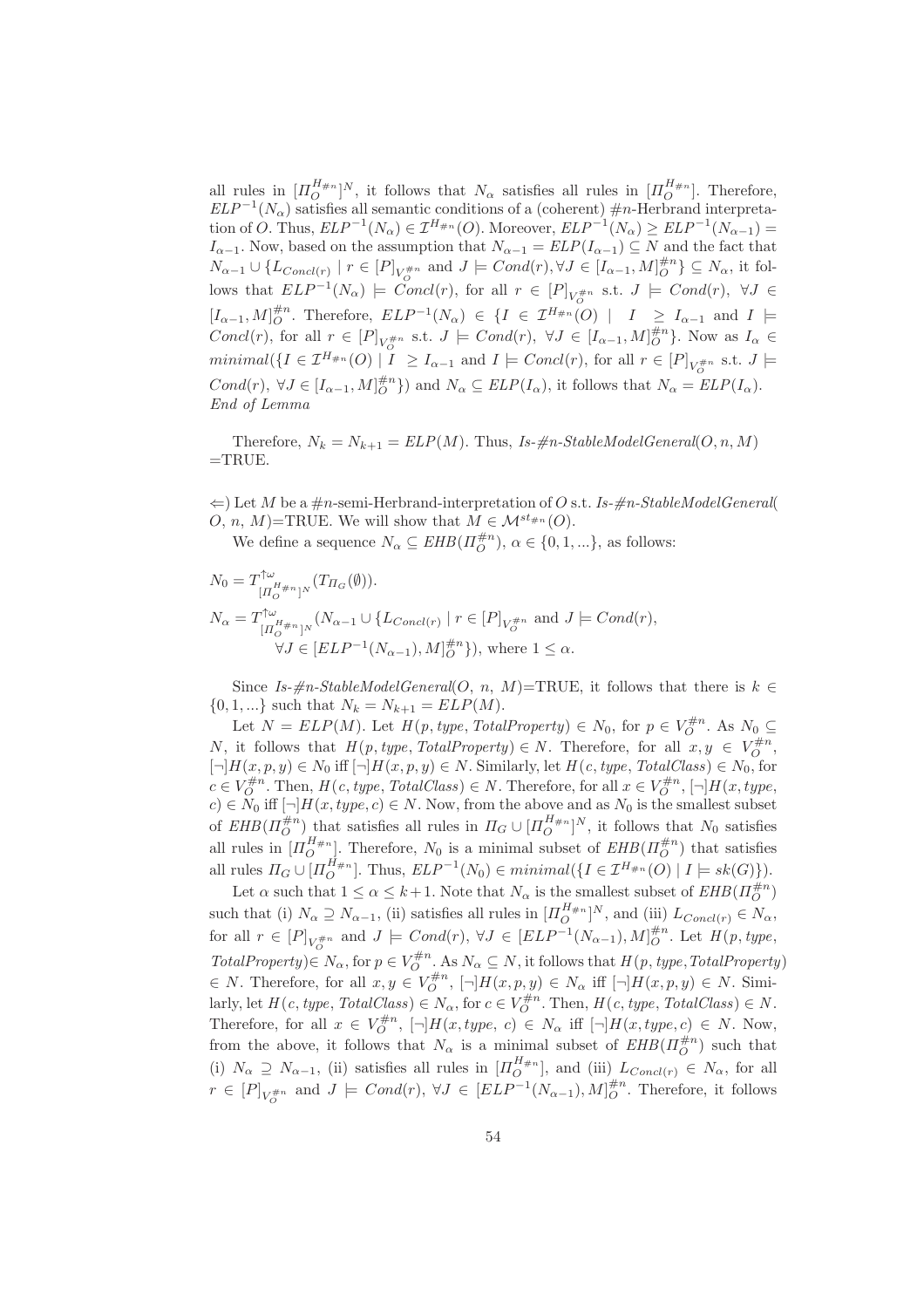all rules in  $[I_0^{H_{\#n}}]^N$ , it follows that  $N_\alpha$  satisfies all rules in  $[I_0^{H_{\#n}}]$ . Therefore,  $ELP^{-1}(N_{\alpha})$  satisfies all semantic conditions of a (coherent) #n-Herbrand interpretation of O. Thus,  $ELP^{-1}(N_{\alpha}) \in \mathcal{I}^{H_{\#n}}(O)$ . Moreover,  $ELP^{-1}(N_{\alpha}) \geq ELP^{-1}(N_{\alpha-1}) =$  $I_{\alpha-1}$ . Now, based on the assumption that  $N_{\alpha-1} = ELP(I_{\alpha-1}) \subseteq N$  and the fact that  $N_{\alpha-1}\cup \{L_{Concl(r)} \mid r\in [P]_{V_{O}^{\#n}} \text{ and } J \models Cond(r), \forall J \in [I_{\alpha-1}, M]_{O}^{\#n}\}\subseteq N_{\alpha}$ , it follows that  $ELP^{-1}(N_{\alpha}) \models Cond(r)$ , for all  $r \in [P]_{V_Q^{\#n}}$  s.t.  $J \models Cond(r)$ ,  $\forall J \in$  $[I_{\alpha-1}, M]_{O}^{\#n}$ . Therefore,  $ELP^{-1}(N_{\alpha}) \in \{I \in \mathcal{I}^{H_{\#n}}(O) \mid I \geq I_{\alpha-1} \text{ and } I \models$ Concl(r), for all  $r \in [P]_{V_{\overline{O}}}$  is.t.  $J \models Cond(r), \ \forall J \in [I_{\alpha-1}, M]_{\overline{O}}^{\#n}$ . Now as  $I_{\alpha} \in$  $minimal(\lbrace I \in \mathcal{I}^{H_{\#n}}(O) \mid I \geq I_{\alpha-1} \text{ and } I \models Concl(r), \text{ for all } r \in [P]_{V_{O}^{\#n}} \text{ s.t. } J \models$ Cond(r),  $\forall J \in [I_{\alpha-1}, M]_{O}^{\#n}$  and  $N_{\alpha} \subseteq ELP(I_{\alpha})$ , it follows that  $N_{\alpha} = ELP(I_{\alpha})$ . End of Lemma

Therefore,  $N_k = N_{k+1} = ELP(M)$ . Thus, Is-#n-StableModelGeneral(O, n, M)  $=$ TRUE.

 $\Leftarrow$ ) Let M be a #n-semi-Herbrand-interpretation of O s.t. Is-#n-StableModelGeneral( O, n, M)=TRUE. We will show that  $M \in \mathcal{M}^{st_{\#n}}(O)$ .

We define a sequence  $N_{\alpha} \subseteq EHB(\Pi_{O}^{\#n})$ ,  $\alpha \in \{0, 1, ...\}$ , as follows:

$$
N_0 = T^{\uparrow \omega}_{[H_O^{\mu_{\#_n}}]_N} (T_{H_G}(\emptyset)).
$$
  
\n
$$
N_{\alpha} = T^{\uparrow \omega}_{[H_O^{\mu_{\#_n}}]_N} (N_{\alpha-1} \cup \{L_{Concl(r)} \mid r \in [P]_{V_O^{\#_n}} \text{ and } J \models Cond(r),
$$
  
\n
$$
\forall J \in [ELP^{-1}(N_{\alpha-1}), M]_O^{\#n} \}, \text{ where } 1 \le \alpha.
$$

Since Is-#n-StableModelGeneral(O, n, M)=TRUE, it follows that there is  $k \in$  $\{0, 1, ...\}$  such that  $N_k = N_{k+1} = ELP(M)$ .

Let  $N = ELP(M)$ . Let  $H(p, type, TotalProperty) \in N_0$ , for  $p \in V_O^{\#n}$ . As  $N_0 \subseteq$ N, it follows that  $H(p, type, TotalProperty) \in N$ . Therefore, for all  $x, y \in V_Q^{\#n}$ ,  $\nonumber [\neg] H(x, p, y) \in N_0 \text{ iff } [\neg] H(x, p, y) \in N. \text{ Similarly, let } H(c, type, Total Class) \in N_0, \text{ for }$  $c \in V_O^{\#n}$ . Then,  $H(c, type, Total Class) \in N$ . Therefore, for all  $x \in V_O^{\#n}$ ,  $\neg H(x, type,$  $c) \in N_0$  iff  $[\neg]$ H(x, type, c)  $\in N$ . Now, from the above and as  $N_0$  is the smallest subset of  $EHB(\Pi_{O}^{\#n})$  that satisfies all rules in  $\Pi_{G} \cup [\Pi_{O}^{H_{\#n}}]^{N}$ , it follows that  $N_{0}$  satisfies all rules in  $[H_0^{H_{\#n}}]$ . Therefore,  $N_0$  is a minimal subset of  $EHB(\Pi_{\mathcal{O}}^{\#n})$  that satisfies all rules  $\Pi_G \cup [\Pi_O^{H_{\#n}}]$ . Thus,  $ELP^{-1}(N_0) \in minimal(\lbrace I \in \mathcal{I}^{H_{\#n}}(O) \mid I \models sk(G) \rbrace)$ .

Let  $\alpha$  such that  $1 \leq \alpha \leq k+1$ . Note that  $N_{\alpha}$  is the smallest subset of  $EHB(\Pi_{O}^{\#n})$ such that (i)  $N_{\alpha} \supseteq N_{\alpha-1}$ , (ii) satisfies all rules in  $[\Pi_{O}^{H_{\#n}}]^{N}$ , and (iii)  $L_{Concl(r)} \in N_{\alpha}$ , for all  $r \in [P]_{V_Q^{\#n}}$  and  $J \models Cond(r), \forall J \in [ELP^{-1}(N_{\alpha-1}), M]_{O}^{\#n}$ . Let  $H(p, type,$ TotalProperty)∈  $N_{\alpha}$ , for  $p \in V_0^{\#n}$ . As  $N_{\alpha} \subseteq N$ , it follows that  $H(p, type, TotalProperty)$  $\in N$ . Therefore, for all  $x, y \in V_O^{\#n}$ ,  $[\neg]H(x, p, y) \in N_\alpha$  iff  $[\neg]H(x, p, y) \in N$ . Similarly, let  $H(c, type, Total Class) \in N_{\alpha}$ , for  $c \in V_O^{\#n}$ . Then,  $H(c, type, Total Class) \in N$ . Therefore, for all  $x \in V_O^{\#n}$ ,  $[\neg]H(x, type, c) \in N_\alpha$  iff  $[\neg]H(x, type, c) \in N$ . Now, from the above, it follows that  $N_{\alpha}$  is a minimal subset of  $EHB(\Pi_{\mathcal{O}}^{\#n})$  such that (i)  $N_{\alpha} \supseteq N_{\alpha-1}$ , (ii) satisfies all rules in  $[\Pi_{\sigma}^{H_{\#n}}]$ , and (iii)  $L_{Concl(r)} \in N_{\alpha}$ , for all  $r \in [P]_{V_Q^{\#n}}$  and  $J \models Cond(r), \forall J \in [ELP^{-1}(N_{\alpha-1}), M]_{O}^{\#n}$ . Therefore, it follows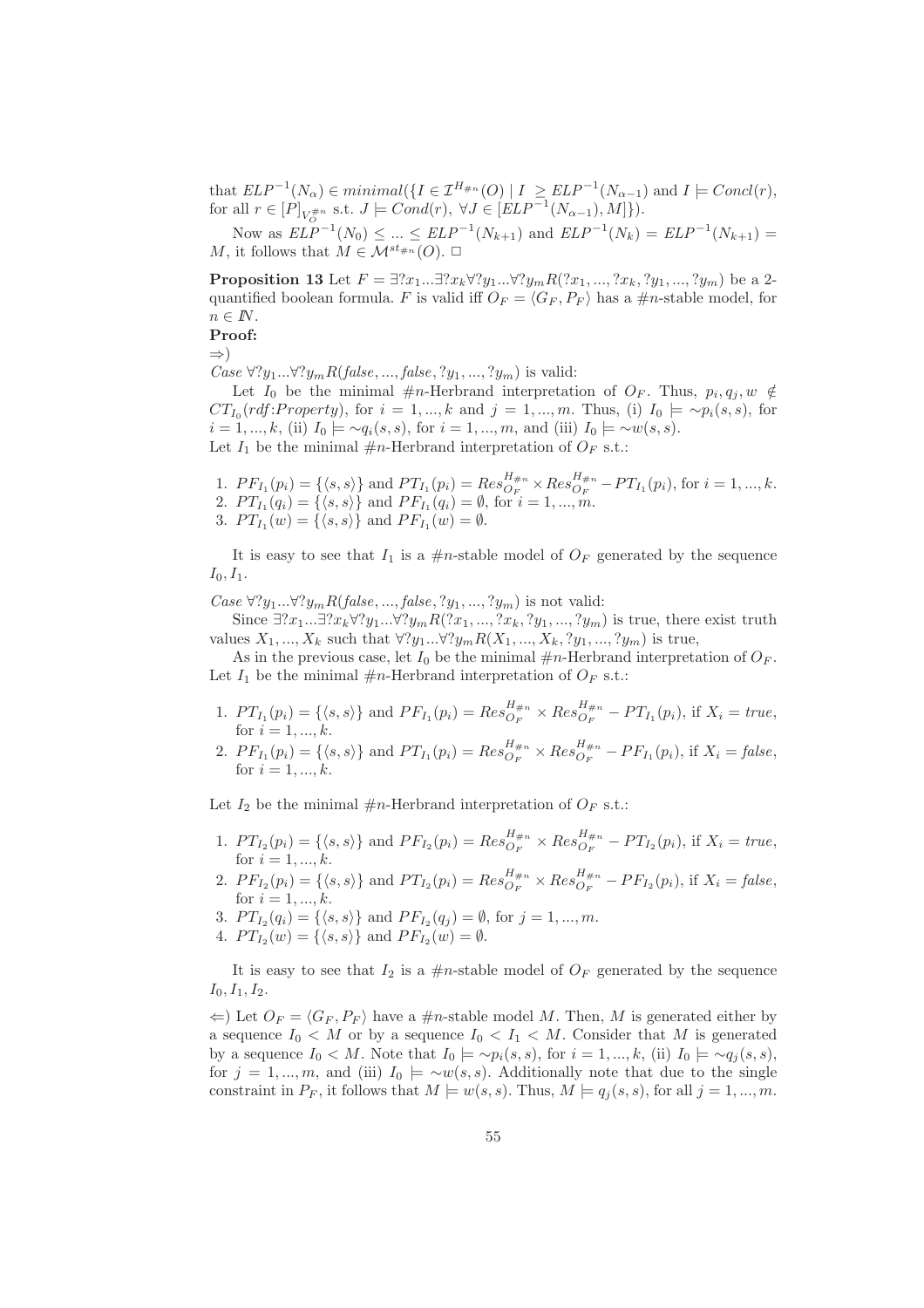that  $ELP^{-1}(N_{\alpha}) \in minimal(\lbrace I \in \mathcal{I}^{H_{\#n}}(O) \mid I \geq ELP^{-1}(N_{\alpha-1}) \text{ and } I \models Concl(r),$ for all  $r \in [P]_{V_{Q}^{\#n}}$  s.t.  $J \models Cond(r), \ \forall J \in [ELP^{-1}(N_{\alpha-1}), M]\}).$ 

Now as  $ELP^{-1}(N_0) \leq ... \leq ELP^{-1}(N_{k+1})$  and  $ELP^{-1}(N_k) = ELP^{-1}(N_{k+1}) =$ M, it follows that  $M \in \mathcal{M}^{st_{\#n}}(O)$ .  $\Box$ 

**Proposition 13** Let  $F = \exists$ ? $x_1... \exists$ ? $x_k \forall$ ? $y_1... \forall$ ? $y_m R$ (? $x_1,..., x_k,$ ? $y_1,..., y_m$ ) be a 2quantified boolean formula. F is valid iff  $O_F = \langle G_F, P_F \rangle$  has a #n-stable model, for  $n \in I\!\!N$ .

Proof:

⇒)

Case  $\forall$ ?y<sub>1</sub>... $\forall$ ?y<sub>m</sub>R(false, ..., false, ?y<sub>1</sub>, ..., ?y<sub>m</sub>) is valid:

Let  $I_0$  be the minimal  $\#n$ -Herbrand interpretation of  $O_F$ . Thus,  $p_i, q_j, w \notin$  $CT_{I_0}(rdf:Property)$ , for  $i = 1, ..., k$  and  $j = 1, ..., m$ . Thus, (i)  $I_0 \models \sim p_i(s, s)$ , for  $i = 1, ..., k$ , (ii)  $I_0 \models \sim q_i(s, s)$ , for  $i = 1, ..., m$ , and (iii)  $I_0 \models \sim w(s, s)$ . Let  $I_1$  be the minimal  $\#n$ -Herbrand interpretation of  $O_F$  s.t.:

1.  $PF_{I_1}(p_i) = \{ \langle s, s \rangle \}$  and  $PT_{I_1}(p_i) = Res_{O_F}^{H_{\#n}} \times Res_{O_F}^{H_{\#n}} - PT_{I_1}(p_i)$ , for  $i = 1, ..., k$ . 2.  $PT_{I_1}(q_i) = \{ \langle s, s \rangle \}$  and  $PF_{I_1}(q_i) = \emptyset$ , for  $i = 1, ..., m$ . 3.  $PT_{I_1}(w) = \{ \langle s, s \rangle \}$  and  $PF_{I_1}(w) = \emptyset$ .

It is easy to see that  $I_1$  is a #n-stable model of  $O_F$  generated by the sequence  $I_0, I_1.$ 

Case  $\forall$ ?y<sub>1</sub>... $\forall$ ?y<sub>m</sub>R(false, ..., false, ?y<sub>1</sub>, ..., ?y<sub>m</sub>) is not valid:

Since  $\exists$ ?x<sub>1</sub>... $\exists$ ?x<sub>k</sub>∀?y<sub>1</sub>...∀?y<sub>m</sub>R(?x<sub>1</sub>, ...,?x<sub>k</sub>, ?y<sub>1</sub>, ..., ?y<sub>m</sub>) is true, there exist truth values  $X_1, ..., X_k$  such that  $\forall ?y_1... \forall ?y_m R(X_1, ..., X_k, ?y_1, ..., ?y_m)$  is true,

As in the previous case, let  $I_0$  be the minimal  $\#n$ -Herbrand interpretation of  $O_F$ . Let  $I_1$  be the minimal  $\#n$ -Herbrand interpretation of  $O_F$  s.t.:

- 1.  $PT_{I_1}(p_i) = \{ \langle s, s \rangle \}$  and  $PF_{I_1}(p_i) = Res_{O_F}^{H_{\#n}} \times Res_{O_F}^{H_{\#n}} PT_{I_1}(p_i)$ , if  $X_i = true$ , for  $i = 1, ..., k$ .
- 2.  $PF_{I_1}(p_i) = \{ \langle s, s \rangle \}$  and  $PT_{I_1}(p_i) = Res_{O_F}^{H_{\#n}} \times Res_{O_F}^{H_{\#n}} PF_{I_1}(p_i)$ , if  $X_i = false$ , for  $i = 1, ..., k$ .

Let  $I_2$  be the minimal  $\#n$ -Herbrand interpretation of  $O_F$  s.t.:

- 1.  $PT_{I_2}(p_i) = \{ \langle s, s \rangle \}$  and  $PF_{I_2}(p_i) = Res_{O_F}^{H_{\#n}} \times Res_{O_F}^{H_{\#n}} PT_{I_2}(p_i)$ , if  $X_i = true$ , for  $i = 1, ..., k$ .
- 2.  $PF_{I_2}(p_i) = \{ \langle s, s \rangle \}$  and  $PT_{I_2}(p_i) = Res_{O_F}^{H_{\#n}} \times Res_{O_F}^{H_{\#n}} PF_{I_2}(p_i)$ , if  $X_i = false$ , for  $i = 1, ..., k$ .
- 3.  $PT_{I_2}(q_i) = \{ \langle s, s \rangle \}$  and  $PF_{I_2}(q_j) = \emptyset$ , for  $j = 1, ..., m$ .
- 4.  $PT_{I_2}(w) = \{ \langle s, s \rangle \}$  and  $PF_{I_2}(w) = \emptyset$ .

It is easy to see that  $I_2$  is a #n-stable model of  $O_F$  generated by the sequence  $I_0, I_1, I_2.$ 

 $\Leftarrow$ ) Let  $O_F = \langle G_F , P_F \rangle$  have a #n-stable model M. Then, M is generated either by a sequence  $I_0 < M$  or by a sequence  $I_0 < I_1 < M$ . Consider that M is generated by a sequence  $I_0 < M$ . Note that  $I_0 \models \sim p_i(s, s)$ , for  $i = 1, ..., k$ , (ii)  $I_0 \models \sim q_j(s, s)$ , for  $j = 1, ..., m$ , and (iii)  $I_0 \models \sim w(s, s)$ . Additionally note that due to the single constraint in  $P_F$ , it follows that  $M \models w(s, s)$ . Thus,  $M \models q_i(s, s)$ , for all  $j = 1, ..., m$ .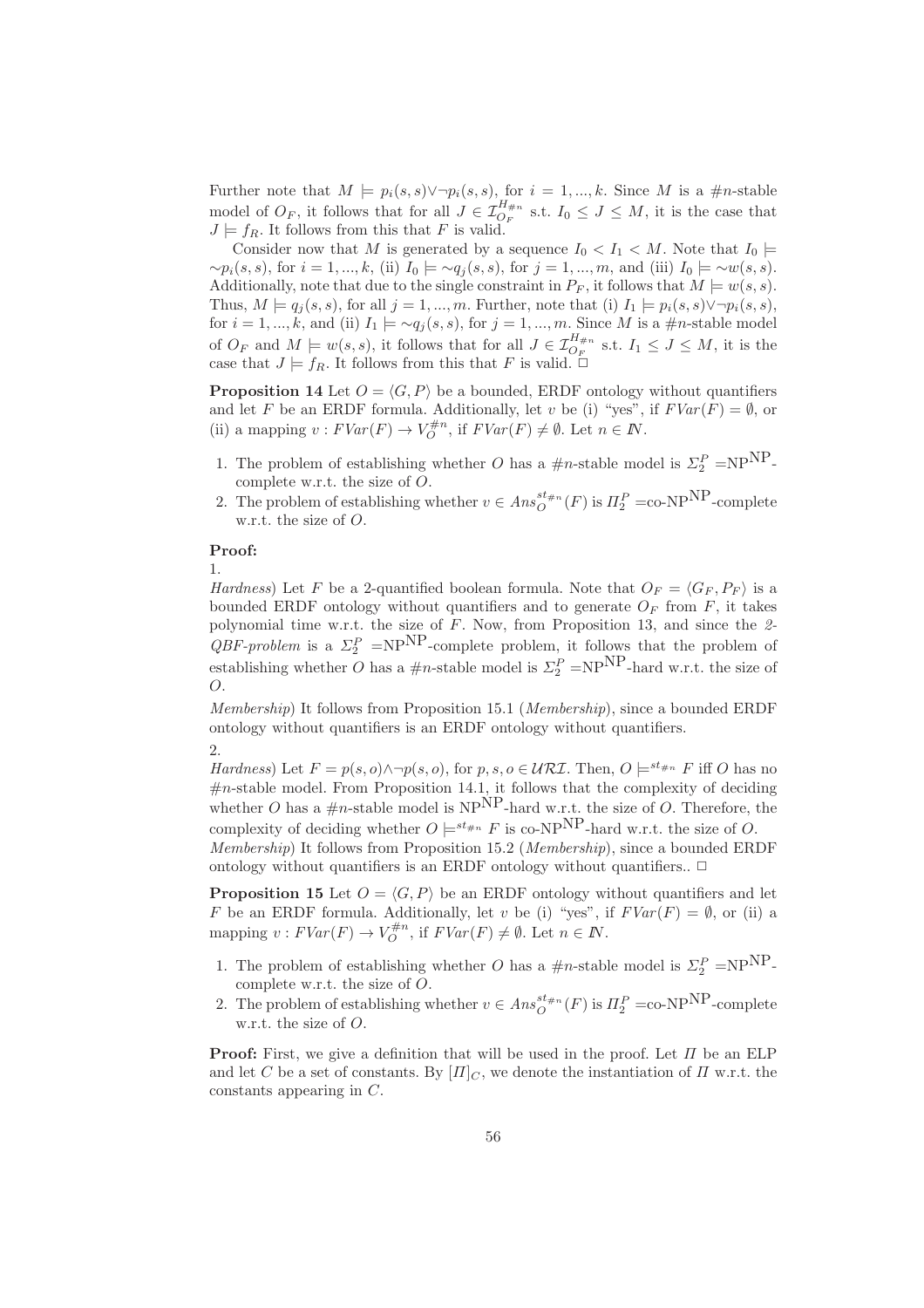Further note that  $M \models p_i(s, s) \lor \neg p_i(s, s)$ , for  $i = 1, ..., k$ . Since M is a #n-stable model of  $O_F$ , it follows that for all  $J \in \mathcal{I}_{O_F}^{H_{\#n}}$  s.t.  $I_0 \leq J \leq M$ , it is the case that  $J \models f_R$ . It follows from this that F is valid.

Consider now that M is generated by a sequence  $I_0 < I_1 < M$ . Note that  $I_0 \models$  $~\sim p_i(s, s)$ , for  $i = 1, ..., k$ , (ii)  $I_0 \models \sim q_i(s, s)$ , for  $j = 1, ..., m$ , and (iii)  $I_0 \models \sim w(s, s)$ . Additionally, note that due to the single constraint in  $P_F$ , it follows that  $M \models w(s, s)$ . Thus,  $M \models q_j(s, s)$ , for all  $j = 1, ..., m$ . Further, note that (i)  $I_1 \models p_i(s, s) \vee \neg p_i(s, s)$ , for  $i = 1, ..., k$ , and (ii)  $I_1 \models \sim q_j(s, s)$ , for  $j = 1, ..., m$ . Since M is a #n-stable model of  $O_F$  and  $M \models w(s, s)$ , it follows that for all  $J \in \mathcal{I}_{O_F}^{H_{\#n}}$  s.t.  $I_1 \leq J \leq M$ , it is the case that  $J \models f_R$ . It follows from this that F is valid.  $\Box$ 

**Proposition 14** Let  $O = \langle G, P \rangle$  be a bounded, ERDF ontology without quantifiers and let F be an ERDF formula. Additionally, let v be (i) "yes", if  $FVar(F) = \emptyset$ , or (ii) a mapping  $v: FVar(F) \to V_O^{\#n}$ , if  $FVar(F) \neq \emptyset$ . Let  $n \in \mathbb{N}$ .

- 1. The problem of establishing whether O has a  $\#n$ -stable model is  $\Sigma_2^P = NP^{NP}$ complete w.r.t. the size of O.
- 2. The problem of establishing whether  $v \in Ans_O^{st_{\#n}}(F)$  is  $\Pi_2^P = \text{co-NP}^{\text{NP}}$ -complete w.r.t. the size of O.

## Proof:

1.

Hardness) Let F be a 2-quantified boolean formula. Note that  $O_F = \langle G_F , P_F \rangle$  is a bounded ERDF ontology without quantifiers and to generate  $O_F$  from  $F$ , it takes polynomial time w.r.t. the size of F. Now, from Proposition 13, and since the 2-  $QBF\text{-}problem$  is a  $\Sigma_2^P = NP^{\text{NP}}$ -complete problem, it follows that the problem of establishing whether O has a  $\#n$ -stable model is  $\Sigma_2^P = NP^{\text{NP}}$ -hard w.r.t. the size of O.

Membership) It follows from Proposition 15.1 (Membership), since a bounded ERDF ontology without quantifiers is an ERDF ontology without quantifiers.

## 2.

Hardness) Let  $F = p(s, o) \land \neg p(s, o)$ , for  $p, s, o \in \mathcal{URI}$ . Then,  $O \models^{st_{\#n}} F$  iff O has no  $\#n$ -stable model. From Proposition 14.1, it follows that the complexity of deciding whether O has a  $\#n$ -stable model is NP<sup>NP</sup>-hard w.r.t. the size of O. Therefore, the complexity of deciding whether  $O \models^{st_{\#n}} F$  is co-NP<sup>NP</sup>-hard w.r.t. the size of O. Membership) It follows from Proposition 15.2 (Membership), since a bounded ERDF ontology without quantifiers is an ERDF ontology without quantifiers.  $\Box$ 

**Proposition 15** Let  $O = \langle G, P \rangle$  be an ERDF ontology without quantifiers and let F be an ERDF formula. Additionally, let v be (i) "yes", if  $FVar(F) = \emptyset$ , or (ii) a mapping  $v: FVar(F) \to V_Q^{\#n}$ , if  $FVar(F) \neq \emptyset$ . Let  $n \in \mathbb{N}$ .

- 1. The problem of establishing whether O has a  $\#n$ -stable model is  $\Sigma_2^P = NP^{NP}$ complete w.r.t. the size of O.
- 2. The problem of establishing whether  $v \in Ans_O^{st_{\#n}}(F)$  is  $\Pi_2^P = \text{co-NP}^{\text{NP}}$ -complete w.r.t. the size of O.

**Proof:** First, we give a definition that will be used in the proof. Let  $\Pi$  be an ELP and let C be a set of constants. By  $[H]_C$ , we denote the instantiation of  $\Pi$  w.r.t. the constants appearing in C.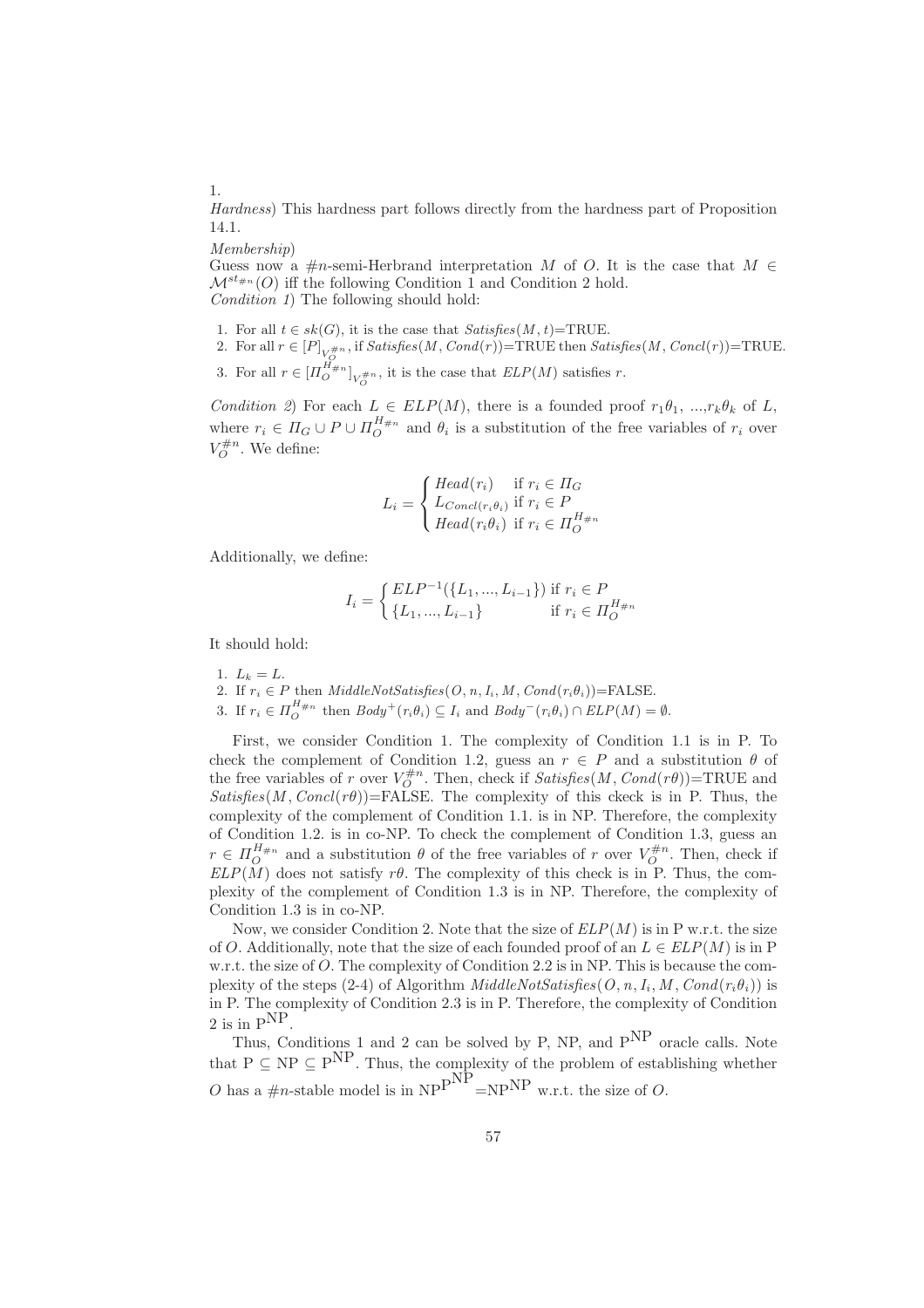Hardness) This hardness part follows directly from the hardness part of Proposition 14.1.

Membership)

Guess now a #n-semi-Herbrand interpretation M of O. It is the case that  $M \in$  $\mathcal{M}^{st_{\#n}}(O)$  iff the following Condition 1 and Condition 2 hold. Condition 1) The following should hold:

- 1. For all  $t \in sk(G)$ , it is the case that  $Satisfies(M, t) = \text{TRUE}.$
- 2. For all  $r \in [P]_{V_{O}^{\#n}}$ , if  $Satisfies(M, Cond(r)) = \text{TRUE}$  then  $Satisfies(M, Cond(r)) = \text{TRUE}$ . 3. For all  $r \in [H_O^{H_{\#n}}]_{V_O^{\#n}}$ , it is the case that  $ELP(M)$  satisfies r.

Condition 2) For each  $L \in ELP(M)$ , there is a founded proof  $r_1\theta_1, ..., r_k\theta_k$  of L, where  $r_i \in \Pi_G \cup P \cup \Pi_O^{H_{\#n}}$  and  $\theta_i$  is a substitution of the free variables of  $r_i$  over  $V_O^{\#n}$ . We define:

$$
L_i = \begin{cases} Head(r_i) & \text{if } r_i \in \Pi_G \\ L_{Concl(r_i\theta_i)} & \text{if } r_i \in P \\ Head(r_i\theta_i) & \text{if } r_i \in \Pi_O^{H_{\#n}} \end{cases}
$$

Additionally, we define:

$$
I_i = \begin{cases} ELP^{-1}(\{L_1, ..., L_{i-1}\}) & \text{if } r_i \in P \\ \{L_1, ..., L_{i-1}\} & \text{if } r_i \in \Pi_Q^{H_{\#n}} \end{cases}
$$

It should hold:

- 1.  $L_k = L$ .
- 2. If  $r_i \in P$  then  $\textit{MiddleNotSatisfies}(O, n, I_i, M, \textit{Cond}(r_i\theta_i))$ =FALSE.
- 3. If  $r_i \in \prod_{O}^{H_{\#n}}$  then  $Body^+(r_i\theta_i) \subseteq I_i$  and  $Body^-(r_i\theta_i) \cap ELP(M) = \emptyset$ .

First, we consider Condition 1. The complexity of Condition 1.1 is in P. To check the complement of Condition 1.2, guess an  $r \in P$  and a substitution  $\theta$  of the free variables of r over  $V_Q^{\#n}$ . Then, check if  $Satisfies(M, Cond(r\theta)) = \text{TRUE}$  and  $Satisfies(M, Concl(r\theta)) = \text{FALSE}$ . The complexity of this ckeck is in P. Thus, the complexity of the complement of Condition 1.1. is in NP. Therefore, the complexity of Condition 1.2. is in co-NP. To check the complement of Condition 1.3, guess an  $r \in \Pi_{\overline{O}}^{H_{\#n}}$  and a substitution  $\theta$  of the free variables of r over  $V_{\overline{O}}^{\#n}$ . Then, check if  $ELP(M)$  does not satisfy r $\theta$ . The complexity of this check is in P. Thus, the complexity of the complement of Condition 1.3 is in NP. Therefore, the complexity of Condition 1.3 is in co-NP.

Now, we consider Condition 2. Note that the size of  $ELP(M)$  is in P w.r.t. the size of O. Additionally, note that the size of each founded proof of an  $L \in ELP(M)$  is in P w.r.t. the size of  $O$ . The complexity of Condition 2.2 is in NP. This is because the complexity of the steps (2-4) of Algorithm *MiddleNotSatisfies*( $O, n, I_i, M, Cond(r_i\theta_i)$ ) is in P. The complexity of Condition 2.3 is in P. Therefore, the complexity of Condition  $2$  is in  $P<sup>NP</sup>$ .

Thus, Conditions 1 and 2 can be solved by P, NP, and PNP oracle calls. Note that  $P \subseteq NP \subseteq P^{NP}$ . Thus, the complexity of the problem of establishing whether O has a #n-stable model is in  $NP^{NP}$  =NP<sup>NP</sup> w.r.t. the size of O.

1.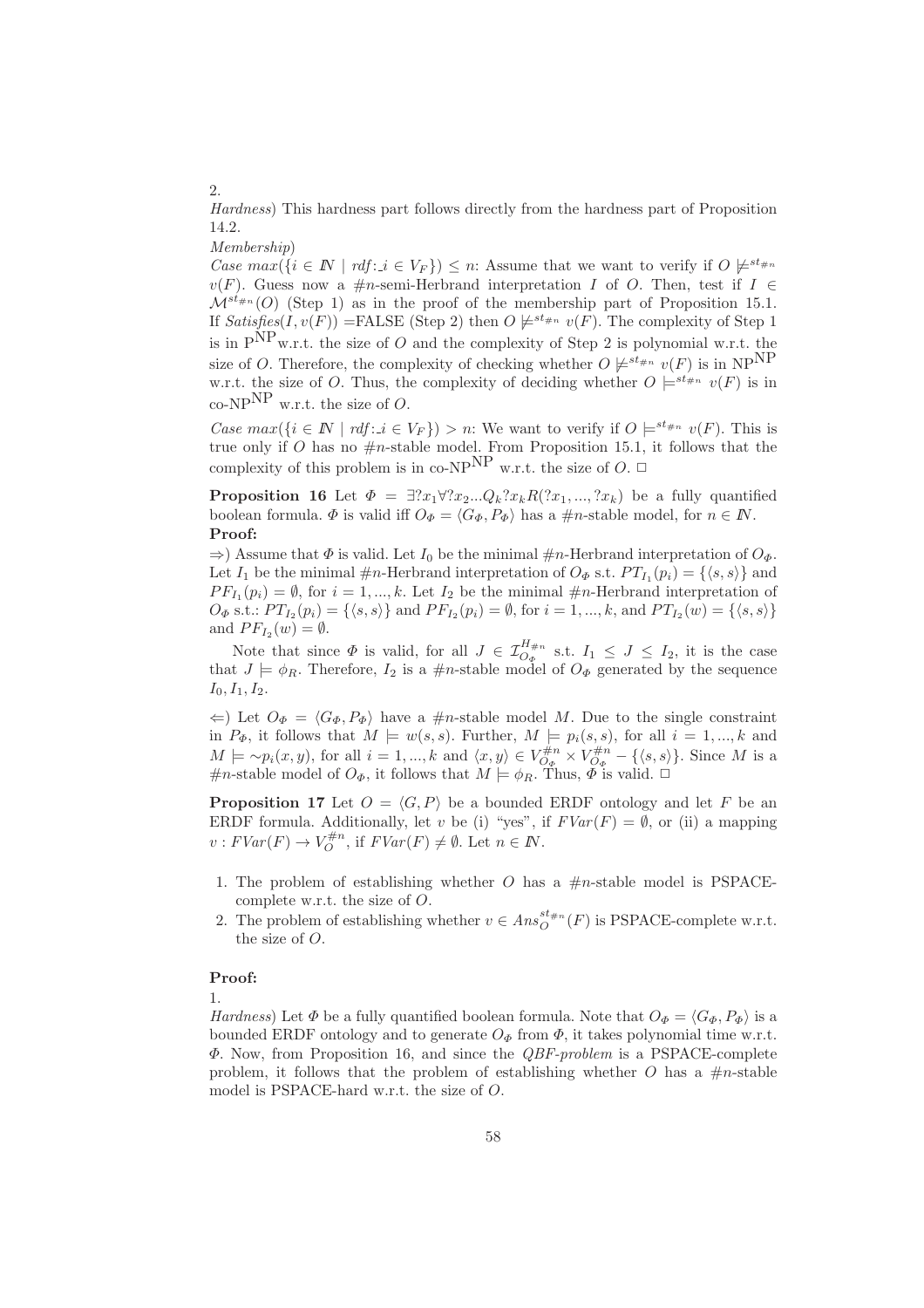Hardness) This hardness part follows directly from the hardness part of Proposition 14.2.

Membership)

Case  $max({i \in N \mid rdf : i \in V_F}) \leq n$ : Assume that we want to verify if  $O \not\models^{st_{\#n}}$ v(F). Guess now a #n-semi-Herbrand interpretation I of O. Then, test if  $I \in$  $\mathcal{M}^{st_{\#n}}(O)$  (Step 1) as in the proof of the membership part of Proposition 15.1. If  $Satisfies (I, v(F))$  =FALSE (Step 2) then  $O \not\models^{st_{\#n}} v(F)$ . The complexity of Step 1 is in  $P^{NP}$ w.r.t. the size of O and the complexity of Step 2 is polynomial w.r.t. the size of O. Therefore, the complexity of checking whether  $O \not\models^{st_{\#n}} v(F)$  is in NP<sup>NP</sup> w.r.t. the size of O. Thus, the complexity of deciding whether  $O \models^{st_{\#n}} v(F)$  is in co-NP<sup>NP</sup> w.r.t. the size of  $Q$ .

Case  $max({i \in N \mid rdf : i \in V_F}) > n$ : We want to verify if  $O \models^{st_{\#n}} v(F)$ . This is true only if  $O$  has no  $\#n$ -stable model. From Proposition 15.1, it follows that the complexity of this problem is in co-NP<sup>NP</sup> w.r.t. the size of  $O$ .  $\Box$ 

**Proposition 16** Let  $\Phi = \exists$ ?x<sub>1</sub> $\forall$ ?x<sub>2</sub>... $Q_k$ ?x<sub>k</sub>R(?x<sub>1</sub>,...,?x<sub>k</sub>) be a fully quantified boolean formula.  $\Phi$  is valid iff  $O_{\Phi} = \langle G_{\Phi}, P_{\Phi} \rangle$  has a #n-stable model, for  $n \in \mathbb{N}$ . Proof:

 $\Rightarrow$ ) Assume that  $\Phi$  is valid. Let  $I_0$  be the minimal #n-Herbrand interpretation of  $O_{\Phi}$ . Let  $I_1$  be the minimal #n-Herbrand interpretation of  $O_{\Phi}$  s.t.  $PT_{I_1}(p_i) = \{ \langle s, s \rangle \}$  and  $PF_{I_1}(p_i) = \emptyset$ , for  $i = 1, ..., k$ . Let  $I_2$  be the minimal  $\#n$ -Herbrand interpretation of  $O_{\Phi}$  s.t.:  $PT_{I_2}(p_i) = \{ \langle s, s \rangle \}$  and  $PF_{I_2}(p_i) = \emptyset$ , for  $i = 1, ..., k$ , and  $PT_{I_2}(w) = \{ \langle s, s \rangle \}$ and  $PF_{I_2}(w) = \emptyset$ .

Note that since  $\Phi$  is valid, for all  $J \in \mathcal{I}_{O_{\Phi}}^{H_{\#n}}$  s.t.  $I_1 \leq J \leq I_2$ , it is the case that  $J \models \phi_R$ . Therefore,  $I_2$  is a #n-stable model of  $O_{\Phi}$  generated by the sequence  $I_0, I_1, I_2.$ 

 $\Leftarrow$ ) Let  $O_{\Phi} = \langle G_{\Phi}, P_{\Phi} \rangle$  have a #n-stable model M. Due to the single constraint in  $P_{\Phi}$ , it follows that  $M \models w(s, s)$ . Further,  $M \models p_i(s, s)$ , for all  $i = 1, ..., k$  and  $M \models \sim p_i(x, y)$ , for all  $i = 1, ..., k$  and  $\langle x, y \rangle \in V_{O_{\Phi}}^{\#n} \times V_{O_{\Phi}}^{\#n} - {\langle s, s \rangle}$ . Since M is a #n-stable model of  $O_{\Phi}$ , it follows that  $M \models \phi_R$ . Thus,  $\breve{\Phi}$  is valid.  $\Box$ 

**Proposition 17** Let  $O = \langle G, P \rangle$  be a bounded ERDF ontology and let F be an ERDF formula. Additionally, let v be (i) "yes", if  $FVar(F) = \emptyset$ , or (ii) a mapping  $v: FVar(F) \to V_O^{\#n}$ , if  $FVar(F) \neq \emptyset$ . Let  $n \in \mathbb{N}$ .

- 1. The problem of establishing whether O has a  $\#n$ -stable model is PSPACEcomplete w.r.t. the size of O.
- 2. The problem of establishing whether  $v \in Ans_0^{st_{\#n}}(F)$  is PSPACE-complete w.r.t. the size of O.

#### Proof:

1.

Hardness) Let  $\Phi$  be a fully quantified boolean formula. Note that  $O_{\Phi} = \langle G_{\Phi}, P_{\Phi} \rangle$  is a bounded ERDF ontology and to generate  $O_{\Phi}$  from  $\Phi$ , it takes polynomial time w.r.t.  $\Phi$ . Now, from Proposition 16, and since the *QBF-problem* is a PSPACE-complete problem, it follows that the problem of establishing whether O has a  $\#n$ -stable model is PSPACE-hard w.r.t. the size of O.

2.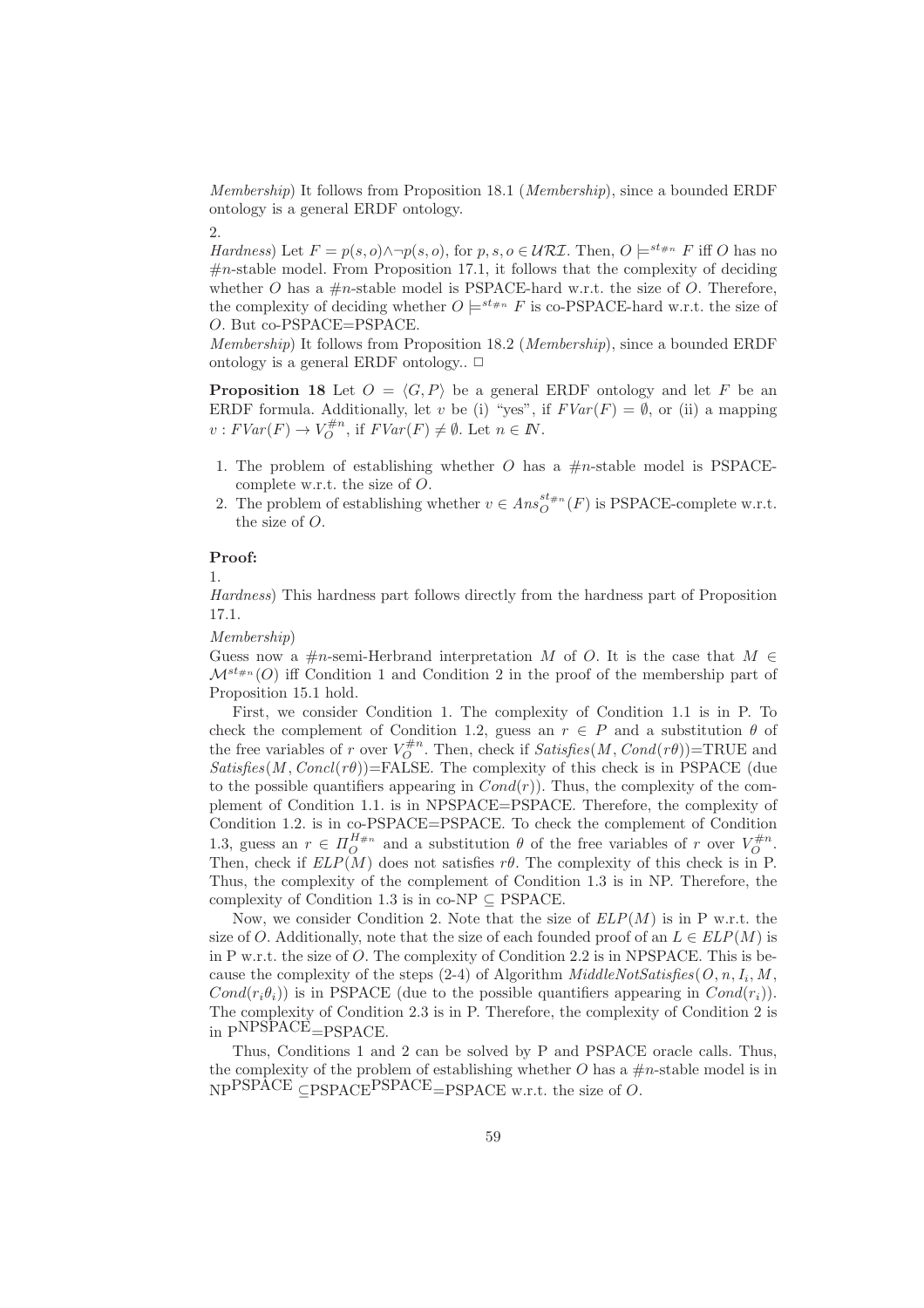Membership) It follows from Proposition 18.1 (Membership), since a bounded ERDF ontology is a general ERDF ontology.

Hardness) Let  $F = p(s, o) \land \neg p(s, o)$ , for  $p, s, o \in \mathcal{URI}$ . Then,  $O \models^{st_{\#n}} F$  iff O has no  $\#n$ -stable model. From Proposition 17.1, it follows that the complexity of deciding whether O has a  $\#n$ -stable model is PSPACE-hard w.r.t. the size of O. Therefore, the complexity of deciding whether  $O \models^{st_{\#n}} F$  is co-PSPACE-hard w.r.t. the size of O. But co-PSPACE=PSPACE.

Membership) It follows from Proposition 18.2 (Membership), since a bounded ERDF ontology is a general ERDF ontology..  $\Box$ 

**Proposition 18** Let  $O = \langle G, P \rangle$  be a general ERDF ontology and let F be an ERDF formula. Additionally, let v be (i) "yes", if  $FVar(F) = \emptyset$ , or (ii) a mapping  $v: FVar(F) \to V_O^{\#n}$ , if  $FVar(F) \neq \emptyset$ . Let  $n \in \mathbb{N}$ .

- 1. The problem of establishing whether O has a  $\#n$ -stable model is PSPACEcomplete w.r.t. the size of O.
- 2. The problem of establishing whether  $v \in Ans_0^{st_{\#n}}(F)$  is PSPACE-complete w.r.t. the size of O.

#### Proof:

1.

 $\mathcal{D}$ 

Hardness) This hardness part follows directly from the hardness part of Proposition 17.1.

Membership)

Guess now a #n-semi-Herbrand interpretation M of O. It is the case that  $M \in$  $\mathcal{M}^{st_{\#n}}(O)$  iff Condition 1 and Condition 2 in the proof of the membership part of Proposition 15.1 hold.

First, we consider Condition 1. The complexity of Condition 1.1 is in P. To check the complement of Condition 1.2, guess an  $r \in P$  and a substitution  $\theta$  of the free variables of r over  $V_Q^{\#n}$ . Then, check if  $Satisfies(M, Cond(r\theta)) = \text{TRUE}$  and  $Satisfies(M, Concl(r\theta))$ =FALSE. The complexity of this check is in PSPACE (due to the possible quantifiers appearing in  $Cond(r)$ ). Thus, the complexity of the complement of Condition 1.1. is in NPSPACE=PSPACE. Therefore, the complexity of Condition 1.2. is in co-PSPACE=PSPACE. To check the complement of Condition 1.3, guess an  $r \in \Pi_{\mathcal{O}}^{H_{\#n}}$  and a substitution  $\theta$  of the free variables of r over  $V_{\mathcal{O}}^{\#n}$ . Then, check if  $ELP(M)$  does not satisfies r $\theta$ . The complexity of this check is in P. Thus, the complexity of the complement of Condition 1.3 is in NP. Therefore, the complexity of Condition 1.3 is in co-NP  $\subseteq$  PSPACE.

Now, we consider Condition 2. Note that the size of  $ELP(M)$  is in P w.r.t. the size of O. Additionally, note that the size of each founded proof of an  $L \in ELP(M)$  is in P w.r.t. the size of O. The complexity of Condition 2.2 is in NPSPACE. This is because the complexity of the steps  $(2-4)$  of Algorithm  $MidleNotSatisfies (O, n, I_i, M, I_i)$  $Cond(r_i\theta_i))$  is in PSPACE (due to the possible quantifiers appearing in  $Cond(r_i)$ ). The complexity of Condition 2.3 is in P. Therefore, the complexity of Condition 2 is in PNPSPACE<sub>=PSPACE</sub>.

Thus, Conditions 1 and 2 can be solved by P and PSPACE oracle calls. Thus, the complexity of the problem of establishing whether  $O$  has a  $\#n$ -stable model is in  $N$ PSPACE  $\text{C}$ PSPACE<sup>PSPACE</sup>=PSPACE w.r.t. the size of O.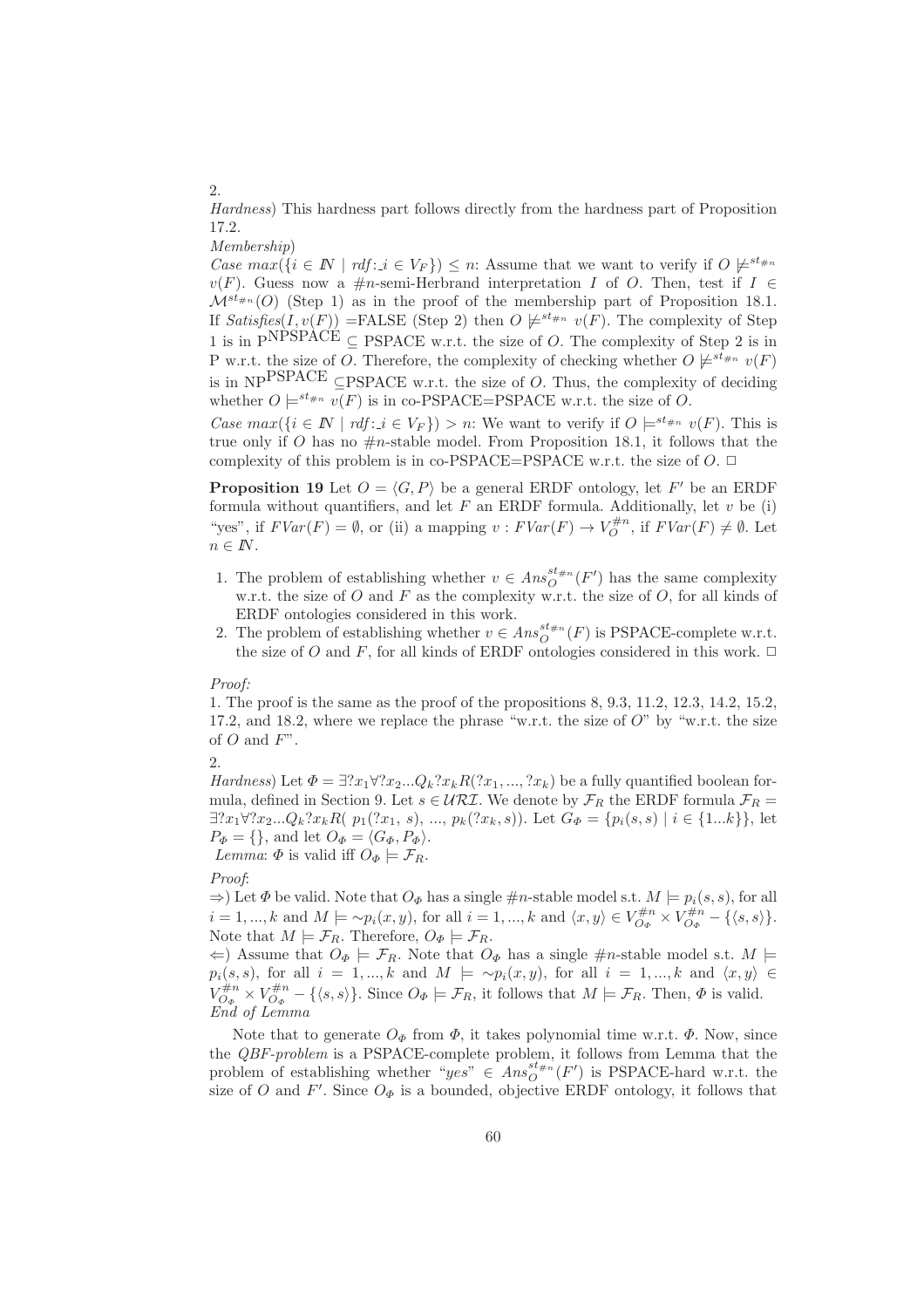Hardness) This hardness part follows directly from the hardness part of Proposition 17.2.

Membership)

Case  $max({i \in N \mid rdf : i \in V_F}) \leq n$ : Assume that we want to verify if  $O \nvDash^{st_{\#n}}$  $v(F)$ . Guess now a #n-semi-Herbrand interpretation I of O. Then, test if I  $\in$  $\mathcal{M}^{st_{\#n}}(O)$  (Step 1) as in the proof of the membership part of Proposition 18.1. If Satisfies(I,  $v(F)$ ) =FALSE (Step 2) then  $O \not\models^{st_{\#n}} v(F)$ . The complexity of Step 1 is in PNPSPACE  $\subseteq$  PSPACE w.r.t. the size of O. The complexity of Step 2 is in P w.r.t. the size of O. Therefore, the complexity of checking whether  $O \not\models^{st_{\#n}} v(F)$ is in NP<sup>PSPACE</sup>  $\subseteq$ PSPACE w.r.t. the size of O. Thus, the complexity of deciding whether  $O \models^{st_{\#n}} v(F)$  is in co-PSPACE=PSPACE w.r.t. the size of O.

Case  $max({i \in N \mid rdf : i \in V_F}) > n$ : We want to verify if  $O \models^{st_{\#n}} v(F)$ . This is true only if O has no  $\#n$ -stable model. From Proposition 18.1, it follows that the complexity of this problem is in co-PSPACE=PSPACE w.r.t. the size of  $O. \Box$ 

**Proposition 19** Let  $O = \langle G, P \rangle$  be a general ERDF ontology, let F' be an ERDF formula without quantifiers, and let  $F$  an ERDF formula. Additionally, let  $v$  be (i) "yes", if  $FVar(F) = \emptyset$ , or (ii) a mapping  $v : FVar(F) \to V_0^{\#n}$ , if  $FVar(F) \neq \emptyset$ . Let  $n \in I\!\!N$ .

- 1. The problem of establishing whether  $v \in Ans_{O}^{st_{\#n}}(F')$  has the same complexity w.r.t. the size of  $O$  and  $F$  as the complexity w.r.t. the size of  $O$ , for all kinds of ERDF ontologies considered in this work.
- 2. The problem of establishing whether  $v \in Ans_O^{st_{\#n}}(F)$  is PSPACE-complete w.r.t. the size of O and F, for all kinds of ERDF ontologies considered in this work.  $\Box$

Proof:

1. The proof is the same as the proof of the propositions 8, 9.3, 11.2, 12.3, 14.2, 15.2, 17.2, and 18.2, where we replace the phrase "w.r.t. the size of  $O$ " by "w.r.t. the size of  $O$  and  $F$ ".

2.

Hardness) Let  $\Phi = \exists? x_1 \forall? x_2... Q_k? x_k R(?x_1,...,?x_k)$  be a fully quantified boolean formula, defined in Section 9. Let  $s \in \mathcal{URI}$ . We denote by  $\mathcal{F}_R$  the ERDF formula  $\mathcal{F}_R$  $\exists?x_1\forall?x_2...Q_k?x_kR(p_1(?x_1, s), ..., p_k(?x_k, s)).$  Let  $G_{\Phi} = \{p_i(s, s) | i \in \{1...k\}\}\,$  let  $P_{\Phi} = \{\},\$  and let  $O_{\Phi} = \langle G_{\Phi}, P_{\Phi} \rangle.$ Lemma:  $\Phi$  is valid iff  $O_{\Phi} \models \mathcal{F}_R$ .

#### Proof:

 $\Rightarrow$ ) Let  $\Phi$  be valid. Note that  $O_{\Phi}$  has a single  $\#n$ -stable model s.t.  $M\models p_i(s, s)$ , for all  $i = 1, ..., k$  and  $M \models \sim p_i(x, y)$ , for all  $i = 1, ..., k$  and  $\langle x, y \rangle \in V_{O_{\Phi}}^{\#n} \times V_{O_{\Phi}}^{\#n} - \{\langle s, s \rangle\}.$ Note that  $M \models \mathcal{F}_R$ . Therefore,  $O_{\Phi} \models \mathcal{F}_R$ .

 $\Leftarrow$ ) Assume that  $O_{\Phi} \models \mathcal{F}_R$ . Note that  $O_{\Phi}$  has a single #n-stable model s.t. M  $\models$  $p_i(s, s)$ , for all  $i = 1, ..., k$  and  $M \models \sim p_i(x, y)$ , for all  $i = 1, ..., k$  and  $\langle x, y \rangle \in$  $V_{O_{\Phi}}^{\#n} \times V_{O_{\Phi}}^{\#n} - \{\langle s, s \rangle\}.$  Since  $O_{\Phi} \models \mathcal{F}_R$ , it follows that  $M \models \mathcal{F}_R$ . Then,  $\Phi$  is valid. End of Lemma

Note that to generate  $O_{\Phi}$  from  $\Phi$ , it takes polynomial time w.r.t.  $\Phi$ . Now, since the QBF-problem is a PSPACE-complete problem, it follows from Lemma that the problem of establishing whether " $yes$ " ∈  $Ans_0^{st_{\#n}}(F')$  is PSPACE-hard w.r.t. the size of O and F'. Since  $O_{\Phi}$  is a bounded, objective ERDF ontology, it follows that

2.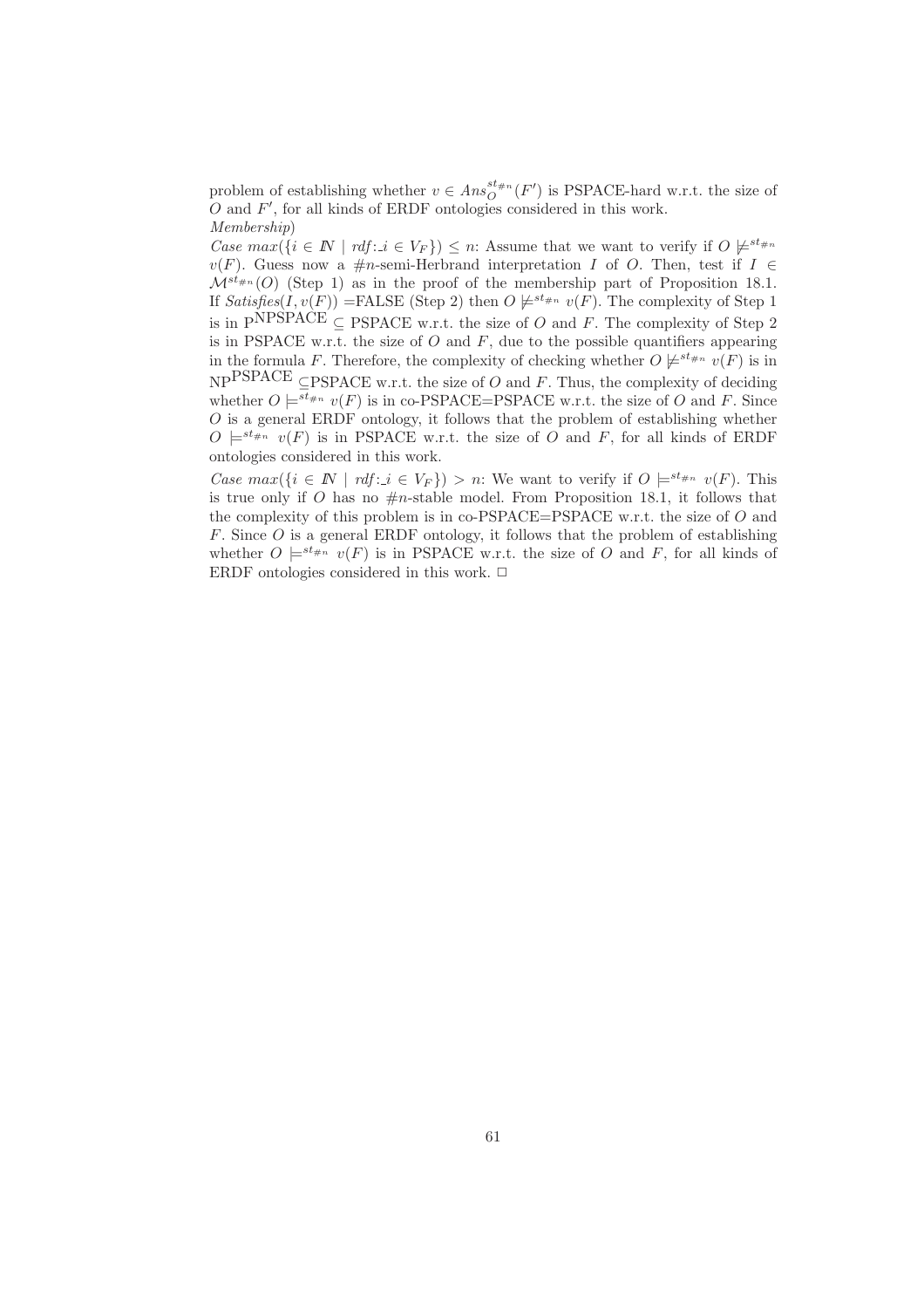problem of establishing whether  $v \in Ans_O^{st_{\#n}}(F')$  is PSPACE-hard w.r.t. the size of  $O$  and  $F'$ , for all kinds of ERDF ontologies considered in this work. Membership)

Case  $max({i \in N \mid rdf : i \in V_F}) \leq n$ : Assume that we want to verify if  $O \nvDash^{st_{\#n}}$  $v(F)$ . Guess now a #n-semi-Herbrand interpretation I of O. Then, test if I  $\in$  $\mathcal{M}^{st_{\#n}}(O)$  (Step 1) as in the proof of the membership part of Proposition 18.1. If Satisfies(I,  $v(F)$ ) =FALSE (Step 2) then  $O \not\models^{st_{\#n}} v(F)$ . The complexity of Step 1 is in  $\overrightarrow{PNPSPACE} \subseteq \overrightarrow{PSPACE}$  w.r.t. the size of O and F. The complexity of Step 2 is in PSPACE w.r.t. the size of  $O$  and  $F$ , due to the possible quantifiers appearing in the formula F. Therefore, the complexity of checking whether  $O \not\models^{st_{\#n}} v(F)$  is in  $NP<sup>PSPACE</sup> \subset PSPACE$  w.r.t. the size of O and F. Thus, the complexity of deciding whether  $O \models^{\overline{st}_{\#n}} v(F)$  is in co-PSPACE=PSPACE w.r.t. the size of O and F. Since  $\overline{O}$  is a general ERDF ontology, it follows that the problem of establishing whether  $O \models^{st_{\#n}} v(F)$  is in PSPACE w.r.t. the size of O and F, for all kinds of ERDF ontologies considered in this work.

Case  $max({i \in N \mid rdf : i \in V_F}) > n$ : We want to verify if  $O \models^{st_{\#n}} v(F)$ . This is true only if O has no  $\#n$ -stable model. From Proposition 18.1, it follows that the complexity of this problem is in co-PSPACE=PSPACE w.r.t. the size of  $O$  and  $F$ . Since  $O$  is a general ERDF ontology, it follows that the problem of establishing whether  $O \models^{st_{\#n}} v(F)$  is in PSPACE w.r.t. the size of O and F, for all kinds of ERDF ontologies considered in this work.  $\Box$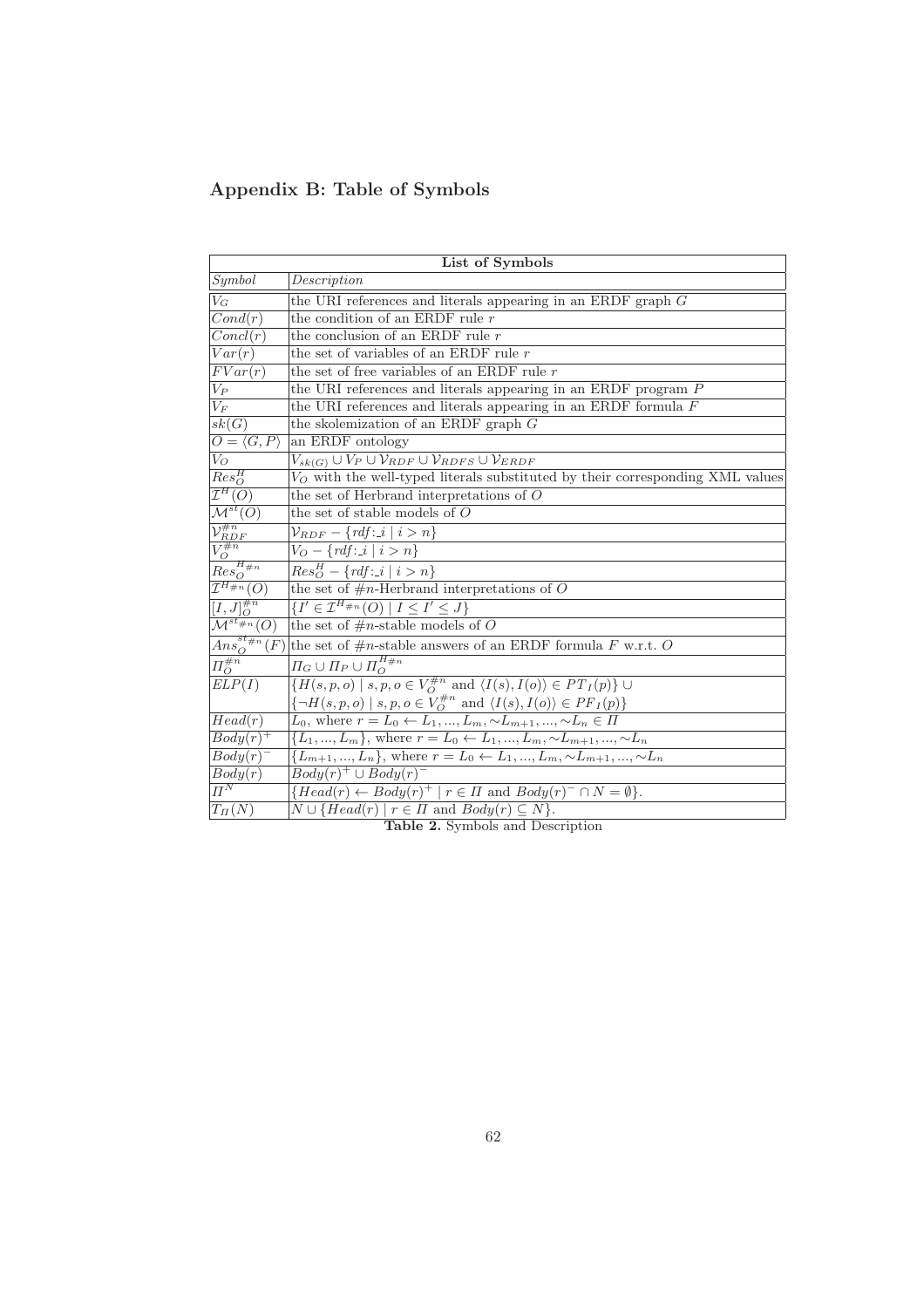# Appendix B: Table of Symbols

| List of Symbols                                          |                                                                                                       |  |
|----------------------------------------------------------|-------------------------------------------------------------------------------------------------------|--|
| Symbol                                                   | Description                                                                                           |  |
| $V_G$                                                    | the URI references and literals appearing in an ERDF graph $G$                                        |  |
| Cond(r)                                                  | the condition of an ERDF rule $r$                                                                     |  |
| Concl(r)                                                 | the conclusion of an ERDF rule $r$                                                                    |  |
| Var(r)                                                   | the set of variables of an ERDF rule $r$                                                              |  |
| FVar(r)                                                  | the set of free variables of an ERDF rule $r$                                                         |  |
| $\overline{V_P}$                                         | the URI references and literals appearing in an ERDF program P                                        |  |
| $\overline{V_F}$                                         | the URI references and literals appearing in an ERDF formula $F$                                      |  |
| sk(G)                                                    | the skolemization of an ERDF graph $G$                                                                |  |
| $O = \langle G, P \rangle$                               | an ERDF ontology                                                                                      |  |
| $V_O$                                                    | $V_{sk(G)} \cup V_P \cup \mathcal{V}_{RDF} \cup \mathcal{V}_{RDFS} \cup \mathcal{V}_{ERDF}$           |  |
| $Res_{O}^H$                                              | V <sub>O</sub> with the well-typed literals substituted by their corresponding XML values             |  |
| $\overline{{\cal I}^H(O)}$                               | the set of Herbrand interpretations of $O$                                                            |  |
| $\overline{\mathcal{M}^{st}(O)}$                         | the set of stable models of $O$                                                                       |  |
|                                                          | $\mathcal{V}_{RDF} - \{ rdf : i \mid i > n \}$                                                        |  |
| $\frac{\overline{\mathcal{V}^{\#n}_{RDF}}}{V^{\#n}_{O}}$ | $V_O - \{ r df : i \mid i > n \}$                                                                     |  |
| $Res_{O}^{H_{\#n}}$                                      | $Res_{O}^H - \{ rdf : i \mid i > n \}$                                                                |  |
| ${\mathcal I}^{H_{\#n}}(O)$                              | the set of $\#n$ -Herbrand interpretations of O                                                       |  |
| $[I,J]_{O}^{\#n}$                                        | $\{I' \in \mathcal{I}^{H_{\#n}}(O) \mid I \leq I' \leq J\}$                                           |  |
| $\overline{\mathcal{M}^{st_{\#n}}(O)}$                   | the set of $\#n$ -stable models of O                                                                  |  |
| $Ans^{st+n}_O(F)$                                        | the set of $\#n$ -stable answers of an ERDF formula F w.r.t. O                                        |  |
| $\Pi^{\#n}_{\overline{O}}$                               | $\Pi_G\cup\Pi_P\cup\Pi_O^{H_{\#n}}$                                                                   |  |
| ELP(I)                                                   | $\{H(s,p,o) \mid s,p,o \in V_O^{\#n} \text{ and } \langle I(s),I(o) \rangle \in PT_I(p)\}$            |  |
|                                                          | $\{\neg H(s, p, o) \mid s, p, o \in V_O^{\#n} \text{ and } \langle I(s), I(o) \rangle \in PF_I(p)\}\$ |  |
| Head(r)                                                  | $L_0$ , where $r = L_0 \leftarrow L_1, , L_m, \sim L_{m+1}, , \sim L_n \in \Pi$                       |  |
| $Body(r)^+$                                              | ${L_1, , L_m}$ , where $r = L_0 \leftarrow L_1, , L_m, \sim L_{m+1}, , \sim L_n$                      |  |
| $Body(r)^-$                                              | ${L_{m+1},, L_n}$ , where $r = L_0 \leftarrow L_1, , L_m, \sim L_{m+1}, , \sim L_n$                   |  |
| Body(r)                                                  | $Body(r)^+ \cup Body(r)^-$                                                                            |  |
| $\overline{\varPi}{}^{N}$                                | ${Head(r) \leftarrow Body(r)^{+}   r \in \Pi \text{ and } Body(r)^{-} \cap N = \emptyset}.$           |  |
| $T_{\Pi}(N)$                                             | $N \cup \{Head(r)   r \in \Pi \text{ and } Body(r) \subseteq N\}.$                                    |  |

Table 2. Symbols and Description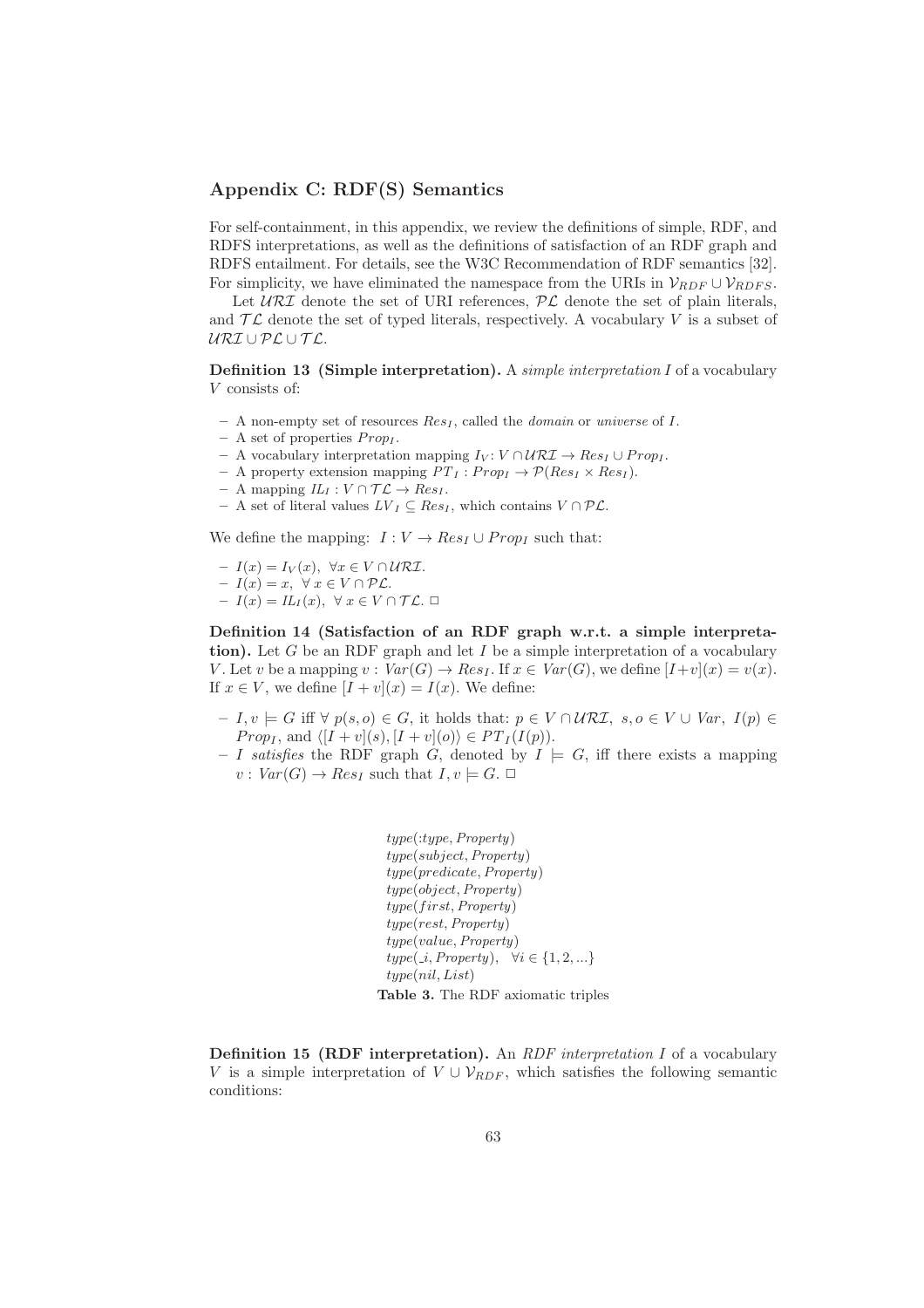## Appendix C: RDF(S) Semantics

For self-containment, in this appendix, we review the definitions of simple, RDF, and RDFS interpretations, as well as the definitions of satisfaction of an RDF graph and RDFS entailment. For details, see the W3C Recommendation of RDF semantics [32]. For simplicity, we have eliminated the namespace from the URIs in  $\mathcal{V}_{RDF} \cup \mathcal{V}_{RDFS}$ .

Let  $URI$  denote the set of URI references,  $PL$  denote the set of plain literals, and  $\mathcal{TL}$  denote the set of typed literals, respectively. A vocabulary V is a subset of  $URI \cup PLU$   $TL$ .

**Definition 13 (Simple interpretation).** A *simple interpretation I* of a vocabulary V consists of:

- A non-empty set of resources Res<sup>I</sup> , called the *domain* or *universe* of I.
- A set of properties  $Prop<sub>I</sub>$ .
- A vocabulary interpretation mapping  $I_V: V \cap URT \rightarrow Res_I \cup Prop_I$ .
- A property extension mapping  $PT_I: Prop_I \rightarrow \mathcal{P}(Res_I \times Res_I).$
- A mapping  $IL_I: V \cap T\mathcal{L} \rightarrow Res_I$ .
- A set of literal values  $LV_I ⊆ Res_I$ , which contains  $V ∩ P$  $L$ .

We define the mapping:  $I: V \to Res_I \cup Prop_I$  such that:

 $-I(x) = I_V(x), \ \forall x \in V \cap URT.$ 

$$
- I(x) = x, \ \forall x \in V \cap \mathcal{PL}.
$$

 $-I(x) = IL_I(x), \forall x \in V \cap TL$ .

Definition 14 (Satisfaction of an RDF graph w.r.t. a simple interpretation). Let G be an RDF graph and let I be a simple interpretation of a vocabulary V. Let v be a mapping  $v: Var(G) \to Res_I$ . If  $x \in Var(G)$ , we define  $[I+v](x) = v(x)$ . If  $x \in V$ , we define  $[I + v](x) = I(x)$ . We define:

- $-I, v \models G$  iff  $\forall p(s, o) \in G$ , it holds that:  $p \in V \cap URT$ ,  $s, o \in V \cup Var$ ,  $I(p) \in$ *Prop<sub>I</sub>*, and  $\langle [I + v](s), [I + v](o) \rangle \in PT_I(I(p)).$
- I satisfies the RDF graph G, denoted by  $I \models G$ , iff there exists a mapping  $v: Var(G) \to Res_I$  such that  $I, v \models G. \square$

type(:type,*Property*) type(subject,*Property*) type(predicate,*Property*) type(object,*Property*) type(f irst,*Property*) type(rest,*Property*) type(value,*Property*)  $type(\_i, Property), \forall i \in \{1, 2, ...\}$ type(nil, List)

Table 3. The RDF axiomatic triples

**Definition 15 (RDF interpretation).** An  $RDF$  interpretation I of a vocabulary V is a simple interpretation of  $V \cup \mathcal{V}_{RDF}$ , which satisfies the following semantic conditions: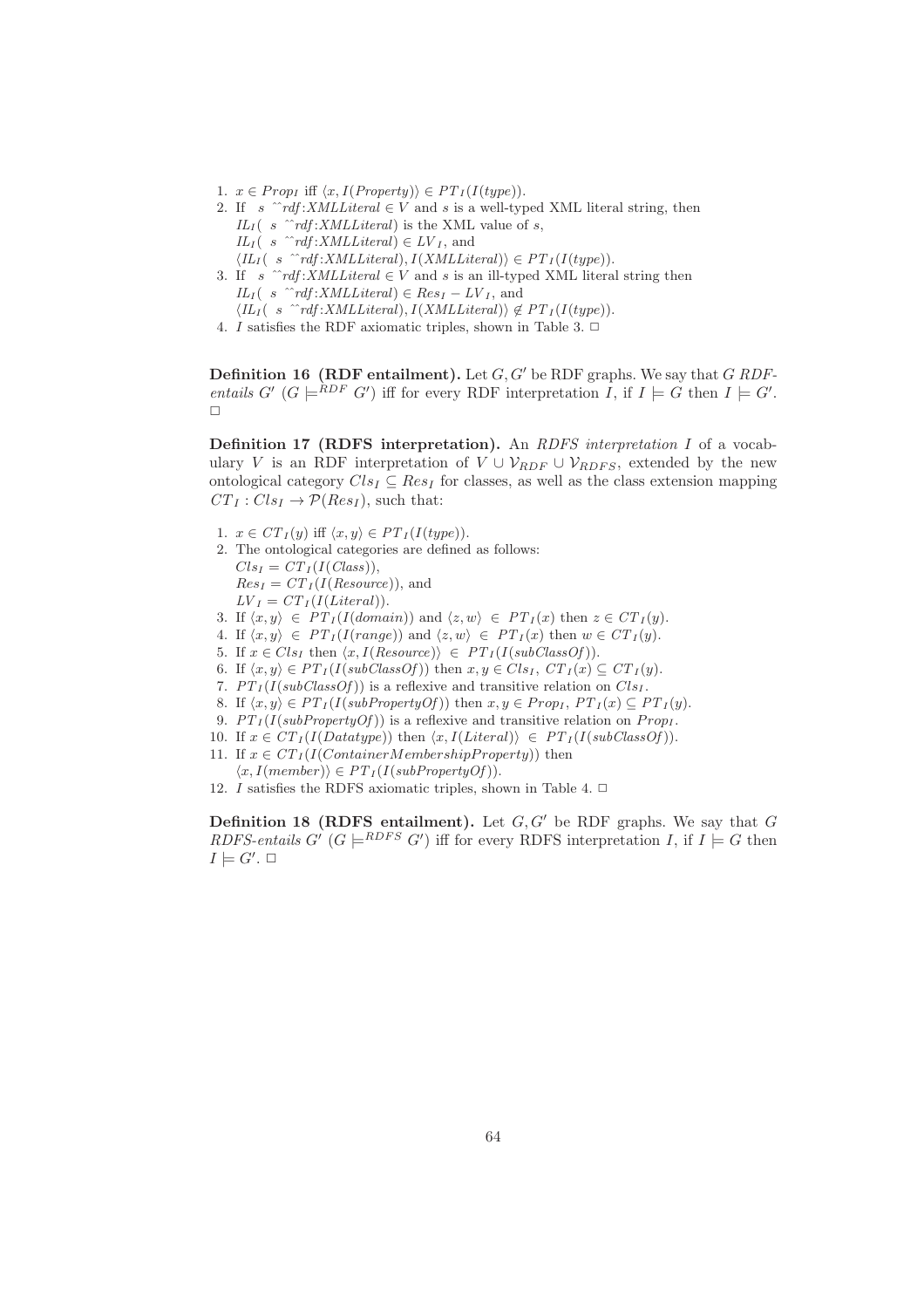- 1.  $x \in Prop_I$  iff  $\langle x, I(Property) \rangle \in PT_I(I(type)).$
- 2. If s  $\hat{i}$ *rdf* :*XMLLiteral*  $\in V$  and s is a well-typed XML literal string, then  $IL_I$  (*s*  $\hat{G}$ *rdf*:*XMLLiteral*) is the XML value of *s*,  $IL_I(s \cap rdf: XMLliteral) \in LV_I$ , and
	- $\langle IL_I(\ s \ \hat{and}: XMLliteral), I(XMLLiteral) \rangle \in PT_I(I(type)).$
- 3. If s ^^*rdf*: $XMLLiteral \in V$  and s is an ill-typed XML literal string then  $IL_I$  ( s  $\hat{G}$ <sup>*rdf*</sup> :*XMLLiteral*) ∈  $Res_I - LV_I$ , and
- $\langle IL_I(\ s \ \hat{i}rdf: XMLLiteral), I(XMLLiteral) \rangle \notin PT_I(I(type)).$
- 4. I satisfies the RDF axiomatic triples, shown in Table 3.  $\Box$

**Definition 16 (RDF entailment).** Let  $G, G'$  be RDF graphs. We say that G RDFentails  $G'$   $(G \models^{RDF} G')$  iff for every RDF interpretation I, if  $I \models G$  then  $I \models G'$ .  $\Box$ 

Definition 17 (RDFS interpretation). An *RDFS interpretation I* of a vocabulary V is an RDF interpretation of  $V \cup \mathcal{V}_{RDF} \cup \mathcal{V}_{RDF}$ , extended by the new ontological category  $Cls<sub>I</sub> \subseteq Res<sub>I</sub>$  for classes, as well as the class extension mapping  $CT_I: Cls_I \rightarrow \mathcal{P}(Res_I)$ , such that:

- 1.  $x \in CT_I(y)$  iff  $\langle x, y \rangle \in PT_I(I(type)).$
- 2. The ontological categories are defined as follows:
	- $Cls_I = CT_I(I(Class)),$  $Res_I = CT_I (I(Resource))$ , and
	- $LV_I = CT_I(I(Literal)).$
- 3. If  $\langle x, y \rangle \in PT_I(I(domain))$  and  $\langle z, w \rangle \in PT_I(x)$  then  $z \in CT_I(y)$ .
- 4. If  $\langle x, y \rangle \in PT_I(I(range))$  and  $\langle z, w \rangle \in PT_I(x)$  then  $w \in CT_I(y)$ .
- 5. If  $x \in Cls_I$  then  $\langle x, I(Resource) \rangle \in PT_I(I(subClassOf)).$
- 6. If  $\langle x, y \rangle \in PT_I(I(subClassOf))$  then  $x, y \in Cls_I$ ,  $CT_I(x) \subseteq CT_I(y)$ .
- 7.  $PT_I(I(subClassOf))$  is a reflexive and transitive relation on  $Cls_I$ .
- 8. If  $\langle x, y \rangle \in PT_I(I(subPropertyOf))$  then  $x, y \in Prop_I$ ,  $PT_I(x) \subseteq PT_I(y)$ .
- 9.  $PT_I(I(subPropertyOf))$  is a reflexive and transitive relation on  $Prop_I$ .
- 10. If  $x \in CT_I(I(Datotype))$  then  $\langle x, I(Literal) \rangle \in PT_I(I(subClassOf))$ .
- 11. If  $x \in CT_I(I(ContainerMembershipProperty))$  then
	- $\langle x, I(member) \rangle \in PT_I(I(subPropertyOf)).$
- 12. I satisfies the RDFS axiomatic triples, shown in Table 4.  $\Box$

**Definition 18 (RDFS entailment).** Let  $G, G'$  be RDF graphs. We say that G RDFS-entails  $G'$   $(G \models^{RDFS} G')$  iff for every RDFS interpretation I, if  $I \models G$  then  $I \models G'. \ \Box$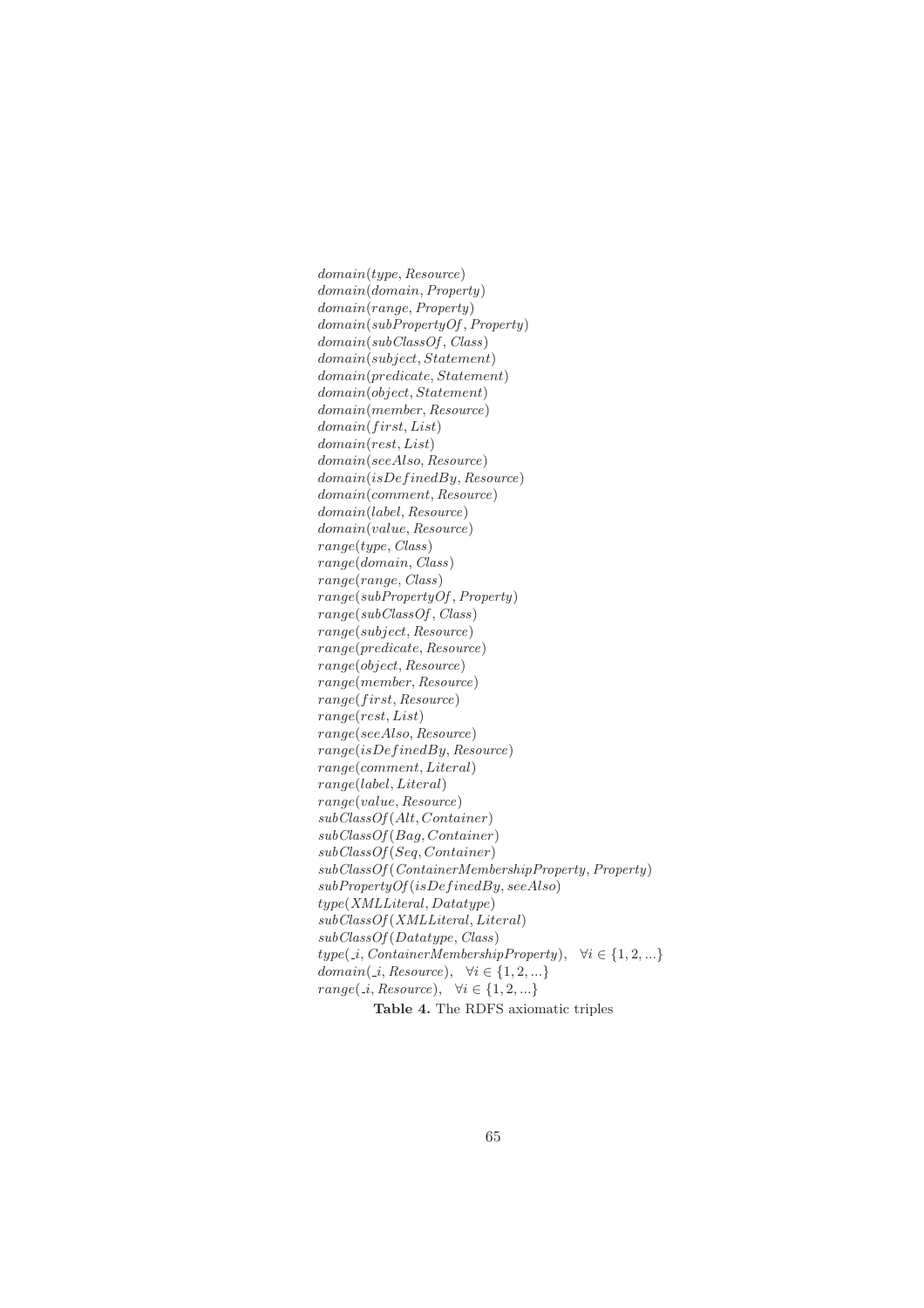domain(type, *Resource*) domain(domain,*Property*) domain(range,*Property*) domain(*subPropertyOf* ,*Property*) domain(*subClassOf* , *Class*) domain(subject, Statement) domain(predicate, Statement) domain(object, Statement) domain(member, *Resource*)  $domain(first, List)$ domain(rest, List) domain(seeAlso, *Resource*) domain(isDef inedBy, *Resource*) domain(comment, *Resource*) domain(label, *Resource*) domain(value, *Resource*) range(type, *Class*) range(domain, *Class*) range(range, *Class*) range(*subPropertyOf* ,*Property*) range(*subClassOf* , *Class*) range(subject, *Resource*) range(predicate, *Resource*) range(object, *Resource*) range(member, *Resource*)  $range(first, Resource)$ range(rest, List) range(seeAlso, *Resource*) range(isDef inedBy, *Resource*) range(comment, Literal) range(label, Literal) range(value, *Resource*) *subClassOf* (Alt, Container) *subClassOf* (Bag, Container) *subClassOf* (Seq, Container) *subClassOf* (*ContainerMembershipProperty*,*Property*)  $subPropertyOf(isDefinedBy, see Also)$ type(*XMLLiteral*, Datatype) *subClassOf* (*XMLLiteral*, Literal) *subClassOf* (Datatype, *Class*)  $type(\_i, ContainerMembershipProperty), \forall i \in \{1, 2, ...\}$  $domain( .i, Resource), \forall i \in \{1, 2, ...\}$  $range(\_,\,Resource), \forall i \in \{1, 2, ...\}$ 

Table 4. The RDFS axiomatic triples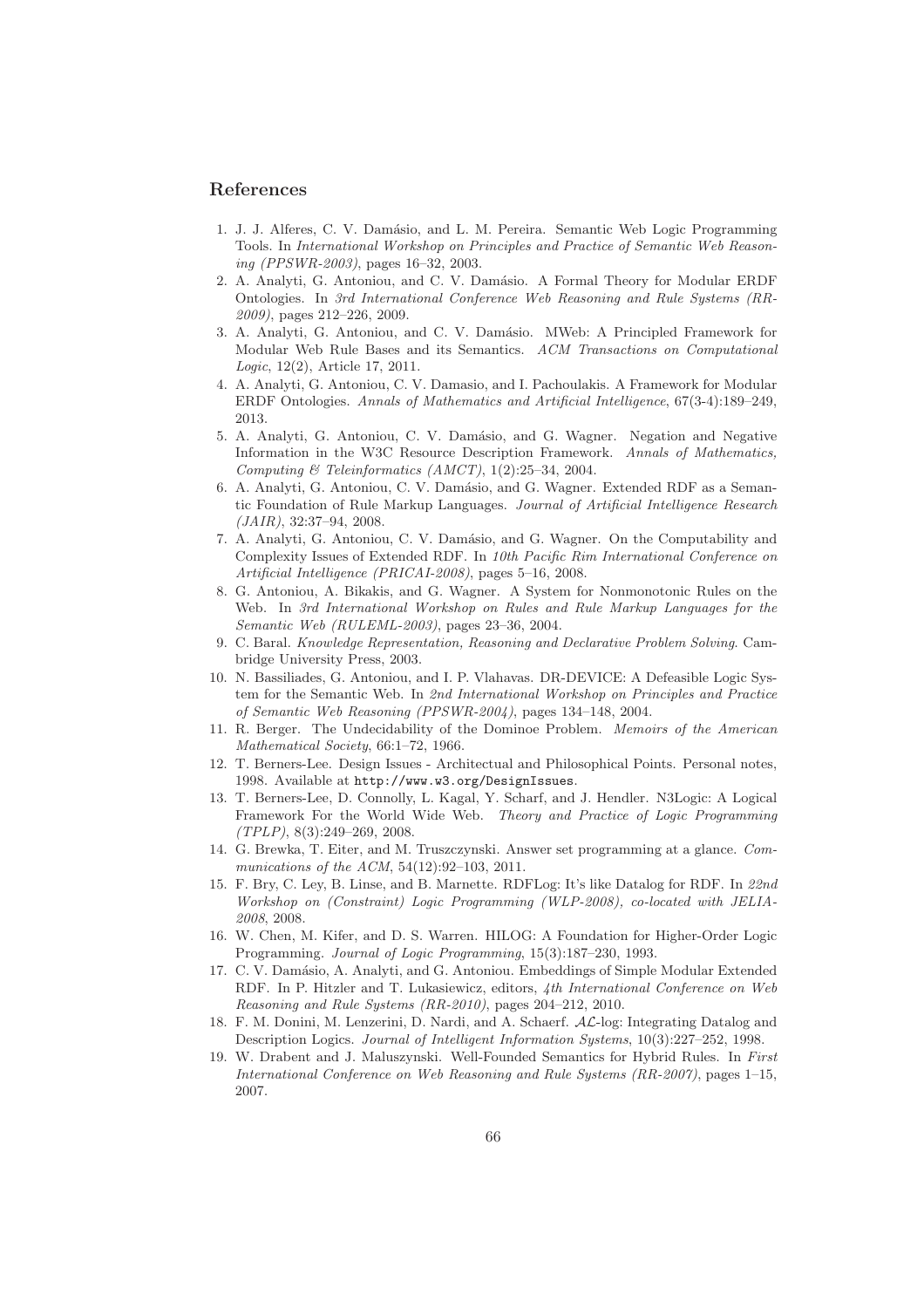## References

- 1. J. J. Alferes, C. V. Dam´asio, and L. M. Pereira. Semantic Web Logic Programming Tools. In *International Workshop on Principles and Practice of Semantic Web Reasoning (PPSWR-2003)*, pages 16–32, 2003.
- 2. A. Analyti, G. Antoniou, and C. V. Damásio. A Formal Theory for Modular ERDF Ontologies. In *3rd International Conference Web Reasoning and Rule Systems (RR-2009)*, pages 212–226, 2009.
- 3. A. Analyti, G. Antoniou, and C. V. Dam´asio. MWeb: A Principled Framework for Modular Web Rule Bases and its Semantics. *ACM Transactions on Computational Logic*, 12(2), Article 17, 2011.
- 4. A. Analyti, G. Antoniou, C. V. Damasio, and I. Pachoulakis. A Framework for Modular ERDF Ontologies. *Annals of Mathematics and Artificial Intelligence*, 67(3-4):189–249, 2013.
- 5. A. Analyti, G. Antoniou, C. V. Dam´asio, and G. Wagner. Negation and Negative Information in the W3C Resource Description Framework. *Annals of Mathematics, Computing & Teleinformatics (AMCT)*, 1(2):25–34, 2004.
- 6. A. Analyti, G. Antoniou, C. V. Dam´asio, and G. Wagner. Extended RDF as a Semantic Foundation of Rule Markup Languages. *Journal of Artificial Intelligence Research (JAIR)*, 32:37–94, 2008.
- 7. A. Analyti, G. Antoniou, C. V. Dam´asio, and G. Wagner. On the Computability and Complexity Issues of Extended RDF. In *10th Pacific Rim International Conference on Artificial Intelligence (PRICAI-2008)*, pages 5–16, 2008.
- 8. G. Antoniou, A. Bikakis, and G. Wagner. A System for Nonmonotonic Rules on the Web. In *3rd International Workshop on Rules and Rule Markup Languages for the Semantic Web (RULEML-2003)*, pages 23–36, 2004.
- 9. C. Baral. *Knowledge Representation, Reasoning and Declarative Problem Solving*. Cambridge University Press, 2003.
- 10. N. Bassiliades, G. Antoniou, and I. P. Vlahavas. DR-DEVICE: A Defeasible Logic System for the Semantic Web. In *2nd International Workshop on Principles and Practice of Semantic Web Reasoning (PPSWR-2004)*, pages 134–148, 2004.
- 11. R. Berger. The Undecidability of the Dominoe Problem. *Memoirs of the American Mathematical Society*, 66:1–72, 1966.
- 12. T. Berners-Lee. Design Issues Architectual and Philosophical Points. Personal notes, 1998. Available at http://www.w3.org/DesignIssues.
- 13. T. Berners-Lee, D. Connolly, L. Kagal, Y. Scharf, and J. Hendler. N3Logic: A Logical Framework For the World Wide Web. *Theory and Practice of Logic Programming (TPLP)*, 8(3):249–269, 2008.
- 14. G. Brewka, T. Eiter, and M. Truszczynski. Answer set programming at a glance. *Communications of the ACM*, 54(12):92–103, 2011.
- 15. F. Bry, C. Ley, B. Linse, and B. Marnette. RDFLog: It's like Datalog for RDF. In *22nd Workshop on (Constraint) Logic Programming (WLP-2008), co-located with JELIA-2008*, 2008.
- 16. W. Chen, M. Kifer, and D. S. Warren. HILOG: A Foundation for Higher-Order Logic Programming. *Journal of Logic Programming*, 15(3):187–230, 1993.
- 17. C. V. Damásio, A. Analyti, and G. Antoniou. Embeddings of Simple Modular Extended RDF. In P. Hitzler and T. Lukasiewicz, editors, *4th International Conference on Web Reasoning and Rule Systems (RR-2010)*, pages 204–212, 2010.
- 18. F. M. Donini, M. Lenzerini, D. Nardi, and A. Schaerf. AL-log: Integrating Datalog and Description Logics. *Journal of Intelligent Information Systems*, 10(3):227–252, 1998.
- 19. W. Drabent and J. Maluszynski. Well-Founded Semantics for Hybrid Rules. In *First International Conference on Web Reasoning and Rule Systems (RR-2007)*, pages 1–15, 2007.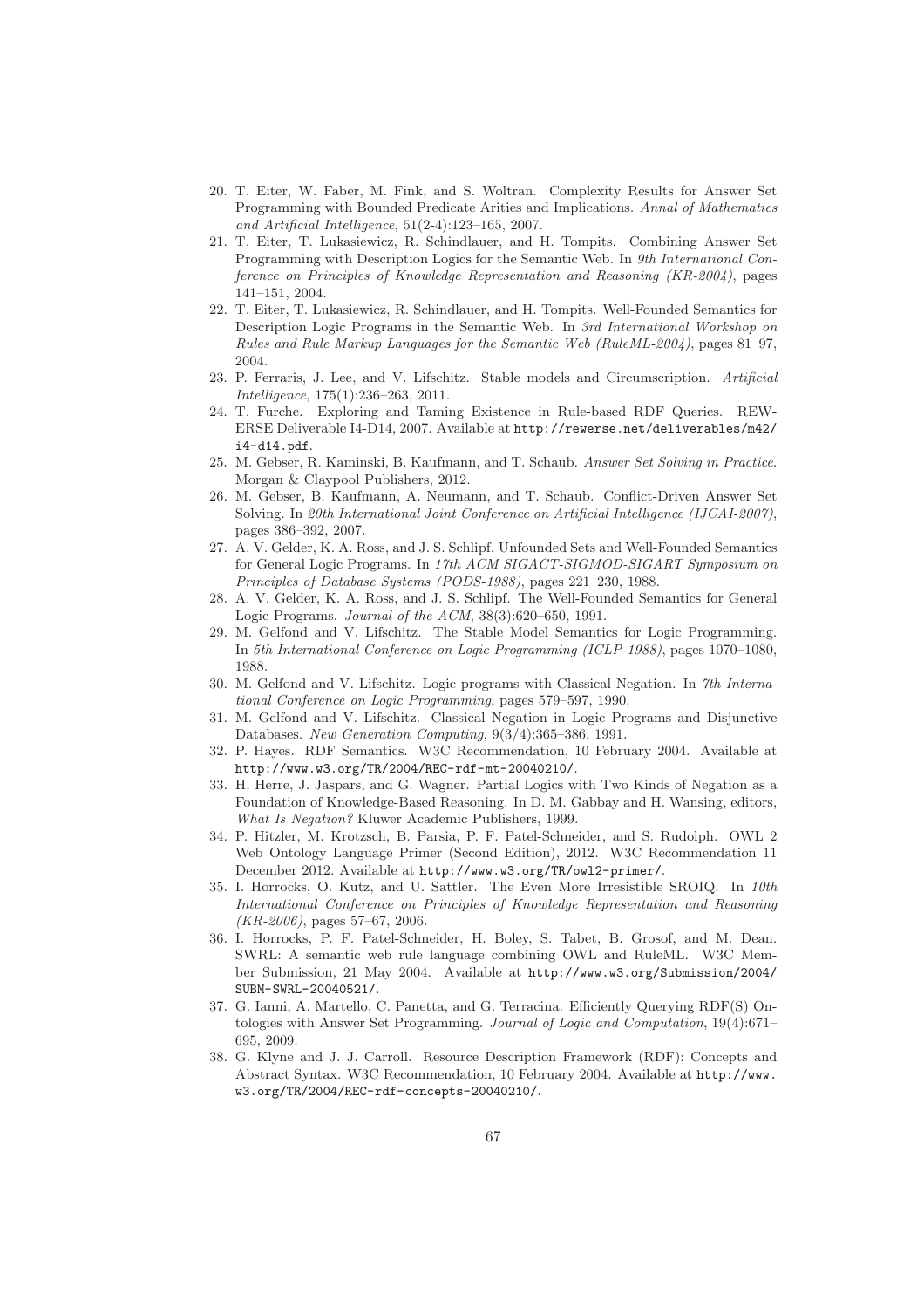- 20. T. Eiter, W. Faber, M. Fink, and S. Woltran. Complexity Results for Answer Set Programming with Bounded Predicate Arities and Implications. *Annal of Mathematics and Artificial Intelligence*, 51(2-4):123–165, 2007.
- 21. T. Eiter, T. Lukasiewicz, R. Schindlauer, and H. Tompits. Combining Answer Set Programming with Description Logics for the Semantic Web. In *9th International Conference on Principles of Knowledge Representation and Reasoning (KR-2004)*, pages 141–151, 2004.
- 22. T. Eiter, T. Lukasiewicz, R. Schindlauer, and H. Tompits. Well-Founded Semantics for Description Logic Programs in the Semantic Web. In *3rd International Workshop on Rules and Rule Markup Languages for the Semantic Web (RuleML-2004)*, pages 81–97, 2004.
- 23. P. Ferraris, J. Lee, and V. Lifschitz. Stable models and Circumscription. *Artificial Intelligence*, 175(1):236–263, 2011.
- 24. T. Furche. Exploring and Taming Existence in Rule-based RDF Queries. REW-ERSE Deliverable I4-D14, 2007. Available at http://rewerse.net/deliverables/m42/ i4-d14.pdf.
- 25. M. Gebser, R. Kaminski, B. Kaufmann, and T. Schaub. *Answer Set Solving in Practice*. Morgan & Claypool Publishers, 2012.
- 26. M. Gebser, B. Kaufmann, A. Neumann, and T. Schaub. Conflict-Driven Answer Set Solving. In *20th International Joint Conference on Artificial Intelligence (IJCAI-2007)*, pages 386–392, 2007.
- 27. A. V. Gelder, K. A. Ross, and J. S. Schlipf. Unfounded Sets and Well-Founded Semantics for General Logic Programs. In *17th ACM SIGACT-SIGMOD-SIGART Symposium on Principles of Database Systems (PODS-1988)*, pages 221–230, 1988.
- 28. A. V. Gelder, K. A. Ross, and J. S. Schlipf. The Well-Founded Semantics for General Logic Programs. *Journal of the ACM*, 38(3):620–650, 1991.
- 29. M. Gelfond and V. Lifschitz. The Stable Model Semantics for Logic Programming. In *5th International Conference on Logic Programming (ICLP-1988)*, pages 1070–1080, 1988.
- 30. M. Gelfond and V. Lifschitz. Logic programs with Classical Negation. In *7th International Conference on Logic Programming*, pages 579–597, 1990.
- 31. M. Gelfond and V. Lifschitz. Classical Negation in Logic Programs and Disjunctive Databases. *New Generation Computing*, 9(3/4):365–386, 1991.
- 32. P. Hayes. RDF Semantics. W3C Recommendation, 10 February 2004. Available at http://www.w3.org/TR/2004/REC-rdf-mt-20040210/.
- 33. H. Herre, J. Jaspars, and G. Wagner. Partial Logics with Two Kinds of Negation as a Foundation of Knowledge-Based Reasoning. In D. M. Gabbay and H. Wansing, editors, *What Is Negation?* Kluwer Academic Publishers, 1999.
- 34. P. Hitzler, M. Krotzsch, B. Parsia, P. F. Patel-Schneider, and S. Rudolph. OWL 2 Web Ontology Language Primer (Second Edition), 2012. W3C Recommendation 11 December 2012. Available at http://www.w3.org/TR/owl2-primer/.
- 35. I. Horrocks, O. Kutz, and U. Sattler. The Even More Irresistible SROIQ. In *10th International Conference on Principles of Knowledge Representation and Reasoning (KR-2006)*, pages 57–67, 2006.
- 36. I. Horrocks, P. F. Patel-Schneider, H. Boley, S. Tabet, B. Grosof, and M. Dean. SWRL: A semantic web rule language combining OWL and RuleML. W3C Member Submission, 21 May 2004. Available at http://www.w3.org/Submission/2004/ SUBM-SWRL-20040521/.
- 37. G. Ianni, A. Martello, C. Panetta, and G. Terracina. Efficiently Querying RDF(S) Ontologies with Answer Set Programming. *Journal of Logic and Computation*, 19(4):671– 695, 2009.
- 38. G. Klyne and J. J. Carroll. Resource Description Framework (RDF): Concepts and Abstract Syntax. W3C Recommendation, 10 February 2004. Available at http://www. w3.org/TR/2004/REC-rdf-concepts-20040210/.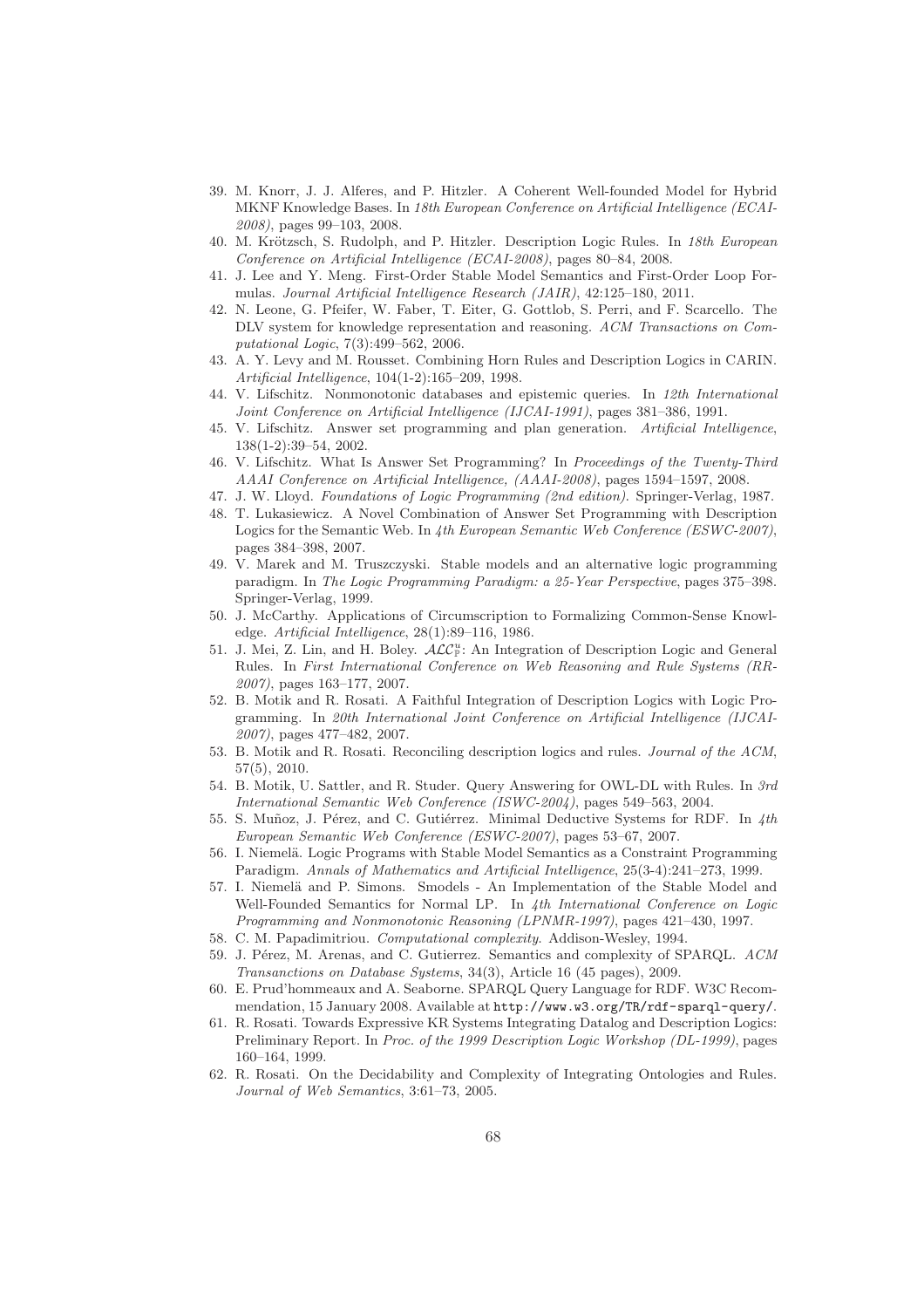- 39. M. Knorr, J. J. Alferes, and P. Hitzler. A Coherent Well-founded Model for Hybrid MKNF Knowledge Bases. In *18th European Conference on Artificial Intelligence (ECAI-2008)*, pages 99–103, 2008.
- 40. M. Krötzsch, S. Rudolph, and P. Hitzler. Description Logic Rules. In 18th European *Conference on Artificial Intelligence (ECAI-2008)*, pages 80–84, 2008.
- 41. J. Lee and Y. Meng. First-Order Stable Model Semantics and First-Order Loop Formulas. *Journal Artificial Intelligence Research (JAIR)*, 42:125–180, 2011.
- 42. N. Leone, G. Pfeifer, W. Faber, T. Eiter, G. Gottlob, S. Perri, and F. Scarcello. The DLV system for knowledge representation and reasoning. *ACM Transactions on Computational Logic*, 7(3):499–562, 2006.
- 43. A. Y. Levy and M. Rousset. Combining Horn Rules and Description Logics in CARIN. *Artificial Intelligence*, 104(1-2):165–209, 1998.
- 44. V. Lifschitz. Nonmonotonic databases and epistemic queries. In *12th International Joint Conference on Artificial Intelligence (IJCAI-1991)*, pages 381–386, 1991.
- 45. V. Lifschitz. Answer set programming and plan generation. *Artificial Intelligence*, 138(1-2):39–54, 2002.
- 46. V. Lifschitz. What Is Answer Set Programming? In *Proceedings of the Twenty-Third AAAI Conference on Artificial Intelligence, (AAAI-2008)*, pages 1594–1597, 2008.
- 47. J. W. Lloyd. *Foundations of Logic Programming (2nd edition)*. Springer-Verlag, 1987.
- 48. T. Lukasiewicz. A Novel Combination of Answer Set Programming with Description Logics for the Semantic Web. In *4th European Semantic Web Conference (ESWC-2007)*, pages 384–398, 2007.
- 49. V. Marek and M. Truszczyski. Stable models and an alternative logic programming paradigm. In *The Logic Programming Paradigm: a 25-Year Perspective*, pages 375–398. Springer-Verlag, 1999.
- 50. J. McCarthy. Applications of Circumscription to Formalizing Common-Sense Knowledge. *Artificial Intelligence*, 28(1):89–116, 1986.
- 51. J. Mei, Z. Lin, and H. Boley.  $\mathcal{ALC}_{\mathbb{P}}^u$ : An Integration of Description Logic and General Rules. In *First International Conference on Web Reasoning and Rule Systems (RR-2007)*, pages 163–177, 2007.
- 52. B. Motik and R. Rosati. A Faithful Integration of Description Logics with Logic Programming. In *20th International Joint Conference on Artificial Intelligence (IJCAI-2007)*, pages 477–482, 2007.
- 53. B. Motik and R. Rosati. Reconciling description logics and rules. *Journal of the ACM*, 57(5), 2010.
- 54. B. Motik, U. Sattler, and R. Studer. Query Answering for OWL-DL with Rules. In *3rd International Semantic Web Conference (ISWC-2004)*, pages 549–563, 2004.
- 55. S. Muñoz, J. Pérez, and C. Gutiérrez. Minimal Deductive Systems for RDF. In 4th *European Semantic Web Conference (ESWC-2007)*, pages 53–67, 2007.
- 56. I. Niemelä. Logic Programs with Stable Model Semantics as a Constraint Programming Paradigm. *Annals of Mathematics and Artificial Intelligence*, 25(3-4):241–273, 1999.
- 57. I. Niemelä and P. Simons. Smodels An Implementation of the Stable Model and Well-Founded Semantics for Normal LP. In *4th International Conference on Logic Programming and Nonmonotonic Reasoning (LPNMR-1997)*, pages 421–430, 1997.
- 58. C. M. Papadimitriou. *Computational complexity*. Addison-Wesley, 1994.
- 59. J. P´erez, M. Arenas, and C. Gutierrez. Semantics and complexity of SPARQL. *ACM Transanctions on Database Systems*, 34(3), Article 16 (45 pages), 2009.
- 60. E. Prud'hommeaux and A. Seaborne. SPARQL Query Language for RDF. W3C Recommendation, 15 January 2008. Available at http://www.w3.org/TR/rdf-sparql-query/.
- 61. R. Rosati. Towards Expressive KR Systems Integrating Datalog and Description Logics: Preliminary Report. In *Proc. of the 1999 Description Logic Workshop (DL-1999)*, pages 160–164, 1999.
- 62. R. Rosati. On the Decidability and Complexity of Integrating Ontologies and Rules. *Journal of Web Semantics*, 3:61–73, 2005.